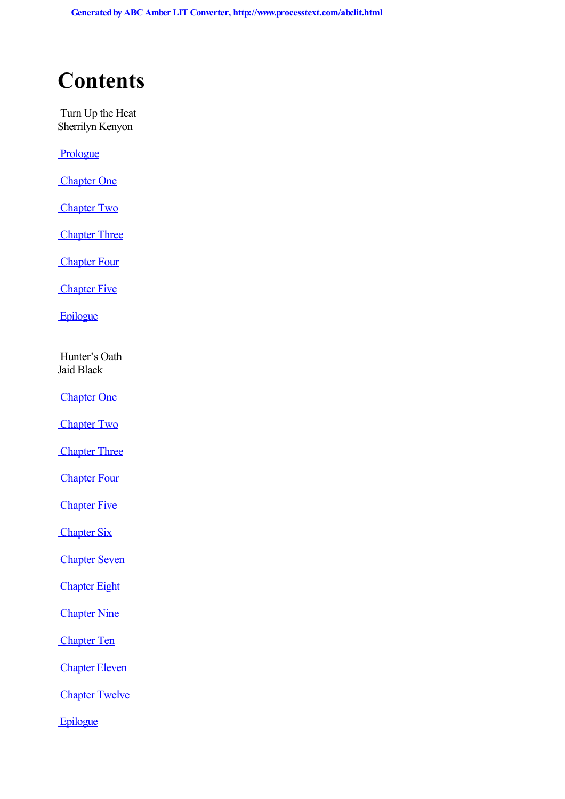### **Contents**

 Turn Up the Heat Sherrilyn Kenyon

Prologue

Chapter One

Chapter Two

**Chapter Three** 

Chapter Four

**Chapter Five** 

Epilogue

 Hunter's Oath Jaid Black

Chapter One

Chapter Two

Chapter Three

**Chapter Four** 

**Chapter Five** 

**Chapter Six** 

Chapter Seven

Chapter Eight

**Chapter Nine** 

Chapter Ten

Chapter Eleven

**Chapter Twelve** 

Epilogue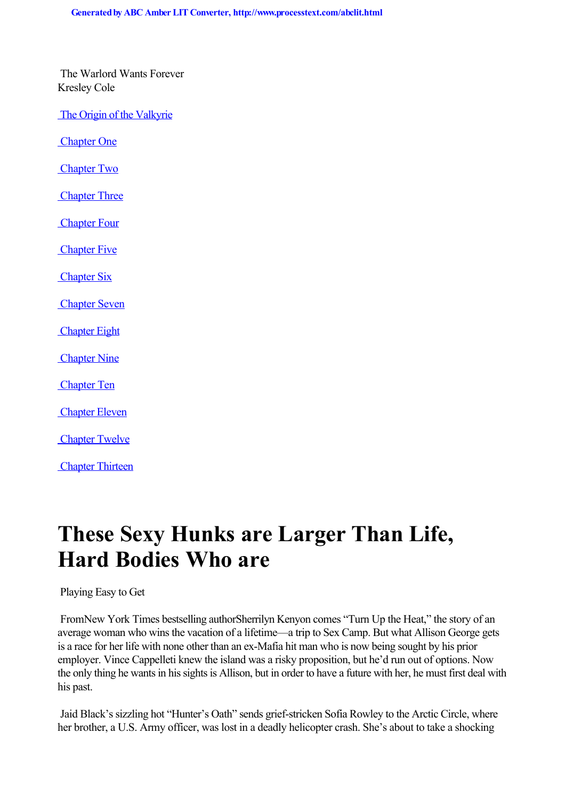The Warlord Wants Forever Kresley Cole

The Origin of the Valkyrie

Chapter One

Chapter Two

**Chapter Three** 

Chapter Four

**Chapter Five** 

**Chapter Six** 

Chapter Seven

**Chapter Eight** 

**Chapter Nine** 

Chapter Ten

**Chapter Eleven** 

**Chapter Twelve** 

**Chapter Thirteen** 

#### **These Sexy Hunks are Larger Than Life, Hard Bodies Who are**

Playing Easy to Get

 FromNew York Times bestselling authorSherrilyn Kenyon comes "Turn Up the Heat," the story of an average woman who wins the vacation of a lifetime—a trip to Sex Camp. But what Allison George gets is a race for her life with none other than an ex-Mafia hit man who is now being sought by his prior employer. Vince Cappelleti knew the island was a risky proposition, but he'd run out of options. Now the only thing he wants in his sights is Allison, but in order to have a future with her, he must first deal with his past.

 Jaid Black's sizzling hot "Hunter's Oath" sends grief-stricken Sofia Rowley to the Arctic Circle, where her brother, a U.S. Army officer, was lost in a deadly helicopter crash. She's about to take a shocking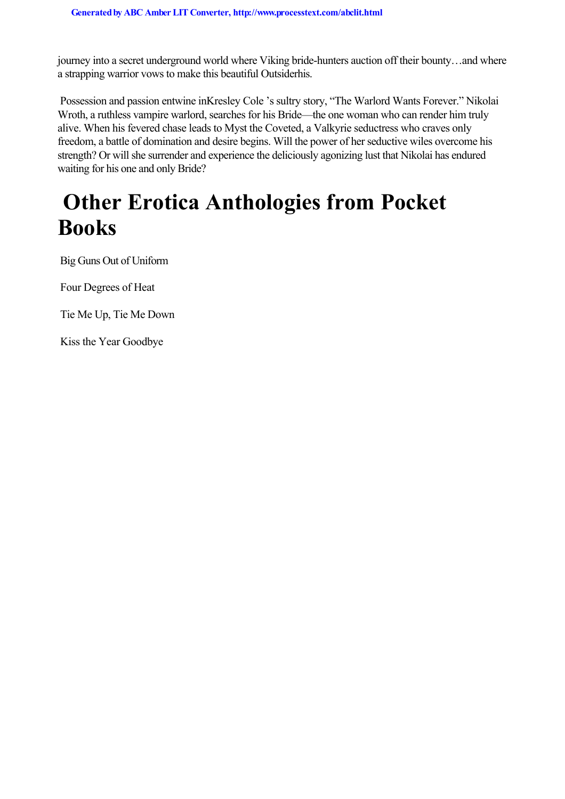journey into a secret underground world where Viking bride-hunters auction off their bounty…and where a strapping warrior vows to make this beautiful Outsiderhis.

 Possession and passion entwine inKresley Cole 's sultry story, "The Warlord Wants Forever." Nikolai Wroth, a ruthless vampire warlord, searches for his Bride—the one woman who can render him truly alive. When his fevered chase leads to Myst the Coveted, a Valkyrie seductress who craves only freedom, a battle of domination and desire begins. Will the power of her seductive wiles overcome his strength? Or will she surrender and experience the deliciously agonizing lust that Nikolai has endured waiting for his one and only Bride?

### **Other Erotica Anthologies from Pocket Books**

Big Guns Out of Uniform

Four Degrees of Heat

Tie Me Up, Tie Me Down

Kiss the Year Goodbye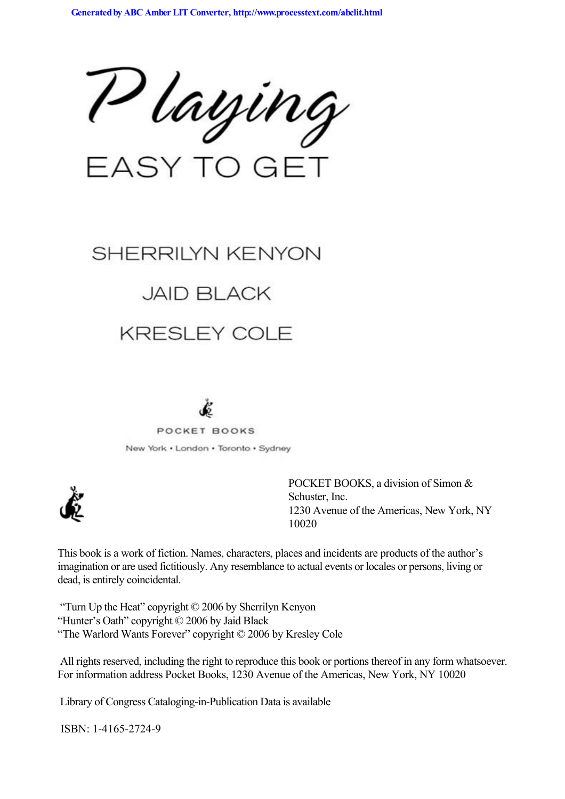Dlaying EASY TO GET

# **SHERRILYN KENYON JAID BLACK KRESLEY COLE**

POCKET BOOKS

New York . London . Toronto . Sydney



POCKET BOOKS, a division of Simon & Schuster, Inc. 1230 Avenue of the Americas, New York, NY 10020

This book is a work of fiction. Names, characters, places and incidents are products of the author's imagination or are used fictitiously. Any resemblance to actual events or locales or persons, living or dead, is entirely coincidental.

 "Turn Up the Heat" copyright © 2006 by Sherrilyn Kenyon "Hunter's Oath" copyright © 2006 by Jaid Black "The Warlord Wants Forever" copyright © 2006 by Kresley Cole

 All rights reserved, including the right to reproduce this book or portions thereof in any form whatsoever. For information address Pocket Books, 1230 Avenue of the Americas, New York, NY 10020

Library of Congress Cataloging-in-Publication Data is available

ISBN: 1-4165-2724-9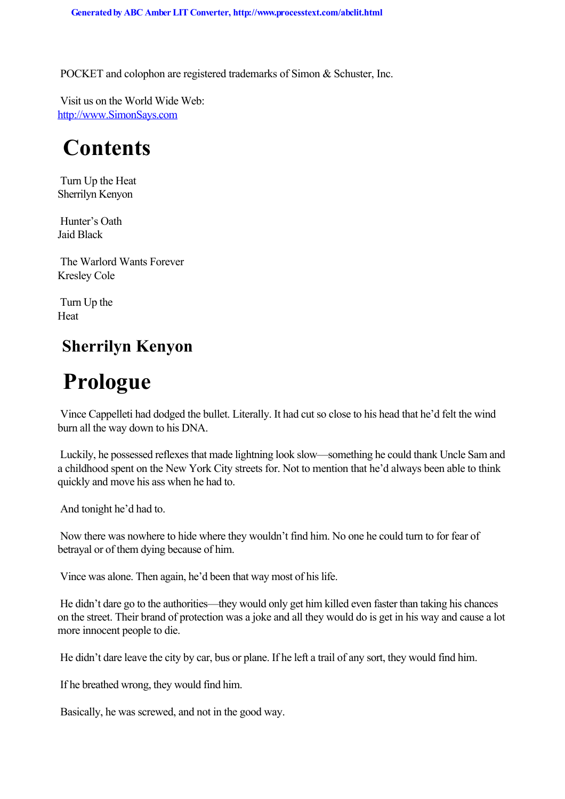POCKET and colophon are registered trademarks of Simon & Schuster, Inc.

 Visit us on the World Wide Web: <http://www.SimonSays.com>

#### **Contents**

 Turn Up the Heat Sherrilyn Kenyon

 Hunter's Oath Jaid Black

 The Warlord Wants Forever Kresley Cole

 Turn Up the Heat

#### **Sherrilyn Kenyon**

#### **Prologue**

 Vince Cappelleti had dodged the bullet. Literally. It had cut so close to his head that he'd felt the wind burn all the way down to his DNA.

 Luckily, he possessed reflexes that made lightning look slow—something he could thank Uncle Sam and a childhood spent on the New York City streets for. Not to mention that he'd always been able to think quickly and move his ass when he had to.

And tonight he'd had to.

 Now there was nowhere to hide where they wouldn't find him. No one he could turn to for fear of betrayal or of them dying because of him.

Vince was alone. Then again, he'd been that way most of his life.

 He didn't dare go to the authorities—they would only get him killed even faster than taking his chances on the street. Their brand of protection was a joke and all they would do is get in his way and cause a lot more innocent people to die.

He didn't dare leave the city by car, bus or plane. If he left a trail of any sort, they would find him.

If he breathed wrong, they would find him.

Basically, he was screwed, and not in the good way.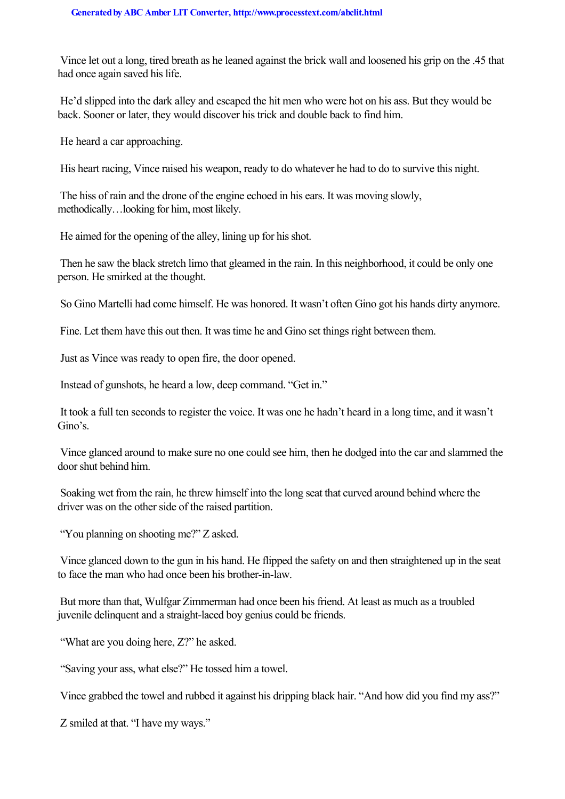Vince let out a long, tired breath as he leaned against the brick wall and loosened his grip on the .45 that had once again saved his life.

 He'd slipped into the dark alley and escaped the hit men who were hot on his ass. But they would be back. Sooner or later, they would discover his trick and double back to find him.

He heard a car approaching.

His heart racing, Vince raised his weapon, ready to do whatever he had to do to survive this night.

 The hiss of rain and the drone of the engine echoed in his ears. It was moving slowly, methodically…looking for him, most likely.

He aimed for the opening of the alley, lining up for his shot.

 Then he saw the black stretch limo that gleamed in the rain. In this neighborhood, it could be only one person. He smirked at the thought.

So Gino Martelli had come himself. He was honored. It wasn't often Gino got his hands dirty anymore.

Fine. Let them have this out then. It was time he and Gino set things right between them.

Just as Vince was ready to open fire, the door opened.

Instead of gunshots, he heard a low, deep command. "Get in."

 It took a full ten seconds to register the voice. It was one he hadn't heard in a long time, and it wasn't Gino's.

 Vince glanced around to make sure no one could see him, then he dodged into the car and slammed the door shut behind him.

 Soaking wet from the rain, he threw himself into the long seat that curved around behind where the driver was on the other side of the raised partition.

"You planning on shooting me?" Z asked.

 Vince glanced down to the gun in his hand. He flipped the safety on and then straightened up in the seat to face the man who had once been his brother-in-law.

 But more than that, Wulfgar Zimmerman had once been his friend. At least as much as a troubled juvenile delinquent and a straight-laced boy genius could be friends.

"What are you doing here, Z?" he asked.

"Saving your ass, what else?" He tossed him a towel.

Vince grabbed the towel and rubbed it against his dripping black hair. "And how did you find my ass?"

Z smiled at that. "I have my ways."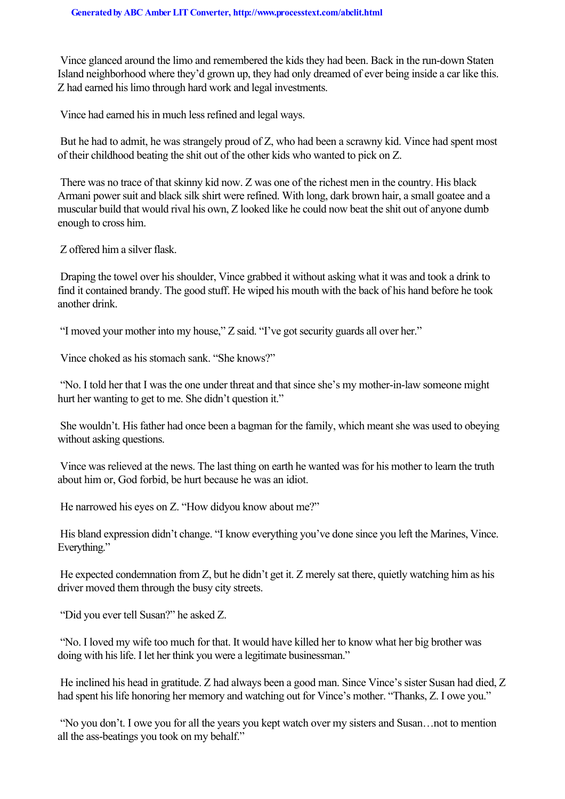Vince glanced around the limo and remembered the kids they had been. Back in the run-down Staten Island neighborhood where they'd grown up, they had only dreamed of ever being inside a car like this. Z had earned his limo through hard work and legal investments.

Vince had earned his in much less refined and legal ways.

 But he had to admit, he was strangely proud of Z, who had been a scrawny kid. Vince had spent most of their childhood beating the shit out of the other kids who wanted to pick on Z.

 There was no trace of that skinny kid now. Z was one of the richest men in the country. His black Armani power suit and black silk shirt were refined. With long, dark brown hair, a small goatee and a muscular build that would rival his own, Z looked like he could now beat the shit out of anyone dumb enough to cross him.

Z offered him a silver flask.

 Draping the towel over his shoulder, Vince grabbed it without asking what it was and took a drink to find it contained brandy. The good stuff. He wiped his mouth with the back of his hand before he took another drink.

"I moved your mother into my house," Z said. "I've got security guards all over her."

Vince choked as his stomach sank. "She knows?"

 "No. I told her that I was the one under threat and that since she's my mother-in-law someone might hurt her wanting to get to me. She didn't question it."

 She wouldn't. His father had once been a bagman for the family, which meant she was used to obeying without asking questions.

 Vince was relieved at the news. The last thing on earth he wanted was for his mother to learn the truth about him or, God forbid, be hurt because he was an idiot.

He narrowed his eyes on Z. "How didyou know about me?"

 His bland expression didn't change. "I know everything you've done since you left the Marines, Vince. Everything."

 He expected condemnation from Z, but he didn't get it. Z merely sat there, quietly watching him as his driver moved them through the busy city streets.

"Did you ever tell Susan?" he asked Z.

 "No. I loved my wife too much for that. It would have killed her to know what her big brother was doing with his life. I let her think you were a legitimate businessman."

 He inclined his head in gratitude. Z had always been a good man. Since Vince's sister Susan had died, Z had spent his life honoring her memory and watching out for Vince's mother. "Thanks, Z. I owe you."

 "No you don't. I owe you for all the years you kept watch over my sisters and Susan…not to mention all the ass-beatings you took on my behalf."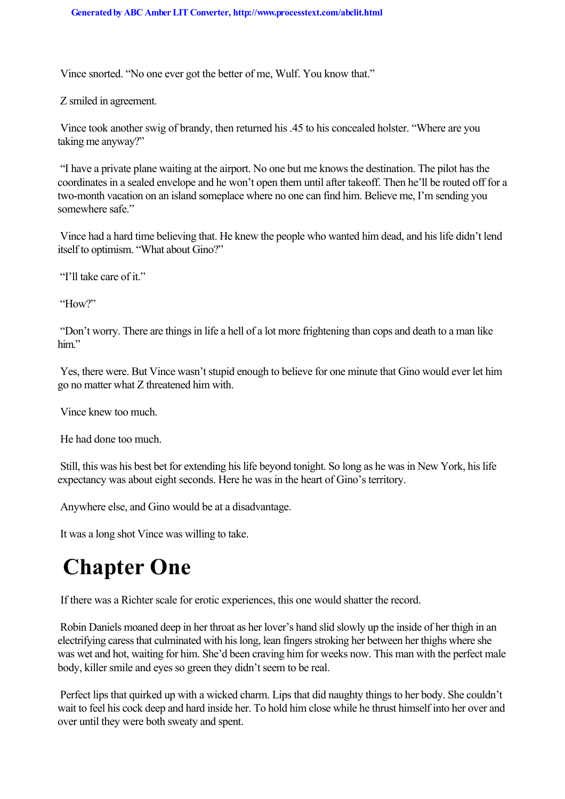Vince snorted. "No one ever got the better of me, Wulf. You know that."

Z smiled in agreement.

 Vince took another swig of brandy, then returned his .45 to his concealed holster. "Where are you taking me anyway?"

 "I have a private plane waiting at the airport. No one but me knows the destination. The pilot has the coordinates in a sealed envelope and he won't open them until after takeoff. Then he'll be routed off for a two-month vacation on an island someplace where no one can find him. Believe me, I'm sending you somewhere safe."

 Vince had a hard time believing that. He knew the people who wanted him dead, and his life didn't lend itself to optimism. "What about Gino?"

"I'll take care of it."

"How?"

 "Don't worry. There are things in life a hell of a lot more frightening than cops and death to a man like him"

 Yes, there were. But Vince wasn't stupid enough to believe for one minute that Gino would ever let him go no matter what Z threatened him with.

Vince knew too much.

He had done too much.

 Still, this was his best bet for extending his life beyond tonight. So long as he was in New York, his life expectancy was about eight seconds. Here he was in the heart of Gino's territory.

Anywhere else, and Gino would be at a disadvantage.

It was a long shot Vince was willing to take.

### **Chapter One**

If there was a Richter scale for erotic experiences, this one would shatter the record.

 Robin Daniels moaned deep in her throat as her lover's hand slid slowly up the inside of her thigh in an electrifying caress that culminated with his long, lean fingers stroking her between her thighs where she was wet and hot, waiting for him. She'd been craving him for weeks now. This man with the perfect male body, killer smile and eyes so green they didn't seem to be real.

 Perfect lips that quirked up with a wicked charm. Lips that did naughty things to her body. She couldn't wait to feel his cock deep and hard inside her. To hold him close while he thrust himself into her over and over until they were both sweaty and spent.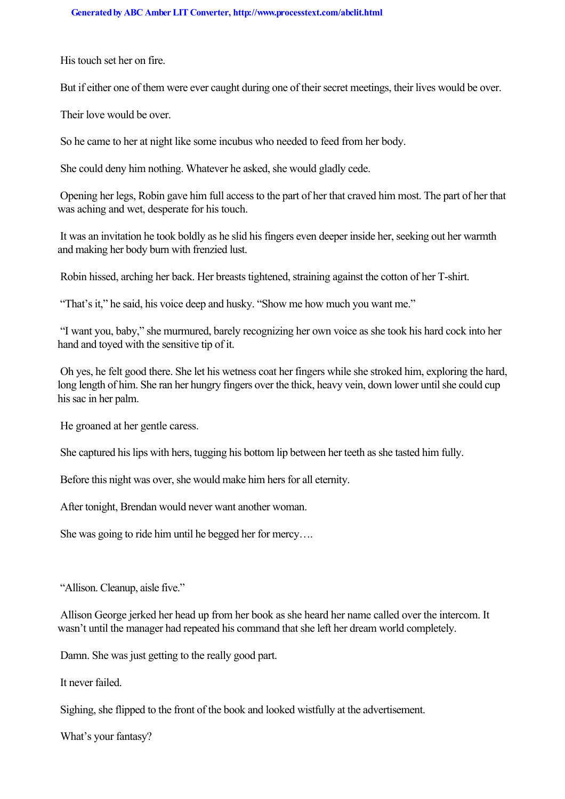His touch set her on fire.

But if either one of them were ever caught during one of their secret meetings, their lives would be over.

Their love would be over.

So he came to her at night like some incubus who needed to feed from her body.

She could deny him nothing. Whatever he asked, she would gladly cede.

 Opening her legs, Robin gave him full access to the part of her that craved him most. The part of her that was aching and wet, desperate for his touch.

 It was an invitation he took boldly as he slid his fingers even deeper inside her, seeking out her warmth and making her body burn with frenzied lust.

Robin hissed, arching her back. Her breasts tightened, straining against the cotton of her T-shirt.

"That's it," he said, his voice deep and husky. "Show me how much you want me."

 "I want you, baby," she murmured, barely recognizing her own voice as she took his hard cock into her hand and toyed with the sensitive tip of it.

 Oh yes, he felt good there. She let his wetness coat her fingers while she stroked him, exploring the hard, long length of him. She ran her hungry fingers over the thick, heavy vein, down lower until she could cup his sac in her palm.

He groaned at her gentle caress.

She captured his lips with hers, tugging his bottom lip between her teeth as she tasted him fully.

Before this night was over, she would make him hers for all eternity.

After tonight, Brendan would never want another woman.

She was going to ride him until he begged her for mercy….

"Allison. Cleanup, aisle five."

 Allison George jerked her head up from her book as she heard her name called over the intercom. It wasn't until the manager had repeated his command that she left her dream world completely.

Damn. She was just getting to the really good part.

It never failed.

Sighing, she flipped to the front of the book and looked wistfully at the advertisement.

What's your fantasy?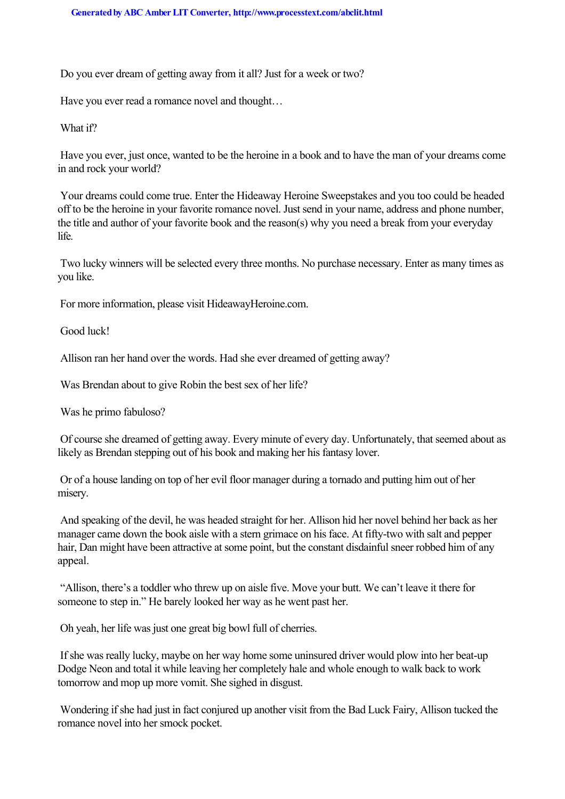Do you ever dream of getting away from it all? Just for a week or two?

Have you ever read a romance novel and thought…

What if?

 Have you ever, just once, wanted to be the heroine in a book and to have the man of your dreams come in and rock your world?

 Your dreams could come true. Enter the Hideaway Heroine Sweepstakes and you too could be headed off to be the heroine in your favorite romance novel. Just send in your name, address and phone number, the title and author of your favorite book and the reason(s) why you need a break from your everyday life.

 Two lucky winners will be selected every three months. No purchase necessary. Enter as many times as you like.

For more information, please visit HideawayHeroine.com.

Good luck!

Allison ran her hand over the words. Had she ever dreamed of getting away?

Was Brendan about to give Robin the best sex of her life?

Was he primo fabuloso?

 Of course she dreamed of getting away. Every minute of every day. Unfortunately, that seemed about as likely as Brendan stepping out of his book and making her his fantasy lover.

 Or of a house landing on top of her evil floor manager during a tornado and putting him out of her misery.

 And speaking of the devil, he was headed straight for her. Allison hid her novel behind her back as her manager came down the book aisle with a stern grimace on his face. At fifty-two with salt and pepper hair, Dan might have been attractive at some point, but the constant disdainful sneer robbed him of any appeal.

 "Allison, there's a toddler who threw up on aisle five. Move your butt. We can't leave it there for someone to step in." He barely looked her way as he went past her.

Oh yeah, her life was just one great big bowl full of cherries.

 If she was really lucky, maybe on her way home some uninsured driver would plow into her beat-up Dodge Neon and total it while leaving her completely hale and whole enough to walk back to work tomorrow and mop up more vomit. She sighed in disgust.

 Wondering if she had just in fact conjured up another visit from the Bad Luck Fairy, Allison tucked the romance novel into her smock pocket.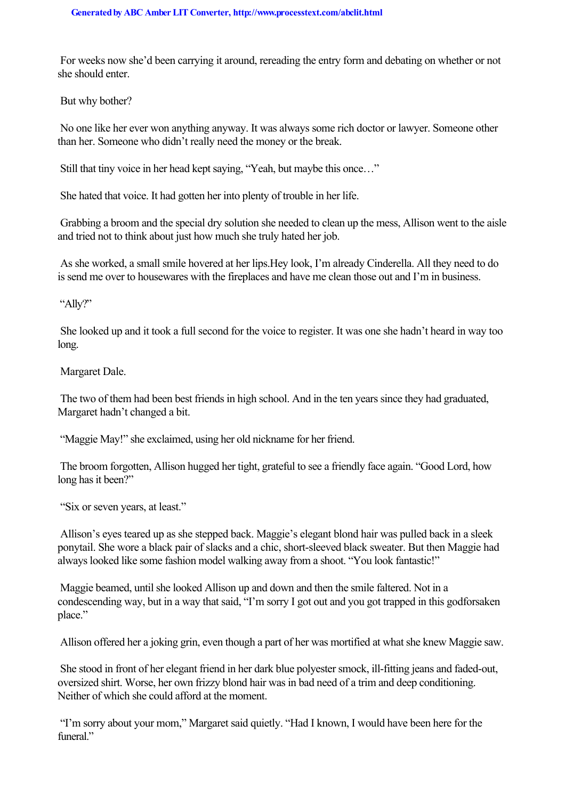For weeks now she'd been carrying it around, rereading the entry form and debating on whether or not she should enter.

But why bother?

 No one like her ever won anything anyway. It was always some rich doctor or lawyer. Someone other than her. Someone who didn't really need the money or the break.

Still that tiny voice in her head kept saying, "Yeah, but maybe this once…"

She hated that voice. It had gotten her into plenty of trouble in her life.

 Grabbing a broom and the special dry solution she needed to clean up the mess, Allison went to the aisle and tried not to think about just how much she truly hated her job.

 As she worked, a small smile hovered at her lips.Hey look, I'm already Cinderella. All they need to do is send me over to housewares with the fireplaces and have me clean those out and I'm in business.

"Ally?"

 She looked up and it took a full second for the voice to register. It was one she hadn't heard in way too long.

Margaret Dale.

 The two of them had been best friends in high school. And in the ten years since they had graduated, Margaret hadn't changed a bit.

"Maggie May!" she exclaimed, using her old nickname for her friend.

 The broom forgotten, Allison hugged her tight, grateful to see a friendly face again. "Good Lord, how long has it been?"

"Six or seven years, at least."

 Allison's eyes teared up as she stepped back. Maggie's elegant blond hair was pulled back in a sleek ponytail. She wore a black pair of slacks and a chic, short-sleeved black sweater. But then Maggie had always looked like some fashion model walking away from a shoot. "You look fantastic!"

 Maggie beamed, until she looked Allison up and down and then the smile faltered. Not in a condescending way, but in a way that said, "I'm sorry I got out and you got trapped in this godforsaken place."

Allison offered her a joking grin, even though a part of her was mortified at what she knew Maggie saw.

 She stood in front of her elegant friend in her dark blue polyester smock, ill-fitting jeans and faded-out, oversized shirt. Worse, her own frizzy blond hair was in bad need of a trim and deep conditioning. Neither of which she could afford at the moment.

 "I'm sorry about your mom," Margaret said quietly. "Had I known, I would have been here for the funeral."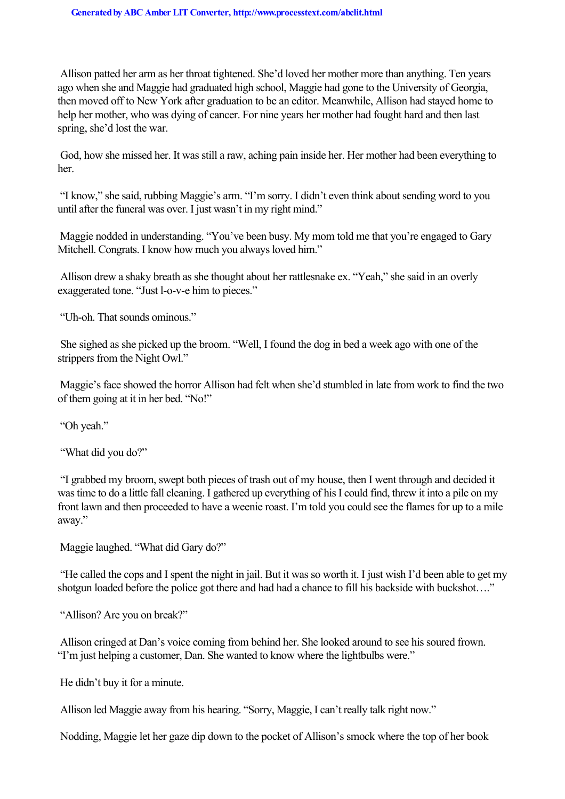Allison patted her arm as her throat tightened. She'd loved her mother more than anything. Ten years ago when she and Maggie had graduated high school, Maggie had gone to the University of Georgia, then moved off to New York after graduation to be an editor. Meanwhile, Allison had stayed home to help her mother, who was dying of cancer. For nine years her mother had fought hard and then last spring, she'd lost the war.

 God, how she missed her. It was still a raw, aching pain inside her. Her mother had been everything to her.

 "I know," she said, rubbing Maggie's arm. "I'm sorry. I didn't even think about sending word to you until after the funeral was over. I just wasn't in my right mind."

 Maggie nodded in understanding. "You've been busy. My mom told me that you're engaged to Gary Mitchell. Congrats. I know how much you always loved him."

 Allison drew a shaky breath as she thought about her rattlesnake ex. "Yeah," she said in an overly exaggerated tone. "Just l-o-v-e him to pieces."

"Uh-oh. That sounds ominous."

 She sighed as she picked up the broom. "Well, I found the dog in bed a week ago with one of the strippers from the Night Owl."

 Maggie's face showed the horror Allison had felt when she'd stumbled in late from work to find the two of them going at it in her bed. "No!"

"Oh yeah."

"What did you do?"

 "I grabbed my broom, swept both pieces of trash out of my house, then I went through and decided it was time to do a little fall cleaning. I gathered up everything of his I could find, threw it into a pile on my front lawn and then proceeded to have a weenie roast. I'm told you could see the flames for up to a mile away."

Maggie laughed. "What did Gary do?"

 "He called the cops and I spent the night in jail. But it was so worth it. I just wish I'd been able to get my shotgun loaded before the police got there and had had a chance to fill his backside with buckshot…."

"Allison? Are you on break?"

 Allison cringed at Dan's voice coming from behind her. She looked around to see his soured frown. "I'm just helping a customer, Dan. She wanted to know where the lightbulbs were."

He didn't buy it for a minute.

Allison led Maggie away from his hearing. "Sorry, Maggie, I can't really talk right now."

Nodding, Maggie let her gaze dip down to the pocket of Allison's smock where the top of her book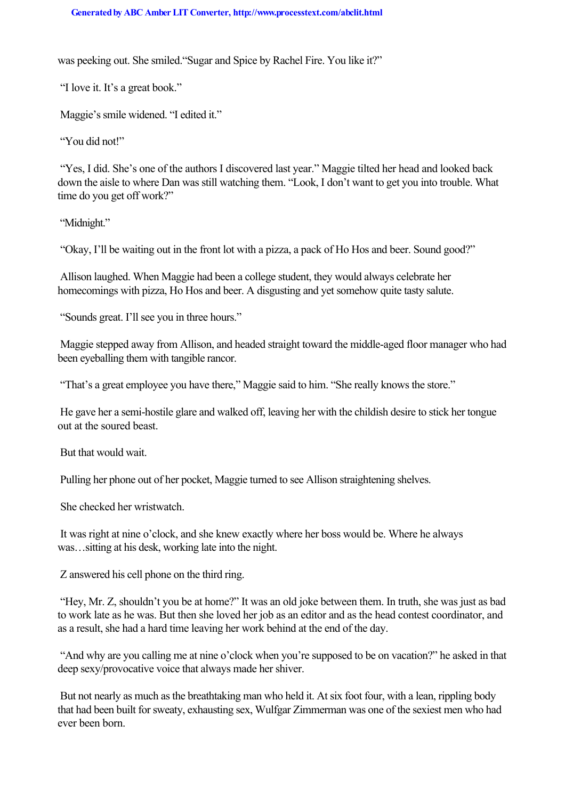#### **Generated by ABC Amber LIT Converter, <http://www.processtext.com/abclit.html>**

was peeking out. She smiled. "Sugar and Spice by Rachel Fire. You like it?"

"I love it. It's a great book."

Maggie's smile widened. "I edited it."

"You did not!"

 "Yes, I did. She's one of the authors I discovered last year." Maggie tilted her head and looked back down the aisle to where Dan was still watching them. "Look, I don't want to get you into trouble. What time do you get off work?"

"Midnight."

"Okay, I'll be waiting out in the front lot with a pizza, a pack of Ho Hos and beer. Sound good?"

 Allison laughed. When Maggie had been a college student, they would always celebrate her homecomings with pizza, Ho Hos and beer. A disgusting and yet somehow quite tasty salute.

"Sounds great. I'll see you in three hours."

 Maggie stepped away from Allison, and headed straight toward the middle-aged floor manager who had been eyeballing them with tangible rancor.

"That's a great employee you have there," Maggie said to him. "She really knows the store."

 He gave her a semi-hostile glare and walked off, leaving her with the childish desire to stick her tongue out at the soured beast.

But that would wait.

Pulling her phone out of her pocket, Maggie turned to see Allison straightening shelves.

She checked her wristwatch.

 It was right at nine o'clock, and she knew exactly where her boss would be. Where he always was…sitting at his desk, working late into the night.

Z answered his cell phone on the third ring.

 "Hey, Mr. Z, shouldn't you be at home?" It was an old joke between them. In truth, she was just as bad to work late as he was. But then she loved her job as an editor and as the head contest coordinator, and as a result, she had a hard time leaving her work behind at the end of the day.

 "And why are you calling me at nine o'clock when you're supposed to be on vacation?" he asked in that deep sexy/provocative voice that always made her shiver.

 But not nearly as much as the breathtaking man who held it. At six foot four, with a lean, rippling body that had been built for sweaty, exhausting sex, Wulfgar Zimmerman was one of the sexiest men who had ever been born.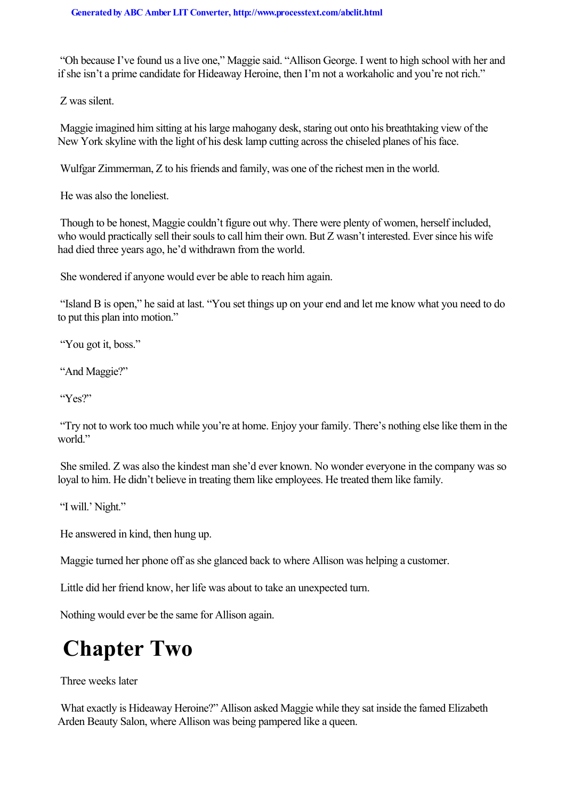"Oh because I've found us a live one," Maggie said. "Allison George. I went to high school with her and if she isn't a prime candidate for Hideaway Heroine, then I'm not a workaholic and you're not rich."

Z was silent.

 Maggie imagined him sitting at his large mahogany desk, staring out onto his breathtaking view of the New York skyline with the light of his desk lamp cutting across the chiseled planes of his face.

Wulfgar Zimmerman, Z to his friends and family, was one of the richest men in the world.

He was also the loneliest.

 Though to be honest, Maggie couldn't figure out why. There were plenty of women, herself included, who would practically sell their souls to call him their own. But Z wasn't interested. Ever since his wife had died three years ago, he'd withdrawn from the world.

She wondered if anyone would ever be able to reach him again.

 "Island B is open," he said at last. "You set things up on your end and let me know what you need to do to put this plan into motion."

"You got it, boss."

"And Maggie?"

"Yes?"

 "Try not to work too much while you're at home. Enjoy your family. There's nothing else like them in the world."

 She smiled. Z was also the kindest man she'd ever known. No wonder everyone in the company was so loyal to him. He didn't believe in treating them like employees. He treated them like family.

"I will.' Night."

He answered in kind, then hung up.

Maggie turned her phone off as she glanced back to where Allison was helping a customer.

Little did her friend know, her life was about to take an unexpected turn.

Nothing would ever be the same for Allison again.

### **Chapter Two**

Three weeks later

 What exactly is Hideaway Heroine?" Allison asked Maggie while they sat inside the famed Elizabeth Arden Beauty Salon, where Allison was being pampered like a queen.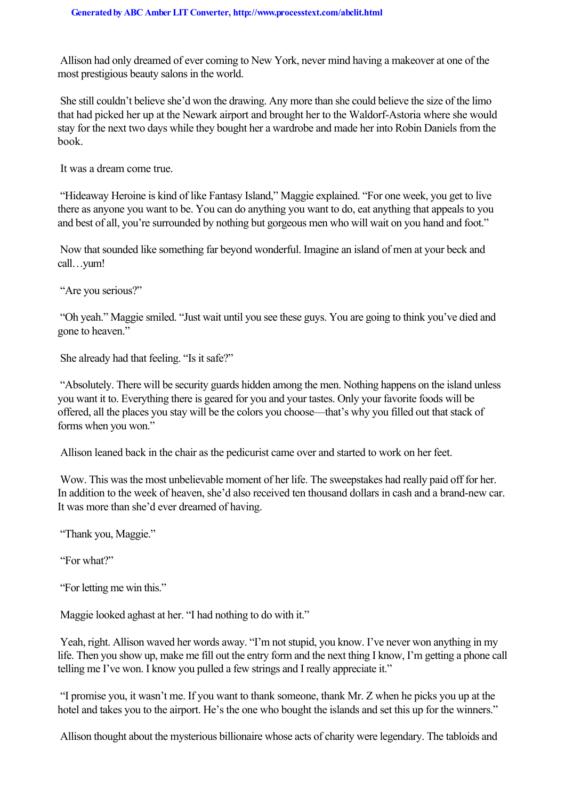Allison had only dreamed of ever coming to New York, never mind having a makeover at one of the most prestigious beauty salons in the world.

 She still couldn't believe she'd won the drawing. Any more than she could believe the size of the limo that had picked her up at the Newark airport and brought her to the Waldorf-Astoria where she would stay for the next two days while they bought her a wardrobe and made her into Robin Daniels from the book.

It was a dream come true.

 "Hideaway Heroine is kind of like Fantasy Island," Maggie explained. "For one week, you get to live there as anyone you want to be. You can do anything you want to do, eat anything that appeals to you and best of all, you're surrounded by nothing but gorgeous men who will wait on you hand and foot."

 Now that sounded like something far beyond wonderful. Imagine an island of men at your beck and call…yum!

"Are you serious?"

 "Oh yeah." Maggie smiled. "Just wait until you see these guys. You are going to think you've died and gone to heaven."

She already had that feeling. "Is it safe?"

 "Absolutely. There will be security guards hidden among the men. Nothing happens on the island unless you want it to. Everything there is geared for you and your tastes. Only your favorite foods will be offered, all the places you stay will be the colors you choose—that's why you filled out that stack of forms when you won."

Allison leaned back in the chair as the pedicurist came over and started to work on her feet.

 Wow. This was the most unbelievable moment of her life. The sweepstakes had really paid off for her. In addition to the week of heaven, she'd also received ten thousand dollars in cash and a brand-new car. It was more than she'd ever dreamed of having.

"Thank you, Maggie."

"For what?"

"For letting me win this."

Maggie looked aghast at her. "I had nothing to do with it."

 Yeah, right. Allison waved her words away. "I'm not stupid, you know. I've never won anything in my life. Then you show up, make me fill out the entry form and the next thing I know, I'm getting a phone call telling me I've won. I know you pulled a few strings and I really appreciate it."

 "I promise you, it wasn't me. If you want to thank someone, thank Mr. Z when he picks you up at the hotel and takes you to the airport. He's the one who bought the islands and set this up for the winners."

Allison thought about the mysterious billionaire whose acts of charity were legendary. The tabloids and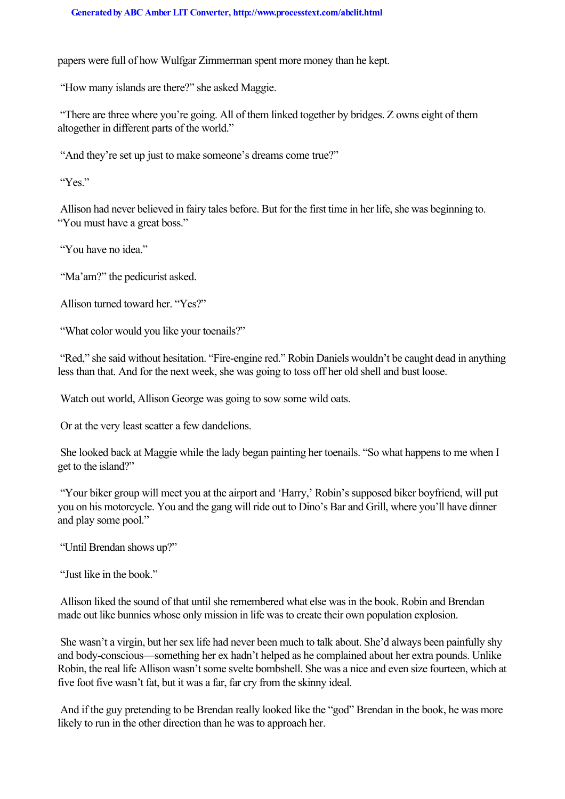#### **Generated by ABC Amber LIT Converter, <http://www.processtext.com/abclit.html>**

papers were full of how Wulfgar Zimmerman spent more money than he kept.

"How many islands are there?" she asked Maggie.

 "There are three where you're going. All of them linked together by bridges. Z owns eight of them altogether in different parts of the world."

"And they're set up just to make someone's dreams come true?"

"Yes."

 Allison had never believed in fairy tales before. But for the first time in her life, she was beginning to. "You must have a great boss."

"You have no idea"

"Ma'am?" the pedicurist asked.

Allison turned toward her. "Yes?"

"What color would you like your toenails?"

 "Red," she said without hesitation. "Fire-engine red." Robin Daniels wouldn't be caught dead in anything less than that. And for the next week, she was going to toss off her old shell and bust loose.

Watch out world, Allison George was going to sow some wild oats.

Or at the very least scatter a few dandelions.

 She looked back at Maggie while the lady began painting her toenails. "So what happens to me when I get to the island?"

 "Your biker group will meet you at the airport and 'Harry,' Robin's supposed biker boyfriend, will put you on his motorcycle. You and the gang will ride out to Dino's Bar and Grill, where you'll have dinner and play some pool."

"Until Brendan shows up?"

"Just like in the book"

 Allison liked the sound of that until she remembered what else was in the book. Robin and Brendan made out like bunnies whose only mission in life was to create their own population explosion.

 She wasn't a virgin, but her sex life had never been much to talk about. She'd always been painfully shy and body-conscious—something her ex hadn't helped as he complained about her extra pounds. Unlike Robin, the real life Allison wasn't some svelte bombshell. She was a nice and even size fourteen, which at five foot five wasn't fat, but it was a far, far cry from the skinny ideal.

 And if the guy pretending to be Brendan really looked like the "god" Brendan in the book, he was more likely to run in the other direction than he was to approach her.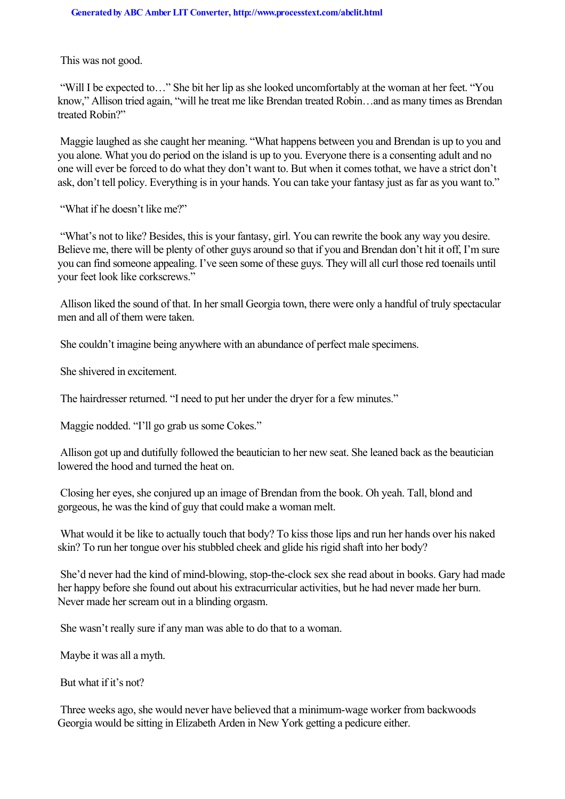This was not good.

 "Will I be expected to…" She bit her lip as she looked uncomfortably at the woman at her feet. "You know," Allison tried again, "will he treat me like Brendan treated Robin…and as many times as Brendan treated Robin?"

 Maggie laughed as she caught her meaning. "What happens between you and Brendan is up to you and you alone. What you do period on the island is up to you. Everyone there is a consenting adult and no one will ever be forced to do what they don't want to. But when it comes tothat, we have a strict don't ask, don't tell policy. Everything is in your hands. You can take your fantasy just as far as you want to."

"What if he doesn't like me?"

 "What's not to like? Besides, this is your fantasy, girl. You can rewrite the book any way you desire. Believe me, there will be plenty of other guys around so that if you and Brendan don't hit it off. I'm sure you can find someone appealing. I've seen some of these guys. They will all curl those red toenails until your feet look like corkscrews."

 Allison liked the sound of that. In her small Georgia town, there were only a handful of truly spectacular men and all of them were taken.

She couldn't imagine being anywhere with an abundance of perfect male specimens.

She shivered in excitement.

The hairdresser returned. "I need to put her under the dryer for a few minutes."

Maggie nodded. "I'll go grab us some Cokes."

 Allison got up and dutifully followed the beautician to her new seat. She leaned back as the beautician lowered the hood and turned the heat on.

 Closing her eyes, she conjured up an image of Brendan from the book. Oh yeah. Tall, blond and gorgeous, he was the kind of guy that could make a woman melt.

 What would it be like to actually touch that body? To kiss those lips and run her hands over his naked skin? To run her tongue over his stubbled cheek and glide his rigid shaft into her body?

 She'd never had the kind of mind-blowing, stop-the-clock sex she read about in books. Gary had made her happy before she found out about his extracurricular activities, but he had never made her burn. Never made her scream out in a blinding orgasm.

She wasn't really sure if any man was able to do that to a woman.

Maybe it was all a myth.

But what if it's not?

 Three weeks ago, she would never have believed that a minimum-wage worker from backwoods Georgia would be sitting in Elizabeth Arden in New York getting a pedicure either.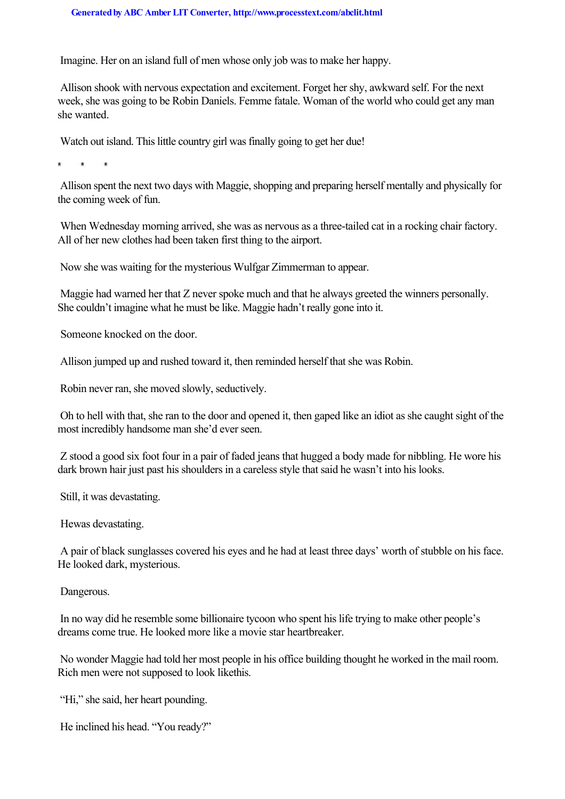Imagine. Her on an island full of men whose only job was to make her happy.

 Allison shook with nervous expectation and excitement. Forget her shy, awkward self. For the next week, she was going to be Robin Daniels. Femme fatale. Woman of the world who could get any man she wanted.

Watch out island. This little country girl was finally going to get her due!

 Allison spent the next two days with Maggie, shopping and preparing herself mentally and physically for the coming week of fun.

 When Wednesday morning arrived, she was as nervous as a three-tailed cat in a rocking chair factory. All of her new clothes had been taken first thing to the airport.

Now she was waiting for the mysterious Wulfgar Zimmerman to appear.

 Maggie had warned her that Z never spoke much and that he always greeted the winners personally. She couldn't imagine what he must be like. Maggie hadn't really gone into it.

Someone knocked on the door.

Allison jumped up and rushed toward it, then reminded herself that she was Robin.

Robin never ran, she moved slowly, seductively.

 Oh to hell with that, she ran to the door and opened it, then gaped like an idiot as she caught sight of the most incredibly handsome man she'd ever seen.

 Z stood a good six foot four in a pair of faded jeans that hugged a body made for nibbling. He wore his dark brown hair just past his shoulders in a careless style that said he wasn't into his looks.

Still, it was devastating.

Hewas devastating.

 A pair of black sunglasses covered his eyes and he had at least three days' worth of stubble on his face. He looked dark, mysterious.

Dangerous.

 In no way did he resemble some billionaire tycoon who spent his life trying to make other people's dreams come true. He looked more like a movie star heartbreaker.

 No wonder Maggie had told her most people in his office building thought he worked in the mail room. Rich men were not supposed to look likethis.

"Hi," she said, her heart pounding.

He inclined his head. "You ready?"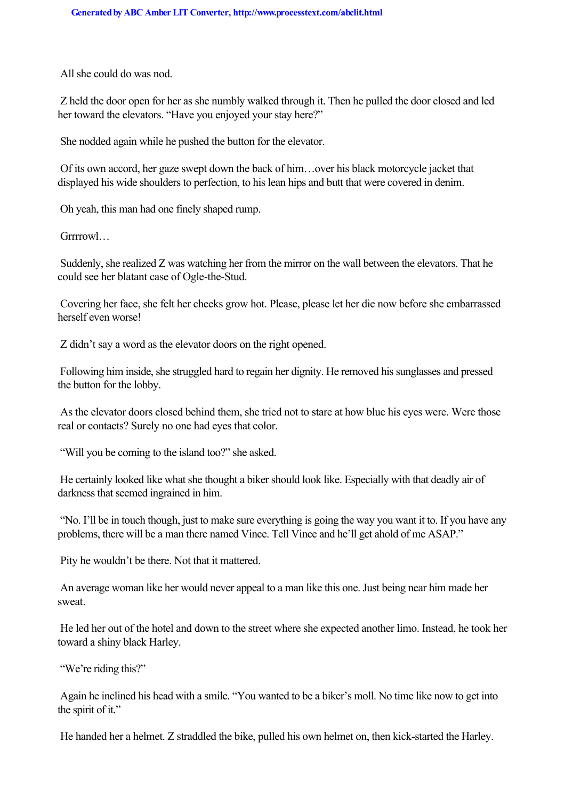All she could do was nod.

 Z held the door open for her as she numbly walked through it. Then he pulled the door closed and led her toward the elevators. "Have you enjoyed your stay here?"

She nodded again while he pushed the button for the elevator.

 Of its own accord, her gaze swept down the back of him…over his black motorcycle jacket that displayed his wide shoulders to perfection, to his lean hips and butt that were covered in denim.

Oh yeah, this man had one finely shaped rump.

Grrrrowl…

 Suddenly, she realized Z was watching her from the mirror on the wall between the elevators. That he could see her blatant case of Ogle-the-Stud.

 Covering her face, she felt her cheeks grow hot. Please, please let her die now before she embarrassed herself even worse!

Z didn't say a word as the elevator doors on the right opened.

 Following him inside, she struggled hard to regain her dignity. He removed his sunglasses and pressed the button for the lobby.

As the elevator doors closed behind them, she tried not to stare at how blue his eyes were. Were those real or contacts? Surely no one had eyes that color.

"Will you be coming to the island too?" she asked.

 He certainly looked like what she thought a biker should look like. Especially with that deadly air of darkness that seemed ingrained in him.

 "No. I'll be in touch though, just to make sure everything is going the way you want it to. If you have any problems, there will be a man there named Vince. Tell Vince and he'll get ahold of me ASAP."

Pity he wouldn't be there. Not that it mattered.

 An average woman like her would never appeal to a man like this one. Just being near him made her sweat.

 He led her out of the hotel and down to the street where she expected another limo. Instead, he took her toward a shiny black Harley.

"We're riding this?"

 Again he inclined his head with a smile. "You wanted to be a biker's moll. No time like now to get into the spirit of it."

He handed her a helmet. Z straddled the bike, pulled his own helmet on, then kick-started the Harley.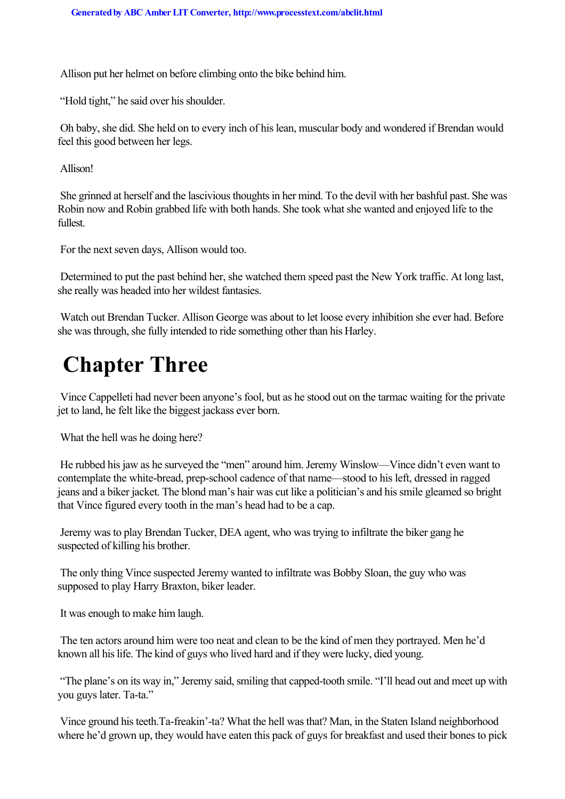Allison put her helmet on before climbing onto the bike behind him.

"Hold tight," he said over his shoulder.

 Oh baby, she did. She held on to every inch of his lean, muscular body and wondered if Brendan would feel this good between her legs.

Allison!

 She grinned at herself and the lascivious thoughts in her mind. To the devil with her bashful past. She was Robin now and Robin grabbed life with both hands. She took what she wanted and enjoyed life to the fullest.

For the next seven days, Allison would too.

 Determined to put the past behind her, she watched them speed past the New York traffic. At long last, she really was headed into her wildest fantasies.

 Watch out Brendan Tucker. Allison George was about to let loose every inhibition she ever had. Before she was through, she fully intended to ride something other than his Harley.

### **Chapter Three**

 Vince Cappelleti had never been anyone's fool, but as he stood out on the tarmac waiting for the private jet to land, he felt like the biggest jackass ever born.

What the hell was he doing here?

 He rubbed his jaw as he surveyed the "men" around him. Jeremy Winslow—Vince didn't even want to contemplate the white-bread, prep-school cadence of that name—stood to his left, dressed in ragged jeans and a biker jacket. The blond man's hair was cut like a politician's and his smile gleamed so bright that Vince figured every tooth in the man's head had to be a cap.

 Jeremy was to play Brendan Tucker, DEA agent, who was trying to infiltrate the biker gang he suspected of killing his brother.

 The only thing Vince suspected Jeremy wanted to infiltrate was Bobby Sloan, the guy who was supposed to play Harry Braxton, biker leader.

It was enough to make him laugh.

 The ten actors around him were too neat and clean to be the kind of men they portrayed. Men he'd known all his life. The kind of guys who lived hard and if they were lucky, died young.

 "The plane's on its way in," Jeremy said, smiling that capped-tooth smile. "I'll head out and meet up with you guys later. Ta-ta."

 Vince ground his teeth.Ta-freakin'-ta? What the hell was that? Man, in the Staten Island neighborhood where he'd grown up, they would have eaten this pack of guys for breakfast and used their bones to pick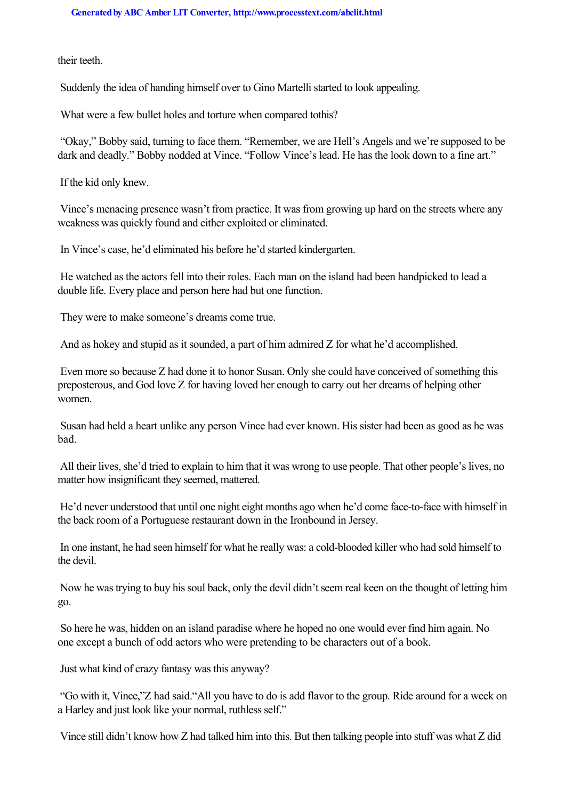their teeth.

Suddenly the idea of handing himself over to Gino Martelli started to look appealing.

What were a few bullet holes and torture when compared tothis?

 "Okay," Bobby said, turning to face them. "Remember, we are Hell's Angels and we're supposed to be dark and deadly." Bobby nodded at Vince. "Follow Vince's lead. He has the look down to a fine art."

If the kid only knew.

 Vince's menacing presence wasn't from practice. It was from growing up hard on the streets where any weakness was quickly found and either exploited or eliminated.

In Vince's case, he'd eliminated his before he'd started kindergarten.

 He watched as the actors fell into their roles. Each man on the island had been handpicked to lead a double life. Every place and person here had but one function.

They were to make someone's dreams come true.

And as hokey and stupid as it sounded, a part of him admired Z for what he'd accomplished.

 Even more so because Z had done it to honor Susan. Only she could have conceived of something this preposterous, and God love Z for having loved her enough to carry out her dreams of helping other women.

 Susan had held a heart unlike any person Vince had ever known. His sister had been as good as he was bad.

 All their lives, she'd tried to explain to him that it was wrong to use people. That other people's lives, no matter how insignificant they seemed, mattered.

 He'd never understood that until one night eight months ago when he'd come face-to-face with himself in the back room of a Portuguese restaurant down in the Ironbound in Jersey.

 In one instant, he had seen himself for what he really was: a cold-blooded killer who had sold himself to the devil.

 Now he was trying to buy his soul back, only the devil didn't seem real keen on the thought of letting him go.

 So here he was, hidden on an island paradise where he hoped no one would ever find him again. No one except a bunch of odd actors who were pretending to be characters out of a book.

Just what kind of crazy fantasy was this anyway?

 "Go with it, Vince,"Z had said."All you have to do is add flavor to the group. Ride around for a week on a Harley and just look like your normal, ruthless self."

Vince still didn't know how Z had talked him into this. But then talking people into stuff was what Z did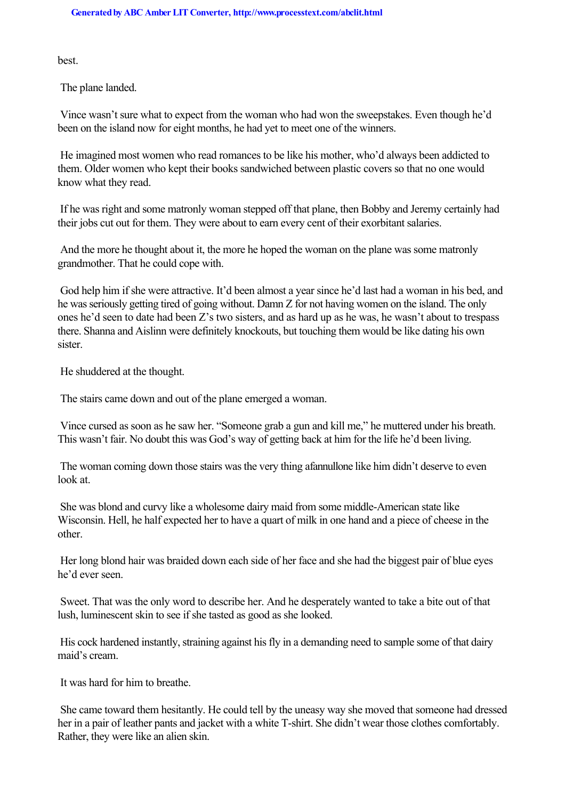best.

The plane landed.

 Vince wasn't sure what to expect from the woman who had won the sweepstakes. Even though he'd been on the island now for eight months, he had yet to meet one of the winners.

 He imagined most women who read romances to be like his mother, who'd always been addicted to them. Older women who kept their books sandwiched between plastic covers so that no one would know what they read.

 If he was right and some matronly woman stepped off that plane, then Bobby and Jeremy certainly had their jobs cut out for them. They were about to earn every cent of their exorbitant salaries.

 And the more he thought about it, the more he hoped the woman on the plane was some matronly grandmother. That he could cope with.

 God help him if she were attractive. It'd been almost a year since he'd last had a woman in his bed, and he was seriously getting tired of going without. Damn Z for not having women on the island. The only ones he'd seen to date had been Z's two sisters, and as hard up as he was, he wasn't about to trespass there. Shanna and Aislinn were definitely knockouts, but touching them would be like dating his own sister.

He shuddered at the thought.

The stairs came down and out of the plane emerged a woman.

 Vince cursed as soon as he saw her. "Someone grab a gun and kill me," he muttered under his breath. This wasn't fair. No doubt this was God's way of getting back at him for the life he'd been living.

 The woman coming down those stairs was the very thing afannullone like him didn't deserve to even look at.

 She was blond and curvy like a wholesome dairy maid from some middle-American state like Wisconsin. Hell, he half expected her to have a quart of milk in one hand and a piece of cheese in the other.

 Her long blond hair was braided down each side of her face and she had the biggest pair of blue eyes he'd ever seen.

 Sweet. That was the only word to describe her. And he desperately wanted to take a bite out of that lush, luminescent skin to see if she tasted as good as she looked.

His cock hardened instantly, straining against his fly in a demanding need to sample some of that dairy maid's cream.

It was hard for him to breathe.

 She came toward them hesitantly. He could tell by the uneasy way she moved that someone had dressed her in a pair of leather pants and jacket with a white T-shirt. She didn't wear those clothes comfortably. Rather, they were like an alien skin.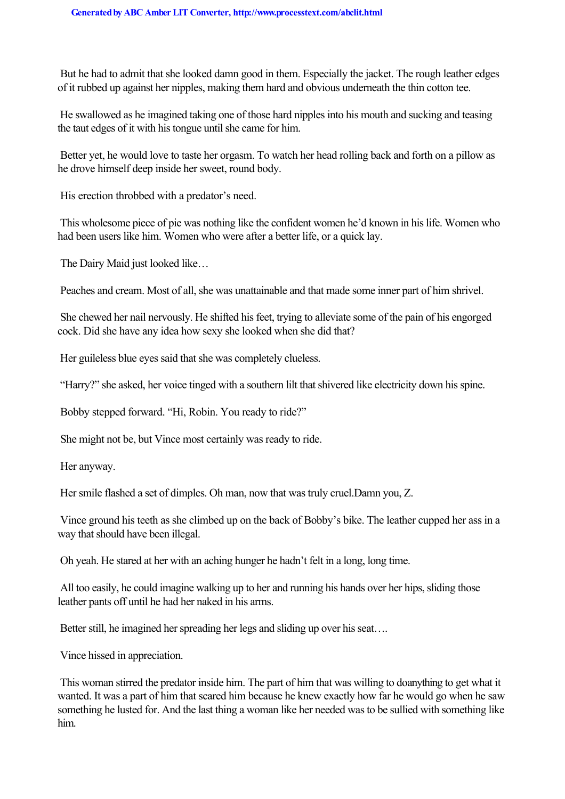But he had to admit that she looked damn good in them. Especially the jacket. The rough leather edges of it rubbed up against her nipples, making them hard and obvious underneath the thin cotton tee.

 He swallowed as he imagined taking one of those hard nipples into his mouth and sucking and teasing the taut edges of it with his tongue until she came for him.

 Better yet, he would love to taste her orgasm. To watch her head rolling back and forth on a pillow as he drove himself deep inside her sweet, round body.

His erection throbbed with a predator's need.

 This wholesome piece of pie was nothing like the confident women he'd known in his life. Women who had been users like him. Women who were after a better life, or a quick lay.

The Dairy Maid just looked like…

Peaches and cream. Most of all, she was unattainable and that made some inner part of him shrivel.

 She chewed her nail nervously. He shifted his feet, trying to alleviate some of the pain of his engorged cock. Did she have any idea how sexy she looked when she did that?

Her guileless blue eyes said that she was completely clueless.

"Harry?" she asked, her voice tinged with a southern lilt that shivered like electricity down his spine.

Bobby stepped forward. "Hi, Robin. You ready to ride?"

She might not be, but Vince most certainly was ready to ride.

Her anyway.

Her smile flashed a set of dimples. Oh man, now that was truly cruel.Damn you, Z.

 Vince ground his teeth as she climbed up on the back of Bobby's bike. The leather cupped her ass in a way that should have been illegal.

Oh yeah. He stared at her with an aching hunger he hadn't felt in a long, long time.

 All too easily, he could imagine walking up to her and running his hands over her hips, sliding those leather pants off until he had her naked in his arms.

Better still, he imagined her spreading her legs and sliding up over his seat….

Vince hissed in appreciation.

 This woman stirred the predator inside him. The part of him that was willing to doanything to get what it wanted. It was a part of him that scared him because he knew exactly how far he would go when he saw something he lusted for. And the last thing a woman like her needed was to be sullied with something like him.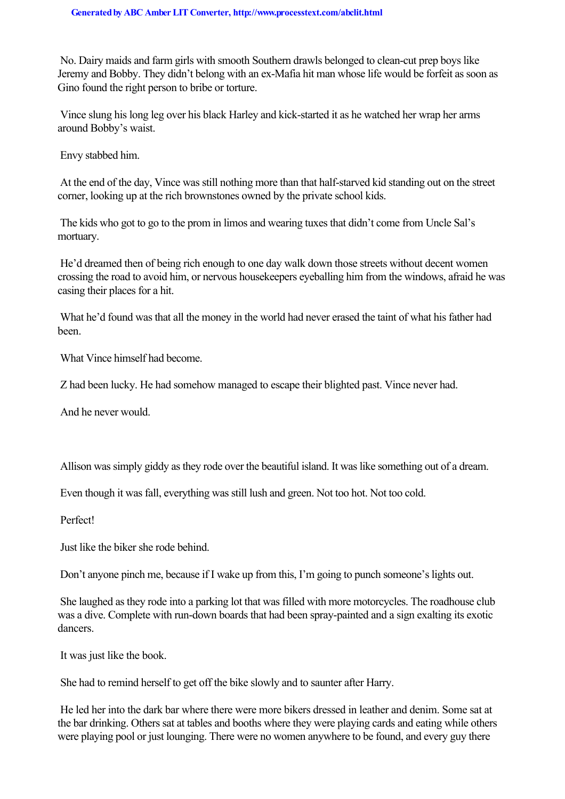No. Dairy maids and farm girls with smooth Southern drawls belonged to clean-cut prep boys like Jeremy and Bobby. They didn't belong with an ex-Mafia hit man whose life would be forfeit as soon as Gino found the right person to bribe or torture.

 Vince slung his long leg over his black Harley and kick-started it as he watched her wrap her arms around Bobby's waist.

Envy stabbed him.

 At the end of the day, Vince was still nothing more than that half-starved kid standing out on the street corner, looking up at the rich brownstones owned by the private school kids.

 The kids who got to go to the prom in limos and wearing tuxes that didn't come from Uncle Sal's mortuary.

 He'd dreamed then of being rich enough to one day walk down those streets without decent women crossing the road to avoid him, or nervous housekeepers eyeballing him from the windows, afraid he was casing their places for a hit.

 What he'd found was that all the money in the world had never erased the taint of what his father had been.

What Vince himself had become.

Z had been lucky. He had somehow managed to escape their blighted past. Vince never had.

And he never would.

Allison was simply giddy as they rode over the beautiful island. It was like something out of a dream.

Even though it was fall, everything was still lush and green. Not too hot. Not too cold.

Perfect!

Just like the biker she rode behind.

Don't anyone pinch me, because if I wake up from this, I'm going to punch someone's lights out.

 She laughed as they rode into a parking lot that was filled with more motorcycles. The roadhouse club was a dive. Complete with run-down boards that had been spray-painted and a sign exalting its exotic dancers.

It was just like the book.

She had to remind herself to get off the bike slowly and to saunter after Harry.

 He led her into the dark bar where there were more bikers dressed in leather and denim. Some sat at the bar drinking. Others sat at tables and booths where they were playing cards and eating while others were playing pool or just lounging. There were no women anywhere to be found, and every guy there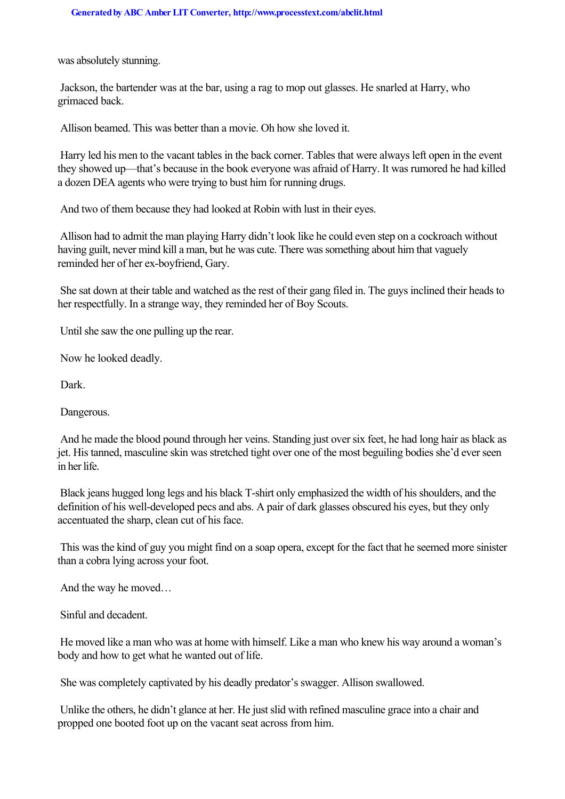was absolutely stunning.

 Jackson, the bartender was at the bar, using a rag to mop out glasses. He snarled at Harry, who grimaced back.

Allison beamed. This was better than a movie. Oh how she loved it.

 Harry led his men to the vacant tables in the back corner. Tables that were always left open in the event they showed up—that's because in the book everyone was afraid of Harry. It was rumored he had killed a dozen DEA agents who were trying to bust him for running drugs.

And two of them because they had looked at Robin with lust in their eyes.

 Allison had to admit the man playing Harry didn't look like he could even step on a cockroach without having guilt, never mind kill a man, but he was cute. There was something about him that vaguely reminded her of her ex-boyfriend, Gary.

 She sat down at their table and watched as the rest of their gang filed in. The guys inclined their heads to her respectfully. In a strange way, they reminded her of Boy Scouts.

Until she saw the one pulling up the rear.

Now he looked deadly.

Dark.

Dangerous.

 And he made the blood pound through her veins. Standing just over six feet, he had long hair as black as jet. His tanned, masculine skin was stretched tight over one of the most beguiling bodies she'd ever seen in her life.

 Black jeans hugged long legs and his black T-shirt only emphasized the width of his shoulders, and the definition of his well-developed pecs and abs. A pair of dark glasses obscured his eyes, but they only accentuated the sharp, clean cut of his face.

 This was the kind of guy you might find on a soap opera, except for the fact that he seemed more sinister than a cobra lying across your foot.

And the way he moved…

Sinful and decadent.

 He moved like a man who was at home with himself. Like a man who knew his way around a woman's body and how to get what he wanted out of life.

She was completely captivated by his deadly predator's swagger. Allison swallowed.

 Unlike the others, he didn't glance at her. He just slid with refined masculine grace into a chair and propped one booted foot up on the vacant seat across from him.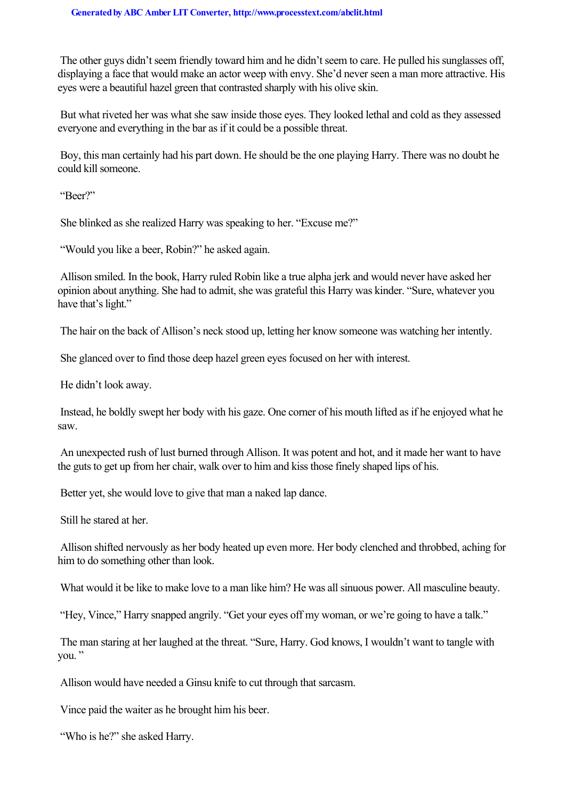The other guys didn't seem friendly toward him and he didn't seem to care. He pulled his sunglasses off, displaying a face that would make an actor weep with envy. She'd never seen a man more attractive. His eyes were a beautiful hazel green that contrasted sharply with his olive skin.

 But what riveted her was what she saw inside those eyes. They looked lethal and cold as they assessed everyone and everything in the bar as if it could be a possible threat.

 Boy, this man certainly had his part down. He should be the one playing Harry. There was no doubt he could kill someone.

"Beer?"

She blinked as she realized Harry was speaking to her. "Excuse me?"

"Would you like a beer, Robin?" he asked again.

 Allison smiled. In the book, Harry ruled Robin like a true alpha jerk and would never have asked her opinion about anything. She had to admit, she was grateful this Harry was kinder. "Sure, whatever you have that's light."

The hair on the back of Allison's neck stood up, letting her know someone was watching her intently.

She glanced over to find those deep hazel green eyes focused on her with interest.

He didn't look away.

 Instead, he boldly swept her body with his gaze. One corner of his mouth lifted as if he enjoyed what he saw.

 An unexpected rush of lust burned through Allison. It was potent and hot, and it made her want to have the guts to get up from her chair, walk over to him and kiss those finely shaped lips of his.

Better yet, she would love to give that man a naked lap dance.

Still he stared at her.

 Allison shifted nervously as her body heated up even more. Her body clenched and throbbed, aching for him to do something other than look.

What would it be like to make love to a man like him? He was all sinuous power. All masculine beauty.

"Hey, Vince," Harry snapped angrily. "Get your eyes off my woman, or we're going to have a talk."

 The man staring at her laughed at the threat. "Sure, Harry. God knows, I wouldn't want to tangle with you. "

Allison would have needed a Ginsu knife to cut through that sarcasm.

Vince paid the waiter as he brought him his beer.

"Who is he?" she asked Harry.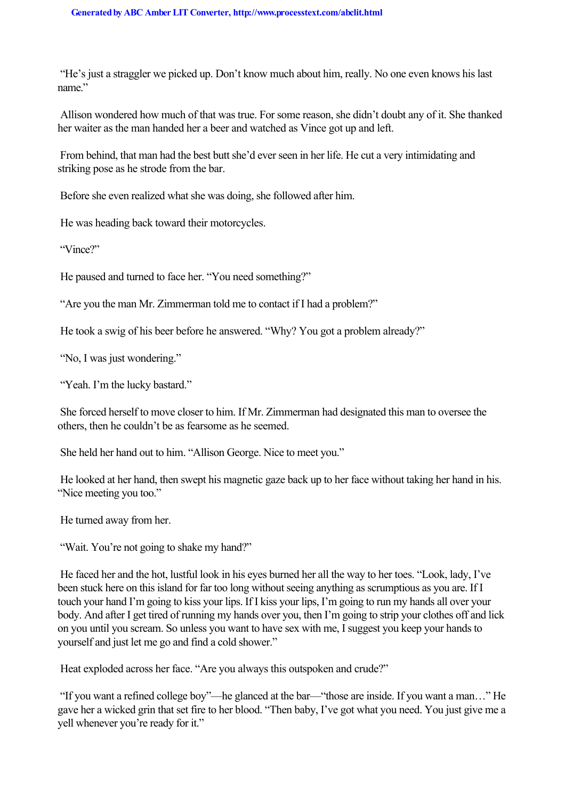"He's just a straggler we picked up. Don't know much about him, really. No one even knows his last name"

 Allison wondered how much of that was true. For some reason, she didn't doubt any of it. She thanked her waiter as the man handed her a beer and watched as Vince got up and left.

 From behind, that man had the best butt she'd ever seen in her life. He cut a very intimidating and striking pose as he strode from the bar.

Before she even realized what she was doing, she followed after him.

He was heading back toward their motorcycles.

"Vince?"

He paused and turned to face her. "You need something?"

"Are you the man Mr. Zimmerman told me to contact if I had a problem?"

He took a swig of his beer before he answered. "Why? You got a problem already?"

"No, I was just wondering."

"Yeah. I'm the lucky bastard."

 She forced herself to move closer to him. If Mr. Zimmerman had designated this man to oversee the others, then he couldn't be as fearsome as he seemed.

She held her hand out to him. "Allison George. Nice to meet you."

 He looked at her hand, then swept his magnetic gaze back up to her face without taking her hand in his. "Nice meeting you too."

He turned away from her.

"Wait. You're not going to shake my hand?"

 He faced her and the hot, lustful look in his eyes burned her all the way to her toes. "Look, lady, I've been stuck here on this island for far too long without seeing anything as scrumptious as you are. If I touch your hand I'm going to kiss your lips. If I kiss your lips, I'm going to run my hands all over your body. And after I get tired of running my hands over you, then I'm going to strip your clothes off and lick on you until you scream. So unless you want to have sex with me, I suggest you keep your hands to yourself and just let me go and find a cold shower."

Heat exploded across her face. "Are you always this outspoken and crude?"

 "If you want a refined college boy"—he glanced at the bar—"those are inside. If you want a man…" He gave her a wicked grin that set fire to her blood. "Then baby, I've got what you need. You just give me a yell whenever you're ready for it."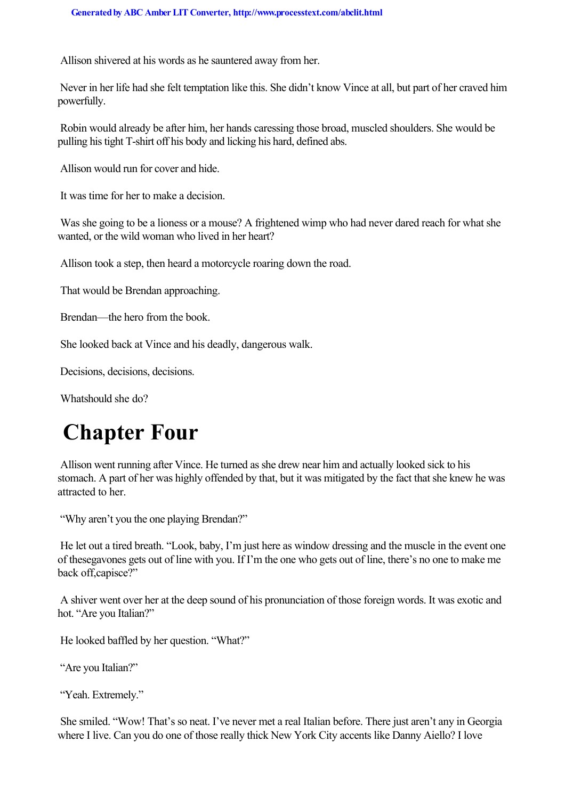Allison shivered at his words as he sauntered away from her.

 Never in her life had she felt temptation like this. She didn't know Vince at all, but part of her craved him powerfully.

 Robin would already be after him, her hands caressing those broad, muscled shoulders. She would be pulling his tight T-shirt off his body and licking his hard, defined abs.

Allison would run for cover and hide.

It was time for her to make a decision.

 Was she going to be a lioness or a mouse? A frightened wimp who had never dared reach for what she wanted, or the wild woman who lived in her heart?

Allison took a step, then heard a motorcycle roaring down the road.

That would be Brendan approaching.

Brendan—the hero from the book.

She looked back at Vince and his deadly, dangerous walk.

Decisions, decisions, decisions.

Whatshould she do?

## **Chapter Four**

 Allison went running after Vince. He turned as she drew near him and actually looked sick to his stomach. A part of her was highly offended by that, but it was mitigated by the fact that she knew he was attracted to her.

"Why aren't you the one playing Brendan?"

 He let out a tired breath. "Look, baby, I'm just here as window dressing and the muscle in the event one of thesegavones gets out of line with you. If I'm the one who gets out of line, there's no one to make me back off.capisce?"

 A shiver went over her at the deep sound of his pronunciation of those foreign words. It was exotic and hot. "Are you Italian?"

He looked baffled by her question. "What?"

"Are you Italian?"

"Yeah. Extremely."

 She smiled. "Wow! That's so neat. I've never met a real Italian before. There just aren't any in Georgia where I live. Can you do one of those really thick New York City accents like Danny Aiello? I love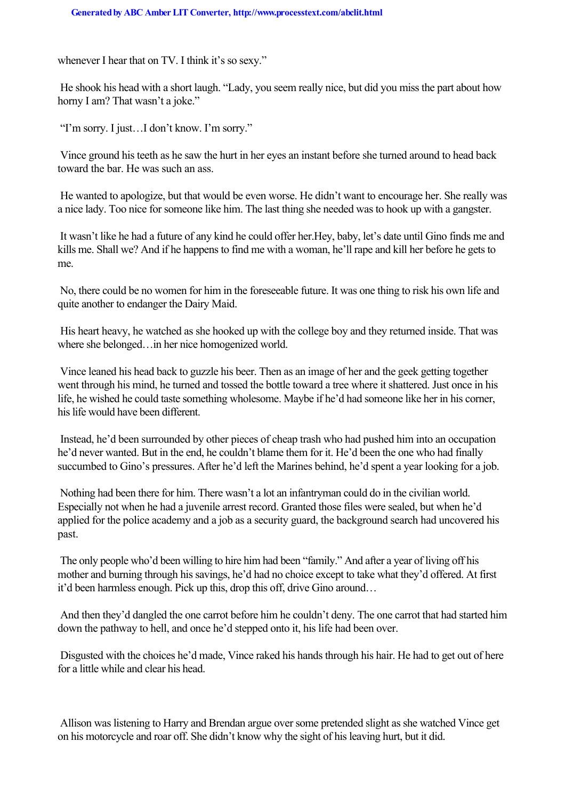whenever I hear that on TV. I think it's so sexy."

 He shook his head with a short laugh. "Lady, you seem really nice, but did you miss the part about how horny I am? That wasn't a joke."

"I'm sorry. I just…I don't know. I'm sorry."

 Vince ground his teeth as he saw the hurt in her eyes an instant before she turned around to head back toward the bar. He was such an ass.

 He wanted to apologize, but that would be even worse. He didn't want to encourage her. She really was a nice lady. Too nice for someone like him. The last thing she needed was to hook up with a gangster.

 It wasn't like he had a future of any kind he could offer her.Hey, baby, let's date until Gino finds me and kills me. Shall we? And if he happens to find me with a woman, he'll rape and kill her before he gets to me.

 No, there could be no women for him in the foreseeable future. It was one thing to risk his own life and quite another to endanger the Dairy Maid.

 His heart heavy, he watched as she hooked up with the college boy and they returned inside. That was where she belonged…in her nice homogenized world.

 Vince leaned his head back to guzzle his beer. Then as an image of her and the geek getting together went through his mind, he turned and tossed the bottle toward a tree where it shattered. Just once in his life, he wished he could taste something wholesome. Maybe if he'd had someone like her in his corner, his life would have been different.

 Instead, he'd been surrounded by other pieces of cheap trash who had pushed him into an occupation he'd never wanted. But in the end, he couldn't blame them for it. He'd been the one who had finally succumbed to Gino's pressures. After he'd left the Marines behind, he'd spent a year looking for a job.

 Nothing had been there for him. There wasn't a lot an infantryman could do in the civilian world. Especially not when he had a juvenile arrest record. Granted those files were sealed, but when he'd applied for the police academy and a job as a security guard, the background search had uncovered his past.

 The only people who'd been willing to hire him had been "family." And after a year of living off his mother and burning through his savings, he'd had no choice except to take what they'd offered. At first it'd been harmless enough. Pick up this, drop this off, drive Gino around…

 And then they'd dangled the one carrot before him he couldn't deny. The one carrot that had started him down the pathway to hell, and once he'd stepped onto it, his life had been over.

 Disgusted with the choices he'd made, Vince raked his hands through his hair. He had to get out of here for a little while and clear his head.

 Allison was listening to Harry and Brendan argue over some pretended slight as she watched Vince get on his motorcycle and roar off. She didn't know why the sight of his leaving hurt, but it did.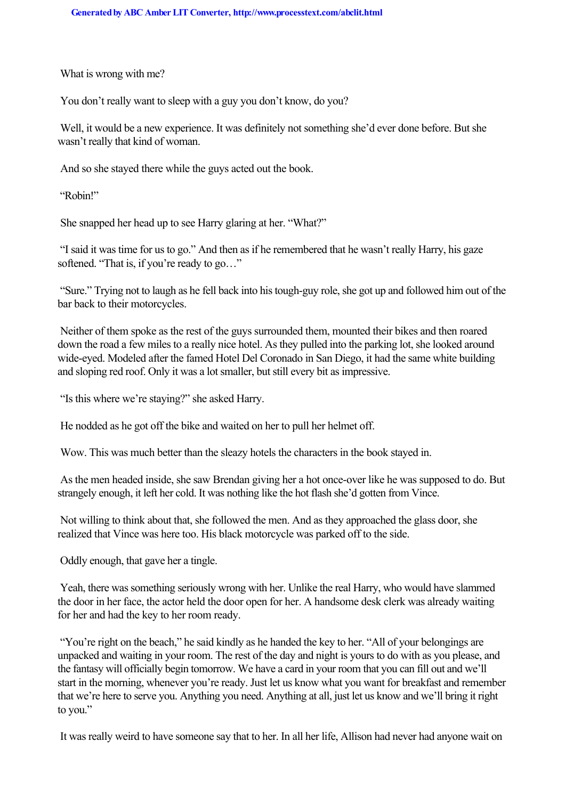What is wrong with me?

You don't really want to sleep with a guy you don't know, do you?

 Well, it would be a new experience. It was definitely not something she'd ever done before. But she wasn't really that kind of woman.

And so she stayed there while the guys acted out the book.

"Robin!"

She snapped her head up to see Harry glaring at her. "What?"

 "I said it was time for us to go." And then as if he remembered that he wasn't really Harry, his gaze softened. "That is, if you're ready to go..."

 "Sure." Trying not to laugh as he fell back into his tough-guy role, she got up and followed him out of the bar back to their motorcycles.

 Neither of them spoke as the rest of the guys surrounded them, mounted their bikes and then roared down the road a few miles to a really nice hotel. As they pulled into the parking lot, she looked around wide-eyed. Modeled after the famed Hotel Del Coronado in San Diego, it had the same white building and sloping red roof. Only it was a lot smaller, but still every bit as impressive.

"Is this where we're staying?" she asked Harry.

He nodded as he got off the bike and waited on her to pull her helmet off.

Wow. This was much better than the sleazy hotels the characters in the book stayed in.

 As the men headed inside, she saw Brendan giving her a hot once-over like he was supposed to do. But strangely enough, it left her cold. It was nothing like the hot flash she'd gotten from Vince.

 Not willing to think about that, she followed the men. And as they approached the glass door, she realized that Vince was here too. His black motorcycle was parked off to the side.

Oddly enough, that gave her a tingle.

 Yeah, there was something seriously wrong with her. Unlike the real Harry, who would have slammed the door in her face, the actor held the door open for her. A handsome desk clerk was already waiting for her and had the key to her room ready.

 "You're right on the beach," he said kindly as he handed the key to her. "All of your belongings are unpacked and waiting in your room. The rest of the day and night is yours to do with as you please, and the fantasy will officially begin tomorrow. We have a card in your room that you can fill out and we'll start in the morning, whenever you're ready. Just let us know what you want for breakfast and remember that we're here to serve you. Anything you need. Anything at all, just let us know and we'll bring it right to you."

It was really weird to have someone say that to her. In all her life, Allison had never had anyone wait on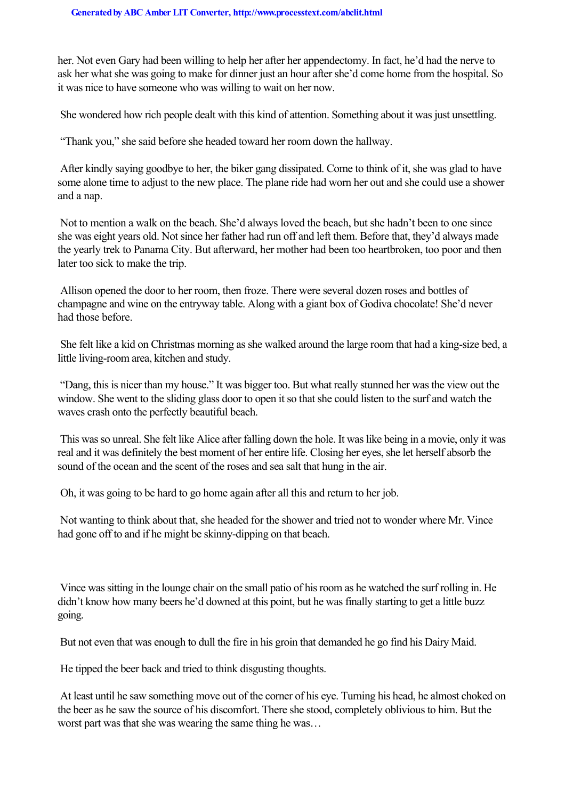her. Not even Gary had been willing to help her after her appendectomy. In fact, he'd had the nerve to ask her what she was going to make for dinner just an hour after she'd come home from the hospital. So it was nice to have someone who was willing to wait on her now.

She wondered how rich people dealt with this kind of attention. Something about it was just unsettling.

"Thank you," she said before she headed toward her room down the hallway.

 After kindly saying goodbye to her, the biker gang dissipated. Come to think of it, she was glad to have some alone time to adjust to the new place. The plane ride had worn her out and she could use a shower and a nap.

 Not to mention a walk on the beach. She'd always loved the beach, but she hadn't been to one since she was eight years old. Not since her father had run off and left them. Before that, they'd always made the yearly trek to Panama City. But afterward, her mother had been too heartbroken, too poor and then later too sick to make the trip.

 Allison opened the door to her room, then froze. There were several dozen roses and bottles of champagne and wine on the entryway table. Along with a giant box of Godiva chocolate! She'd never had those before.

 She felt like a kid on Christmas morning as she walked around the large room that had a king-size bed, a little living-room area, kitchen and study.

 "Dang, this is nicer than my house." It was bigger too. But what really stunned her was the view out the window. She went to the sliding glass door to open it so that she could listen to the surf and watch the waves crash onto the perfectly beautiful beach.

 This was so unreal. She felt like Alice after falling down the hole. It was like being in a movie, only it was real and it was definitely the best moment of her entire life. Closing her eyes, she let herself absorb the sound of the ocean and the scent of the roses and sea salt that hung in the air.

Oh, it was going to be hard to go home again after all this and return to her job.

 Not wanting to think about that, she headed for the shower and tried not to wonder where Mr. Vince had gone off to and if he might be skinny-dipping on that beach.

 Vince was sitting in the lounge chair on the small patio of his room as he watched the surf rolling in. He didn't know how many beers he'd downed at this point, but he was finally starting to get a little buzz going.

But not even that was enough to dull the fire in his groin that demanded he go find his Dairy Maid.

He tipped the beer back and tried to think disgusting thoughts.

 At least until he saw something move out of the corner of his eye. Turning his head, he almost choked on the beer as he saw the source of his discomfort. There she stood, completely oblivious to him. But the worst part was that she was wearing the same thing he was…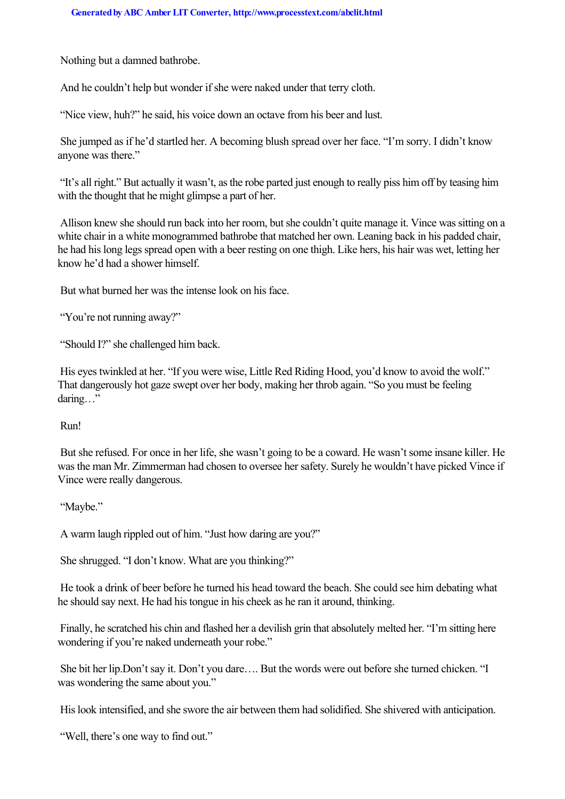#### **Generated by ABC Amber LIT Converter, <http://www.processtext.com/abclit.html>**

Nothing but a damned bathrobe.

And he couldn't help but wonder if she were naked under that terry cloth.

"Nice view, huh?" he said, his voice down an octave from his beer and lust.

 She jumped as if he'd startled her. A becoming blush spread over her face. "I'm sorry. I didn't know anyone was there."

 "It's all right." But actually it wasn't, as the robe parted just enough to really piss him off by teasing him with the thought that he might glimpse a part of her.

 Allison knew she should run back into her room, but she couldn't quite manage it. Vince was sitting on a white chair in a white monogrammed bathrobe that matched her own. Leaning back in his padded chair, he had his long legs spread open with a beer resting on one thigh. Like hers, his hair was wet, letting her know he'd had a shower himself.

But what burned her was the intense look on his face.

"You're not running away?"

"Should I?" she challenged him back.

 His eyes twinkled at her. "If you were wise, Little Red Riding Hood, you'd know to avoid the wolf." That dangerously hot gaze swept over her body, making her throb again. "So you must be feeling daring…"

Run!

 But she refused. For once in her life, she wasn't going to be a coward. He wasn't some insane killer. He was the man Mr. Zimmerman had chosen to oversee her safety. Surely he wouldn't have picked Vince if Vince were really dangerous.

"Maybe."

A warm laugh rippled out of him. "Just how daring are you?"

She shrugged. "I don't know. What are you thinking?"

 He took a drink of beer before he turned his head toward the beach. She could see him debating what he should say next. He had his tongue in his cheek as he ran it around, thinking.

 Finally, he scratched his chin and flashed her a devilish grin that absolutely melted her. "I'm sitting here wondering if you're naked underneath your robe."

 She bit her lip.Don't say it. Don't you dare…. But the words were out before she turned chicken. "I was wondering the same about you."

His look intensified, and she swore the air between them had solidified. She shivered with anticipation.

"Well, there's one way to find out."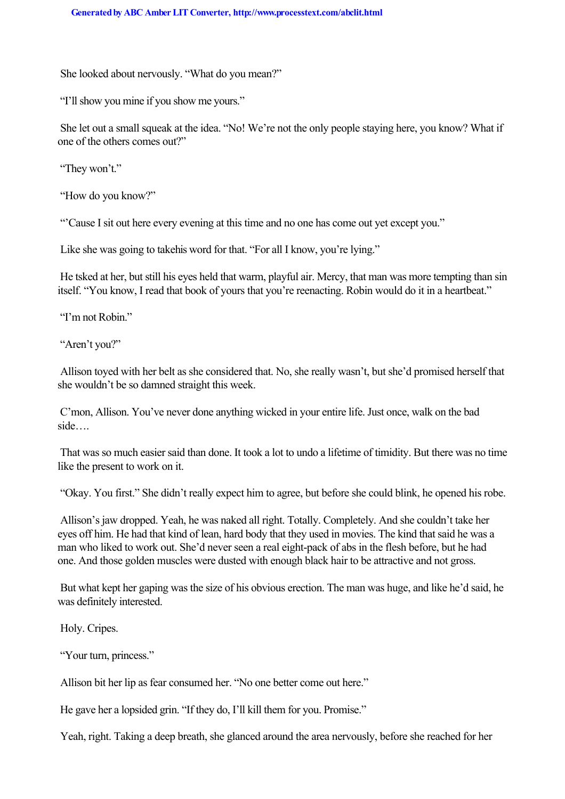She looked about nervously. "What do you mean?"

"I'll show you mine if you show me yours."

 She let out a small squeak at the idea. "No! We're not the only people staying here, you know? What if one of the others comes out?"

"They won't."

"How do you know?"

"'Cause I sit out here every evening at this time and no one has come out yet except you."

Like she was going to takehis word for that. "For all I know, you're lying."

 He tsked at her, but still his eyes held that warm, playful air. Mercy, that man was more tempting than sin itself. "You know, I read that book of yours that you're reenacting. Robin would do it in a heartbeat."

"I'm not Robin"

"Aren't you?"

 Allison toyed with her belt as she considered that. No, she really wasn't, but she'd promised herself that she wouldn't be so damned straight this week.

 C'mon, Allison. You've never done anything wicked in your entire life. Just once, walk on the bad side….

 That was so much easier said than done. It took a lot to undo a lifetime of timidity. But there was no time like the present to work on it.

"Okay. You first." She didn't really expect him to agree, but before she could blink, he opened his robe.

 Allison's jaw dropped. Yeah, he was naked all right. Totally. Completely. And she couldn't take her eyes off him. He had that kind of lean, hard body that they used in movies. The kind that said he was a man who liked to work out. She'd never seen a real eight-pack of abs in the flesh before, but he had one. And those golden muscles were dusted with enough black hair to be attractive and not gross.

 But what kept her gaping was the size of his obvious erection. The man was huge, and like he'd said, he was definitely interested.

Holy. Cripes.

"Your turn, princess."

Allison bit her lip as fear consumed her. "No one better come out here."

He gave her a lopsided grin. "If they do, I'll kill them for you. Promise."

Yeah, right. Taking a deep breath, she glanced around the area nervously, before she reached for her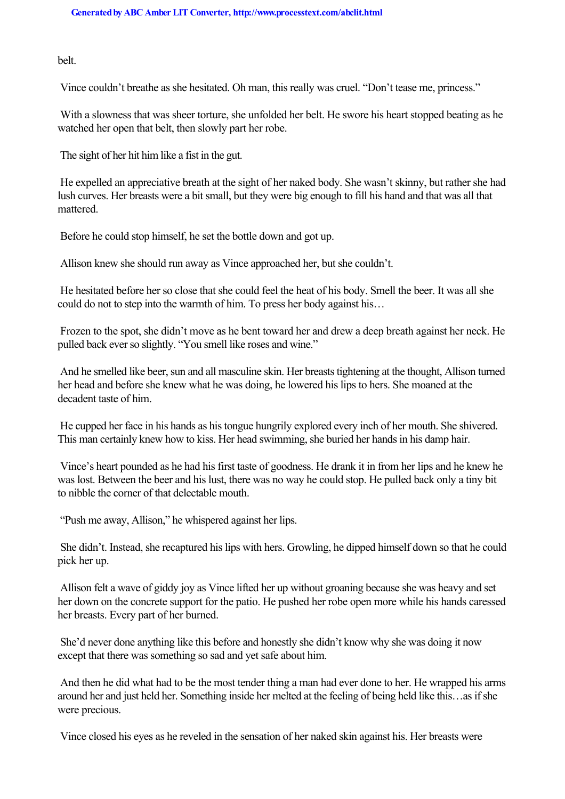belt.

Vince couldn't breathe as she hesitated. Oh man, this really was cruel. "Don't tease me, princess."

 With a slowness that was sheer torture, she unfolded her belt. He swore his heart stopped beating as he watched her open that belt, then slowly part her robe.

The sight of her hit him like a fist in the gut.

 He expelled an appreciative breath at the sight of her naked body. She wasn't skinny, but rather she had lush curves. Her breasts were a bit small, but they were big enough to fill his hand and that was all that mattered.

Before he could stop himself, he set the bottle down and got up.

Allison knew she should run away as Vince approached her, but she couldn't.

 He hesitated before her so close that she could feel the heat of his body. Smell the beer. It was all she could do not to step into the warmth of him. To press her body against his…

 Frozen to the spot, she didn't move as he bent toward her and drew a deep breath against her neck. He pulled back ever so slightly. "You smell like roses and wine."

 And he smelled like beer, sun and all masculine skin. Her breasts tightening at the thought, Allison turned her head and before she knew what he was doing, he lowered his lips to hers. She moaned at the decadent taste of him.

 He cupped her face in his hands as his tongue hungrily explored every inch of her mouth. She shivered. This man certainly knew how to kiss. Her head swimming, she buried her hands in his damp hair.

 Vince's heart pounded as he had his first taste of goodness. He drank it in from her lips and he knew he was lost. Between the beer and his lust, there was no way he could stop. He pulled back only a tiny bit to nibble the corner of that delectable mouth.

"Push me away, Allison," he whispered against her lips.

 She didn't. Instead, she recaptured his lips with hers. Growling, he dipped himself down so that he could pick her up.

 Allison felt a wave of giddy joy as Vince lifted her up without groaning because she was heavy and set her down on the concrete support for the patio. He pushed her robe open more while his hands caressed her breasts. Every part of her burned.

 She'd never done anything like this before and honestly she didn't know why she was doing it now except that there was something so sad and yet safe about him.

 And then he did what had to be the most tender thing a man had ever done to her. He wrapped his arms around her and just held her. Something inside her melted at the feeling of being held like this…as if she were precious.

Vince closed his eyes as he reveled in the sensation of her naked skin against his. Her breasts were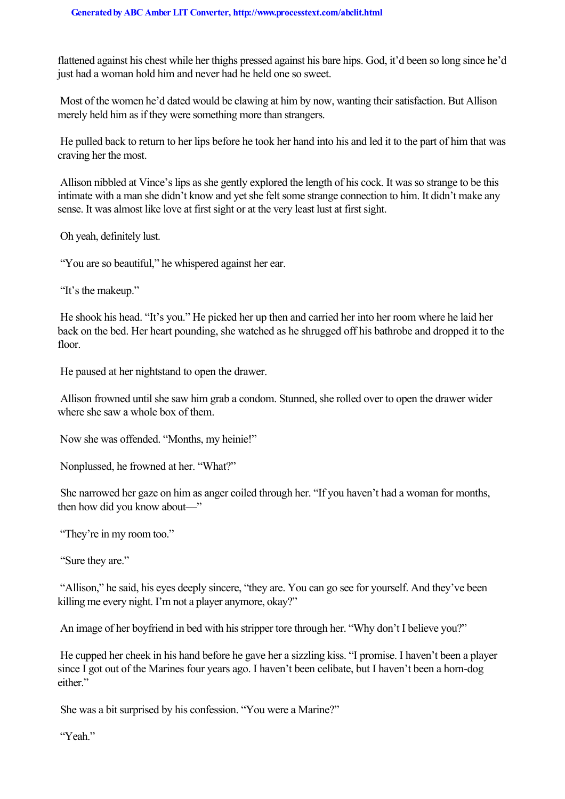flattened against his chest while her thighs pressed against his bare hips. God, it'd been so long since he'd just had a woman hold him and never had he held one so sweet.

 Most of the women he'd dated would be clawing at him by now, wanting their satisfaction. But Allison merely held him as if they were something more than strangers.

 He pulled back to return to her lips before he took her hand into his and led it to the part of him that was craving her the most.

 Allison nibbled at Vince's lips as she gently explored the length of his cock. It was so strange to be this intimate with a man she didn't know and yet she felt some strange connection to him. It didn't make any sense. It was almost like love at first sight or at the very least lust at first sight.

Oh yeah, definitely lust.

"You are so beautiful," he whispered against her ear.

"It's the makeup."

 He shook his head. "It's you." He picked her up then and carried her into her room where he laid her back on the bed. Her heart pounding, she watched as he shrugged off his bathrobe and dropped it to the floor.

He paused at her nightstand to open the drawer.

 Allison frowned until she saw him grab a condom. Stunned, she rolled over to open the drawer wider where she saw a whole box of them.

Now she was offended. "Months, my heinie!"

Nonplussed, he frowned at her. "What?"

 She narrowed her gaze on him as anger coiled through her. "If you haven't had a woman for months, then how did you know about—"

"They're in my room too."

"Sure they are."

 "Allison," he said, his eyes deeply sincere, "they are. You can go see for yourself. And they've been killing me every night. I'm not a player anymore, okay?"

An image of her boyfriend in bed with his stripper tore through her. "Why don't I believe you?"

 He cupped her cheek in his hand before he gave her a sizzling kiss. "I promise. I haven't been a player since I got out of the Marines four years ago. I haven't been celibate, but I haven't been a horn-dog either."

She was a bit surprised by his confession. "You were a Marine?"

"Yeah."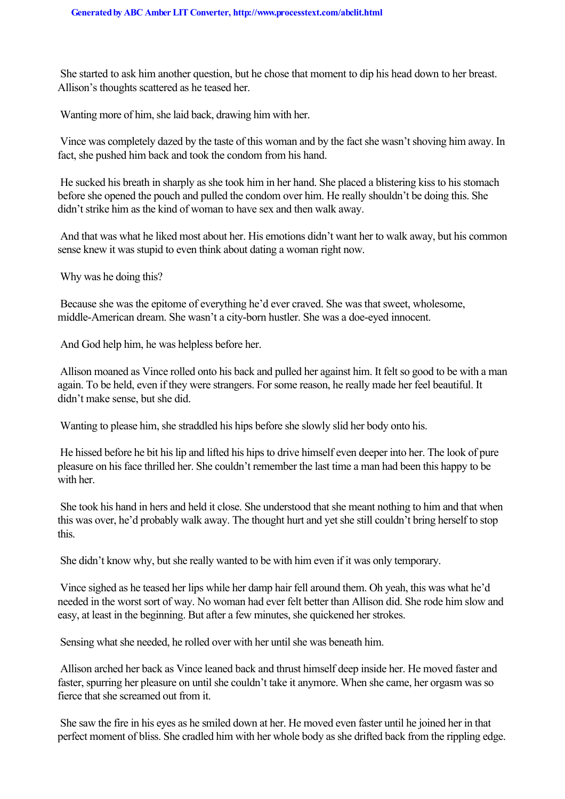She started to ask him another question, but he chose that moment to dip his head down to her breast. Allison's thoughts scattered as he teased her.

Wanting more of him, she laid back, drawing him with her.

 Vince was completely dazed by the taste of this woman and by the fact she wasn't shoving him away. In fact, she pushed him back and took the condom from his hand.

 He sucked his breath in sharply as she took him in her hand. She placed a blistering kiss to his stomach before she opened the pouch and pulled the condom over him. He really shouldn't be doing this. She didn't strike him as the kind of woman to have sex and then walk away.

 And that was what he liked most about her. His emotions didn't want her to walk away, but his common sense knew it was stupid to even think about dating a woman right now.

Why was he doing this?

 Because she was the epitome of everything he'd ever craved. She was that sweet, wholesome, middle-American dream. She wasn't a city-born hustler. She was a doe-eyed innocent.

And God help him, he was helpless before her.

 Allison moaned as Vince rolled onto his back and pulled her against him. It felt so good to be with a man again. To be held, even if they were strangers. For some reason, he really made her feel beautiful. It didn't make sense, but she did.

Wanting to please him, she straddled his hips before she slowly slid her body onto his.

 He hissed before he bit his lip and lifted his hips to drive himself even deeper into her. The look of pure pleasure on his face thrilled her. She couldn't remember the last time a man had been this happy to be with her.

 She took his hand in hers and held it close. She understood that she meant nothing to him and that when this was over, he'd probably walk away. The thought hurt and yet she still couldn't bring herself to stop this.

She didn't know why, but she really wanted to be with him even if it was only temporary.

 Vince sighed as he teased her lips while her damp hair fell around them. Oh yeah, this was what he'd needed in the worst sort of way. No woman had ever felt better than Allison did. She rode him slow and easy, at least in the beginning. But after a few minutes, she quickened her strokes.

Sensing what she needed, he rolled over with her until she was beneath him.

 Allison arched her back as Vince leaned back and thrust himself deep inside her. He moved faster and faster, spurring her pleasure on until she couldn't take it anymore. When she came, her orgasm was so fierce that she screamed out from it.

 She saw the fire in his eyes as he smiled down at her. He moved even faster until he joined her in that perfect moment of bliss. She cradled him with her whole body as she drifted back from the rippling edge.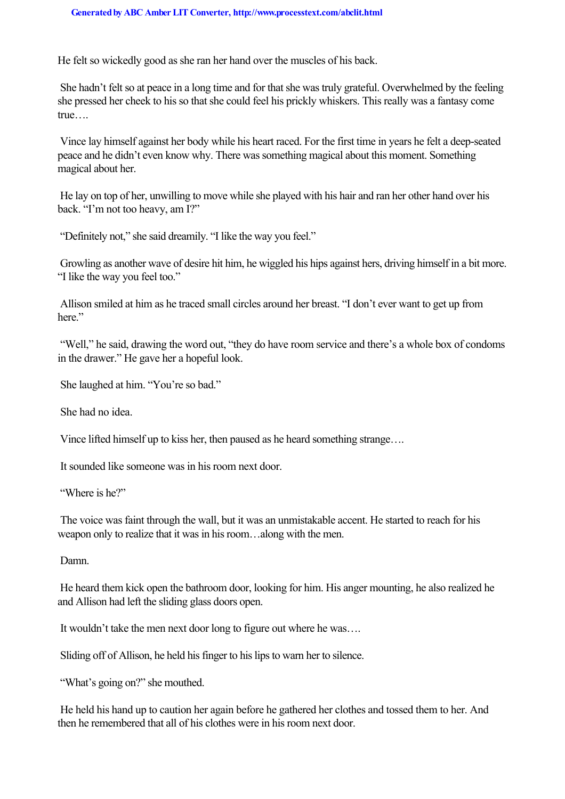He felt so wickedly good as she ran her hand over the muscles of his back.

 She hadn't felt so at peace in a long time and for that she was truly grateful. Overwhelmed by the feeling she pressed her cheek to his so that she could feel his prickly whiskers. This really was a fantasy come true

 Vince lay himself against her body while his heart raced. For the first time in years he felt a deep-seated peace and he didn't even know why. There was something magical about this moment. Something magical about her.

 He lay on top of her, unwilling to move while she played with his hair and ran her other hand over his back. "I'm not too heavy, am I?"

"Definitely not," she said dreamily. "I like the way you feel."

 Growling as another wave of desire hit him, he wiggled his hips against hers, driving himself in a bit more. "I like the way you feel too."

 Allison smiled at him as he traced small circles around her breast. "I don't ever want to get up from here"

 "Well," he said, drawing the word out, "they do have room service and there's a whole box of condoms in the drawer." He gave her a hopeful look.

She laughed at him. "You're so bad."

She had no idea.

Vince lifted himself up to kiss her, then paused as he heard something strange….

It sounded like someone was in his room next door.

"Where is he?"

 The voice was faint through the wall, but it was an unmistakable accent. He started to reach for his weapon only to realize that it was in his room…along with the men.

Damn.

 He heard them kick open the bathroom door, looking for him. His anger mounting, he also realized he and Allison had left the sliding glass doors open.

It wouldn't take the men next door long to figure out where he was….

Sliding off of Allison, he held his finger to his lips to warn her to silence.

"What's going on?" she mouthed.

 He held his hand up to caution her again before he gathered her clothes and tossed them to her. And then he remembered that all of his clothes were in his room next door.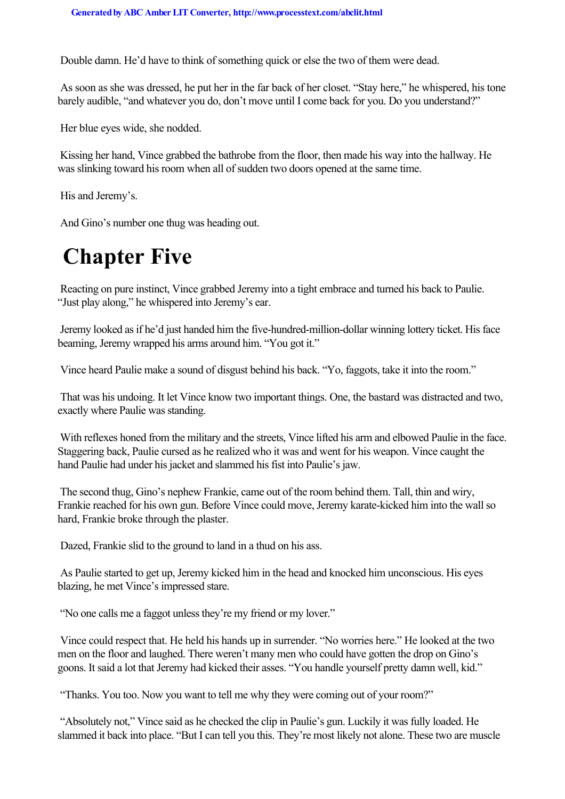Double damn. He'd have to think of something quick or else the two of them were dead.

 As soon as she was dressed, he put her in the far back of her closet. "Stay here," he whispered, his tone barely audible, "and whatever you do, don't move until I come back for you. Do you understand?"

Her blue eyes wide, she nodded.

 Kissing her hand, Vince grabbed the bathrobe from the floor, then made his way into the hallway. He was slinking toward his room when all of sudden two doors opened at the same time.

His and Jeremy's.

And Gino's number one thug was heading out.

### **Chapter Five**

 Reacting on pure instinct, Vince grabbed Jeremy into a tight embrace and turned his back to Paulie. "Just play along," he whispered into Jeremy's ear.

 Jeremy looked as if he'd just handed him the five-hundred-million-dollar winning lottery ticket. His face beaming, Jeremy wrapped his arms around him. "You got it."

Vince heard Paulie make a sound of disgust behind his back. "Yo, faggots, take it into the room."

 That was his undoing. It let Vince know two important things. One, the bastard was distracted and two, exactly where Paulie was standing.

 With reflexes honed from the military and the streets, Vince lifted his arm and elbowed Paulie in the face. Staggering back, Paulie cursed as he realized who it was and went for his weapon. Vince caught the hand Paulie had under his jacket and slammed his fist into Paulie's jaw.

 The second thug, Gino's nephew Frankie, came out of the room behind them. Tall, thin and wiry, Frankie reached for his own gun. Before Vince could move, Jeremy karate-kicked him into the wall so hard, Frankie broke through the plaster.

Dazed, Frankie slid to the ground to land in a thud on his ass.

 As Paulie started to get up, Jeremy kicked him in the head and knocked him unconscious. His eyes blazing, he met Vince's impressed stare.

"No one calls me a faggot unless they're my friend or my lover."

 Vince could respect that. He held his hands up in surrender. "No worries here." He looked at the two men on the floor and laughed. There weren't many men who could have gotten the drop on Gino's goons. It said a lot that Jeremy had kicked their asses. "You handle yourself pretty damn well, kid."

"Thanks. You too. Now you want to tell me why they were coming out of your room?"

 "Absolutely not," Vince said as he checked the clip in Paulie's gun. Luckily it was fully loaded. He slammed it back into place. "But I can tell you this. They're most likely not alone. These two are muscle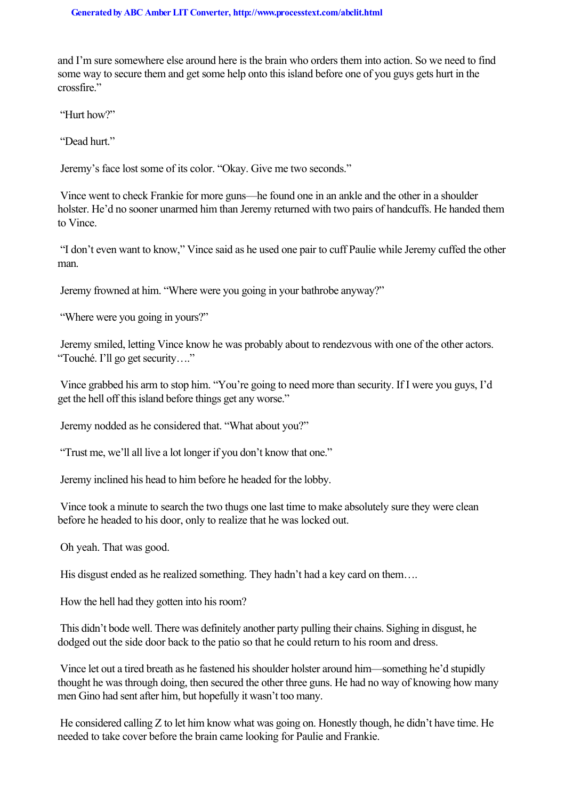#### **Generated by ABC Amber LIT Converter, <http://www.processtext.com/abclit.html>**

and I'm sure somewhere else around here is the brain who orders them into action. So we need to find some way to secure them and get some help onto this island before one of you guys gets hurt in the crossfire."

"Hurt how?"

"Dead hurt."

Jeremy's face lost some of its color. "Okay. Give me two seconds."

 Vince went to check Frankie for more guns—he found one in an ankle and the other in a shoulder holster. He'd no sooner unarmed him than Jeremy returned with two pairs of handcuffs. He handed them to Vince.

 "I don't even want to know," Vince said as he used one pair to cuff Paulie while Jeremy cuffed the other man.

Jeremy frowned at him. "Where were you going in your bathrobe anyway?"

"Where were you going in yours?"

 Jeremy smiled, letting Vince know he was probably about to rendezvous with one of the other actors. "Touché. I'll go get security…."

 Vince grabbed his arm to stop him. "You're going to need more than security. If I were you guys, I'd get the hell off this island before things get any worse."

Jeremy nodded as he considered that. "What about you?"

"Trust me, we'll all live a lot longer if you don't know that one."

Jeremy inclined his head to him before he headed for the lobby.

 Vince took a minute to search the two thugs one last time to make absolutely sure they were clean before he headed to his door, only to realize that he was locked out.

Oh yeah. That was good.

His disgust ended as he realized something. They hadn't had a key card on them....

How the hell had they gotten into his room?

 This didn't bode well. There was definitely another party pulling their chains. Sighing in disgust, he dodged out the side door back to the patio so that he could return to his room and dress.

 Vince let out a tired breath as he fastened his shoulder holster around him—something he'd stupidly thought he was through doing, then secured the other three guns. He had no way of knowing how many men Gino had sent after him, but hopefully it wasn't too many.

 He considered calling Z to let him know what was going on. Honestly though, he didn't have time. He needed to take cover before the brain came looking for Paulie and Frankie.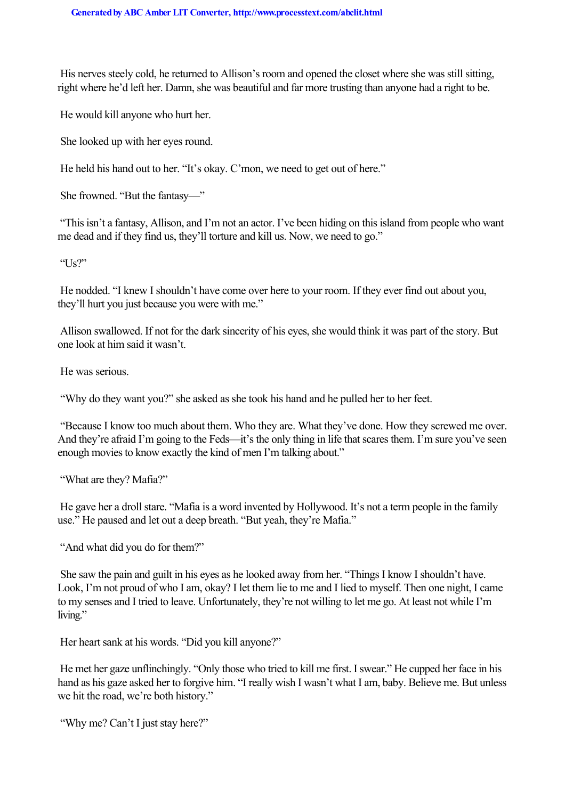His nerves steely cold, he returned to Allison's room and opened the closet where she was still sitting, right where he'd left her. Damn, she was beautiful and far more trusting than anyone had a right to be.

He would kill anyone who hurt her.

She looked up with her eyes round.

He held his hand out to her. "It's okay. C'mon, we need to get out of here."

She frowned. "But the fantasy—"

 "This isn't a fantasy, Allison, and I'm not an actor. I've been hiding on this island from people who want me dead and if they find us, they'll torture and kill us. Now, we need to go."

" $\left[\frac{1}{2}\right]$ "

 He nodded. "I knew I shouldn't have come over here to your room. If they ever find out about you, they'll hurt you just because you were with me."

 Allison swallowed. If not for the dark sincerity of his eyes, she would think it was part of the story. But one look at him said it wasn't.

He was serious.

"Why do they want you?" she asked as she took his hand and he pulled her to her feet.

 "Because I know too much about them. Who they are. What they've done. How they screwed me over. And they're afraid I'm going to the Feds—it's the only thing in life that scares them. I'm sure you've seen enough movies to know exactly the kind of men I'm talking about."

"What are they? Mafia?"

 He gave her a droll stare. "Mafia is a word invented by Hollywood. It's not a term people in the family use." He paused and let out a deep breath. "But yeah, they're Mafia."

"And what did you do for them?"

 She saw the pain and guilt in his eyes as he looked away from her. "Things I know I shouldn't have. Look, I'm not proud of who I am, okay? I let them lie to me and I lied to myself. Then one night, I came to my senses and I tried to leave. Unfortunately, they're not willing to let me go. At least not while I'm living."

Her heart sank at his words. "Did you kill anyone?"

 He met her gaze unflinchingly. "Only those who tried to kill me first. I swear." He cupped her face in his hand as his gaze asked her to forgive him. "I really wish I wasn't what I am, baby. Believe me. But unless we hit the road, we're both history."

"Why me? Can't I just stay here?"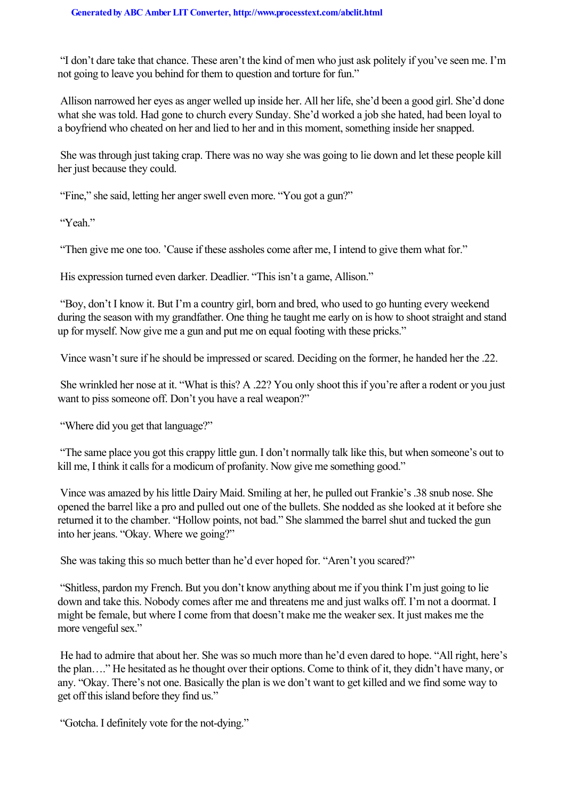"I don't dare take that chance. These aren't the kind of men who just ask politely if you've seen me. I'm not going to leave you behind for them to question and torture for fun."

 Allison narrowed her eyes as anger welled up inside her. All her life, she'd been a good girl. She'd done what she was told. Had gone to church every Sunday. She'd worked a job she hated, had been loyal to a boyfriend who cheated on her and lied to her and in this moment, something inside her snapped.

 She was through just taking crap. There was no way she was going to lie down and let these people kill her just because they could.

"Fine," she said, letting her anger swell even more. "You got a gun?"

"Yeah"

"Then give me one too. 'Cause if these assholes come after me, I intend to give them what for."

His expression turned even darker. Deadlier. "This isn't a game, Allison."

 "Boy, don't I know it. But I'm a country girl, born and bred, who used to go hunting every weekend during the season with my grandfather. One thing he taught me early on is how to shoot straight and stand up for myself. Now give me a gun and put me on equal footing with these pricks."

Vince wasn't sure if he should be impressed or scared. Deciding on the former, he handed her the .22.

 She wrinkled her nose at it. "What is this? A .22? You only shoot this if you're after a rodent or you just want to piss someone off. Don't you have a real weapon?"

"Where did you get that language?"

 "The same place you got this crappy little gun. I don't normally talk like this, but when someone's out to kill me, I think it calls for a modicum of profanity. Now give me something good."

 Vince was amazed by his little Dairy Maid. Smiling at her, he pulled out Frankie's .38 snub nose. She opened the barrel like a pro and pulled out one of the bullets. She nodded as she looked at it before she returned it to the chamber. "Hollow points, not bad." She slammed the barrel shut and tucked the gun into her jeans. "Okay. Where we going?"

She was taking this so much better than he'd ever hoped for. "Aren't you scared?"

 "Shitless, pardon my French. But you don't know anything about me if you think I'm just going to lie down and take this. Nobody comes after me and threatens me and just walks off. I'm not a doormat. I might be female, but where I come from that doesn't make me the weaker sex. It just makes me the more vengeful sex."

 He had to admire that about her. She was so much more than he'd even dared to hope. "All right, here's the plan…." He hesitated as he thought over their options. Come to think of it, they didn't have many, or any. "Okay. There's not one. Basically the plan is we don't want to get killed and we find some way to get off this island before they find us."

"Gotcha. I definitely vote for the not-dying."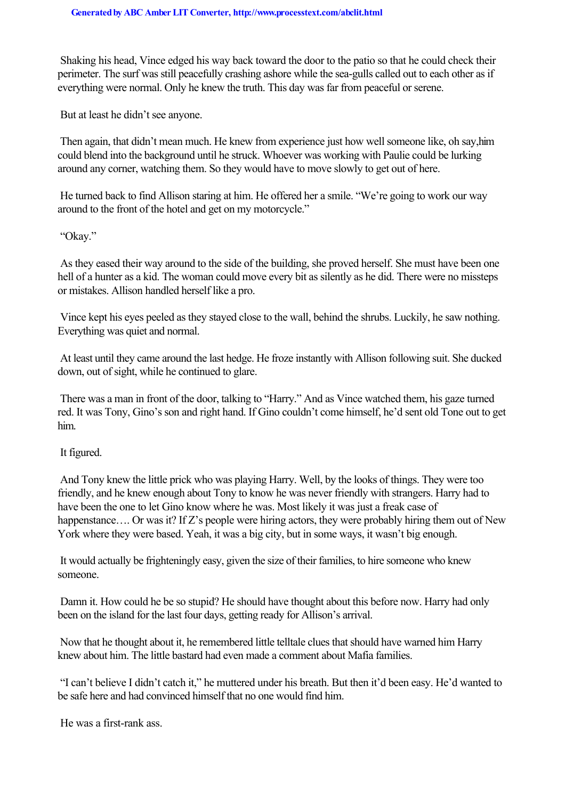Shaking his head, Vince edged his way back toward the door to the patio so that he could check their perimeter. The surf was still peacefully crashing ashore while the sea-gulls called out to each other as if everything were normal. Only he knew the truth. This day was far from peaceful or serene.

But at least he didn't see anyone.

 Then again, that didn't mean much. He knew from experience just how well someone like, oh say,him could blend into the background until he struck. Whoever was working with Paulie could be lurking around any corner, watching them. So they would have to move slowly to get out of here.

 He turned back to find Allison staring at him. He offered her a smile. "We're going to work our way around to the front of the hotel and get on my motorcycle."

"Okay."

 As they eased their way around to the side of the building, she proved herself. She must have been one hell of a hunter as a kid. The woman could move every bit as silently as he did. There were no missteps or mistakes. Allison handled herself like a pro.

 Vince kept his eyes peeled as they stayed close to the wall, behind the shrubs. Luckily, he saw nothing. Everything was quiet and normal.

 At least until they came around the last hedge. He froze instantly with Allison following suit. She ducked down, out of sight, while he continued to glare.

 There was a man in front of the door, talking to "Harry." And as Vince watched them, his gaze turned red. It was Tony, Gino's son and right hand. If Gino couldn't come himself, he'd sent old Tone out to get him.

It figured.

 And Tony knew the little prick who was playing Harry. Well, by the looks of things. They were too friendly, and he knew enough about Tony to know he was never friendly with strangers. Harry had to have been the one to let Gino know where he was. Most likely it was just a freak case of happenstance.... Or was it? If Z's people were hiring actors, they were probably hiring them out of New York where they were based. Yeah, it was a big city, but in some ways, it wasn't big enough.

 It would actually be frighteningly easy, given the size of their families, to hire someone who knew someone.

 Damn it. How could he be so stupid? He should have thought about this before now. Harry had only been on the island for the last four days, getting ready for Allison's arrival.

 Now that he thought about it, he remembered little telltale clues that should have warned him Harry knew about him. The little bastard had even made a comment about Mafia families.

 "I can't believe I didn't catch it," he muttered under his breath. But then it'd been easy. He'd wanted to be safe here and had convinced himself that no one would find him.

He was a first-rank ass.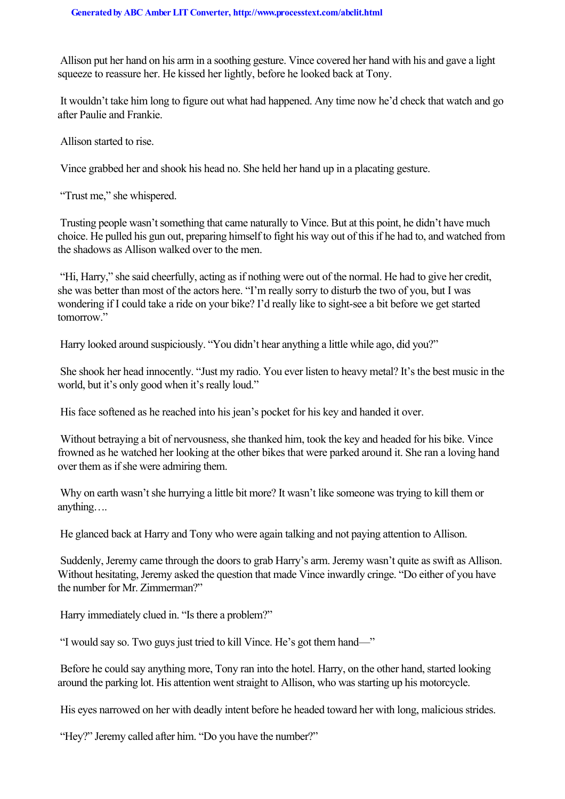Allison put her hand on his arm in a soothing gesture. Vince covered her hand with his and gave a light squeeze to reassure her. He kissed her lightly, before he looked back at Tony.

 It wouldn't take him long to figure out what had happened. Any time now he'd check that watch and go after Paulie and Frankie.

Allison started to rise.

Vince grabbed her and shook his head no. She held her hand up in a placating gesture.

"Trust me," she whispered.

 Trusting people wasn't something that came naturally to Vince. But at this point, he didn't have much choice. He pulled his gun out, preparing himself to fight his way out of this if he had to, and watched from the shadows as Allison walked over to the men.

 "Hi, Harry," she said cheerfully, acting as if nothing were out of the normal. He had to give her credit, she was better than most of the actors here. "I'm really sorry to disturb the two of you, but I was wondering if I could take a ride on your bike? I'd really like to sight-see a bit before we get started tomorrow"

Harry looked around suspiciously. "You didn't hear anything a little while ago, did you?"

 She shook her head innocently. "Just my radio. You ever listen to heavy metal? It's the best music in the world, but it's only good when it's really loud."

His face softened as he reached into his jean's pocket for his key and handed it over.

 Without betraying a bit of nervousness, she thanked him, took the key and headed for his bike. Vince frowned as he watched her looking at the other bikes that were parked around it. She ran a loving hand over them as if she were admiring them.

 Why on earth wasn't she hurrying a little bit more? It wasn't like someone was trying to kill them or anything….

He glanced back at Harry and Tony who were again talking and not paying attention to Allison.

 Suddenly, Jeremy came through the doors to grab Harry's arm. Jeremy wasn't quite as swift as Allison. Without hesitating, Jeremy asked the question that made Vince inwardly cringe. "Do either of you have the number for Mr. Zimmerman?"

Harry immediately clued in. "Is there a problem?"

"I would say so. Two guys just tried to kill Vince. He's got them hand—"

 Before he could say anything more, Tony ran into the hotel. Harry, on the other hand, started looking around the parking lot. His attention went straight to Allison, who was starting up his motorcycle.

His eyes narrowed on her with deadly intent before he headed toward her with long, malicious strides.

"Hey?" Jeremy called after him. "Do you have the number?"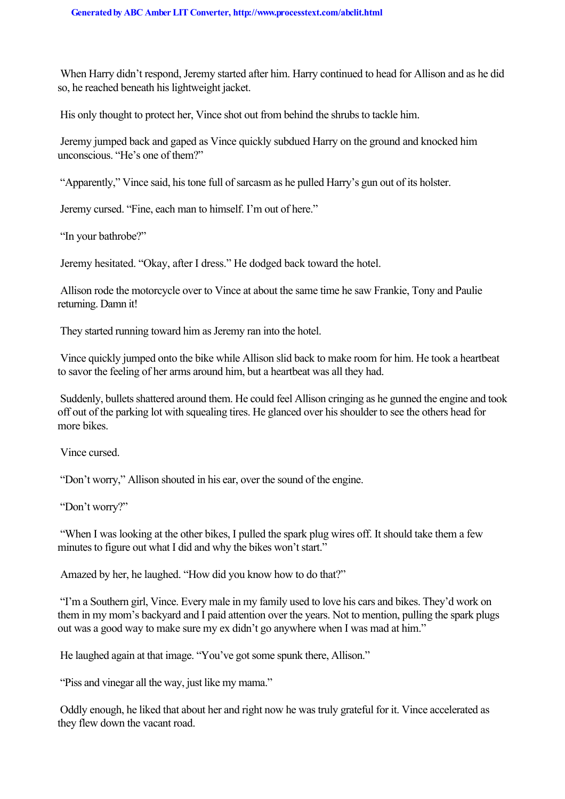When Harry didn't respond, Jeremy started after him. Harry continued to head for Allison and as he did so, he reached beneath his lightweight jacket.

His only thought to protect her, Vince shot out from behind the shrubs to tackle him.

 Jeremy jumped back and gaped as Vince quickly subdued Harry on the ground and knocked him unconscious. "He's one of them?"

"Apparently," Vince said, his tone full of sarcasm as he pulled Harry's gun out of its holster.

Jeremy cursed. "Fine, each man to himself. I'm out of here."

"In your bathrobe?"

Jeremy hesitated. "Okay, after I dress." He dodged back toward the hotel.

 Allison rode the motorcycle over to Vince at about the same time he saw Frankie, Tony and Paulie returning. Damn it!

They started running toward him as Jeremy ran into the hotel.

 Vince quickly jumped onto the bike while Allison slid back to make room for him. He took a heartbeat to savor the feeling of her arms around him, but a heartbeat was all they had.

 Suddenly, bullets shattered around them. He could feel Allison cringing as he gunned the engine and took off out of the parking lot with squealing tires. He glanced over his shoulder to see the others head for more bikes.

Vince cursed.

"Don't worry," Allison shouted in his ear, over the sound of the engine.

"Don't worry?"

 "When I was looking at the other bikes, I pulled the spark plug wires off. It should take them a few minutes to figure out what I did and why the bikes won't start."

Amazed by her, he laughed. "How did you know how to do that?"

 "I'm a Southern girl, Vince. Every male in my family used to love his cars and bikes. They'd work on them in my mom's backyard and I paid attention over the years. Not to mention, pulling the spark plugs out was a good way to make sure my ex didn't go anywhere when I was mad at him."

He laughed again at that image. "You've got some spunk there, Allison."

"Piss and vinegar all the way, just like my mama."

 Oddly enough, he liked that about her and right now he was truly grateful for it. Vince accelerated as they flew down the vacant road.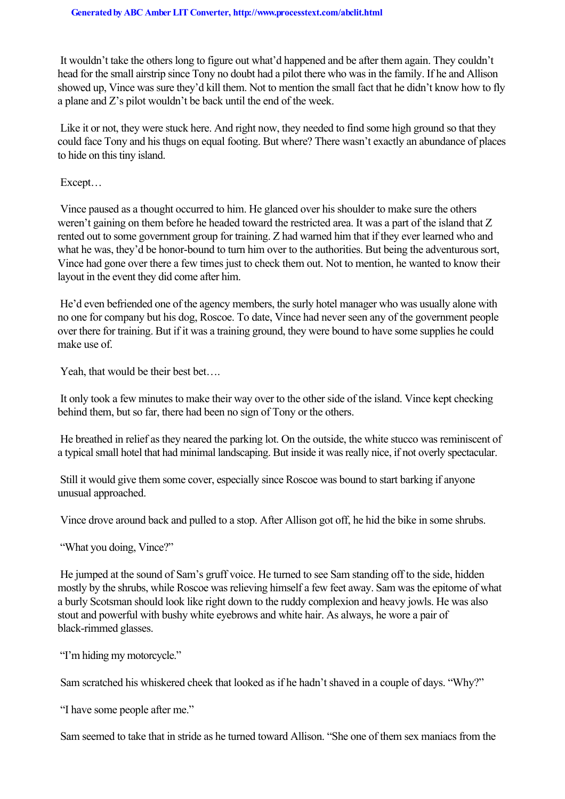It wouldn't take the others long to figure out what'd happened and be after them again. They couldn't head for the small airstrip since Tony no doubt had a pilot there who was in the family. If he and Allison showed up, Vince was sure they'd kill them. Not to mention the small fact that he didn't know how to fly a plane and Z's pilot wouldn't be back until the end of the week.

 Like it or not, they were stuck here. And right now, they needed to find some high ground so that they could face Tony and his thugs on equal footing. But where? There wasn't exactly an abundance of places to hide on this tiny island.

Except…

 Vince paused as a thought occurred to him. He glanced over his shoulder to make sure the others weren't gaining on them before he headed toward the restricted area. It was a part of the island that Z rented out to some government group for training. Z had warned him that if they ever learned who and what he was, they'd be honor-bound to turn him over to the authorities. But being the adventurous sort, Vince had gone over there a few times just to check them out. Not to mention, he wanted to know their layout in the event they did come after him.

 He'd even befriended one of the agency members, the surly hotel manager who was usually alone with no one for company but his dog, Roscoe. To date, Vince had never seen any of the government people over there for training. But if it was a training ground, they were bound to have some supplies he could make use of.

Yeah, that would be their best bet....

 It only took a few minutes to make their way over to the other side of the island. Vince kept checking behind them, but so far, there had been no sign of Tony or the others.

 He breathed in relief as they neared the parking lot. On the outside, the white stucco was reminiscent of a typical small hotel that had minimal landscaping. But inside it was really nice, if not overly spectacular.

 Still it would give them some cover, especially since Roscoe was bound to start barking if anyone unusual approached.

Vince drove around back and pulled to a stop. After Allison got off, he hid the bike in some shrubs.

"What you doing, Vince?"

 He jumped at the sound of Sam's gruff voice. He turned to see Sam standing off to the side, hidden mostly by the shrubs, while Roscoe was relieving himself a few feet away. Sam was the epitome of what a burly Scotsman should look like right down to the ruddy complexion and heavy jowls. He was also stout and powerful with bushy white eyebrows and white hair. As always, he wore a pair of black-rimmed glasses.

"I'm hiding my motorcycle."

Sam scratched his whiskered cheek that looked as if he hadn't shaved in a couple of days. "Why?"

"I have some people after me."

Sam seemed to take that in stride as he turned toward Allison. "She one of them sex maniacs from the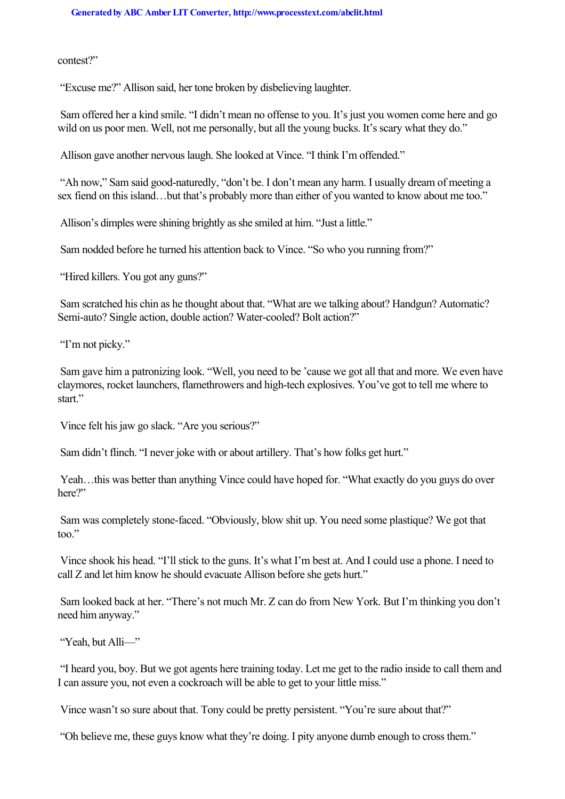contest?"

"Excuse me?" Allison said, her tone broken by disbelieving laughter.

 Sam offered her a kind smile. "I didn't mean no offense to you. It's just you women come here and go wild on us poor men. Well, not me personally, but all the young bucks. It's scary what they do."

Allison gave another nervous laugh. She looked at Vince. "I think I'm offended."

 "Ah now," Sam said good-naturedly, "don't be. I don't mean any harm. I usually dream of meeting a sex fiend on this island…but that's probably more than either of you wanted to know about me too."

Allison's dimples were shining brightly as she smiled at him. "Just a little."

Sam nodded before he turned his attention back to Vince. "So who you running from?"

"Hired killers. You got any guns?"

 Sam scratched his chin as he thought about that. "What are we talking about? Handgun? Automatic? Semi-auto? Single action, double action? Water-cooled? Bolt action?"

"I'm not picky."

 Sam gave him a patronizing look. "Well, you need to be 'cause we got all that and more. We even have claymores, rocket launchers, flamethrowers and high-tech explosives. You've got to tell me where to start<sup>"</sup>

Vince felt his jaw go slack. "Are you serious?"

Sam didn't flinch. "I never joke with or about artillery. That's how folks get hurt."

 Yeah…this was better than anything Vince could have hoped for. "What exactly do you guys do over here?"

 Sam was completely stone-faced. "Obviously, blow shit up. You need some plastique? We got that too<sup>"</sup>

 Vince shook his head. "I'll stick to the guns. It's what I'm best at. And I could use a phone. I need to call Z and let him know he should evacuate Allison before she gets hurt."

 Sam looked back at her. "There's not much Mr. Z can do from New York. But I'm thinking you don't need him anyway."

"Yeah, but Alli—"

 "I heard you, boy. But we got agents here training today. Let me get to the radio inside to call them and I can assure you, not even a cockroach will be able to get to your little miss."

Vince wasn't so sure about that. Tony could be pretty persistent. "You're sure about that?"

"Oh believe me, these guys know what they're doing. I pity anyone dumb enough to cross them."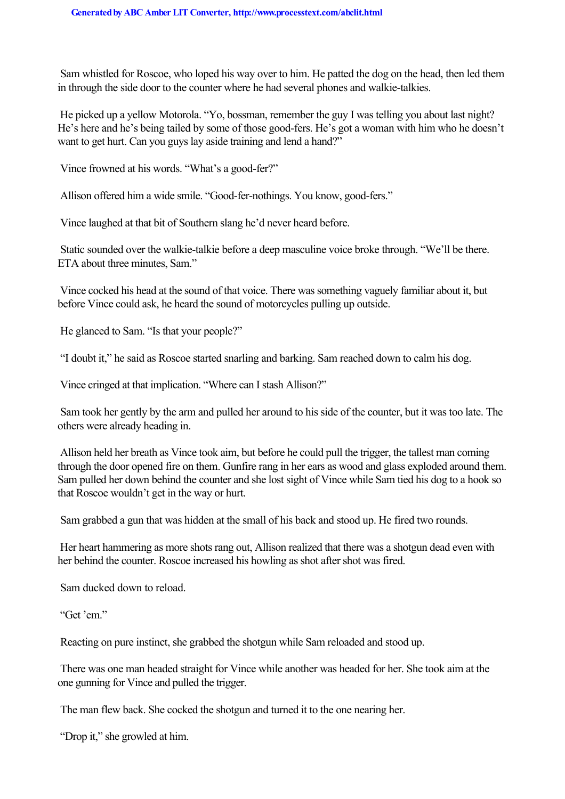Sam whistled for Roscoe, who loped his way over to him. He patted the dog on the head, then led them in through the side door to the counter where he had several phones and walkie-talkies.

 He picked up a yellow Motorola. "Yo, bossman, remember the guy I was telling you about last night? He's here and he's being tailed by some of those good-fers. He's got a woman with him who he doesn't want to get hurt. Can you guys lay aside training and lend a hand?"

Vince frowned at his words. "What's a good-fer?"

Allison offered him a wide smile. "Good-fer-nothings. You know, good-fers."

Vince laughed at that bit of Southern slang he'd never heard before.

 Static sounded over the walkie-talkie before a deep masculine voice broke through. "We'll be there. ETA about three minutes, Sam."

 Vince cocked his head at the sound of that voice. There was something vaguely familiar about it, but before Vince could ask, he heard the sound of motorcycles pulling up outside.

He glanced to Sam. "Is that your people?"

"I doubt it," he said as Roscoe started snarling and barking. Sam reached down to calm his dog.

Vince cringed at that implication. "Where can I stash Allison?"

 Sam took her gently by the arm and pulled her around to his side of the counter, but it was too late. The others were already heading in.

 Allison held her breath as Vince took aim, but before he could pull the trigger, the tallest man coming through the door opened fire on them. Gunfire rang in her ears as wood and glass exploded around them. Sam pulled her down behind the counter and she lost sight of Vince while Sam tied his dog to a hook so that Roscoe wouldn't get in the way or hurt.

Sam grabbed a gun that was hidden at the small of his back and stood up. He fired two rounds.

 Her heart hammering as more shots rang out, Allison realized that there was a shotgun dead even with her behind the counter. Roscoe increased his howling as shot after shot was fired.

Sam ducked down to reload.

"Get 'em."

Reacting on pure instinct, she grabbed the shotgun while Sam reloaded and stood up.

 There was one man headed straight for Vince while another was headed for her. She took aim at the one gunning for Vince and pulled the trigger.

The man flew back. She cocked the shotgun and turned it to the one nearing her.

"Drop it," she growled at him.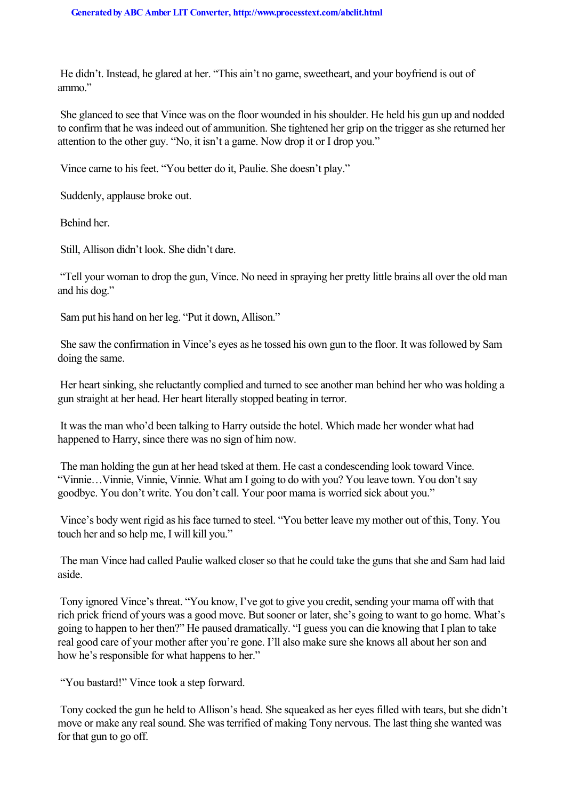He didn't. Instead, he glared at her. "This ain't no game, sweetheart, and your boyfriend is out of ammo"

 She glanced to see that Vince was on the floor wounded in his shoulder. He held his gun up and nodded to confirm that he was indeed out of ammunition. She tightened her grip on the trigger as she returned her attention to the other guy. "No, it isn't a game. Now drop it or I drop you."

Vince came to his feet. "You better do it, Paulie. She doesn't play."

Suddenly, applause broke out.

Behind her.

Still, Allison didn't look. She didn't dare.

 "Tell your woman to drop the gun, Vince. No need in spraying her pretty little brains all over the old man and his dog."

Sam put his hand on her leg. "Put it down, Allison."

 She saw the confirmation in Vince's eyes as he tossed his own gun to the floor. It was followed by Sam doing the same.

 Her heart sinking, she reluctantly complied and turned to see another man behind her who was holding a gun straight at her head. Her heart literally stopped beating in terror.

 It was the man who'd been talking to Harry outside the hotel. Which made her wonder what had happened to Harry, since there was no sign of him now.

 The man holding the gun at her head tsked at them. He cast a condescending look toward Vince. "Vinnie…Vinnie, Vinnie, Vinnie. What am I going to do with you? You leave town. You don't say goodbye. You don't write. You don't call. Your poor mama is worried sick about you."

 Vince's body went rigid as his face turned to steel. "You better leave my mother out of this, Tony. You touch her and so help me, I will kill you."

 The man Vince had called Paulie walked closer so that he could take the guns that she and Sam had laid aside.

 Tony ignored Vince's threat. "You know, I've got to give you credit, sending your mama off with that rich prick friend of yours was a good move. But sooner or later, she's going to want to go home. What's going to happen to her then?" He paused dramatically. "I guess you can die knowing that I plan to take real good care of your mother after you're gone. I'll also make sure she knows all about her son and how he's responsible for what happens to her."

"You bastard!" Vince took a step forward.

 Tony cocked the gun he held to Allison's head. She squeaked as her eyes filled with tears, but she didn't move or make any real sound. She was terrified of making Tony nervous. The last thing she wanted was for that gun to go off.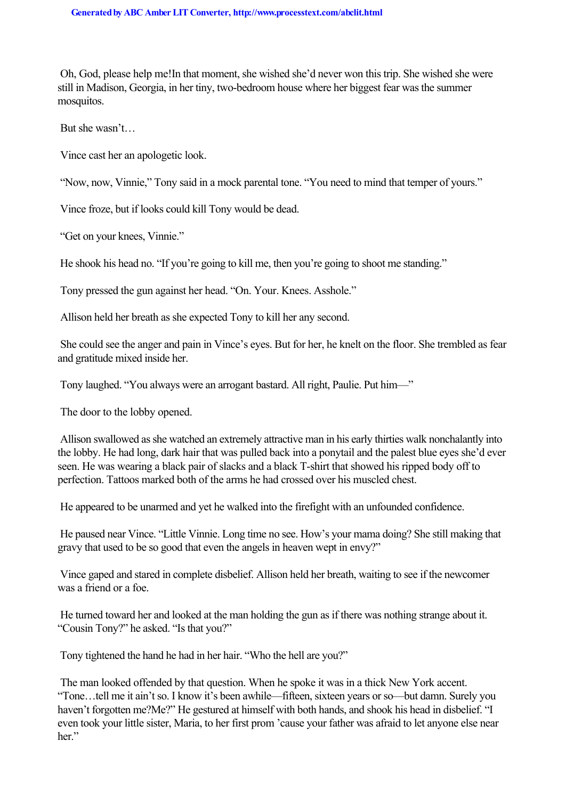#### **Generated by ABC Amber LIT Converter, <http://www.processtext.com/abclit.html>**

 Oh, God, please help me!In that moment, she wished she'd never won this trip. She wished she were still in Madison, Georgia, in her tiny, two-bedroom house where her biggest fear was the summer mosquitos.

But she wasn't…

Vince cast her an apologetic look.

"Now, now, Vinnie," Tony said in a mock parental tone. "You need to mind that temper of yours."

Vince froze, but if looks could kill Tony would be dead.

"Get on your knees, Vinnie."

He shook his head no. "If you're going to kill me, then you're going to shoot me standing."

Tony pressed the gun against her head. "On. Your. Knees. Asshole."

Allison held her breath as she expected Tony to kill her any second.

 She could see the anger and pain in Vince's eyes. But for her, he knelt on the floor. She trembled as fear and gratitude mixed inside her.

Tony laughed. "You always were an arrogant bastard. All right, Paulie. Put him—"

The door to the lobby opened.

 Allison swallowed as she watched an extremely attractive man in his early thirties walk nonchalantly into the lobby. He had long, dark hair that was pulled back into a ponytail and the palest blue eyes she'd ever seen. He was wearing a black pair of slacks and a black T-shirt that showed his ripped body off to perfection. Tattoos marked both of the arms he had crossed over his muscled chest.

He appeared to be unarmed and yet he walked into the firefight with an unfounded confidence.

 He paused near Vince. "Little Vinnie. Long time no see. How's your mama doing? She still making that gravy that used to be so good that even the angels in heaven wept in envy?"

 Vince gaped and stared in complete disbelief. Allison held her breath, waiting to see if the newcomer was a friend or a foe.

 He turned toward her and looked at the man holding the gun as if there was nothing strange about it. "Cousin Tony?" he asked. "Is that you?"

Tony tightened the hand he had in her hair. "Who the hell are you?"

 The man looked offended by that question. When he spoke it was in a thick New York accent. "Tone…tell me it ain't so. I know it's been awhile—fifteen, sixteen years or so—but damn. Surely you haven't forgotten me?Me?" He gestured at himself with both hands, and shook his head in disbelief. "I even took your little sister, Maria, to her first prom 'cause your father was afraid to let anyone else near her."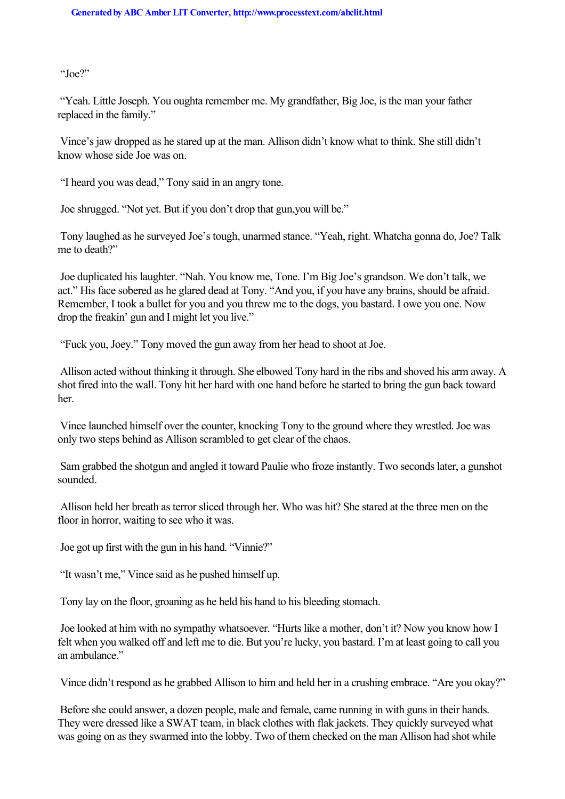"Joe?"

 "Yeah. Little Joseph. You oughta remember me. My grandfather, Big Joe, is the man your father replaced in the family."

 Vince's jaw dropped as he stared up at the man. Allison didn't know what to think. She still didn't know whose side Joe was on.

"I heard you was dead," Tony said in an angry tone.

Joe shrugged. "Not yet. But if you don't drop that gun,you will be."

 Tony laughed as he surveyed Joe's tough, unarmed stance. "Yeah, right. Whatcha gonna do, Joe? Talk me to death?"

 Joe duplicated his laughter. "Nah. You know me, Tone. I'm Big Joe's grandson. We don't talk, we act." His face sobered as he glared dead at Tony. "And you, if you have any brains, should be afraid. Remember, I took a bullet for you and you threw me to the dogs, you bastard. I owe you one. Now drop the freakin' gun and I might let you live."

"Fuck you, Joey." Tony moved the gun away from her head to shoot at Joe.

 Allison acted without thinking it through. She elbowed Tony hard in the ribs and shoved his arm away. A shot fired into the wall. Tony hit her hard with one hand before he started to bring the gun back toward her.

 Vince launched himself over the counter, knocking Tony to the ground where they wrestled. Joe was only two steps behind as Allison scrambled to get clear of the chaos.

 Sam grabbed the shotgun and angled it toward Paulie who froze instantly. Two seconds later, a gunshot sounded.

 Allison held her breath as terror sliced through her. Who was hit? She stared at the three men on the floor in horror, waiting to see who it was.

Joe got up first with the gun in his hand. "Vinnie?"

"It wasn't me," Vince said as he pushed himself up.

Tony lay on the floor, groaning as he held his hand to his bleeding stomach.

 Joe looked at him with no sympathy whatsoever. "Hurts like a mother, don't it? Now you know how I felt when you walked off and left me to die. But you're lucky, you bastard. I'm at least going to call you an ambulance."

Vince didn't respond as he grabbed Allison to him and held her in a crushing embrace. "Are you okay?"

 Before she could answer, a dozen people, male and female, came running in with guns in their hands. They were dressed like a SWAT team, in black clothes with flak jackets. They quickly surveyed what was going on as they swarmed into the lobby. Two of them checked on the man Allison had shot while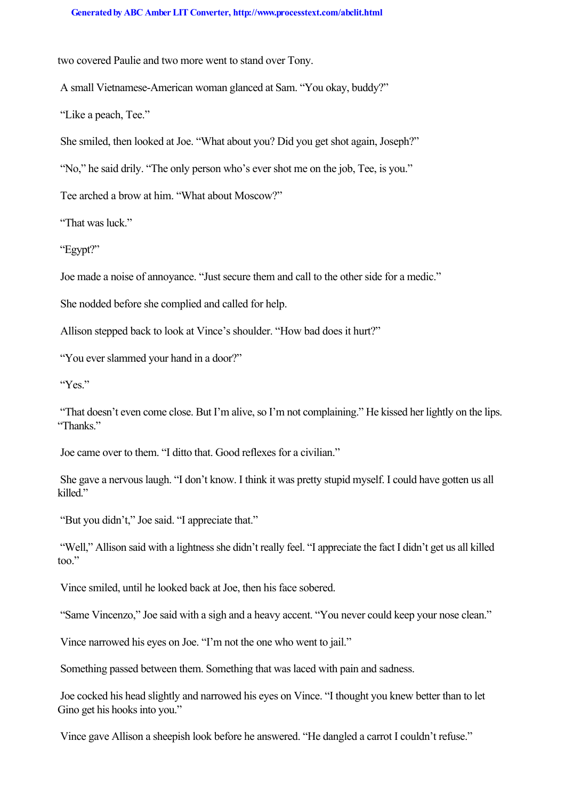two covered Paulie and two more went to stand over Tony.

A small Vietnamese-American woman glanced at Sam. "You okay, buddy?"

"Like a peach, Tee."

She smiled, then looked at Joe. "What about you? Did you get shot again, Joseph?"

"No," he said drily. "The only person who's ever shot me on the job, Tee, is you."

Tee arched a brow at him. "What about Moscow?"

"That was luck."

"Egypt?"

Joe made a noise of annoyance. "Just secure them and call to the other side for a medic."

She nodded before she complied and called for help.

Allison stepped back to look at Vince's shoulder. "How bad does it hurt?"

"You ever slammed your hand in a door?"

"Yes"

 "That doesn't even come close. But I'm alive, so I'm not complaining." He kissed her lightly on the lips. "Thanks."

Joe came over to them. "I ditto that. Good reflexes for a civilian."

 She gave a nervous laugh. "I don't know. I think it was pretty stupid myself. I could have gotten us all killed<sup>"</sup>

"But you didn't," Joe said. "I appreciate that."

 "Well," Allison said with a lightness she didn't really feel. "I appreciate the fact I didn't get us all killed too"

Vince smiled, until he looked back at Joe, then his face sobered.

"Same Vincenzo," Joe said with a sigh and a heavy accent. "You never could keep your nose clean."

Vince narrowed his eyes on Joe. "I'm not the one who went to jail."

Something passed between them. Something that was laced with pain and sadness.

 Joe cocked his head slightly and narrowed his eyes on Vince. "I thought you knew better than to let Gino get his hooks into you."

Vince gave Allison a sheepish look before he answered. "He dangled a carrot I couldn't refuse."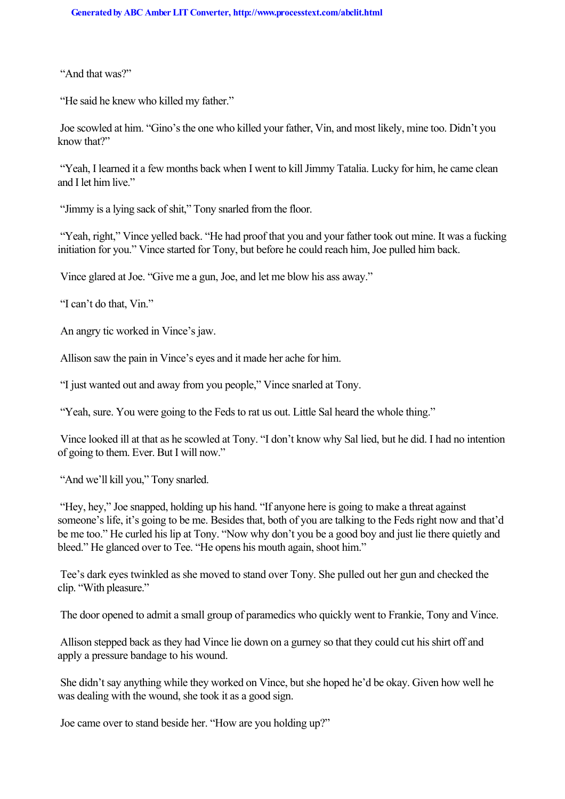"And that was?"

"He said he knew who killed my father."

 Joe scowled at him. "Gino's the one who killed your father, Vin, and most likely, mine too. Didn't you know that?"

 "Yeah, I learned it a few months back when I went to kill Jimmy Tatalia. Lucky for him, he came clean and I let him live."

"Jimmy is a lying sack of shit," Tony snarled from the floor.

 "Yeah, right," Vince yelled back. "He had proof that you and your father took out mine. It was a fucking initiation for you." Vince started for Tony, but before he could reach him, Joe pulled him back.

Vince glared at Joe. "Give me a gun, Joe, and let me blow his ass away."

"I can't do that, Vin."

An angry tic worked in Vince's jaw.

Allison saw the pain in Vince's eyes and it made her ache for him.

"I just wanted out and away from you people," Vince snarled at Tony.

"Yeah, sure. You were going to the Feds to rat us out. Little Sal heard the whole thing."

 Vince looked ill at that as he scowled at Tony. "I don't know why Sal lied, but he did. I had no intention of going to them. Ever. But I will now."

"And we'll kill you," Tony snarled.

 "Hey, hey," Joe snapped, holding up his hand. "If anyone here is going to make a threat against someone's life, it's going to be me. Besides that, both of you are talking to the Feds right now and that'd be me too." He curled his lip at Tony. "Now why don't you be a good boy and just lie there quietly and bleed." He glanced over to Tee. "He opens his mouth again, shoot him."

 Tee's dark eyes twinkled as she moved to stand over Tony. She pulled out her gun and checked the clip. "With pleasure."

The door opened to admit a small group of paramedics who quickly went to Frankie, Tony and Vince.

 Allison stepped back as they had Vince lie down on a gurney so that they could cut his shirt off and apply a pressure bandage to his wound.

 She didn't say anything while they worked on Vince, but she hoped he'd be okay. Given how well he was dealing with the wound, she took it as a good sign.

Joe came over to stand beside her. "How are you holding up?"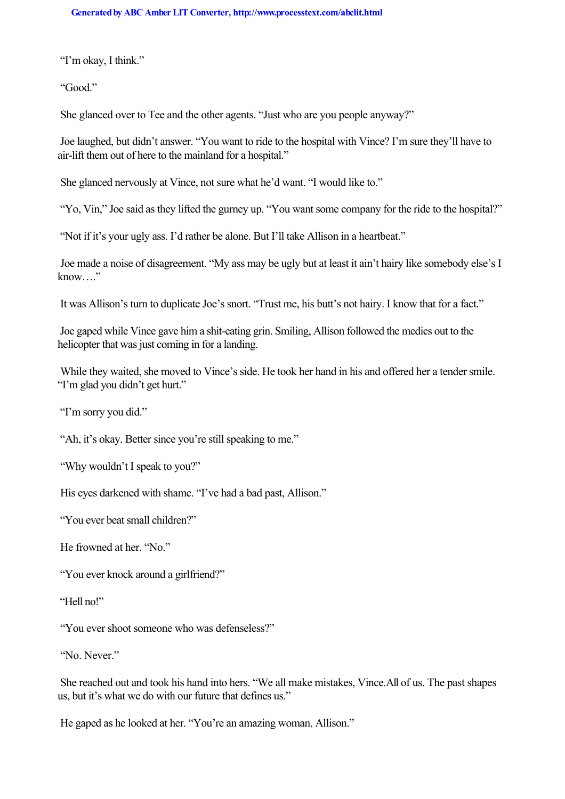"I'm okay, I think."

"Good"

She glanced over to Tee and the other agents. "Just who are you people anyway?"

 Joe laughed, but didn't answer. "You want to ride to the hospital with Vince? I'm sure they'll have to air-lift them out of here to the mainland for a hospital."

She glanced nervously at Vince, not sure what he'd want. "I would like to."

"Yo, Vin," Joe said as they lifted the gurney up. "You want some company for the ride to the hospital?"

"Not if it's your ugly ass. I'd rather be alone. But I'll take Allison in a heartbeat."

 Joe made a noise of disagreement. "My ass may be ugly but at least it ain't hairy like somebody else's I know...."

It was Allison's turn to duplicate Joe's snort. "Trust me, his butt's not hairy. I know that for a fact."

 Joe gaped while Vince gave him a shit-eating grin. Smiling, Allison followed the medics out to the helicopter that was just coming in for a landing.

 While they waited, she moved to Vince's side. He took her hand in his and offered her a tender smile. "I'm glad you didn't get hurt."

"I'm sorry you did."

"Ah, it's okay. Better since you're still speaking to me."

"Why wouldn't I speak to you?"

His eyes darkened with shame. "I've had a bad past, Allison."

"You ever beat small children?"

He frowned at her. "No."

"You ever knock around a girlfriend?"

"Hell no!"

"You ever shoot someone who was defenseless?"

"No. Never."

 She reached out and took his hand into hers. "We all make mistakes, Vince.All of us. The past shapes us, but it's what we do with our future that defines us."

He gaped as he looked at her. "You're an amazing woman, Allison."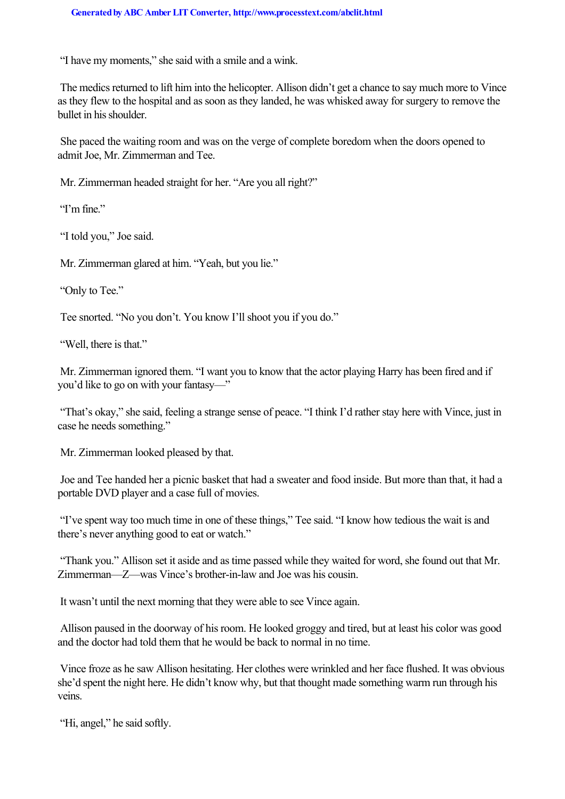"I have my moments," she said with a smile and a wink.

 The medics returned to lift him into the helicopter. Allison didn't get a chance to say much more to Vince as they flew to the hospital and as soon as they landed, he was whisked away for surgery to remove the bullet in his shoulder.

 She paced the waiting room and was on the verge of complete boredom when the doors opened to admit Joe, Mr. Zimmerman and Tee.

Mr. Zimmerman headed straight for her. "Are you all right?"

"I'm fine"

"I told you," Joe said.

Mr. Zimmerman glared at him. "Yeah, but you lie."

"Only to Tee."

Tee snorted. "No you don't. You know I'll shoot you if you do."

"Well, there is that."

 Mr. Zimmerman ignored them. "I want you to know that the actor playing Harry has been fired and if you'd like to go on with your fantasy—"

 "That's okay," she said, feeling a strange sense of peace. "I think I'd rather stay here with Vince, just in case he needs something."

Mr. Zimmerman looked pleased by that.

 Joe and Tee handed her a picnic basket that had a sweater and food inside. But more than that, it had a portable DVD player and a case full of movies.

 "I've spent way too much time in one of these things," Tee said. "I know how tedious the wait is and there's never anything good to eat or watch."

 "Thank you." Allison set it aside and as time passed while they waited for word, she found out that Mr. Zimmerman—Z—was Vince's brother-in-law and Joe was his cousin.

It wasn't until the next morning that they were able to see Vince again.

 Allison paused in the doorway of his room. He looked groggy and tired, but at least his color was good and the doctor had told them that he would be back to normal in no time.

 Vince froze as he saw Allison hesitating. Her clothes were wrinkled and her face flushed. It was obvious she'd spent the night here. He didn't know why, but that thought made something warm run through his veins.

"Hi, angel," he said softly.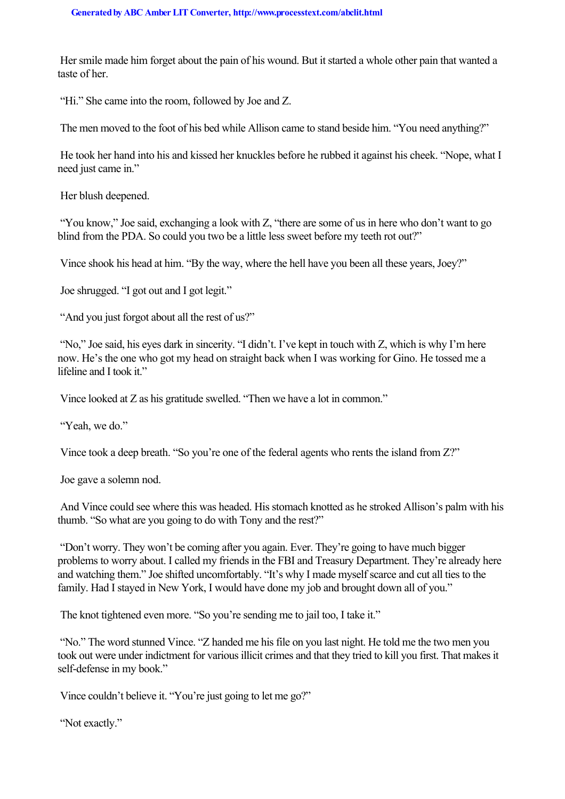#### **Generated by ABC Amber LIT Converter, <http://www.processtext.com/abclit.html>**

 Her smile made him forget about the pain of his wound. But it started a whole other pain that wanted a taste of her.

"Hi." She came into the room, followed by Joe and Z.

The men moved to the foot of his bed while Allison came to stand beside him. "You need anything?"

 He took her hand into his and kissed her knuckles before he rubbed it against his cheek. "Nope, what I need just came in."

Her blush deepened.

 "You know," Joe said, exchanging a look with Z, "there are some of us in here who don't want to go blind from the PDA. So could you two be a little less sweet before my teeth rot out?"

Vince shook his head at him. "By the way, where the hell have you been all these years, Joey?"

Joe shrugged. "I got out and I got legit."

"And you just forgot about all the rest of us?"

 "No," Joe said, his eyes dark in sincerity. "I didn't. I've kept in touch with Z, which is why I'm here now. He's the one who got my head on straight back when I was working for Gino. He tossed me a lifeline and I took it."

Vince looked at Z as his gratitude swelled. "Then we have a lot in common."

"Yeah, we do."

Vince took a deep breath. "So you're one of the federal agents who rents the island from  $Z$ ?"

Joe gave a solemn nod.

 And Vince could see where this was headed. His stomach knotted as he stroked Allison's palm with his thumb. "So what are you going to do with Tony and the rest?"

 "Don't worry. They won't be coming after you again. Ever. They're going to have much bigger problems to worry about. I called my friends in the FBI and Treasury Department. They're already here and watching them." Joe shifted uncomfortably. "It's why I made myself scarce and cut all ties to the family. Had I stayed in New York, I would have done my job and brought down all of you."

The knot tightened even more. "So you're sending me to jail too, I take it."

 "No." The word stunned Vince. "Z handed me his file on you last night. He told me the two men you took out were under indictment for various illicit crimes and that they tried to kill you first. That makes it self-defense in my book."

Vince couldn't believe it. "You're just going to let me go?"

"Not exactly."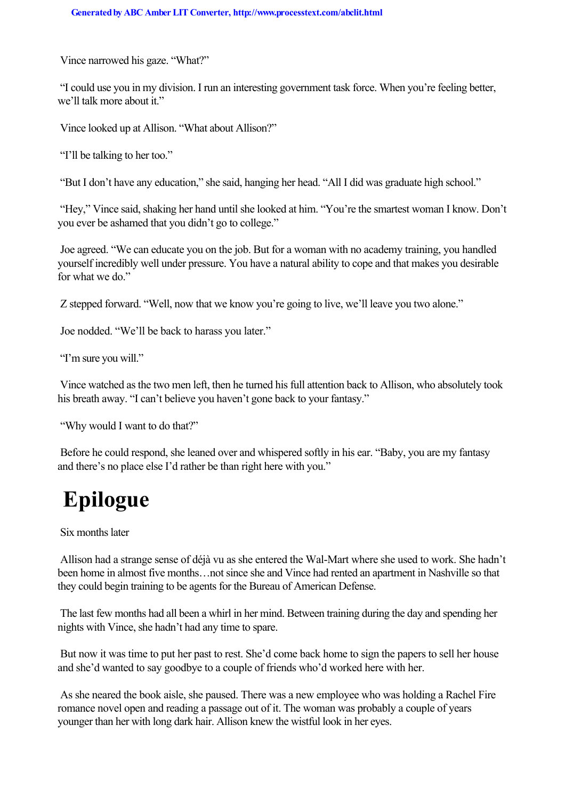#### **Generated by ABC Amber LIT Converter, <http://www.processtext.com/abclit.html>**

Vince narrowed his gaze. "What?"

 "I could use you in my division. I run an interesting government task force. When you're feeling better, we'll talk more about it."

Vince looked up at Allison. "What about Allison?"

"I'll be talking to her too."

"But I don't have any education," she said, hanging her head. "All I did was graduate high school."

 "Hey," Vince said, shaking her hand until she looked at him. "You're the smartest woman I know. Don't you ever be ashamed that you didn't go to college."

 Joe agreed. "We can educate you on the job. But for a woman with no academy training, you handled yourself incredibly well under pressure. You have a natural ability to cope and that makes you desirable for what we do."

Z stepped forward. "Well, now that we know you're going to live, we'll leave you two alone."

Joe nodded. "We'll be back to harass you later."

"I'm sure you will."

 Vince watched as the two men left, then he turned his full attention back to Allison, who absolutely took his breath away. "I can't believe you haven't gone back to your fantasy."

"Why would I want to do that?"

 Before he could respond, she leaned over and whispered softly in his ear. "Baby, you are my fantasy and there's no place else I'd rather be than right here with you."

### **Epilogue**

Six months later

 Allison had a strange sense of déjà vu as she entered the Wal-Mart where she used to work. She hadn't been home in almost five months…not since she and Vince had rented an apartment in Nashville so that they could begin training to be agents for the Bureau of American Defense.

 The last few months had all been a whirl in her mind. Between training during the day and spending her nights with Vince, she hadn't had any time to spare.

 But now it was time to put her past to rest. She'd come back home to sign the papers to sell her house and she'd wanted to say goodbye to a couple of friends who'd worked here with her.

 As she neared the book aisle, she paused. There was a new employee who was holding a Rachel Fire romance novel open and reading a passage out of it. The woman was probably a couple of years younger than her with long dark hair. Allison knew the wistful look in her eyes.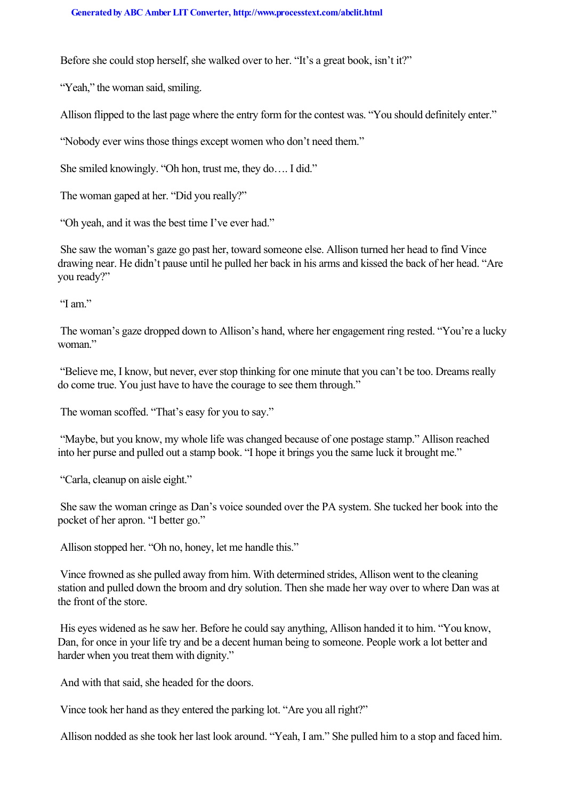Before she could stop herself, she walked over to her. "It's a great book, isn't it?"

"Yeah," the woman said, smiling.

Allison flipped to the last page where the entry form for the contest was. "You should definitely enter."

"Nobody ever wins those things except women who don't need them."

She smiled knowingly. "Oh hon, trust me, they do…. I did."

The woman gaped at her. "Did you really?"

"Oh yeah, and it was the best time I've ever had."

 She saw the woman's gaze go past her, toward someone else. Allison turned her head to find Vince drawing near. He didn't pause until he pulled her back in his arms and kissed the back of her head. "Are you ready?"

"I am"

 The woman's gaze dropped down to Allison's hand, where her engagement ring rested. "You're a lucky woman<sup>"</sup>

 "Believe me, I know, but never, ever stop thinking for one minute that you can't be too. Dreams really do come true. You just have to have the courage to see them through."

The woman scoffed. "That's easy for you to say."

 "Maybe, but you know, my whole life was changed because of one postage stamp." Allison reached into her purse and pulled out a stamp book. "I hope it brings you the same luck it brought me."

"Carla, cleanup on aisle eight."

 She saw the woman cringe as Dan's voice sounded over the PA system. She tucked her book into the pocket of her apron. "I better go."

Allison stopped her. "Oh no, honey, let me handle this."

 Vince frowned as she pulled away from him. With determined strides, Allison went to the cleaning station and pulled down the broom and dry solution. Then she made her way over to where Dan was at the front of the store.

 His eyes widened as he saw her. Before he could say anything, Allison handed it to him. "You know, Dan, for once in your life try and be a decent human being to someone. People work a lot better and harder when you treat them with dignity."

And with that said, she headed for the doors.

Vince took her hand as they entered the parking lot. "Are you all right?"

Allison nodded as she took her last look around. "Yeah, I am." She pulled him to a stop and faced him.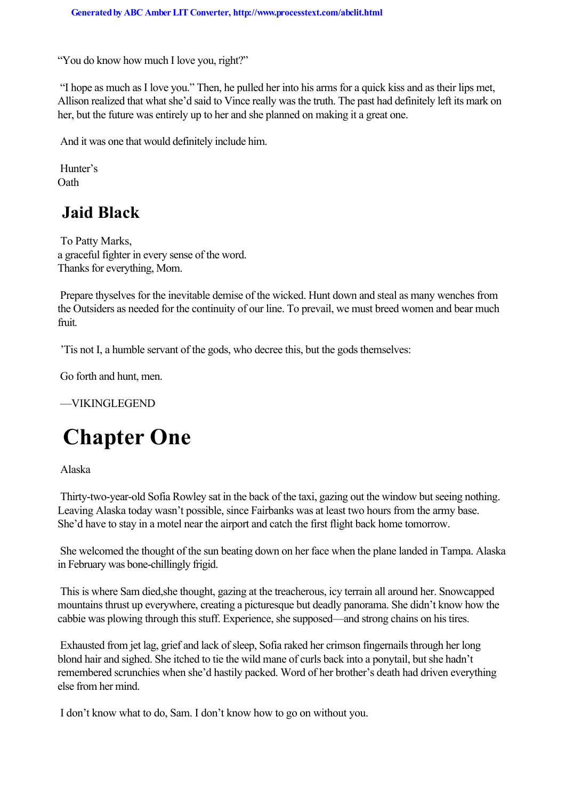"You do know how much I love you, right?"

 "I hope as much as I love you." Then, he pulled her into his arms for a quick kiss and as their lips met, Allison realized that what she'd said to Vince really was the truth. The past had definitely left its mark on her, but the future was entirely up to her and she planned on making it a great one.

And it was one that would definitely include him.

 Hunter's **Oath** 

#### **Jaid Black**

 To Patty Marks, a graceful fighter in every sense of the word. Thanks for everything, Mom.

 Prepare thyselves for the inevitable demise of the wicked. Hunt down and steal as many wenches from the Outsiders as needed for the continuity of our line. To prevail, we must breed women and bear much fruit.

'Tis not I, a humble servant of the gods, who decree this, but the gods themselves:

Go forth and hunt, men.

—VIKINGLEGEND

### **Chapter One**

Alaska

 Thirty-two-year-old Sofia Rowley sat in the back of the taxi, gazing out the window but seeing nothing. Leaving Alaska today wasn't possible, since Fairbanks was at least two hours from the army base. She'd have to stay in a motel near the airport and catch the first flight back home tomorrow.

 She welcomed the thought of the sun beating down on her face when the plane landed in Tampa. Alaska in February was bone-chillingly frigid.

 This is where Sam died,she thought, gazing at the treacherous, icy terrain all around her. Snowcapped mountains thrust up everywhere, creating a picturesque but deadly panorama. She didn't know how the cabbie was plowing through this stuff. Experience, she supposed—and strong chains on his tires.

 Exhausted from jet lag, grief and lack of sleep, Sofia raked her crimson fingernails through her long blond hair and sighed. She itched to tie the wild mane of curls back into a ponytail, but she hadn't remembered scrunchies when she'd hastily packed. Word of her brother's death had driven everything else from her mind.

I don't know what to do, Sam. I don't know how to go on without you.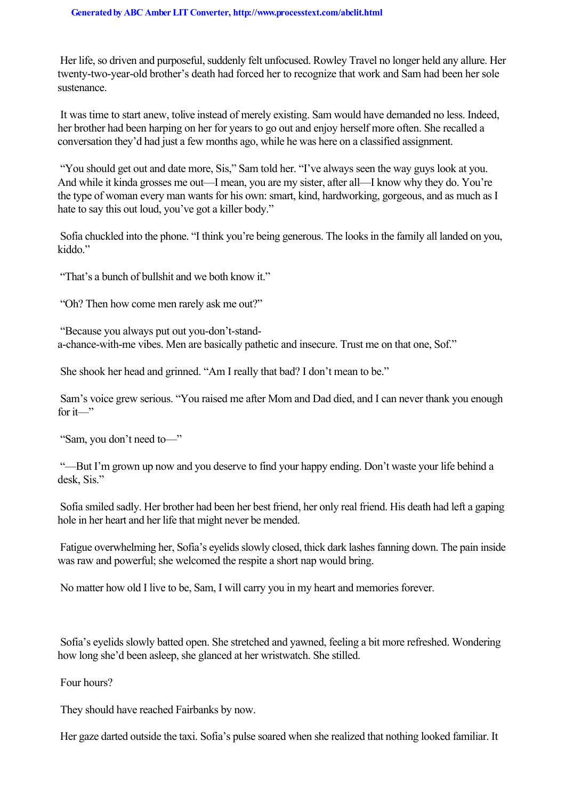Her life, so driven and purposeful, suddenly felt unfocused. Rowley Travel no longer held any allure. Her twenty-two-year-old brother's death had forced her to recognize that work and Sam had been her sole sustenance.

 It was time to start anew, tolive instead of merely existing. Sam would have demanded no less. Indeed, her brother had been harping on her for years to go out and enjoy herself more often. She recalled a conversation they'd had just a few months ago, while he was here on a classified assignment.

 "You should get out and date more, Sis," Sam told her. "I've always seen the way guys look at you. And while it kinda grosses me out—I mean, you are my sister, after all—I know why they do. You're the type of woman every man wants for his own: smart, kind, hardworking, gorgeous, and as much as I hate to say this out loud, you've got a killer body."

 Sofia chuckled into the phone. "I think you're being generous. The looks in the family all landed on you, kiddo"

"That's a bunch of bullshit and we both know it."

"Oh? Then how come men rarely ask me out?"

 "Because you always put out you-don't-standa-chance-with-me vibes. Men are basically pathetic and insecure. Trust me on that one, Sof."

She shook her head and grinned. "Am I really that bad? I don't mean to be."

 Sam's voice grew serious. "You raised me after Mom and Dad died, and I can never thank you enough for  $it$ — $"$ 

"Sam, you don't need to—"

 "—But I'm grown up now and you deserve to find your happy ending. Don't waste your life behind a desk, Sis."

 Sofia smiled sadly. Her brother had been her best friend, her only real friend. His death had left a gaping hole in her heart and her life that might never be mended.

Fatigue overwhelming her, Sofia's evelids slowly closed, thick dark lashes fanning down. The pain inside was raw and powerful; she welcomed the respite a short nap would bring.

No matter how old I live to be, Sam, I will carry you in my heart and memories forever.

 Sofia's eyelids slowly batted open. She stretched and yawned, feeling a bit more refreshed. Wondering how long she'd been asleep, she glanced at her wristwatch. She stilled.

Four hours?

They should have reached Fairbanks by now.

Her gaze darted outside the taxi. Sofia's pulse soared when she realized that nothing looked familiar. It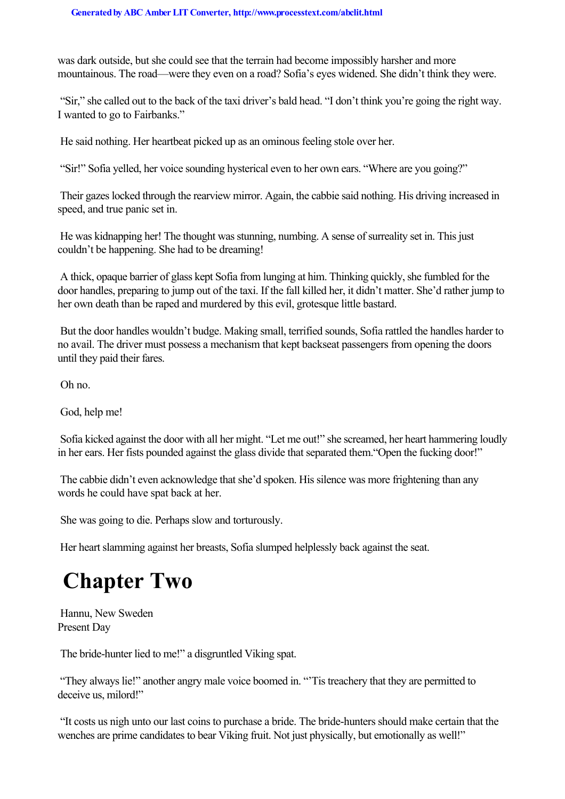#### **Generated by ABC Amber LIT Converter, <http://www.processtext.com/abclit.html>**

was dark outside, but she could see that the terrain had become impossibly harsher and more mountainous. The road—were they even on a road? Sofia's eyes widened. She didn't think they were.

 "Sir," she called out to the back of the taxi driver's bald head. "I don't think you're going the right way. I wanted to go to Fairbanks."

He said nothing. Her heartbeat picked up as an ominous feeling stole over her.

"Sir!" Sofia yelled, her voice sounding hysterical even to her own ears. "Where are you going?"

 Their gazes locked through the rearview mirror. Again, the cabbie said nothing. His driving increased in speed, and true panic set in.

He was kidnapping her! The thought was stunning, numbing. A sense of surreality set in. This just couldn't be happening. She had to be dreaming!

 A thick, opaque barrier of glass kept Sofia from lunging at him. Thinking quickly, she fumbled for the door handles, preparing to jump out of the taxi. If the fall killed her, it didn't matter. She'd rather jump to her own death than be raped and murdered by this evil, grotesque little bastard.

 But the door handles wouldn't budge. Making small, terrified sounds, Sofia rattled the handles harder to no avail. The driver must possess a mechanism that kept backseat passengers from opening the doors until they paid their fares.

Oh no.

God, help me!

Sofia kicked against the door with all her might. "Let me out!" she screamed, her heart hammering loudly in her ears. Her fists pounded against the glass divide that separated them."Open the fucking door!"

 The cabbie didn't even acknowledge that she'd spoken. His silence was more frightening than any words he could have spat back at her.

She was going to die. Perhaps slow and torturously.

Her heart slamming against her breasts, Sofia slumped helplessly back against the seat.

# **Chapter Two**

 Hannu, New Sweden Present Day

The bride-hunter lied to me!" a disgruntled Viking spat.

 "They always lie!" another angry male voice boomed in. "'Tis treachery that they are permitted to deceive us, milord!"

 "It costs us nigh unto our last coins to purchase a bride. The bride-hunters should make certain that the wenches are prime candidates to bear Viking fruit. Not just physically, but emotionally as well!"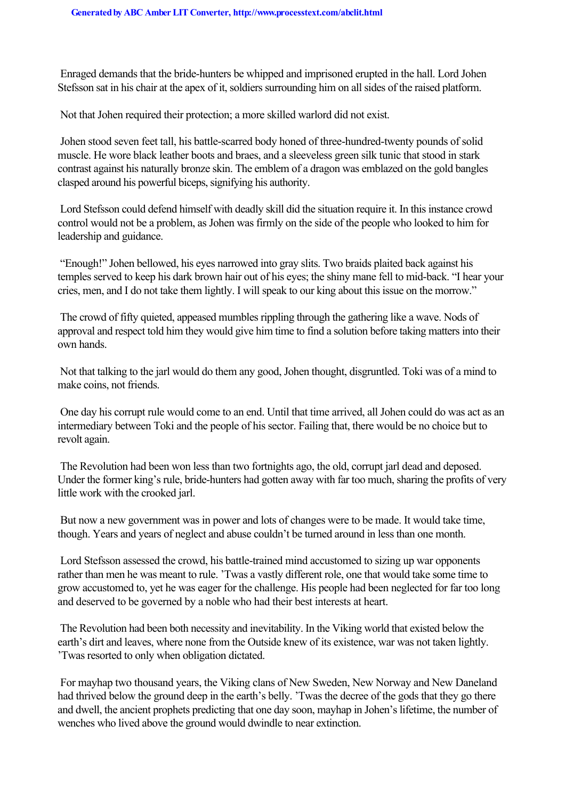Enraged demands that the bride-hunters be whipped and imprisoned erupted in the hall. Lord Johen Stefsson sat in his chair at the apex of it, soldiers surrounding him on all sides of the raised platform.

Not that Johen required their protection; a more skilled warlord did not exist.

 Johen stood seven feet tall, his battle-scarred body honed of three-hundred-twenty pounds of solid muscle. He wore black leather boots and braes, and a sleeveless green silk tunic that stood in stark contrast against his naturally bronze skin. The emblem of a dragon was emblazed on the gold bangles clasped around his powerful biceps, signifying his authority.

 Lord Stefsson could defend himself with deadly skill did the situation require it. In this instance crowd control would not be a problem, as Johen was firmly on the side of the people who looked to him for leadership and guidance.

 "Enough!" Johen bellowed, his eyes narrowed into gray slits. Two braids plaited back against his temples served to keep his dark brown hair out of his eyes; the shiny mane fell to mid-back. "I hear your cries, men, and I do not take them lightly. I will speak to our king about this issue on the morrow."

 The crowd of fifty quieted, appeased mumbles rippling through the gathering like a wave. Nods of approval and respect told him they would give him time to find a solution before taking matters into their own hands.

 Not that talking to the jarl would do them any good, Johen thought, disgruntled. Toki was of a mind to make coins, not friends.

 One day his corrupt rule would come to an end. Until that time arrived, all Johen could do was act as an intermediary between Toki and the people of his sector. Failing that, there would be no choice but to revolt again.

 The Revolution had been won less than two fortnights ago, the old, corrupt jarl dead and deposed. Under the former king's rule, bride-hunters had gotten away with far too much, sharing the profits of very little work with the crooked jarl.

 But now a new government was in power and lots of changes were to be made. It would take time, though. Years and years of neglect and abuse couldn't be turned around in less than one month.

 Lord Stefsson assessed the crowd, his battle-trained mind accustomed to sizing up war opponents rather than men he was meant to rule. 'Twas a vastly different role, one that would take some time to grow accustomed to, yet he was eager for the challenge. His people had been neglected for far too long and deserved to be governed by a noble who had their best interests at heart.

 The Revolution had been both necessity and inevitability. In the Viking world that existed below the earth's dirt and leaves, where none from the Outside knew of its existence, war was not taken lightly. 'Twas resorted to only when obligation dictated.

 For mayhap two thousand years, the Viking clans of New Sweden, New Norway and New Daneland had thrived below the ground deep in the earth's belly. 'Twas the decree of the gods that they go there and dwell, the ancient prophets predicting that one day soon, mayhap in Johen's lifetime, the number of wenches who lived above the ground would dwindle to near extinction.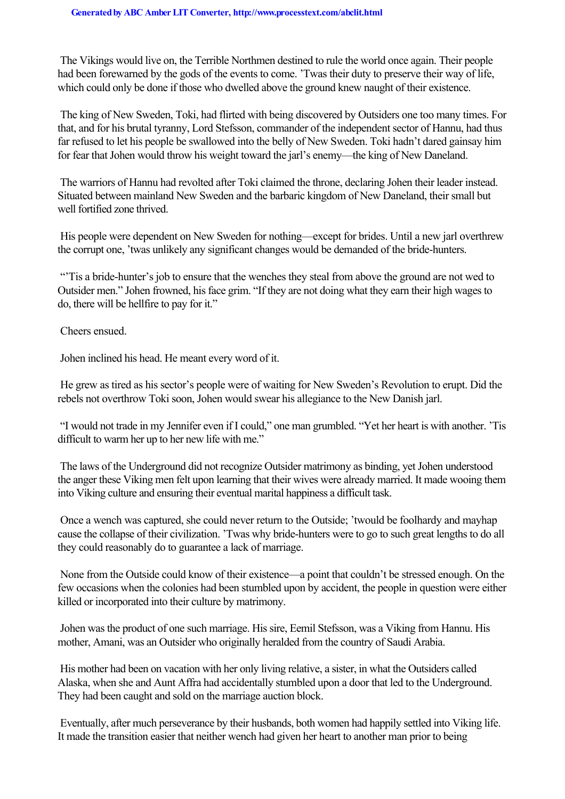The Vikings would live on, the Terrible Northmen destined to rule the world once again. Their people had been forewarned by the gods of the events to come. 'Twas their duty to preserve their way of life, which could only be done if those who dwelled above the ground knew naught of their existence.

 The king of New Sweden, Toki, had flirted with being discovered by Outsiders one too many times. For that, and for his brutal tyranny, Lord Stefsson, commander of the independent sector of Hannu, had thus far refused to let his people be swallowed into the belly of New Sweden. Toki hadn't dared gainsay him for fear that Johen would throw his weight toward the jarl's enemy—the king of New Daneland.

 The warriors of Hannu had revolted after Toki claimed the throne, declaring Johen their leader instead. Situated between mainland New Sweden and the barbaric kingdom of New Daneland, their small but well fortified zone thrived.

 His people were dependent on New Sweden for nothing—except for brides. Until a new jarl overthrew the corrupt one, 'twas unlikely any significant changes would be demanded of the bride-hunters.

 "'Tis a bride-hunter's job to ensure that the wenches they steal from above the ground are not wed to Outsider men." Johen frowned, his face grim. "If they are not doing what they earn their high wages to do, there will be hellfire to pay for it."

Cheers ensued.

Johen inclined his head. He meant every word of it.

 He grew as tired as his sector's people were of waiting for New Sweden's Revolution to erupt. Did the rebels not overthrow Toki soon, Johen would swear his allegiance to the New Danish jarl.

 "I would not trade in my Jennifer even if I could," one man grumbled. "Yet her heart is with another. 'Tis difficult to warm her up to her new life with me."

 The laws of the Underground did not recognize Outsider matrimony as binding, yet Johen understood the anger these Viking men felt upon learning that their wives were already married. It made wooing them into Viking culture and ensuring their eventual marital happiness a difficult task.

 Once a wench was captured, she could never return to the Outside; 'twould be foolhardy and mayhap cause the collapse of their civilization. 'Twas why bride-hunters were to go to such great lengths to do all they could reasonably do to guarantee a lack of marriage.

 None from the Outside could know of their existence—a point that couldn't be stressed enough. On the few occasions when the colonies had been stumbled upon by accident, the people in question were either killed or incorporated into their culture by matrimony.

 Johen was the product of one such marriage. His sire, Eemil Stefsson, was a Viking from Hannu. His mother, Amani, was an Outsider who originally heralded from the country of Saudi Arabia.

 His mother had been on vacation with her only living relative, a sister, in what the Outsiders called Alaska, when she and Aunt Affra had accidentally stumbled upon a door that led to the Underground. They had been caught and sold on the marriage auction block.

 Eventually, after much perseverance by their husbands, both women had happily settled into Viking life. It made the transition easier that neither wench had given her heart to another man prior to being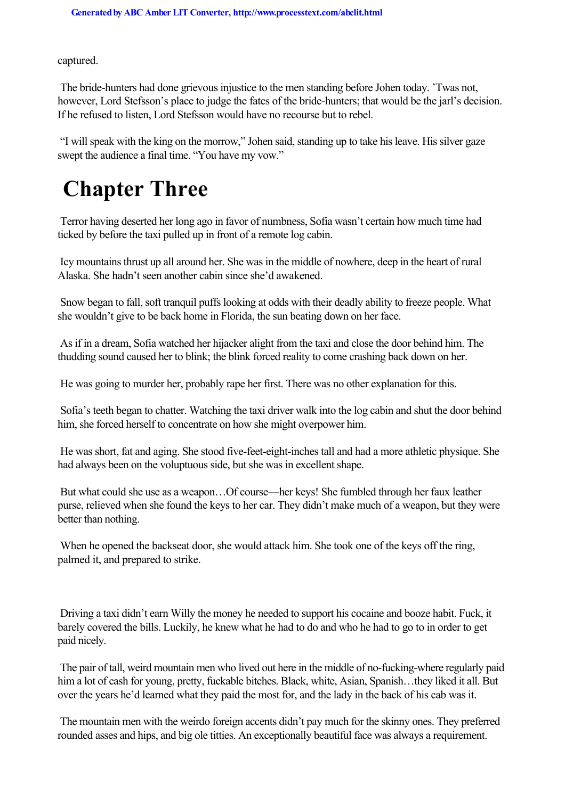captured.

 The bride-hunters had done grievous injustice to the men standing before Johen today. 'Twas not, however, Lord Stefsson's place to judge the fates of the bride-hunters; that would be the jarl's decision. If he refused to listen, Lord Stefsson would have no recourse but to rebel.

 "I will speak with the king on the morrow," Johen said, standing up to take his leave. His silver gaze swept the audience a final time. "You have my vow."

## **Chapter Three**

 Terror having deserted her long ago in favor of numbness, Sofia wasn't certain how much time had ticked by before the taxi pulled up in front of a remote log cabin.

 Icy mountains thrust up all around her. She was in the middle of nowhere, deep in the heart of rural Alaska. She hadn't seen another cabin since she'd awakened.

 Snow began to fall, soft tranquil puffs looking at odds with their deadly ability to freeze people. What she wouldn't give to be back home in Florida, the sun beating down on her face.

 As if in a dream, Sofia watched her hijacker alight from the taxi and close the door behind him. The thudding sound caused her to blink; the blink forced reality to come crashing back down on her.

He was going to murder her, probably rape her first. There was no other explanation for this.

 Sofia's teeth began to chatter. Watching the taxi driver walk into the log cabin and shut the door behind him, she forced herself to concentrate on how she might overpower him.

 He was short, fat and aging. She stood five-feet-eight-inches tall and had a more athletic physique. She had always been on the voluptuous side, but she was in excellent shape.

 But what could she use as a weapon…Of course—her keys! She fumbled through her faux leather purse, relieved when she found the keys to her car. They didn't make much of a weapon, but they were better than nothing.

When he opened the backseat door, she would attack him. She took one of the keys off the ring, palmed it, and prepared to strike.

 Driving a taxi didn't earn Willy the money he needed to support his cocaine and booze habit. Fuck, it barely covered the bills. Luckily, he knew what he had to do and who he had to go to in order to get paid nicely.

 The pair of tall, weird mountain men who lived out here in the middle of no-fucking-where regularly paid him a lot of cash for young, pretty, fuckable bitches. Black, white, Asian, Spanish…they liked it all. But over the years he'd learned what they paid the most for, and the lady in the back of his cab was it.

 The mountain men with the weirdo foreign accents didn't pay much for the skinny ones. They preferred rounded asses and hips, and big ole titties. An exceptionally beautiful face was always a requirement.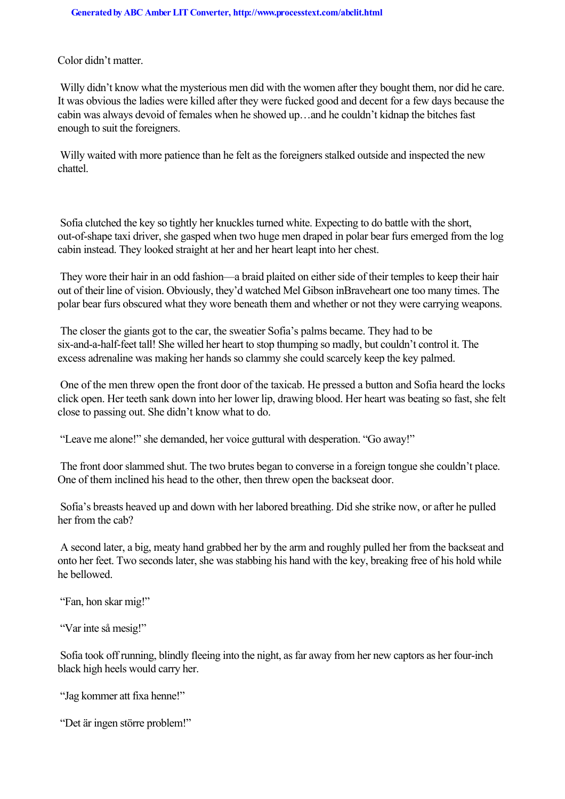Color didn't matter.

Willy didn't know what the mysterious men did with the women after they bought them, nor did he care. It was obvious the ladies were killed after they were fucked good and decent for a few days because the cabin was always devoid of females when he showed up…and he couldn't kidnap the bitches fast enough to suit the foreigners.

 Willy waited with more patience than he felt as the foreigners stalked outside and inspected the new chattel.

 Sofia clutched the key so tightly her knuckles turned white. Expecting to do battle with the short, out-of-shape taxi driver, she gasped when two huge men draped in polar bear furs emerged from the log cabin instead. They looked straight at her and her heart leapt into her chest.

 They wore their hair in an odd fashion—a braid plaited on either side of their temples to keep their hair out of their line of vision. Obviously, they'd watched Mel Gibson inBraveheart one too many times. The polar bear furs obscured what they wore beneath them and whether or not they were carrying weapons.

 The closer the giants got to the car, the sweatier Sofia's palms became. They had to be six-and-a-half-feet tall! She willed her heart to stop thumping so madly, but couldn't control it. The excess adrenaline was making her hands so clammy she could scarcely keep the key palmed.

 One of the men threw open the front door of the taxicab. He pressed a button and Sofia heard the locks click open. Her teeth sank down into her lower lip, drawing blood. Her heart was beating so fast, she felt close to passing out. She didn't know what to do.

"Leave me alone!" she demanded, her voice guttural with desperation. "Go away!"

 The front door slammed shut. The two brutes began to converse in a foreign tongue she couldn't place. One of them inclined his head to the other, then threw open the backseat door.

 Sofia's breasts heaved up and down with her labored breathing. Did she strike now, or after he pulled her from the cab?

 A second later, a big, meaty hand grabbed her by the arm and roughly pulled her from the backseat and onto her feet. Two seconds later, she was stabbing his hand with the key, breaking free of his hold while he bellowed.

"Fan, hon skar mig!"

"Var inte så mesig!"

 Sofia took off running, blindly fleeing into the night, as far away from her new captors as her four-inch black high heels would carry her.

"Jag kommer att fixa henne!"

"Det är ingen större problem!"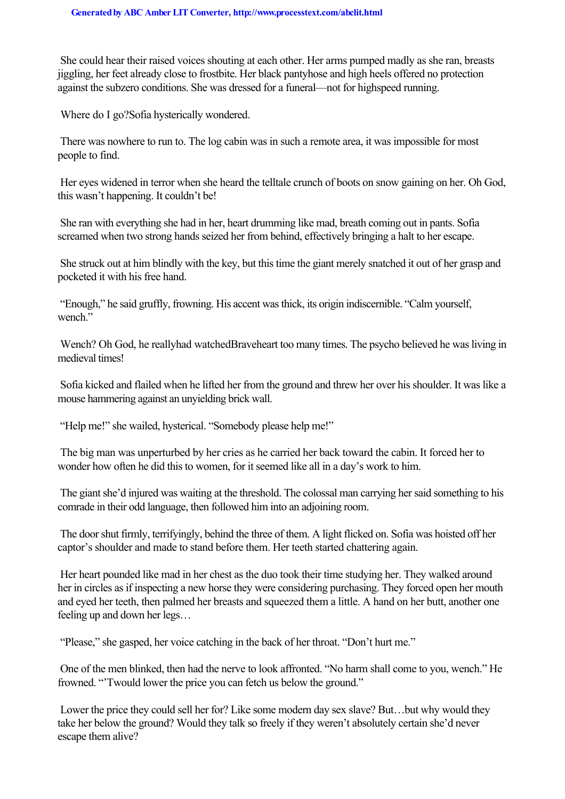She could hear their raised voices shouting at each other. Her arms pumped madly as she ran, breasts jiggling, her feet already close to frostbite. Her black pantyhose and high heels offered no protection against the subzero conditions. She was dressed for a funeral—not for highspeed running.

Where do I go?Sofia hysterically wondered.

 There was nowhere to run to. The log cabin was in such a remote area, it was impossible for most people to find.

 Her eyes widened in terror when she heard the telltale crunch of boots on snow gaining on her. Oh God, this wasn't happening. It couldn't be!

 She ran with everything she had in her, heart drumming like mad, breath coming out in pants. Sofia screamed when two strong hands seized her from behind, effectively bringing a halt to her escape.

 She struck out at him blindly with the key, but this time the giant merely snatched it out of her grasp and pocketed it with his free hand.

 "Enough," he said gruffly, frowning. His accent was thick, its origin indiscernible. "Calm yourself, wench"

 Wench? Oh God, he reallyhad watchedBraveheart too many times. The psycho believed he was living in medieval times!

 Sofia kicked and flailed when he lifted her from the ground and threw her over his shoulder. It was like a mouse hammering against an unyielding brick wall.

"Help me!" she wailed, hysterical. "Somebody please help me!"

 The big man was unperturbed by her cries as he carried her back toward the cabin. It forced her to wonder how often he did this to women, for it seemed like all in a day's work to him.

 The giant she'd injured was waiting at the threshold. The colossal man carrying her said something to his comrade in their odd language, then followed him into an adjoining room.

 The door shut firmly, terrifyingly, behind the three of them. A light flicked on. Sofia was hoisted off her captor's shoulder and made to stand before them. Her teeth started chattering again.

 Her heart pounded like mad in her chest as the duo took their time studying her. They walked around her in circles as if inspecting a new horse they were considering purchasing. They forced open her mouth and eyed her teeth, then palmed her breasts and squeezed them a little. A hand on her butt, another one feeling up and down her legs…

"Please," she gasped, her voice catching in the back of her throat. "Don't hurt me."

 One of the men blinked, then had the nerve to look affronted. "No harm shall come to you, wench." He frowned. "'Twould lower the price you can fetch us below the ground."

 Lower the price they could sell her for? Like some modern day sex slave? But…but why would they take her below the ground? Would they talk so freely if they weren't absolutely certain she'd never escape them alive?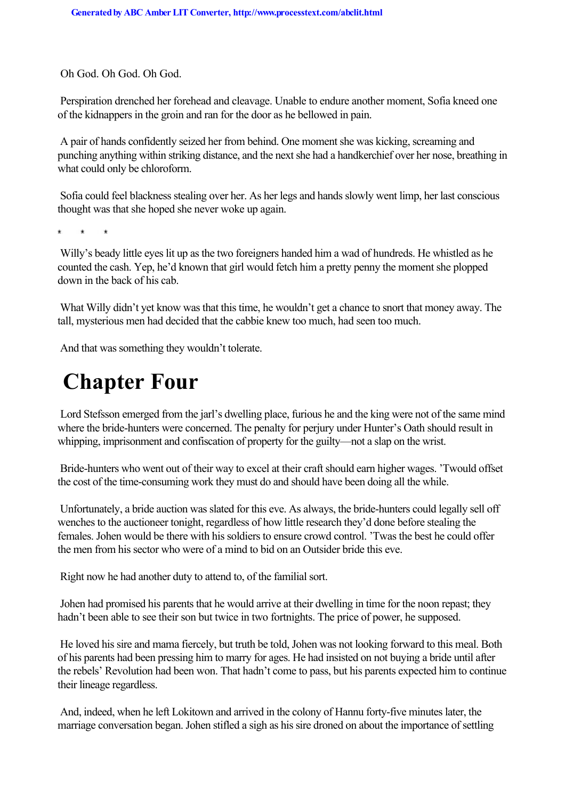Oh God. Oh God. Oh God.

 Perspiration drenched her forehead and cleavage. Unable to endure another moment, Sofia kneed one of the kidnappers in the groin and ran for the door as he bellowed in pain.

 A pair of hands confidently seized her from behind. One moment she was kicking, screaming and punching anything within striking distance, and the next she had a handkerchief over her nose, breathing in what could only be chloroform.

 Sofia could feel blackness stealing over her. As her legs and hands slowly went limp, her last conscious thought was that she hoped she never woke up again.

¥.

 Willy's beady little eyes lit up as the two foreigners handed him a wad of hundreds. He whistled as he counted the cash. Yep, he'd known that girl would fetch him a pretty penny the moment she plopped down in the back of his cab.

What Willy didn't yet know was that this time, he wouldn't get a chance to snort that money away. The tall, mysterious men had decided that the cabbie knew too much, had seen too much.

And that was something they wouldn't tolerate.

#### **Chapter Four**

 Lord Stefsson emerged from the jarl's dwelling place, furious he and the king were not of the same mind where the bride-hunters were concerned. The penalty for perjury under Hunter's Oath should result in whipping, imprisonment and confiscation of property for the guilty—not a slap on the wrist.

 Bride-hunters who went out of their way to excel at their craft should earn higher wages. 'Twould offset the cost of the time-consuming work they must do and should have been doing all the while.

 Unfortunately, a bride auction was slated for this eve. As always, the bride-hunters could legally sell off wenches to the auctioneer tonight, regardless of how little research they'd done before stealing the females. Johen would be there with his soldiers to ensure crowd control. 'Twas the best he could offer the men from his sector who were of a mind to bid on an Outsider bride this eve.

Right now he had another duty to attend to, of the familial sort.

 Johen had promised his parents that he would arrive at their dwelling in time for the noon repast; they hadn't been able to see their son but twice in two fortnights. The price of power, he supposed.

 He loved his sire and mama fiercely, but truth be told, Johen was not looking forward to this meal. Both of his parents had been pressing him to marry for ages. He had insisted on not buying a bride until after the rebels' Revolution had been won. That hadn't come to pass, but his parents expected him to continue their lineage regardless.

 And, indeed, when he left Lokitown and arrived in the colony of Hannu forty-five minutes later, the marriage conversation began. Johen stifled a sigh as his sire droned on about the importance of settling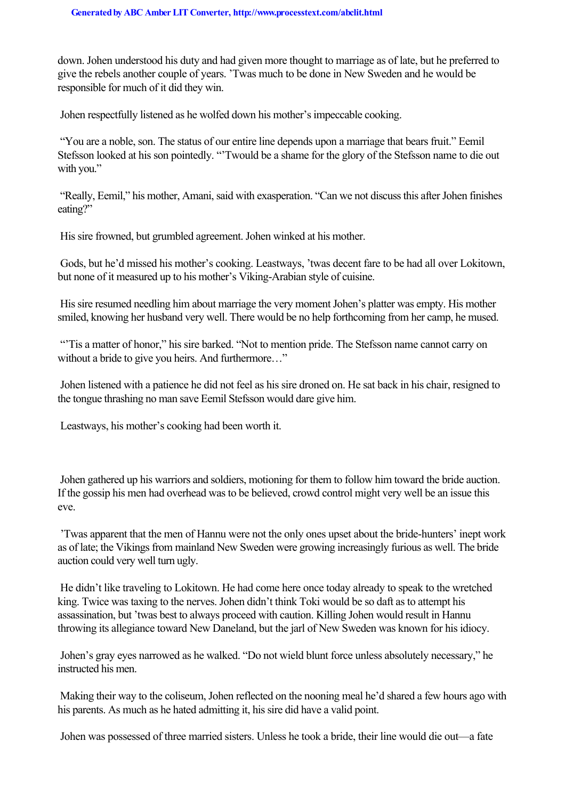down. Johen understood his duty and had given more thought to marriage as of late, but he preferred to give the rebels another couple of years. 'Twas much to be done in New Sweden and he would be responsible for much of it did they win.

Johen respectfully listened as he wolfed down his mother's impeccable cooking.

 "You are a noble, son. The status of our entire line depends upon a marriage that bears fruit." Eemil Stefsson looked at his son pointedly. "'Twould be a shame for the glory of the Stefsson name to die out with you."

 "Really, Eemil," his mother, Amani, said with exasperation. "Can we not discuss this after Johen finishes eating?"

His sire frowned, but grumbled agreement. Johen winked at his mother.

 Gods, but he'd missed his mother's cooking. Leastways, 'twas decent fare to be had all over Lokitown, but none of it measured up to his mother's Viking-Arabian style of cuisine.

 His sire resumed needling him about marriage the very moment Johen's platter was empty. His mother smiled, knowing her husband very well. There would be no help forthcoming from her camp, he mused.

"Tis a matter of honor," his sire barked. "Not to mention pride. The Stefsson name cannot carry on without a bride to give you heirs. And furthermore…"

 Johen listened with a patience he did not feel as his sire droned on. He sat back in his chair, resigned to the tongue thrashing no man save Eemil Stefsson would dare give him.

Leastways, his mother's cooking had been worth it.

 Johen gathered up his warriors and soldiers, motioning for them to follow him toward the bride auction. If the gossip his men had overhead was to be believed, crowd control might very well be an issue this eve.

 'Twas apparent that the men of Hannu were not the only ones upset about the bride-hunters' inept work as of late; the Vikings from mainland New Sweden were growing increasingly furious as well. The bride auction could very well turn ugly.

 He didn't like traveling to Lokitown. He had come here once today already to speak to the wretched king. Twice was taxing to the nerves. Johen didn't think Toki would be so daft as to attempt his assassination, but 'twas best to always proceed with caution. Killing Johen would result in Hannu throwing its allegiance toward New Daneland, but the jarl of New Sweden was known for his idiocy.

 Johen's gray eyes narrowed as he walked. "Do not wield blunt force unless absolutely necessary," he instructed his men.

 Making their way to the coliseum, Johen reflected on the nooning meal he'd shared a few hours ago with his parents. As much as he hated admitting it, his sire did have a valid point.

Johen was possessed of three married sisters. Unless he took a bride, their line would die out—a fate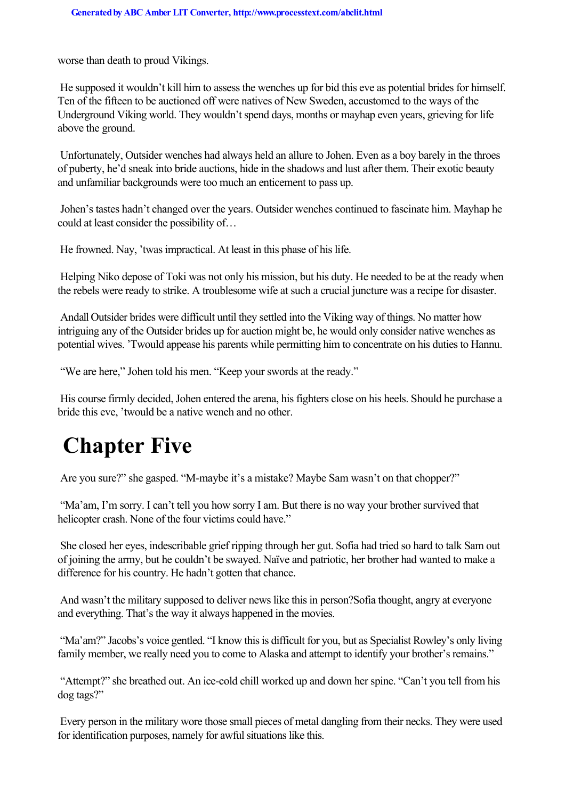worse than death to proud Vikings.

 He supposed it wouldn't kill him to assess the wenches up for bid this eve as potential brides for himself. Ten of the fifteen to be auctioned off were natives of New Sweden, accustomed to the ways of the Underground Viking world. They wouldn't spend days, months or mayhap even years, grieving for life above the ground.

 Unfortunately, Outsider wenches had always held an allure to Johen. Even as a boy barely in the throes of puberty, he'd sneak into bride auctions, hide in the shadows and lust after them. Their exotic beauty and unfamiliar backgrounds were too much an enticement to pass up.

 Johen's tastes hadn't changed over the years. Outsider wenches continued to fascinate him. Mayhap he could at least consider the possibility of…

He frowned. Nay, 'twas impractical. At least in this phase of his life.

 Helping Niko depose of Toki was not only his mission, but his duty. He needed to be at the ready when the rebels were ready to strike. A troublesome wife at such a crucial juncture was a recipe for disaster.

 Andall Outsider brides were difficult until they settled into the Viking way of things. No matter how intriguing any of the Outsider brides up for auction might be, he would only consider native wenches as potential wives. 'Twould appease his parents while permitting him to concentrate on his duties to Hannu.

"We are here," Johen told his men. "Keep your swords at the ready."

 His course firmly decided, Johen entered the arena, his fighters close on his heels. Should he purchase a bride this eve, 'twould be a native wench and no other.

### **Chapter Five**

Are you sure?" she gasped. "M-maybe it's a mistake? Maybe Sam wasn't on that chopper?"

 "Ma'am, I'm sorry. I can't tell you how sorry I am. But there is no way your brother survived that helicopter crash. None of the four victims could have."

 She closed her eyes, indescribable grief ripping through her gut. Sofia had tried so hard to talk Sam out of joining the army, but he couldn't be swayed. Naïve and patriotic, her brother had wanted to make a difference for his country. He hadn't gotten that chance.

 And wasn't the military supposed to deliver news like this in person?Sofia thought, angry at everyone and everything. That's the way it always happened in the movies.

 "Ma'am?" Jacobs's voice gentled. "I know this is difficult for you, but as Specialist Rowley's only living family member, we really need you to come to Alaska and attempt to identify your brother's remains."

 "Attempt?" she breathed out. An ice-cold chill worked up and down her spine. "Can't you tell from his dog tags?"

 Every person in the military wore those small pieces of metal dangling from their necks. They were used for identification purposes, namely for awful situations like this.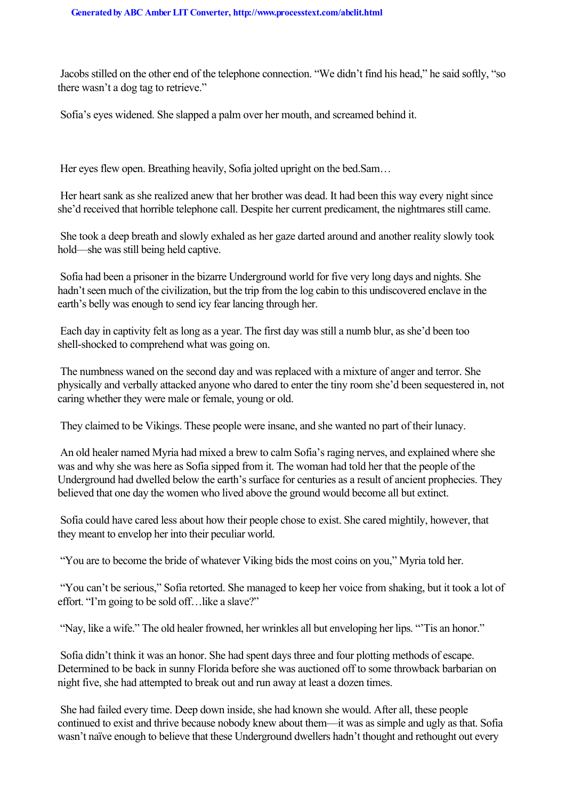Jacobs stilled on the other end of the telephone connection. "We didn't find his head," he said softly, "so there wasn't a dog tag to retrieve."

Sofia's eyes widened. She slapped a palm over her mouth, and screamed behind it.

Her eyes flew open. Breathing heavily, Sofia jolted upright on the bed.Sam...

 Her heart sank as she realized anew that her brother was dead. It had been this way every night since she'd received that horrible telephone call. Despite her current predicament, the nightmares still came.

 She took a deep breath and slowly exhaled as her gaze darted around and another reality slowly took hold—she was still being held captive.

 Sofia had been a prisoner in the bizarre Underground world for five very long days and nights. She hadn't seen much of the civilization, but the trip from the log cabin to this undiscovered enclave in the earth's belly was enough to send icy fear lancing through her.

 Each day in captivity felt as long as a year. The first day was still a numb blur, as she'd been too shell-shocked to comprehend what was going on.

 The numbness waned on the second day and was replaced with a mixture of anger and terror. She physically and verbally attacked anyone who dared to enter the tiny room she'd been sequestered in, not caring whether they were male or female, young or old.

They claimed to be Vikings. These people were insane, and she wanted no part of their lunacy.

 An old healer named Myria had mixed a brew to calm Sofia's raging nerves, and explained where she was and why she was here as Sofia sipped from it. The woman had told her that the people of the Underground had dwelled below the earth's surface for centuries as a result of ancient prophecies. They believed that one day the women who lived above the ground would become all but extinct.

 Sofia could have cared less about how their people chose to exist. She cared mightily, however, that they meant to envelop her into their peculiar world.

"You are to become the bride of whatever Viking bids the most coins on you," Myria told her.

 "You can't be serious," Sofia retorted. She managed to keep her voice from shaking, but it took a lot of effort. "I'm going to be sold off…like a slave?"

"Nay, like a wife." The old healer frowned, her wrinkles all but enveloping her lips. "'Tis an honor."

 Sofia didn't think it was an honor. She had spent days three and four plotting methods of escape. Determined to be back in sunny Florida before she was auctioned off to some throwback barbarian on night five, she had attempted to break out and run away at least a dozen times.

 She had failed every time. Deep down inside, she had known she would. After all, these people continued to exist and thrive because nobody knew about them—it was as simple and ugly as that. Sofia wasn't naïve enough to believe that these Underground dwellers hadn't thought and rethought out every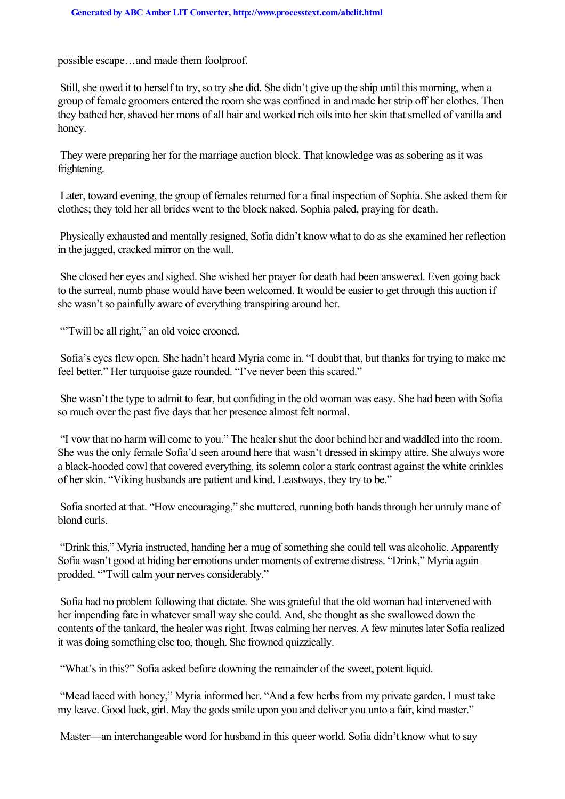possible escape…and made them foolproof.

 Still, she owed it to herself to try, so try she did. She didn't give up the ship until this morning, when a group of female groomers entered the room she was confined in and made her strip off her clothes. Then they bathed her, shaved her mons of all hair and worked rich oils into her skin that smelled of vanilla and honey.

 They were preparing her for the marriage auction block. That knowledge was as sobering as it was frightening.

 Later, toward evening, the group of females returned for a final inspection of Sophia. She asked them for clothes; they told her all brides went to the block naked. Sophia paled, praying for death.

 Physically exhausted and mentally resigned, Sofia didn't know what to do as she examined her reflection in the jagged, cracked mirror on the wall.

 She closed her eyes and sighed. She wished her prayer for death had been answered. Even going back to the surreal, numb phase would have been welcomed. It would be easier to get through this auction if she wasn't so painfully aware of everything transpiring around her.

"Twill be all right," an old voice crooned.

 Sofia's eyes flew open. She hadn't heard Myria come in. "I doubt that, but thanks for trying to make me feel better." Her turquoise gaze rounded. "I've never been this scared."

 She wasn't the type to admit to fear, but confiding in the old woman was easy. She had been with Sofia so much over the past five days that her presence almost felt normal.

 "I vow that no harm will come to you." The healer shut the door behind her and waddled into the room. She was the only female Sofia'd seen around here that wasn't dressed in skimpy attire. She always wore a black-hooded cowl that covered everything, its solemn color a stark contrast against the white crinkles of her skin. "Viking husbands are patient and kind. Leastways, they try to be."

 Sofia snorted at that. "How encouraging," she muttered, running both hands through her unruly mane of blond curls.

 "Drink this," Myria instructed, handing her a mug of something she could tell was alcoholic. Apparently Sofia wasn't good at hiding her emotions under moments of extreme distress. "Drink," Myria again prodded. "'Twill calm your nerves considerably."

 Sofia had no problem following that dictate. She was grateful that the old woman had intervened with her impending fate in whatever small way she could. And, she thought as she swallowed down the contents of the tankard, the healer was right. Itwas calming her nerves. A few minutes later Sofia realized it was doing something else too, though. She frowned quizzically.

"What's in this?" Sofia asked before downing the remainder of the sweet, potent liquid.

 "Mead laced with honey," Myria informed her. "And a few herbs from my private garden. I must take my leave. Good luck, girl. May the gods smile upon you and deliver you unto a fair, kind master."

Master—an interchangeable word for husband in this queer world. Sofia didn't know what to say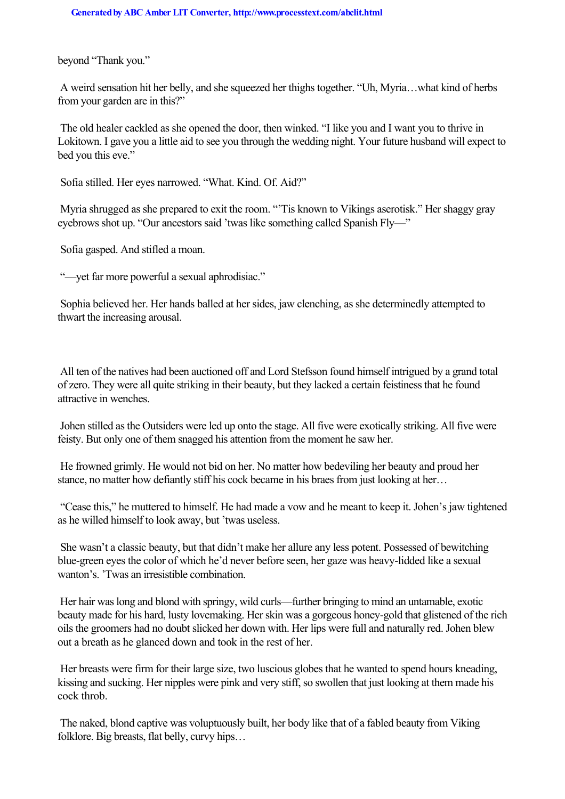beyond "Thank you."

 A weird sensation hit her belly, and she squeezed her thighs together. "Uh, Myria…what kind of herbs from your garden are in this?"

 The old healer cackled as she opened the door, then winked. "I like you and I want you to thrive in Lokitown. I gave you a little aid to see you through the wedding night. Your future husband will expect to bed you this eve."

Sofia stilled. Her eyes narrowed. "What. Kind. Of. Aid?"

 Myria shrugged as she prepared to exit the room. "'Tis known to Vikings aserotisk." Her shaggy gray eyebrows shot up. "Our ancestors said 'twas like something called Spanish Fly—"

Sofia gasped. And stifled a moan.

"—yet far more powerful a sexual aphrodisiac."

 Sophia believed her. Her hands balled at her sides, jaw clenching, as she determinedly attempted to thwart the increasing arousal.

 All ten of the natives had been auctioned off and Lord Stefsson found himself intrigued by a grand total of zero. They were all quite striking in their beauty, but they lacked a certain feistiness that he found attractive in wenches.

 Johen stilled as the Outsiders were led up onto the stage. All five were exotically striking. All five were feisty. But only one of them snagged his attention from the moment he saw her.

 He frowned grimly. He would not bid on her. No matter how bedeviling her beauty and proud her stance, no matter how defiantly stiff his cock became in his braes from just looking at her...

 "Cease this," he muttered to himself. He had made a vow and he meant to keep it. Johen's jaw tightened as he willed himself to look away, but 'twas useless.

 She wasn't a classic beauty, but that didn't make her allure any less potent. Possessed of bewitching blue-green eyes the color of which he'd never before seen, her gaze was heavy-lidded like a sexual wanton's. 'Twas an irresistible combination.

 Her hair was long and blond with springy, wild curls—further bringing to mind an untamable, exotic beauty made for his hard, lusty lovemaking. Her skin was a gorgeous honey-gold that glistened of the rich oils the groomers had no doubt slicked her down with. Her lips were full and naturally red. Johen blew out a breath as he glanced down and took in the rest of her.

 Her breasts were firm for their large size, two luscious globes that he wanted to spend hours kneading, kissing and sucking. Her nipples were pink and very stiff, so swollen that just looking at them made his cock throb.

 The naked, blond captive was voluptuously built, her body like that of a fabled beauty from Viking folklore. Big breasts, flat belly, curvy hips…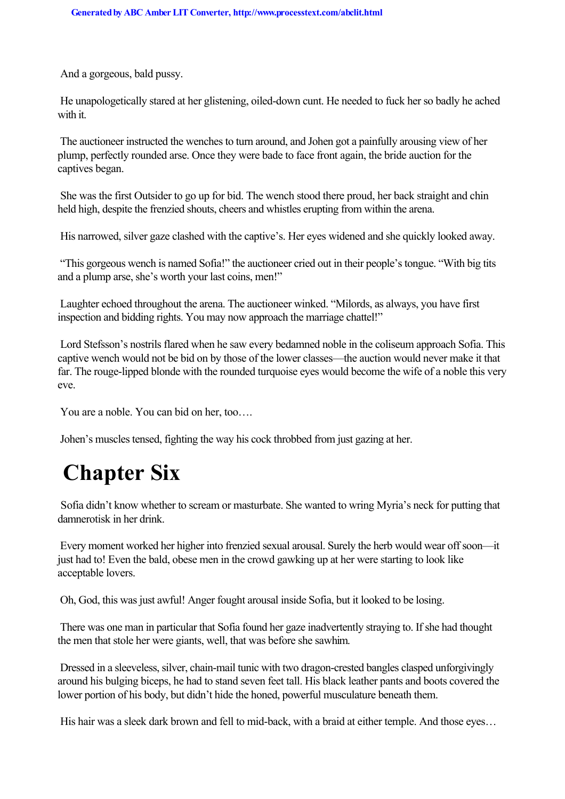And a gorgeous, bald pussy.

 He unapologetically stared at her glistening, oiled-down cunt. He needed to fuck her so badly he ached with it.

 The auctioneer instructed the wenches to turn around, and Johen got a painfully arousing view of her plump, perfectly rounded arse. Once they were bade to face front again, the bride auction for the captives began.

 She was the first Outsider to go up for bid. The wench stood there proud, her back straight and chin held high, despite the frenzied shouts, cheers and whistles erupting from within the arena.

His narrowed, silver gaze clashed with the captive's. Her eyes widened and she quickly looked away.

 "This gorgeous wench is named Sofia!" the auctioneer cried out in their people's tongue. "With big tits and a plump arse, she's worth your last coins, men!"

 Laughter echoed throughout the arena. The auctioneer winked. "Milords, as always, you have first inspection and bidding rights. You may now approach the marriage chattel!"

 Lord Stefsson's nostrils flared when he saw every bedamned noble in the coliseum approach Sofia. This captive wench would not be bid on by those of the lower classes—the auction would never make it that far. The rouge-lipped blonde with the rounded turquoise eyes would become the wife of a noble this very eve.

You are a noble. You can bid on her, too….

Johen's muscles tensed, fighting the way his cock throbbed from just gazing at her.

### **Chapter Six**

 Sofia didn't know whether to scream or masturbate. She wanted to wring Myria's neck for putting that damnerotisk in her drink.

 Every moment worked her higher into frenzied sexual arousal. Surely the herb would wear off soon—it just had to! Even the bald, obese men in the crowd gawking up at her were starting to look like acceptable lovers.

Oh, God, this was just awful! Anger fought arousal inside Sofia, but it looked to be losing.

 There was one man in particular that Sofia found her gaze inadvertently straying to. If she had thought the men that stole her were giants, well, that was before she sawhim.

 Dressed in a sleeveless, silver, chain-mail tunic with two dragon-crested bangles clasped unforgivingly around his bulging biceps, he had to stand seven feet tall. His black leather pants and boots covered the lower portion of his body, but didn't hide the honed, powerful musculature beneath them.

His hair was a sleek dark brown and fell to mid-back, with a braid at either temple. And those eyes…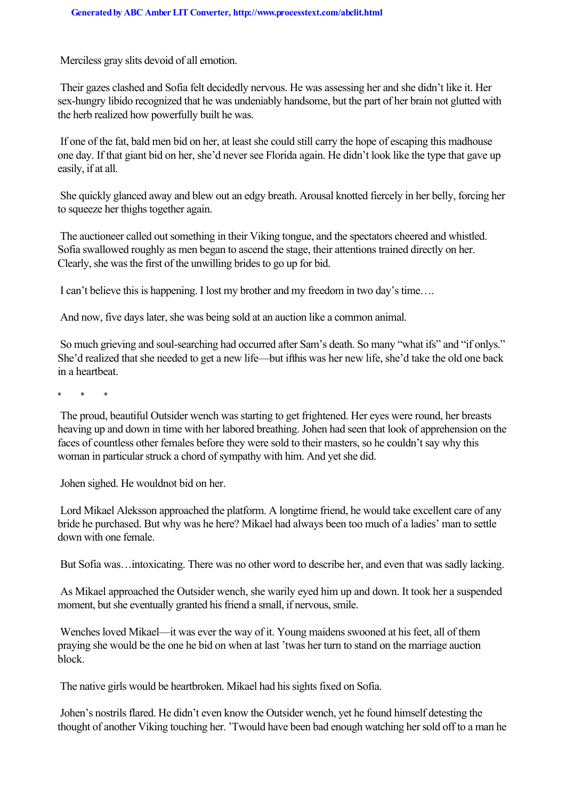Merciless gray slits devoid of all emotion.

 Their gazes clashed and Sofia felt decidedly nervous. He was assessing her and she didn't like it. Her sex-hungry libido recognized that he was undeniably handsome, but the part of her brain not glutted with the herb realized how powerfully built he was.

 If one of the fat, bald men bid on her, at least she could still carry the hope of escaping this madhouse one day. If that giant bid on her, she'd never see Florida again. He didn't look like the type that gave up easily, if at all.

 She quickly glanced away and blew out an edgy breath. Arousal knotted fiercely in her belly, forcing her to squeeze her thighs together again.

 The auctioneer called out something in their Viking tongue, and the spectators cheered and whistled. Sofia swallowed roughly as men began to ascend the stage, their attentions trained directly on her. Clearly, she was the first of the unwilling brides to go up for bid.

I can't believe this is happening. I lost my brother and my freedom in two day's time....

And now, five days later, she was being sold at an auction like a common animal.

 So much grieving and soul-searching had occurred after Sam's death. So many "what ifs" and "if onlys." She'd realized that she needed to get a new life—but ifthis was her new life, she'd take the old one back in a heartbeat.

 $\bullet$ 

 The proud, beautiful Outsider wench was starting to get frightened. Her eyes were round, her breasts heaving up and down in time with her labored breathing. Johen had seen that look of apprehension on the faces of countless other females before they were sold to their masters, so he couldn't say why this woman in particular struck a chord of sympathy with him. And yet she did.

Johen sighed. He wouldnot bid on her.

 Lord Mikael Aleksson approached the platform. A longtime friend, he would take excellent care of any bride he purchased. But why was he here? Mikael had always been too much of a ladies' man to settle down with one female.

But Sofia was…intoxicating. There was no other word to describe her, and even that was sadly lacking.

 As Mikael approached the Outsider wench, she warily eyed him up and down. It took her a suspended moment, but she eventually granted his friend a small, if nervous, smile.

 Wenches loved Mikael—it was ever the way of it. Young maidens swooned at his feet, all of them praying she would be the one he bid on when at last 'twas her turn to stand on the marriage auction block.

The native girls would be heartbroken. Mikael had his sights fixed on Sofia.

 Johen's nostrils flared. He didn't even know the Outsider wench, yet he found himself detesting the thought of another Viking touching her. 'Twould have been bad enough watching her sold off to a man he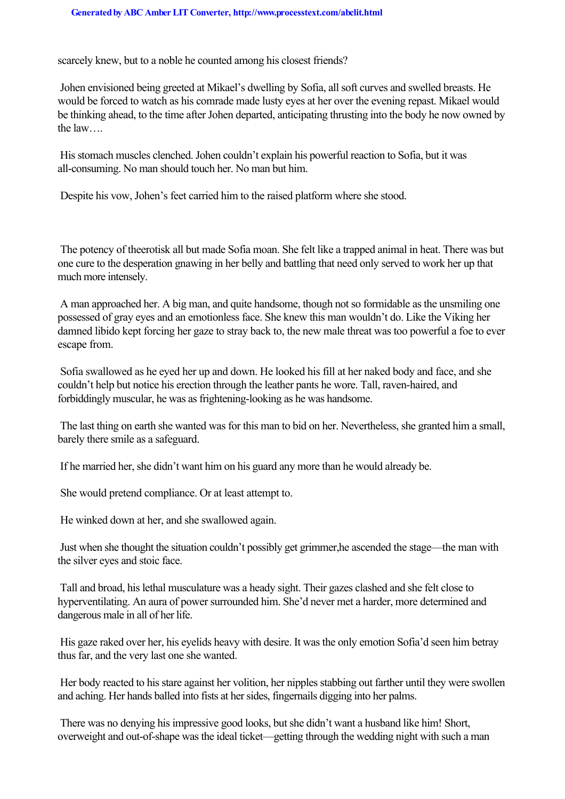scarcely knew, but to a noble he counted among his closest friends?

 Johen envisioned being greeted at Mikael's dwelling by Sofia, all soft curves and swelled breasts. He would be forced to watch as his comrade made lusty eyes at her over the evening repast. Mikael would be thinking ahead, to the time after Johen departed, anticipating thrusting into the body he now owned by the law….

 His stomach muscles clenched. Johen couldn't explain his powerful reaction to Sofia, but it was all-consuming. No man should touch her. No man but him.

Despite his vow, Johen's feet carried him to the raised platform where she stood.

 The potency of theerotisk all but made Sofia moan. She felt like a trapped animal in heat. There was but one cure to the desperation gnawing in her belly and battling that need only served to work her up that much more intensely.

 A man approached her. A big man, and quite handsome, though not so formidable as the unsmiling one possessed of gray eyes and an emotionless face. She knew this man wouldn't do. Like the Viking her damned libido kept forcing her gaze to stray back to, the new male threat was too powerful a foe to ever escape from.

 Sofia swallowed as he eyed her up and down. He looked his fill at her naked body and face, and she couldn't help but notice his erection through the leather pants he wore. Tall, raven-haired, and forbiddingly muscular, he was as frightening-looking as he was handsome.

 The last thing on earth she wanted was for this man to bid on her. Nevertheless, she granted him a small, barely there smile as a safeguard.

If he married her, she didn't want him on his guard any more than he would already be.

She would pretend compliance. Or at least attempt to.

He winked down at her, and she swallowed again.

 Just when she thought the situation couldn't possibly get grimmer,he ascended the stage—the man with the silver eyes and stoic face.

 Tall and broad, his lethal musculature was a heady sight. Their gazes clashed and she felt close to hyperventilating. An aura of power surrounded him. She'd never met a harder, more determined and dangerous male in all of her life.

 His gaze raked over her, his eyelids heavy with desire. It was the only emotion Sofia'd seen him betray thus far, and the very last one she wanted.

 Her body reacted to his stare against her volition, her nipples stabbing out farther until they were swollen and aching. Her hands balled into fists at her sides, fingernails digging into her palms.

 There was no denying his impressive good looks, but she didn't want a husband like him! Short, overweight and out-of-shape was the ideal ticket—getting through the wedding night with such a man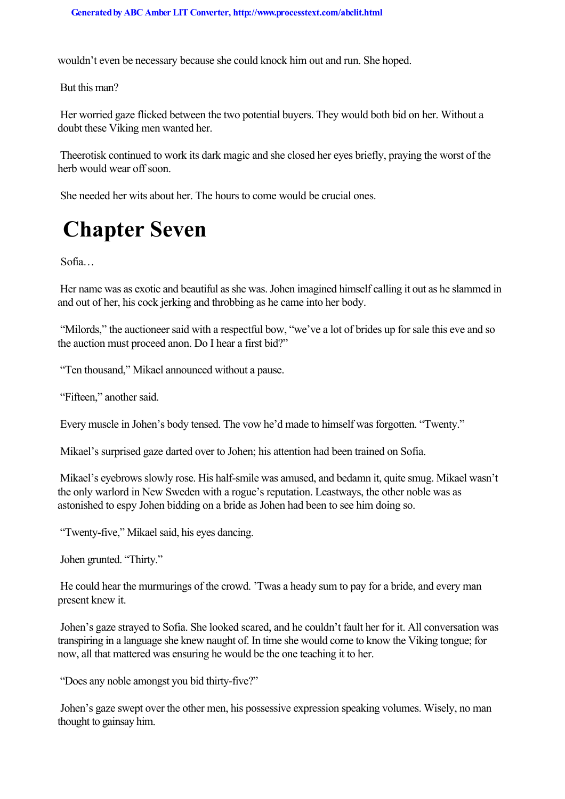wouldn't even be necessary because she could knock him out and run. She hoped.

But this man?

 Her worried gaze flicked between the two potential buyers. They would both bid on her. Without a doubt these Viking men wanted her.

 Theerotisk continued to work its dark magic and she closed her eyes briefly, praying the worst of the herb would wear off soon.

She needed her wits about her. The hours to come would be crucial ones.

# **Chapter Seven**

Sofia…

 Her name was as exotic and beautiful as she was. Johen imagined himself calling it out as he slammed in and out of her, his cock jerking and throbbing as he came into her body.

 "Milords," the auctioneer said with a respectful bow, "we've a lot of brides up for sale this eve and so the auction must proceed anon. Do I hear a first bid?"

"Ten thousand," Mikael announced without a pause.

"Fifteen," another said.

Every muscle in Johen's body tensed. The vow he'd made to himself was forgotten. "Twenty."

Mikael's surprised gaze darted over to Johen; his attention had been trained on Sofia.

 Mikael's eyebrows slowly rose. His half-smile was amused, and bedamn it, quite smug. Mikael wasn't the only warlord in New Sweden with a rogue's reputation. Leastways, the other noble was as astonished to espy Johen bidding on a bride as Johen had been to see him doing so.

"Twenty-five," Mikael said, his eyes dancing.

Johen grunted. "Thirty."

 He could hear the murmurings of the crowd. 'Twas a heady sum to pay for a bride, and every man present knew it.

 Johen's gaze strayed to Sofia. She looked scared, and he couldn't fault her for it. All conversation was transpiring in a language she knew naught of. In time she would come to know the Viking tongue; for now, all that mattered was ensuring he would be the one teaching it to her.

"Does any noble amongst you bid thirty-five?"

 Johen's gaze swept over the other men, his possessive expression speaking volumes. Wisely, no man thought to gainsay him.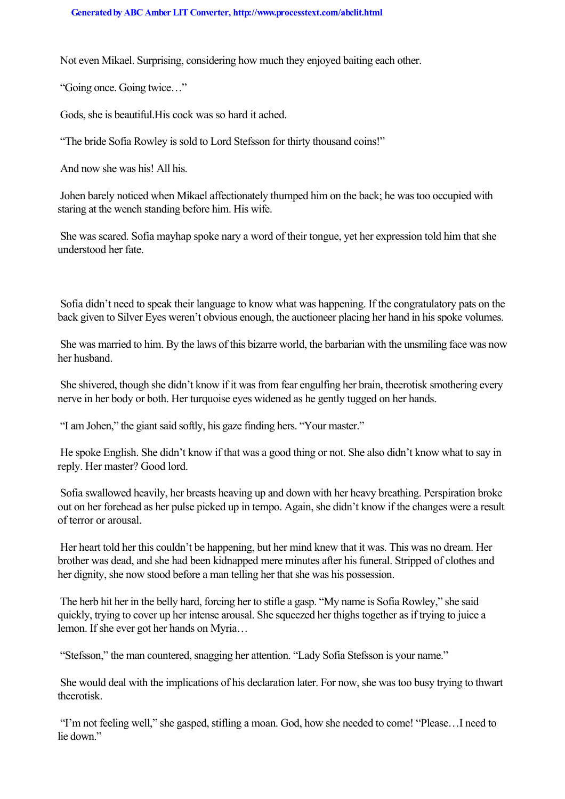### **Generated by ABC Amber LIT Converter, <http://www.processtext.com/abclit.html>**

Not even Mikael. Surprising, considering how much they enjoyed baiting each other.

"Going once. Going twice…"

Gods, she is beautiful.His cock was so hard it ached.

"The bride Sofia Rowley is sold to Lord Stefsson for thirty thousand coins!"

And now she was his! All his.

 Johen barely noticed when Mikael affectionately thumped him on the back; he was too occupied with staring at the wench standing before him. His wife.

 She was scared. Sofia mayhap spoke nary a word of their tongue, yet her expression told him that she understood her fate.

 Sofia didn't need to speak their language to know what was happening. If the congratulatory pats on the back given to Silver Eyes weren't obvious enough, the auctioneer placing her hand in his spoke volumes.

 She was married to him. By the laws of this bizarre world, the barbarian with the unsmiling face was now her husband.

 She shivered, though she didn't know if it was from fear engulfing her brain, theerotisk smothering every nerve in her body or both. Her turquoise eyes widened as he gently tugged on her hands.

"I am Johen," the giant said softly, his gaze finding hers. "Your master."

 He spoke English. She didn't know if that was a good thing or not. She also didn't know what to say in reply. Her master? Good lord.

 Sofia swallowed heavily, her breasts heaving up and down with her heavy breathing. Perspiration broke out on her forehead as her pulse picked up in tempo. Again, she didn't know if the changes were a result of terror or arousal.

 Her heart told her this couldn't be happening, but her mind knew that it was. This was no dream. Her brother was dead, and she had been kidnapped mere minutes after his funeral. Stripped of clothes and her dignity, she now stood before a man telling her that she was his possession.

 The herb hit her in the belly hard, forcing her to stifle a gasp. "My name is Sofia Rowley," she said quickly, trying to cover up her intense arousal. She squeezed her thighs together as if trying to juice a lemon. If she ever got her hands on Myria…

"Stefsson," the man countered, snagging her attention. "Lady Sofia Stefsson is your name."

 She would deal with the implications of his declaration later. For now, she was too busy trying to thwart theerotisk.

 "I'm not feeling well," she gasped, stifling a moan. God, how she needed to come! "Please…I need to lie down."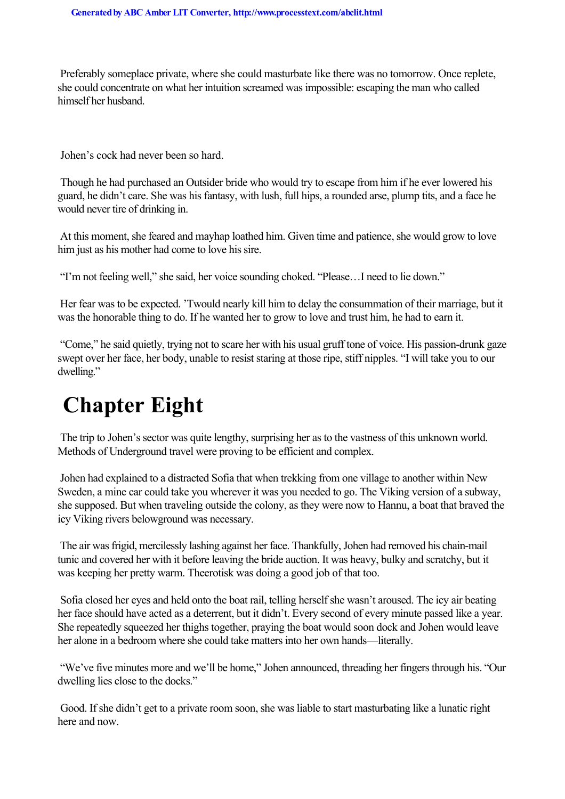Preferably someplace private, where she could masturbate like there was no tomorrow. Once replete, she could concentrate on what her intuition screamed was impossible: escaping the man who called himself her husband.

Johen's cock had never been so hard.

 Though he had purchased an Outsider bride who would try to escape from him if he ever lowered his guard, he didn't care. She was his fantasy, with lush, full hips, a rounded arse, plump tits, and a face he would never tire of drinking in.

 At this moment, she feared and mayhap loathed him. Given time and patience, she would grow to love him just as his mother had come to love his sire.

"I'm not feeling well," she said, her voice sounding choked. "Please…I need to lie down."

 Her fear was to be expected. 'Twould nearly kill him to delay the consummation of their marriage, but it was the honorable thing to do. If he wanted her to grow to love and trust him, he had to earn it.

 "Come," he said quietly, trying not to scare her with his usual gruff tone of voice. His passion-drunk gaze swept over her face, her body, unable to resist staring at those ripe, stiff nipples. "I will take you to our dwelling."

# **Chapter Eight**

 The trip to Johen's sector was quite lengthy, surprising her as to the vastness of this unknown world. Methods of Underground travel were proving to be efficient and complex.

 Johen had explained to a distracted Sofia that when trekking from one village to another within New Sweden, a mine car could take you wherever it was you needed to go. The Viking version of a subway, she supposed. But when traveling outside the colony, as they were now to Hannu, a boat that braved the icy Viking rivers belowground was necessary.

 The air was frigid, mercilessly lashing against her face. Thankfully, Johen had removed his chain-mail tunic and covered her with it before leaving the bride auction. It was heavy, bulky and scratchy, but it was keeping her pretty warm. Theerotisk was doing a good job of that too.

 Sofia closed her eyes and held onto the boat rail, telling herself she wasn't aroused. The icy air beating her face should have acted as a deterrent, but it didn't. Every second of every minute passed like a year. She repeatedly squeezed her thighs together, praying the boat would soon dock and Johen would leave her alone in a bedroom where she could take matters into her own hands—literally.

 "We've five minutes more and we'll be home," Johen announced, threading her fingers through his. "Our dwelling lies close to the docks."

 Good. If she didn't get to a private room soon, she was liable to start masturbating like a lunatic right here and now.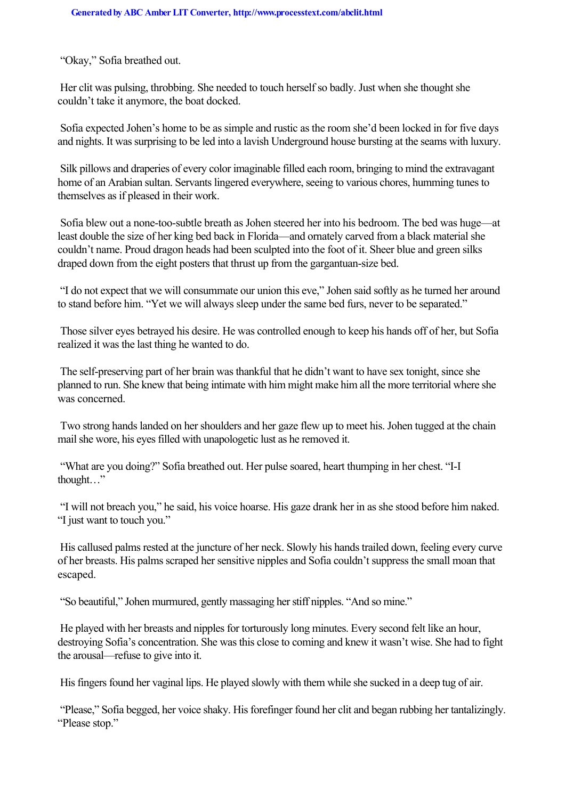"Okay," Sofia breathed out.

 Her clit was pulsing, throbbing. She needed to touch herself so badly. Just when she thought she couldn't take it anymore, the boat docked.

 Sofia expected Johen's home to be as simple and rustic as the room she'd been locked in for five days and nights. It was surprising to be led into a lavish Underground house bursting at the seams with luxury.

 Silk pillows and draperies of every color imaginable filled each room, bringing to mind the extravagant home of an Arabian sultan. Servants lingered everywhere, seeing to various chores, humming tunes to themselves as if pleased in their work.

 Sofia blew out a none-too-subtle breath as Johen steered her into his bedroom. The bed was huge—at least double the size of her king bed back in Florida—and ornately carved from a black material she couldn't name. Proud dragon heads had been sculpted into the foot of it. Sheer blue and green silks draped down from the eight posters that thrust up from the gargantuan-size bed.

 "I do not expect that we will consummate our union this eve," Johen said softly as he turned her around to stand before him. "Yet we will always sleep under the same bed furs, never to be separated."

 Those silver eyes betrayed his desire. He was controlled enough to keep his hands off of her, but Sofia realized it was the last thing he wanted to do.

 The self-preserving part of her brain was thankful that he didn't want to have sex tonight, since she planned to run. She knew that being intimate with him might make him all the more territorial where she was concerned.

 Two strong hands landed on her shoulders and her gaze flew up to meet his. Johen tugged at the chain mail she wore, his eyes filled with unapologetic lust as he removed it.

 "What are you doing?" Sofia breathed out. Her pulse soared, heart thumping in her chest. "I-I thought…"

 "I will not breach you," he said, his voice hoarse. His gaze drank her in as she stood before him naked. "I just want to touch you."

 His callused palms rested at the juncture of her neck. Slowly his hands trailed down, feeling every curve of her breasts. His palms scraped her sensitive nipples and Sofia couldn't suppress the small moan that escaped.

"So beautiful," Johen murmured, gently massaging her stiff nipples. "And so mine."

 He played with her breasts and nipples for torturously long minutes. Every second felt like an hour, destroying Sofia's concentration. She was this close to coming and knew it wasn't wise. She had to fight the arousal—refuse to give into it.

His fingers found her vaginal lips. He played slowly with them while she sucked in a deep tug of air.

 "Please," Sofia begged, her voice shaky. His forefinger found her clit and began rubbing her tantalizingly. "Please stop."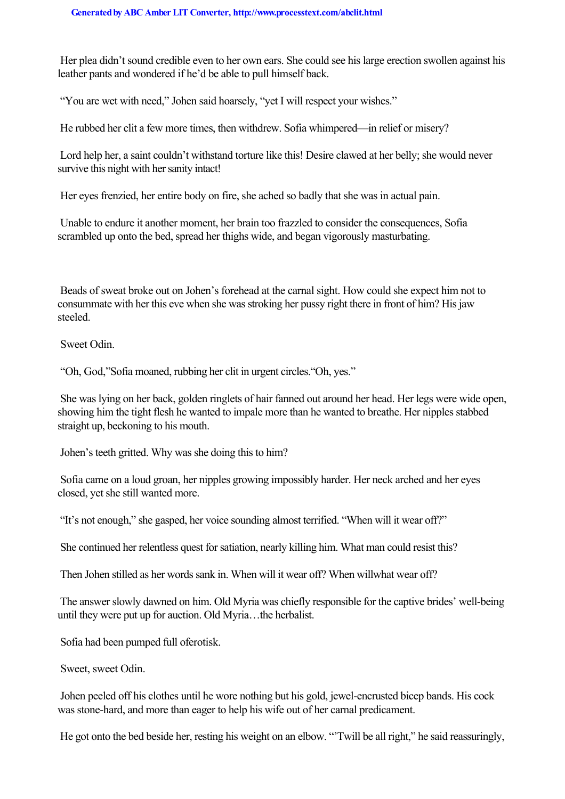Her plea didn't sound credible even to her own ears. She could see his large erection swollen against his leather pants and wondered if he'd be able to pull himself back.

"You are wet with need," Johen said hoarsely, "yet I will respect your wishes."

He rubbed her clit a few more times, then withdrew. Sofia whimpered—in relief or misery?

 Lord help her, a saint couldn't withstand torture like this! Desire clawed at her belly; she would never survive this night with her sanity intact!

Her eyes frenzied, her entire body on fire, she ached so badly that she was in actual pain.

 Unable to endure it another moment, her brain too frazzled to consider the consequences, Sofia scrambled up onto the bed, spread her thighs wide, and began vigorously masturbating.

 Beads of sweat broke out on Johen's forehead at the carnal sight. How could she expect him not to consummate with her this eve when she was stroking her pussy right there in front of him? His jaw steeled.

Sweet Odin.

"Oh, God,"Sofia moaned, rubbing her clit in urgent circles."Oh, yes."

 She was lying on her back, golden ringlets of hair fanned out around her head. Her legs were wide open, showing him the tight flesh he wanted to impale more than he wanted to breathe. Her nipples stabbed straight up, beckoning to his mouth.

Johen's teeth gritted. Why was she doing this to him?

 Sofia came on a loud groan, her nipples growing impossibly harder. Her neck arched and her eyes closed, yet she still wanted more.

"It's not enough," she gasped, her voice sounding almost terrified. "When will it wear off?"

She continued her relentless quest for satiation, nearly killing him. What man could resist this?

Then Johen stilled as her words sank in. When will it wear off? When willwhat wear off?

 The answer slowly dawned on him. Old Myria was chiefly responsible for the captive brides' well-being until they were put up for auction. Old Myria…the herbalist.

Sofia had been pumped full oferotisk.

Sweet, sweet Odin.

 Johen peeled off his clothes until he wore nothing but his gold, jewel-encrusted bicep bands. His cock was stone-hard, and more than eager to help his wife out of her carnal predicament.

He got onto the bed beside her, resting his weight on an elbow. "'Twill be all right," he said reassuringly,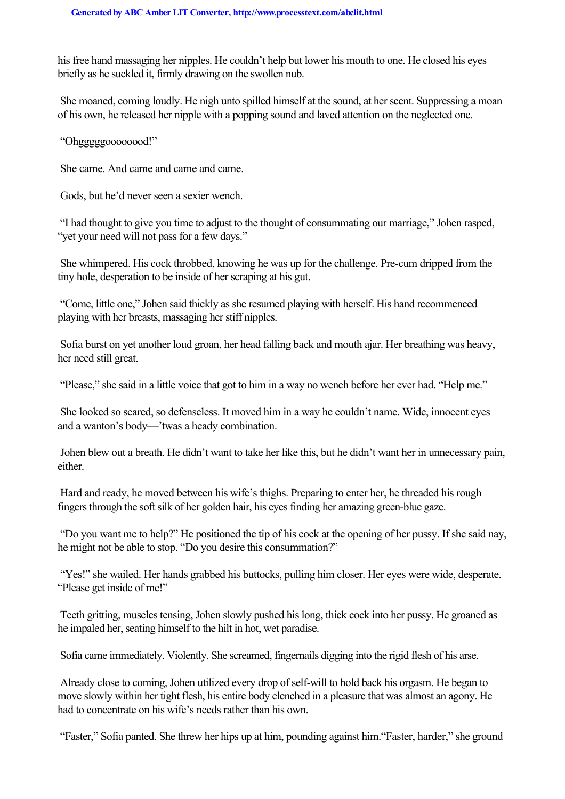his free hand massaging her nipples. He couldn't help but lower his mouth to one. He closed his eyes briefly as he suckled it, firmly drawing on the swollen nub.

 She moaned, coming loudly. He nigh unto spilled himself at the sound, at her scent. Suppressing a moan of his own, he released her nipple with a popping sound and laved attention on the neglected one.

"Ohgggggoooooood!"

She came. And came and came and came.

Gods, but he'd never seen a sexier wench.

 "I had thought to give you time to adjust to the thought of consummating our marriage," Johen rasped, "yet your need will not pass for a few days."

 She whimpered. His cock throbbed, knowing he was up for the challenge. Pre-cum dripped from the tiny hole, desperation to be inside of her scraping at his gut.

 "Come, little one," Johen said thickly as she resumed playing with herself. His hand recommenced playing with her breasts, massaging her stiff nipples.

 Sofia burst on yet another loud groan, her head falling back and mouth ajar. Her breathing was heavy, her need still great.

"Please," she said in a little voice that got to him in a way no wench before her ever had. "Help me."

 She looked so scared, so defenseless. It moved him in a way he couldn't name. Wide, innocent eyes and a wanton's body—'twas a heady combination.

 Johen blew out a breath. He didn't want to take her like this, but he didn't want her in unnecessary pain, either.

 Hard and ready, he moved between his wife's thighs. Preparing to enter her, he threaded his rough fingers through the soft silk of her golden hair, his eyes finding her amazing green-blue gaze.

 "Do you want me to help?" He positioned the tip of his cock at the opening of her pussy. If she said nay, he might not be able to stop. "Do you desire this consummation?"

 "Yes!" she wailed. Her hands grabbed his buttocks, pulling him closer. Her eyes were wide, desperate. "Please get inside of me!"

 Teeth gritting, muscles tensing, Johen slowly pushed his long, thick cock into her pussy. He groaned as he impaled her, seating himself to the hilt in hot, wet paradise.

Sofia came immediately. Violently. She screamed, fingernails digging into the rigid flesh of his arse.

 Already close to coming, Johen utilized every drop of self-will to hold back his orgasm. He began to move slowly within her tight flesh, his entire body clenched in a pleasure that was almost an agony. He had to concentrate on his wife's needs rather than his own.

"Faster," Sofia panted. She threw her hips up at him, pounding against him."Faster, harder," she ground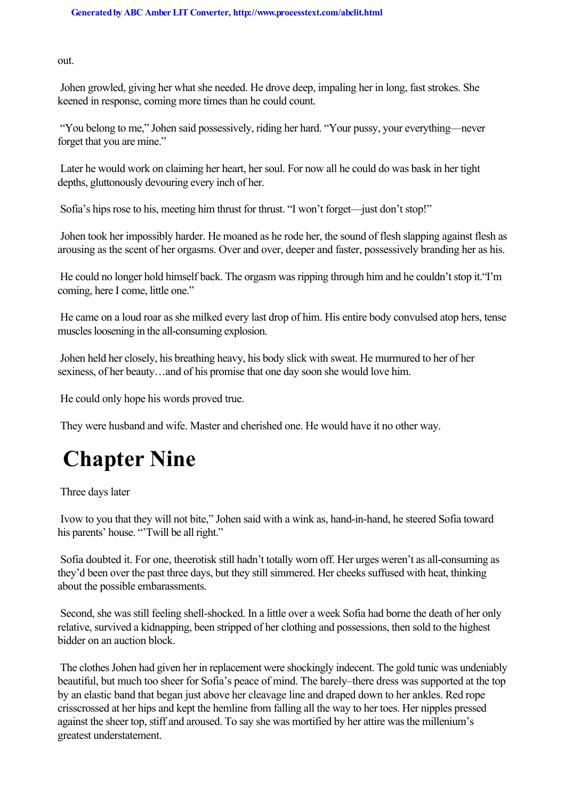out.

 Johen growled, giving her what she needed. He drove deep, impaling her in long, fast strokes. She keened in response, coming more times than he could count.

 "You belong to me," Johen said possessively, riding her hard. "Your pussy, your everything—never forget that you are mine."

 Later he would work on claiming her heart, her soul. For now all he could do was bask in her tight depths, gluttonously devouring every inch of her.

Sofia's hips rose to his, meeting him thrust for thrust. "I won't forget—just don't stop!"

 Johen took her impossibly harder. He moaned as he rode her, the sound of flesh slapping against flesh as arousing as the scent of her orgasms. Over and over, deeper and faster, possessively branding her as his.

 He could no longer hold himself back. The orgasm was ripping through him and he couldn't stop it."I'm coming, here I come, little one."

 He came on a loud roar as she milked every last drop of him. His entire body convulsed atop hers, tense muscles loosening in the all-consuming explosion.

 Johen held her closely, his breathing heavy, his body slick with sweat. He murmured to her of her sexiness, of her beauty…and of his promise that one day soon she would love him.

He could only hope his words proved true.

They were husband and wife. Master and cherished one. He would have it no other way.

# **Chapter Nine**

Three days later

 Ivow to you that they will not bite," Johen said with a wink as, hand-in-hand, he steered Sofia toward his parents' house. "Twill be all right."

 Sofia doubted it. For one, theerotisk still hadn't totally worn off. Her urges weren't as all-consuming as they'd been over the past three days, but they still simmered. Her cheeks suffused with heat, thinking about the possible embarassments.

 Second, she was still feeling shell-shocked. In a little over a week Sofia had borne the death of her only relative, survived a kidnapping, been stripped of her clothing and possessions, then sold to the highest bidder on an auction block.

 The clothes Johen had given her in replacement were shockingly indecent. The gold tunic was undeniably beautiful, but much too sheer for Sofia's peace of mind. The barely–there dress was supported at the top by an elastic band that began just above her cleavage line and draped down to her ankles. Red rope crisscrossed at her hips and kept the hemline from falling all the way to her toes. Her nipples pressed against the sheer top, stiff and aroused. To say she was mortified by her attire was the millenium's greatest understatement.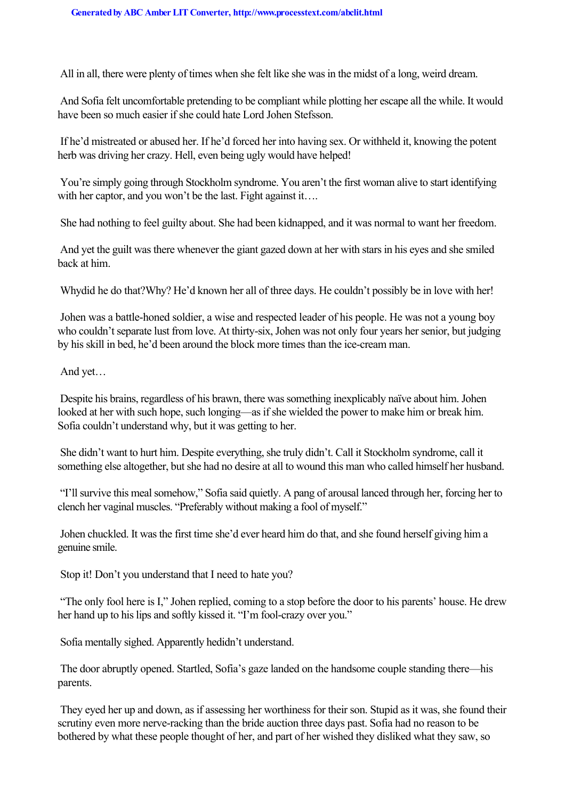All in all, there were plenty of times when she felt like she was in the midst of a long, weird dream.

 And Sofia felt uncomfortable pretending to be compliant while plotting her escape all the while. It would have been so much easier if she could hate Lord Johen Stefsson.

 If he'd mistreated or abused her. If he'd forced her into having sex. Or withheld it, knowing the potent herb was driving her crazy. Hell, even being ugly would have helped!

 You're simply going through Stockholm syndrome. You aren't the first woman alive to start identifying with her captor, and you won't be the last. Fight against it….

She had nothing to feel guilty about. She had been kidnapped, and it was normal to want her freedom.

 And yet the guilt was there whenever the giant gazed down at her with stars in his eyes and she smiled back at him.

Whydid he do that?Why? He'd known her all of three days. He couldn't possibly be in love with her!

 Johen was a battle-honed soldier, a wise and respected leader of his people. He was not a young boy who couldn't separate lust from love. At thirty-six, Johen was not only four years her senior, but judging by his skill in bed, he'd been around the block more times than the ice-cream man.

And yet…

 Despite his brains, regardless of his brawn, there was something inexplicably naïve about him. Johen looked at her with such hope, such longing—as if she wielded the power to make him or break him. Sofia couldn't understand why, but it was getting to her.

 She didn't want to hurt him. Despite everything, she truly didn't. Call it Stockholm syndrome, call it something else altogether, but she had no desire at all to wound this man who called himself her husband.

 "I'll survive this meal somehow," Sofia said quietly. A pang of arousal lanced through her, forcing her to clench her vaginal muscles. "Preferably without making a fool of myself."

 Johen chuckled. It was the first time she'd ever heard him do that, and she found herself giving him a genuine smile.

Stop it! Don't you understand that I need to hate you?

 "The only fool here is I," Johen replied, coming to a stop before the door to his parents' house. He drew her hand up to his lips and softly kissed it. "I'm fool-crazy over you."

Sofia mentally sighed. Apparently hedidn't understand.

 The door abruptly opened. Startled, Sofia's gaze landed on the handsome couple standing there—his parents.

 They eyed her up and down, as if assessing her worthiness for their son. Stupid as it was, she found their scrutiny even more nerve-racking than the bride auction three days past. Sofia had no reason to be bothered by what these people thought of her, and part of her wished they disliked what they saw, so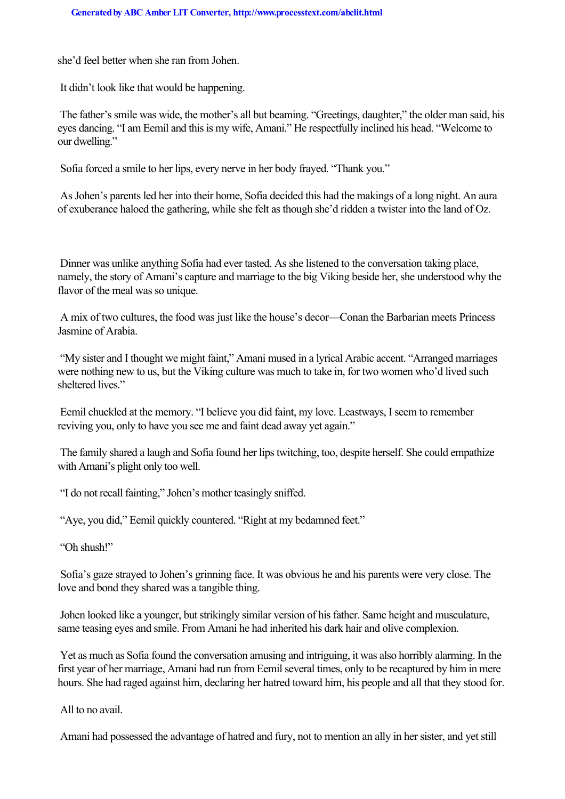### **Generated by ABC Amber LIT Converter, <http://www.processtext.com/abclit.html>**

she'd feel better when she ran from Johen.

It didn't look like that would be happening.

 The father's smile was wide, the mother's all but beaming. "Greetings, daughter," the older man said, his eyes dancing. "I am Eemil and this is my wife, Amani." He respectfully inclined his head. "Welcome to our dwelling."

Sofia forced a smile to her lips, every nerve in her body frayed. "Thank you."

 As Johen's parents led her into their home, Sofia decided this had the makings of a long night. An aura of exuberance haloed the gathering, while she felt as though she'd ridden a twister into the land of Oz.

 Dinner was unlike anything Sofia had ever tasted. As she listened to the conversation taking place, namely, the story of Amani's capture and marriage to the big Viking beside her, she understood why the flavor of the meal was so unique.

 A mix of two cultures, the food was just like the house's decor—Conan the Barbarian meets Princess Jasmine of Arabia.

 "My sister and I thought we might faint," Amani mused in a lyrical Arabic accent. "Arranged marriages were nothing new to us, but the Viking culture was much to take in, for two women who'd lived such sheltered lives."

 Eemil chuckled at the memory. "I believe you did faint, my love. Leastways, I seem to remember reviving you, only to have you see me and faint dead away yet again."

 The family shared a laugh and Sofia found her lips twitching, too, despite herself. She could empathize with Amani's plight only too well.

"I do not recall fainting," Johen's mother teasingly sniffed.

"Aye, you did," Eemil quickly countered. "Right at my bedamned feet."

"Oh shush!"

 Sofia's gaze strayed to Johen's grinning face. It was obvious he and his parents were very close. The love and bond they shared was a tangible thing.

 Johen looked like a younger, but strikingly similar version of his father. Same height and musculature, same teasing eyes and smile. From Amani he had inherited his dark hair and olive complexion.

 Yet as much as Sofia found the conversation amusing and intriguing, it was also horribly alarming. In the first year of her marriage, Amani had run from Eemil several times, only to be recaptured by him in mere hours. She had raged against him, declaring her hatred toward him, his people and all that they stood for.

All to no avail.

Amani had possessed the advantage of hatred and fury, not to mention an ally in her sister, and yet still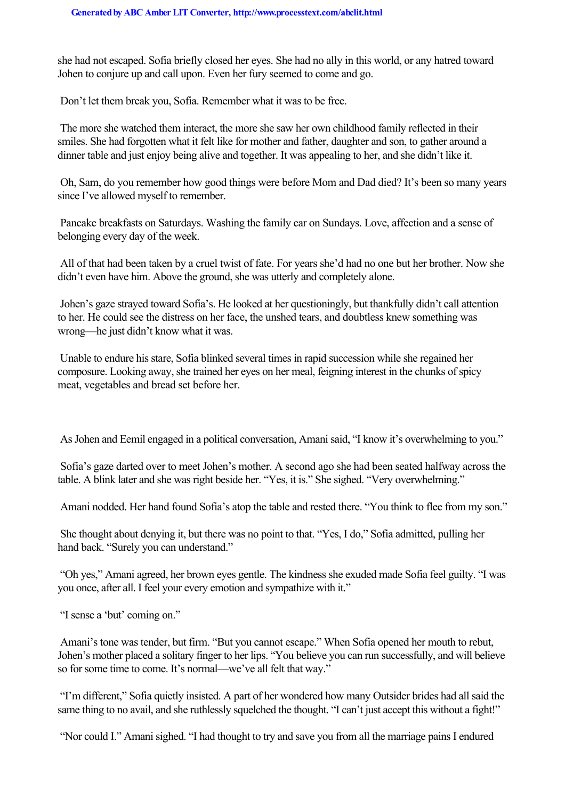she had not escaped. Sofia briefly closed her eyes. She had no ally in this world, or any hatred toward Johen to conjure up and call upon. Even her fury seemed to come and go.

Don't let them break you, Sofia. Remember what it was to be free.

 The more she watched them interact, the more she saw her own childhood family reflected in their smiles. She had forgotten what it felt like for mother and father, daughter and son, to gather around a dinner table and just enjoy being alive and together. It was appealing to her, and she didn't like it.

 Oh, Sam, do you remember how good things were before Mom and Dad died? It's been so many years since I've allowed myself to remember.

 Pancake breakfasts on Saturdays. Washing the family car on Sundays. Love, affection and a sense of belonging every day of the week.

 All of that had been taken by a cruel twist of fate. For years she'd had no one but her brother. Now she didn't even have him. Above the ground, she was utterly and completely alone.

 Johen's gaze strayed toward Sofia's. He looked at her questioningly, but thankfully didn't call attention to her. He could see the distress on her face, the unshed tears, and doubtless knew something was wrong—he just didn't know what it was.

 Unable to endure his stare, Sofia blinked several times in rapid succession while she regained her composure. Looking away, she trained her eyes on her meal, feigning interest in the chunks of spicy meat, vegetables and bread set before her.

As Johen and Eemil engaged in a political conversation, Amani said, "I know it's overwhelming to you."

 Sofia's gaze darted over to meet Johen's mother. A second ago she had been seated halfway across the table. A blink later and she was right beside her. "Yes, it is." She sighed. "Very overwhelming."

Amani nodded. Her hand found Sofia's atop the table and rested there. "You think to flee from my son."

 She thought about denying it, but there was no point to that. "Yes, I do," Sofia admitted, pulling her hand back. "Surely you can understand."

 "Oh yes," Amani agreed, her brown eyes gentle. The kindness she exuded made Sofia feel guilty. "I was you once, after all. I feel your every emotion and sympathize with it."

"I sense a 'but' coming on."

 Amani's tone was tender, but firm. "But you cannot escape." When Sofia opened her mouth to rebut, Johen's mother placed a solitary finger to her lips. "You believe you can run successfully, and will believe so for some time to come. It's normal—we've all felt that way."

 "I'm different," Sofia quietly insisted. A part of her wondered how many Outsider brides had all said the same thing to no avail, and she ruthlessly squelched the thought. "I can't just accept this without a fight!"

"Nor could I." Amani sighed. "I had thought to try and save you from all the marriage pains I endured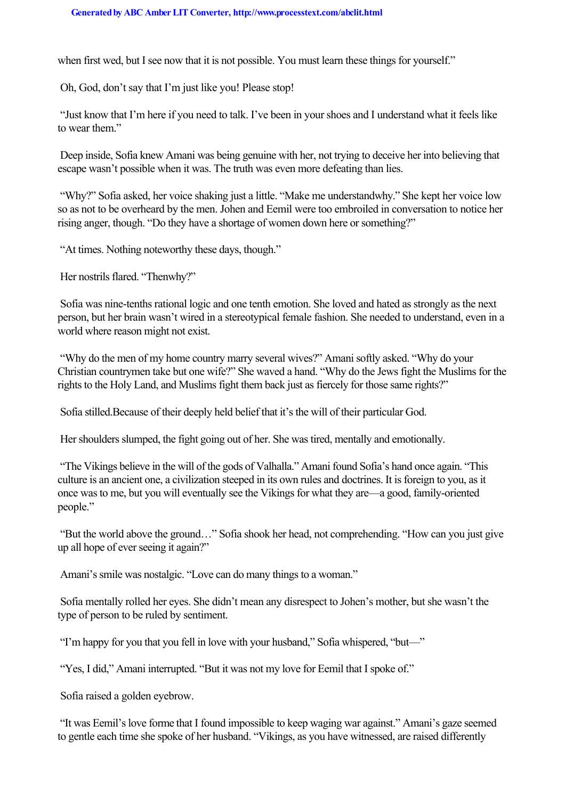### **Generated by ABC Amber LIT Converter, <http://www.processtext.com/abclit.html>**

when first wed, but I see now that it is not possible. You must learn these things for yourself."

Oh, God, don't say that I'm just like you! Please stop!

 "Just know that I'm here if you need to talk. I've been in your shoes and I understand what it feels like to wear them."

 Deep inside, Sofia knew Amani was being genuine with her, not trying to deceive her into believing that escape wasn't possible when it was. The truth was even more defeating than lies.

 "Why?" Sofia asked, her voice shaking just a little. "Make me understandwhy." She kept her voice low so as not to be overheard by the men. Johen and Eemil were too embroiled in conversation to notice her rising anger, though. "Do they have a shortage of women down here or something?"

"At times. Nothing noteworthy these days, though."

Her nostrils flared. "Thenwhy?"

 Sofia was nine-tenths rational logic and one tenth emotion. She loved and hated as strongly as the next person, but her brain wasn't wired in a stereotypical female fashion. She needed to understand, even in a world where reason might not exist.

 "Why do the men of my home country marry several wives?" Amani softly asked. "Why do your Christian countrymen take but one wife?" She waved a hand. "Why do the Jews fight the Muslims for the rights to the Holy Land, and Muslims fight them back just as fiercely for those same rights?"

Sofia stilled.Because of their deeply held belief that it's the will of their particular God.

Her shoulders slumped, the fight going out of her. She was tired, mentally and emotionally.

 "The Vikings believe in the will of the gods of Valhalla." Amani found Sofia's hand once again. "This culture is an ancient one, a civilization steeped in its own rules and doctrines. It is foreign to you, as it once was to me, but you will eventually see the Vikings for what they are—a good, family-oriented people."

 "But the world above the ground…" Sofia shook her head, not comprehending. "How can you just give up all hope of ever seeing it again?"

Amani's smile was nostalgic. "Love can do many things to a woman."

 Sofia mentally rolled her eyes. She didn't mean any disrespect to Johen's mother, but she wasn't the type of person to be ruled by sentiment.

"I'm happy for you that you fell in love with your husband," Sofia whispered, "but—"

"Yes, I did," Amani interrupted. "But it was not my love for Eemil that I spoke of."

Sofia raised a golden eyebrow.

 "It was Eemil's love forme that I found impossible to keep waging war against." Amani's gaze seemed to gentle each time she spoke of her husband. "Vikings, as you have witnessed, are raised differently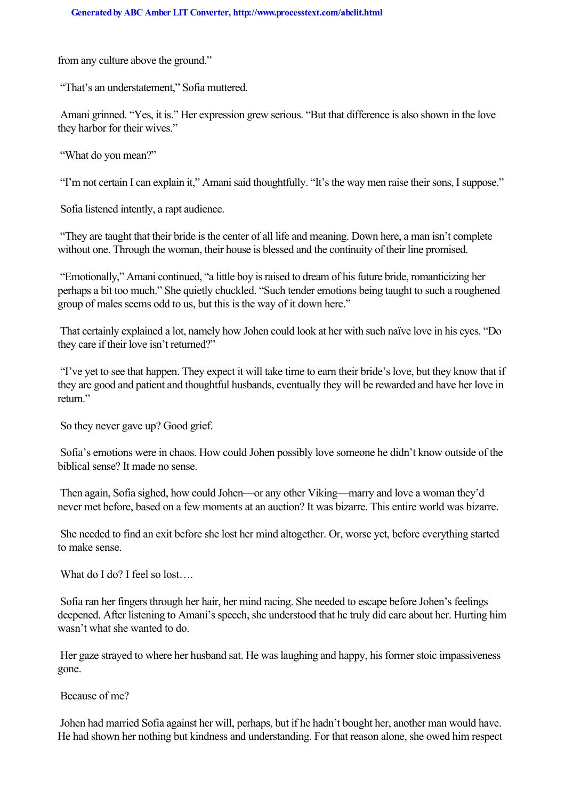### **Generated by ABC Amber LIT Converter, <http://www.processtext.com/abclit.html>**

from any culture above the ground."

"That's an understatement," Sofia muttered.

 Amani grinned. "Yes, it is." Her expression grew serious. "But that difference is also shown in the love they harbor for their wives."

"What do you mean?"

"I'm not certain I can explain it," Amani said thoughtfully. "It's the way men raise their sons, I suppose."

Sofia listened intently, a rapt audience.

 "They are taught that their bride is the center of all life and meaning. Down here, a man isn't complete without one. Through the woman, their house is blessed and the continuity of their line promised.

 "Emotionally," Amani continued, "a little boy is raised to dream of his future bride, romanticizing her perhaps a bit too much." She quietly chuckled. "Such tender emotions being taught to such a roughened group of males seems odd to us, but this is the way of it down here."

 That certainly explained a lot, namely how Johen could look at her with such naïve love in his eyes. "Do they care if their love isn't returned?"

 "I've yet to see that happen. They expect it will take time to earn their bride's love, but they know that if they are good and patient and thoughtful husbands, eventually they will be rewarded and have her love in return<sup>"</sup>

So they never gave up? Good grief.

 Sofia's emotions were in chaos. How could Johen possibly love someone he didn't know outside of the biblical sense? It made no sense.

 Then again, Sofia sighed, how could Johen—or any other Viking—marry and love a woman they'd never met before, based on a few moments at an auction? It was bizarre. This entire world was bizarre.

 She needed to find an exit before she lost her mind altogether. Or, worse yet, before everything started to make sense.

What do I do? I feel so lost....

 Sofia ran her fingers through her hair, her mind racing. She needed to escape before Johen's feelings deepened. After listening to Amani's speech, she understood that he truly did care about her. Hurting him wasn't what she wanted to do.

 Her gaze strayed to where her husband sat. He was laughing and happy, his former stoic impassiveness gone.

Because of me?

 Johen had married Sofia against her will, perhaps, but if he hadn't bought her, another man would have. He had shown her nothing but kindness and understanding. For that reason alone, she owed him respect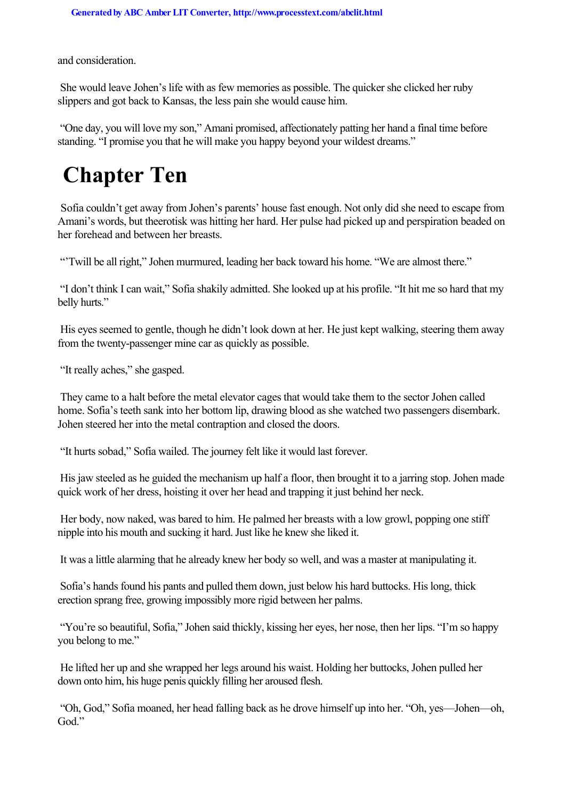and consideration.

 She would leave Johen's life with as few memories as possible. The quicker she clicked her ruby slippers and got back to Kansas, the less pain she would cause him.

 "One day, you will love my son," Amani promised, affectionately patting her hand a final time before standing. "I promise you that he will make you happy beyond your wildest dreams."

# **Chapter Ten**

 Sofia couldn't get away from Johen's parents' house fast enough. Not only did she need to escape from Amani's words, but theerotisk was hitting her hard. Her pulse had picked up and perspiration beaded on her forehead and between her breasts.

"'Twill be all right," Johen murmured, leading her back toward his home. "We are almost there."

 "I don't think I can wait," Sofia shakily admitted. She looked up at his profile. "It hit me so hard that my belly hurts."

His eyes seemed to gentle, though he didn't look down at her. He just kept walking, steering them away from the twenty-passenger mine car as quickly as possible.

"It really aches," she gasped.

 They came to a halt before the metal elevator cages that would take them to the sector Johen called home. Sofia's teeth sank into her bottom lip, drawing blood as she watched two passengers disembark. Johen steered her into the metal contraption and closed the doors.

"It hurts sobad," Sofia wailed. The journey felt like it would last forever.

 His jaw steeled as he guided the mechanism up half a floor, then brought it to a jarring stop. Johen made quick work of her dress, hoisting it over her head and trapping it just behind her neck.

 Her body, now naked, was bared to him. He palmed her breasts with a low growl, popping one stiff nipple into his mouth and sucking it hard. Just like he knew she liked it.

It was a little alarming that he already knew her body so well, and was a master at manipulating it.

 Sofia's hands found his pants and pulled them down, just below his hard buttocks. His long, thick erection sprang free, growing impossibly more rigid between her palms.

 "You're so beautiful, Sofia," Johen said thickly, kissing her eyes, her nose, then her lips. "I'm so happy you belong to me."

 He lifted her up and she wrapped her legs around his waist. Holding her buttocks, Johen pulled her down onto him, his huge penis quickly filling her aroused flesh.

 "Oh, God," Sofia moaned, her head falling back as he drove himself up into her. "Oh, yes—Johen—oh, God."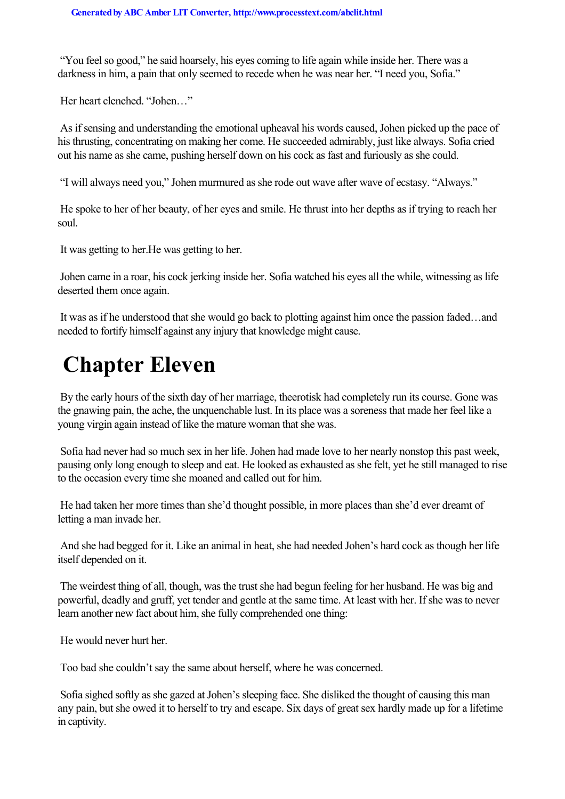"You feel so good," he said hoarsely, his eyes coming to life again while inside her. There was a darkness in him, a pain that only seemed to recede when he was near her. "I need you, Sofia."

Her heart clenched "Johen "

 As if sensing and understanding the emotional upheaval his words caused, Johen picked up the pace of his thrusting, concentrating on making her come. He succeeded admirably, just like always. Sofia cried out his name as she came, pushing herself down on his cock as fast and furiously as she could.

"I will always need you," Johen murmured as she rode out wave after wave of ecstasy. "Always."

 He spoke to her of her beauty, of her eyes and smile. He thrust into her depths as if trying to reach her soul.

It was getting to her.He was getting to her.

 Johen came in a roar, his cock jerking inside her. Sofia watched his eyes all the while, witnessing as life deserted them once again.

 It was as if he understood that she would go back to plotting against him once the passion faded…and needed to fortify himself against any injury that knowledge might cause.

# **Chapter Eleven**

 By the early hours of the sixth day of her marriage, theerotisk had completely run its course. Gone was the gnawing pain, the ache, the unquenchable lust. In its place was a soreness that made her feel like a young virgin again instead of like the mature woman that she was.

 Sofia had never had so much sex in her life. Johen had made love to her nearly nonstop this past week, pausing only long enough to sleep and eat. He looked as exhausted as she felt, yet he still managed to rise to the occasion every time she moaned and called out for him.

 He had taken her more times than she'd thought possible, in more places than she'd ever dreamt of letting a man invade her.

 And she had begged for it. Like an animal in heat, she had needed Johen's hard cock as though her life itself depended on it.

 The weirdest thing of all, though, was the trust she had begun feeling for her husband. He was big and powerful, deadly and gruff, yet tender and gentle at the same time. At least with her. If she was to never learn another new fact about him, she fully comprehended one thing:

He would never hurt her.

Too bad she couldn't say the same about herself, where he was concerned.

 Sofia sighed softly as she gazed at Johen's sleeping face. She disliked the thought of causing this man any pain, but she owed it to herself to try and escape. Six days of great sex hardly made up for a lifetime in captivity.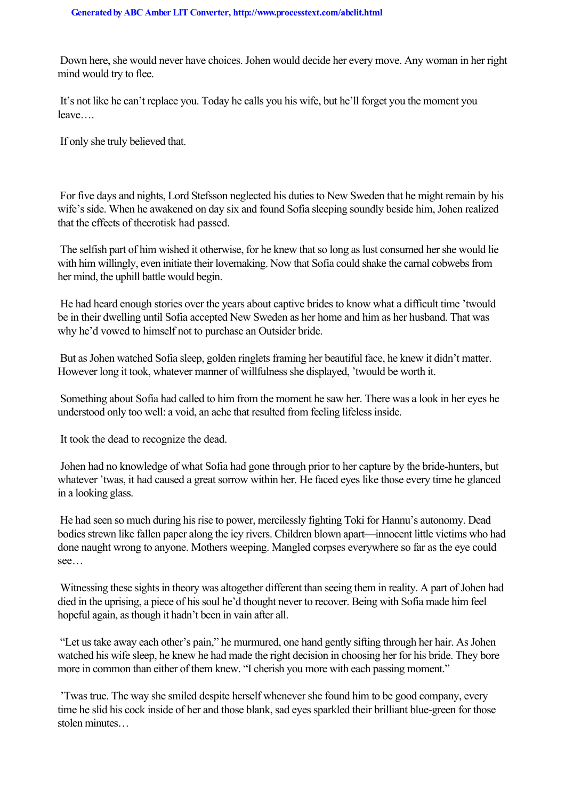Down here, she would never have choices. Johen would decide her every move. Any woman in her right mind would try to flee.

 It's not like he can't replace you. Today he calls you his wife, but he'll forget you the moment you leave….

If only she truly believed that.

 For five days and nights, Lord Stefsson neglected his duties to New Sweden that he might remain by his wife's side. When he awakened on day six and found Sofia sleeping soundly beside him, Johen realized that the effects of theerotisk had passed.

 The selfish part of him wished it otherwise, for he knew that so long as lust consumed her she would lie with him willingly, even initiate their lovemaking. Now that Sofia could shake the carnal cobwebs from her mind, the uphill battle would begin.

 He had heard enough stories over the years about captive brides to know what a difficult time 'twould be in their dwelling until Sofia accepted New Sweden as her home and him as her husband. That was why he'd vowed to himself not to purchase an Outsider bride.

 But as Johen watched Sofia sleep, golden ringlets framing her beautiful face, he knew it didn't matter. However long it took, whatever manner of willfulness she displayed, 'twould be worth it.

 Something about Sofia had called to him from the moment he saw her. There was a look in her eyes he understood only too well: a void, an ache that resulted from feeling lifeless inside.

It took the dead to recognize the dead.

 Johen had no knowledge of what Sofia had gone through prior to her capture by the bride-hunters, but whatever 'twas, it had caused a great sorrow within her. He faced eves like those every time he glanced in a looking glass.

 He had seen so much during his rise to power, mercilessly fighting Toki for Hannu's autonomy. Dead bodies strewn like fallen paper along the icy rivers. Children blown apart—innocent little victims who had done naught wrong to anyone. Mothers weeping. Mangled corpses everywhere so far as the eye could see…

 Witnessing these sights in theory was altogether different than seeing them in reality. A part of Johen had died in the uprising, a piece of his soul he'd thought never to recover. Being with Sofia made him feel hopeful again, as though it hadn't been in vain after all.

 "Let us take away each other's pain," he murmured, one hand gently sifting through her hair. As Johen watched his wife sleep, he knew he had made the right decision in choosing her for his bride. They bore more in common than either of them knew. "I cherish you more with each passing moment."

 'Twas true. The way she smiled despite herself whenever she found him to be good company, every time he slid his cock inside of her and those blank, sad eyes sparkled their brilliant blue-green for those stolen minutes…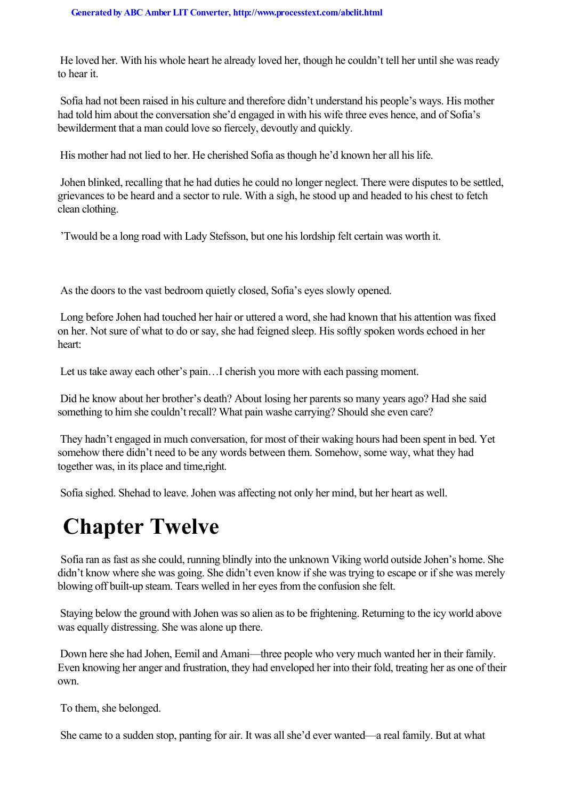He loved her. With his whole heart he already loved her, though he couldn't tell her until she was ready to hear it.

 Sofia had not been raised in his culture and therefore didn't understand his people's ways. His mother had told him about the conversation she'd engaged in with his wife three eves hence, and of Sofia's bewilderment that a man could love so fiercely, devoutly and quickly.

His mother had not lied to her. He cherished Sofia as though he'd known her all his life.

 Johen blinked, recalling that he had duties he could no longer neglect. There were disputes to be settled, grievances to be heard and a sector to rule. With a sigh, he stood up and headed to his chest to fetch clean clothing.

'Twould be a long road with Lady Stefsson, but one his lordship felt certain was worth it.

As the doors to the vast bedroom quietly closed, Sofia's eyes slowly opened.

 Long before Johen had touched her hair or uttered a word, she had known that his attention was fixed on her. Not sure of what to do or say, she had feigned sleep. His softly spoken words echoed in her heart:

Let us take away each other's pain...I cherish you more with each passing moment.

 Did he know about her brother's death? About losing her parents so many years ago? Had she said something to him she couldn't recall? What pain washe carrying? Should she even care?

 They hadn't engaged in much conversation, for most of their waking hours had been spent in bed. Yet somehow there didn't need to be any words between them. Somehow, some way, what they had together was, in its place and time,right.

Sofia sighed. Shehad to leave. Johen was affecting not only her mind, but her heart as well.

# **Chapter Twelve**

 Sofia ran as fast as she could, running blindly into the unknown Viking world outside Johen's home. She didn't know where she was going. She didn't even know if she was trying to escape or if she was merely blowing off built-up steam. Tears welled in her eyes from the confusion she felt.

 Staying below the ground with Johen was so alien as to be frightening. Returning to the icy world above was equally distressing. She was alone up there.

 Down here she had Johen, Eemil and Amani—three people who very much wanted her in their family. Even knowing her anger and frustration, they had enveloped her into their fold, treating her as one of their own.

To them, she belonged.

She came to a sudden stop, panting for air. It was all she'd ever wanted—a real family. But at what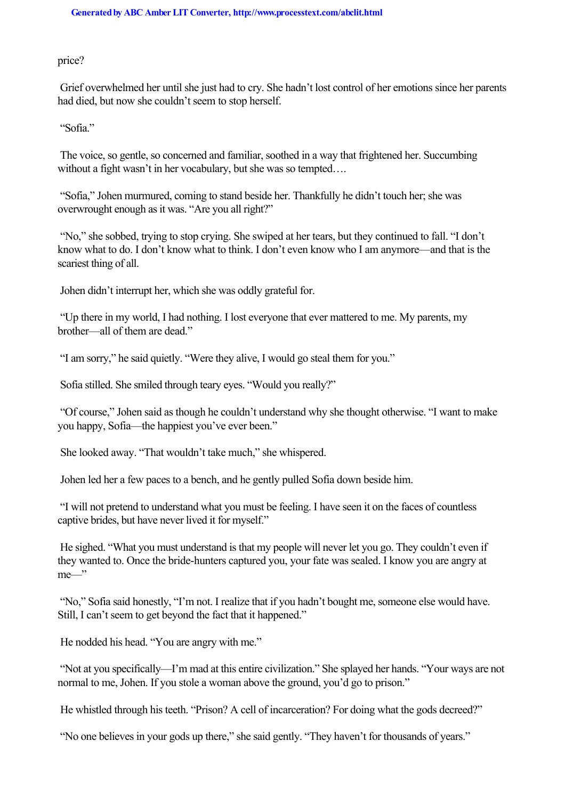price?

 Grief overwhelmed her until she just had to cry. She hadn't lost control of her emotions since her parents had died, but now she couldn't seem to stop herself.

"Sofia."

 The voice, so gentle, so concerned and familiar, soothed in a way that frightened her. Succumbing without a fight wasn't in her vocabulary, but she was so tempted....

 "Sofia," Johen murmured, coming to stand beside her. Thankfully he didn't touch her; she was overwrought enough as it was. "Are you all right?"

 "No," she sobbed, trying to stop crying. She swiped at her tears, but they continued to fall. "I don't know what to do. I don't know what to think. I don't even know who I am anymore—and that is the scariest thing of all.

Johen didn't interrupt her, which she was oddly grateful for.

 "Up there in my world, I had nothing. I lost everyone that ever mattered to me. My parents, my brother—all of them are dead."

"I am sorry," he said quietly. "Were they alive, I would go steal them for you."

Sofia stilled. She smiled through teary eyes. "Would you really?"

 "Of course," Johen said as though he couldn't understand why she thought otherwise. "I want to make you happy, Sofia—the happiest you've ever been."

She looked away. "That wouldn't take much," she whispered.

Johen led her a few paces to a bench, and he gently pulled Sofia down beside him.

 "I will not pretend to understand what you must be feeling. I have seen it on the faces of countless captive brides, but have never lived it for myself."

 He sighed. "What you must understand is that my people will never let you go. They couldn't even if they wanted to. Once the bride-hunters captured you, your fate was sealed. I know you are angry at me—"

 "No," Sofia said honestly, "I'm not. I realize that if you hadn't bought me, someone else would have. Still, I can't seem to get beyond the fact that it happened."

He nodded his head. "You are angry with me."

 "Not at you specifically—I'm mad at this entire civilization." She splayed her hands. "Your ways are not normal to me, Johen. If you stole a woman above the ground, you'd go to prison."

He whistled through his teeth. "Prison? A cell of incarceration? For doing what the gods decreed?"

"No one believes in your gods up there," she said gently. "They haven't for thousands of years."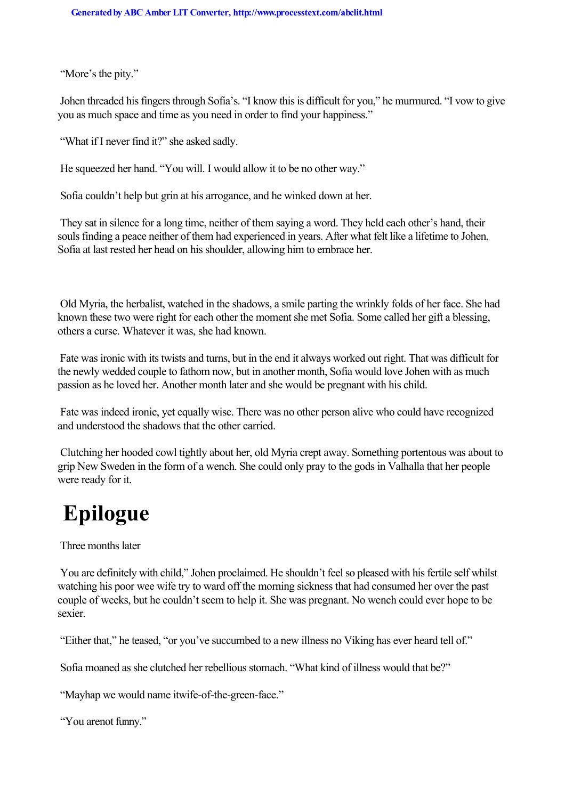"More's the pity."

 Johen threaded his fingers through Sofia's. "I know this is difficult for you," he murmured. "I vow to give you as much space and time as you need in order to find your happiness."

"What if I never find it?" she asked sadly.

He squeezed her hand. "You will. I would allow it to be no other way."

Sofia couldn't help but grin at his arrogance, and he winked down at her.

 They sat in silence for a long time, neither of them saying a word. They held each other's hand, their souls finding a peace neither of them had experienced in years. After what felt like a lifetime to Johen, Sofia at last rested her head on his shoulder, allowing him to embrace her.

 Old Myria, the herbalist, watched in the shadows, a smile parting the wrinkly folds of her face. She had known these two were right for each other the moment she met Sofia. Some called her gift a blessing, others a curse. Whatever it was, she had known.

 Fate was ironic with its twists and turns, but in the end it always worked out right. That was difficult for the newly wedded couple to fathom now, but in another month, Sofia would love Johen with as much passion as he loved her. Another month later and she would be pregnant with his child.

 Fate was indeed ironic, yet equally wise. There was no other person alive who could have recognized and understood the shadows that the other carried.

 Clutching her hooded cowl tightly about her, old Myria crept away. Something portentous was about to grip New Sweden in the form of a wench. She could only pray to the gods in Valhalla that her people were ready for it.

# **Epilogue**

Three months later

 You are definitely with child," Johen proclaimed. He shouldn't feel so pleased with his fertile self whilst watching his poor wee wife try to ward off the morning sickness that had consumed her over the past couple of weeks, but he couldn't seem to help it. She was pregnant. No wench could ever hope to be sexier.

"Either that," he teased, "or you've succumbed to a new illness no Viking has ever heard tell of."

Sofia moaned as she clutched her rebellious stomach. "What kind of illness would that be?"

"Mayhap we would name itwife-of-the-green-face."

"You arenot funny."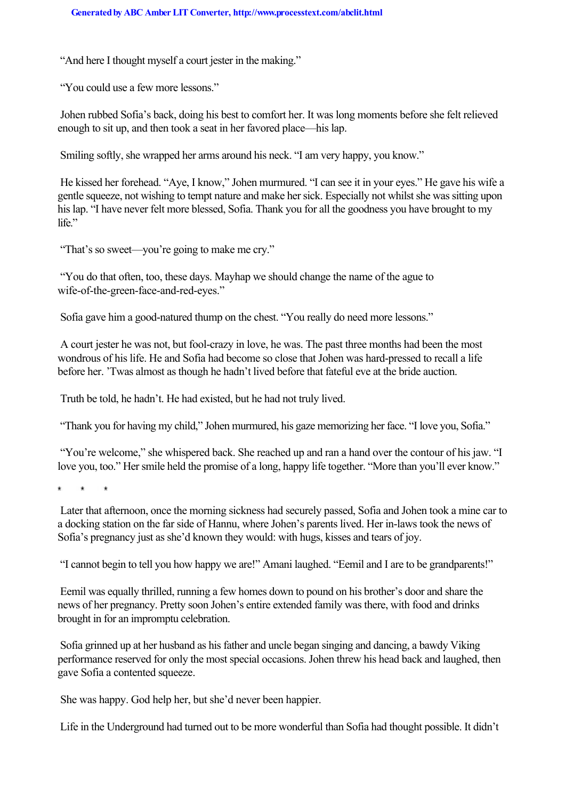"And here I thought myself a court jester in the making."

"You could use a few more lessons."

 Johen rubbed Sofia's back, doing his best to comfort her. It was long moments before she felt relieved enough to sit up, and then took a seat in her favored place—his lap.

Smiling softly, she wrapped her arms around his neck. "I am very happy, you know."

 He kissed her forehead. "Aye, I know," Johen murmured. "I can see it in your eyes." He gave his wife a gentle squeeze, not wishing to tempt nature and make her sick. Especially not whilst she was sitting upon his lap. "I have never felt more blessed, Sofia. Thank you for all the goodness you have brought to my life"

"That's so sweet—you're going to make me cry."

 "You do that often, too, these days. Mayhap we should change the name of the ague to wife-of-the-green-face-and-red-eyes."

Sofia gave him a good-natured thump on the chest. "You really do need more lessons."

 A court jester he was not, but fool-crazy in love, he was. The past three months had been the most wondrous of his life. He and Sofia had become so close that Johen was hard-pressed to recall a life before her. 'Twas almost as though he hadn't lived before that fateful eve at the bride auction.

Truth be told, he hadn't. He had existed, but he had not truly lived.

"Thank you for having my child," Johen murmured, his gaze memorizing her face. "I love you, Sofia."

 "You're welcome," she whispered back. She reached up and ran a hand over the contour of his jaw. "I love you, too." Her smile held the promise of a long, happy life together. "More than you'll ever know."

 $\ddot{\phantom{a}}$ 

 Later that afternoon, once the morning sickness had securely passed, Sofia and Johen took a mine car to a docking station on the far side of Hannu, where Johen's parents lived. Her in-laws took the news of Sofia's pregnancy just as she'd known they would: with hugs, kisses and tears of joy.

"I cannot begin to tell you how happy we are!" Amani laughed. "Eemil and I are to be grandparents!"

 Eemil was equally thrilled, running a few homes down to pound on his brother's door and share the news of her pregnancy. Pretty soon Johen's entire extended family was there, with food and drinks brought in for an impromptu celebration.

 Sofia grinned up at her husband as his father and uncle began singing and dancing, a bawdy Viking performance reserved for only the most special occasions. Johen threw his head back and laughed, then gave Sofia a contented squeeze.

She was happy. God help her, but she'd never been happier.

Life in the Underground had turned out to be more wonderful than Sofia had thought possible. It didn't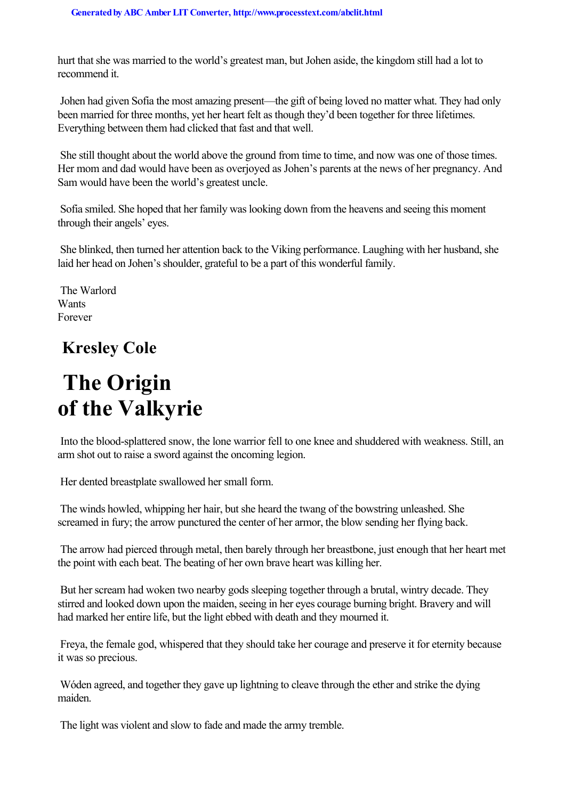hurt that she was married to the world's greatest man, but Johen aside, the kingdom still had a lot to recommend it.

 Johen had given Sofia the most amazing present—the gift of being loved no matter what. They had only been married for three months, yet her heart felt as though they'd been together for three lifetimes. Everything between them had clicked that fast and that well.

 She still thought about the world above the ground from time to time, and now was one of those times. Her mom and dad would have been as overjoyed as Johen's parents at the news of her pregnancy. And Sam would have been the world's greatest uncle.

 Sofia smiled. She hoped that her family was looking down from the heavens and seeing this moment through their angels' eyes.

 She blinked, then turned her attention back to the Viking performance. Laughing with her husband, she laid her head on Johen's shoulder, grateful to be a part of this wonderful family.

 The Warlord **Wants** Forever

### **Kresley Cole**

# **The Origin of the Valkyrie**

 Into the blood-splattered snow, the lone warrior fell to one knee and shuddered with weakness. Still, an arm shot out to raise a sword against the oncoming legion.

Her dented breastplate swallowed her small form.

 The winds howled, whipping her hair, but she heard the twang of the bowstring unleashed. She screamed in fury; the arrow punctured the center of her armor, the blow sending her flying back.

 The arrow had pierced through metal, then barely through her breastbone, just enough that her heart met the point with each beat. The beating of her own brave heart was killing her.

 But her scream had woken two nearby gods sleeping together through a brutal, wintry decade. They stirred and looked down upon the maiden, seeing in her eyes courage burning bright. Bravery and will had marked her entire life, but the light ebbed with death and they mourned it.

 Freya, the female god, whispered that they should take her courage and preserve it for eternity because it was so precious.

 Wóden agreed, and together they gave up lightning to cleave through the ether and strike the dying maiden.

The light was violent and slow to fade and made the army tremble.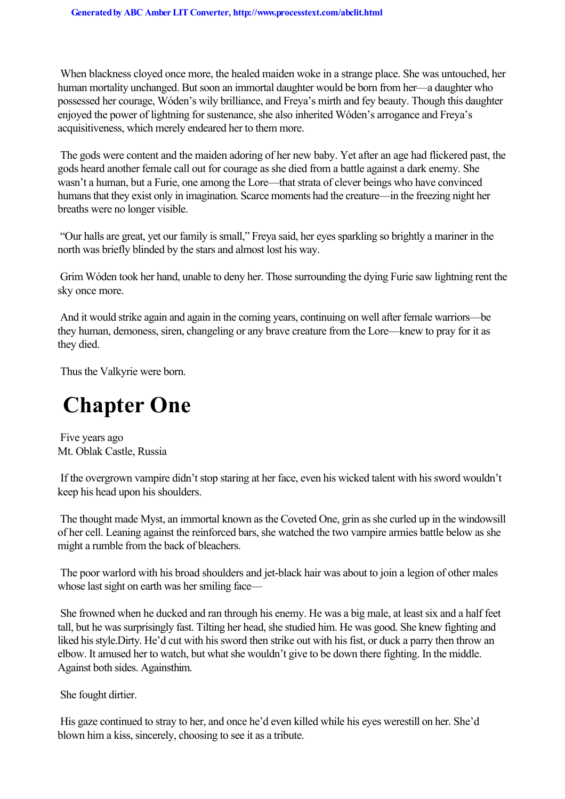When blackness cloyed once more, the healed maiden woke in a strange place. She was untouched, her human mortality unchanged. But soon an immortal daughter would be born from her—a daughter who possessed her courage, Wóden's wily brilliance, and Freya's mirth and fey beauty. Though this daughter enjoyed the power of lightning for sustenance, she also inherited Wóden's arrogance and Freya's acquisitiveness, which merely endeared her to them more.

 The gods were content and the maiden adoring of her new baby. Yet after an age had flickered past, the gods heard another female call out for courage as she died from a battle against a dark enemy. She wasn't a human, but a Furie, one among the Lore—that strata of clever beings who have convinced humans that they exist only in imagination. Scarce moments had the creature—in the freezing night her breaths were no longer visible.

 "Our halls are great, yet our family is small," Freya said, her eyes sparkling so brightly a mariner in the north was briefly blinded by the stars and almost lost his way.

 Grim Wóden took her hand, unable to deny her. Those surrounding the dying Furie saw lightning rent the sky once more.

 And it would strike again and again in the coming years, continuing on well after female warriors—be they human, demoness, siren, changeling or any brave creature from the Lore—knew to pray for it as they died.

Thus the Valkyrie were born.

## **Chapter One**

 Five years ago Mt. Oblak Castle, Russia

 If the overgrown vampire didn't stop staring at her face, even his wicked talent with his sword wouldn't keep his head upon his shoulders.

 The thought made Myst, an immortal known as the Coveted One, grin as she curled up in the windowsill of her cell. Leaning against the reinforced bars, she watched the two vampire armies battle below as she might a rumble from the back of bleachers.

 The poor warlord with his broad shoulders and jet-black hair was about to join a legion of other males whose last sight on earth was her smiling face—

 She frowned when he ducked and ran through his enemy. He was a big male, at least six and a half feet tall, but he was surprisingly fast. Tilting her head, she studied him. He was good. She knew fighting and liked his style.Dirty. He'd cut with his sword then strike out with his fist, or duck a parry then throw an elbow. It amused her to watch, but what she wouldn't give to be down there fighting. In the middle. Against both sides. Againsthim.

She fought dirtier.

 His gaze continued to stray to her, and once he'd even killed while his eyes werestill on her. She'd blown him a kiss, sincerely, choosing to see it as a tribute.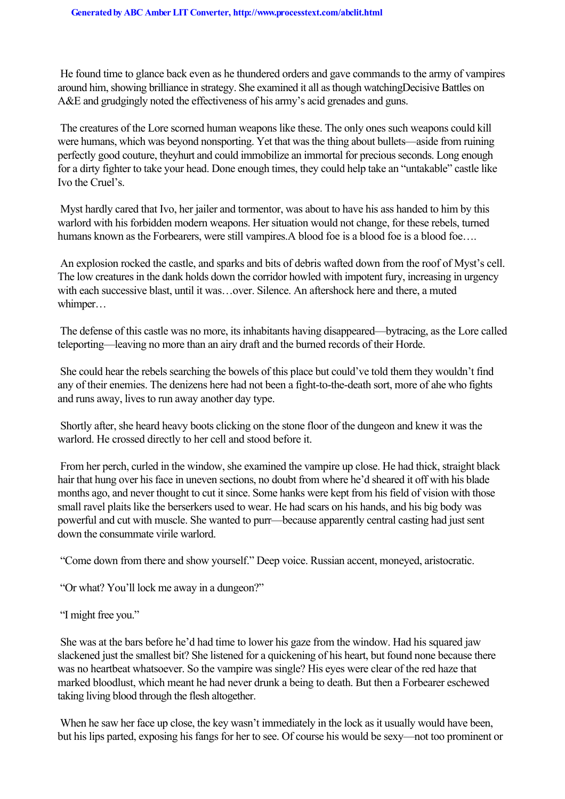He found time to glance back even as he thundered orders and gave commands to the army of vampires around him, showing brilliance in strategy. She examined it all as though watchingDecisive Battles on A&E and grudgingly noted the effectiveness of his army's acid grenades and guns.

 The creatures of the Lore scorned human weapons like these. The only ones such weapons could kill were humans, which was beyond nonsporting. Yet that was the thing about bullets—aside from ruining perfectly good couture, theyhurt and could immobilize an immortal for precious seconds. Long enough for a dirty fighter to take your head. Done enough times, they could help take an "untakable" castle like Ivo the Cruel's.

 Myst hardly cared that Ivo, her jailer and tormentor, was about to have his ass handed to him by this warlord with his forbidden modern weapons. Her situation would not change, for these rebels, turned humans known as the Forbearers, were still vampires. A blood foe is a blood foe is a blood foe....

 An explosion rocked the castle, and sparks and bits of debris wafted down from the roof of Myst's cell. The low creatures in the dank holds down the corridor howled with impotent fury, increasing in urgency with each successive blast, until it was...over. Silence. An aftershock here and there, a muted whimper…

 The defense of this castle was no more, its inhabitants having disappeared—bytracing, as the Lore called teleporting—leaving no more than an airy draft and the burned records of their Horde.

 She could hear the rebels searching the bowels of this place but could've told them they wouldn't find any of their enemies. The denizens here had not been a fight-to-the-death sort, more of ahe who fights and runs away, lives to run away another day type.

 Shortly after, she heard heavy boots clicking on the stone floor of the dungeon and knew it was the warlord. He crossed directly to her cell and stood before it.

 From her perch, curled in the window, she examined the vampire up close. He had thick, straight black hair that hung over his face in uneven sections, no doubt from where he'd sheared it off with his blade months ago, and never thought to cut it since. Some hanks were kept from his field of vision with those small ravel plaits like the berserkers used to wear. He had scars on his hands, and his big body was powerful and cut with muscle. She wanted to purr—because apparently central casting had just sent down the consummate virile warlord.

"Come down from there and show yourself." Deep voice. Russian accent, moneyed, aristocratic.

"Or what? You'll lock me away in a dungeon?"

"I might free you."

 She was at the bars before he'd had time to lower his gaze from the window. Had his squared jaw slackened just the smallest bit? She listened for a quickening of his heart, but found none because there was no heartbeat whatsoever. So the vampire was single? His eyes were clear of the red haze that marked bloodlust, which meant he had never drunk a being to death. But then a Forbearer eschewed taking living blood through the flesh altogether.

When he saw her face up close, the key wasn't immediately in the lock as it usually would have been, but his lips parted, exposing his fangs for her to see. Of course his would be sexy—not too prominent or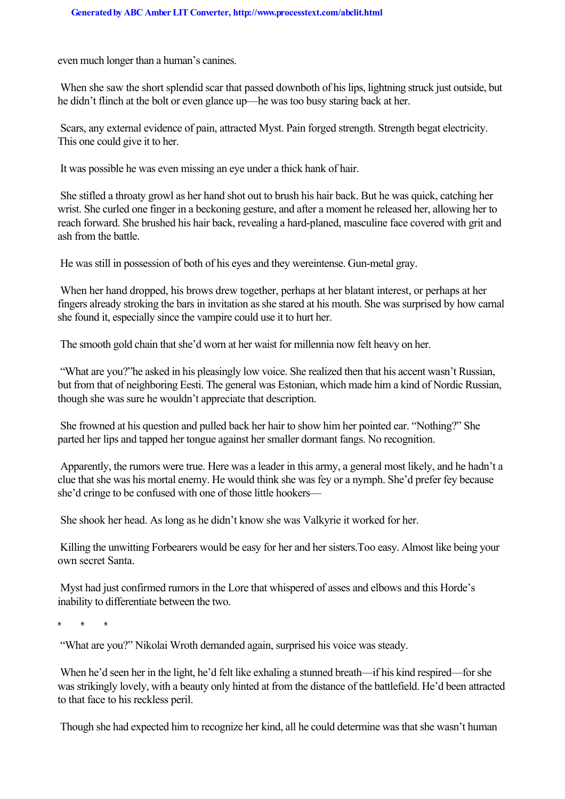even much longer than a human's canines.

 When she saw the short splendid scar that passed downboth of his lips, lightning struck just outside, but he didn't flinch at the bolt or even glance up—he was too busy staring back at her.

 Scars, any external evidence of pain, attracted Myst. Pain forged strength. Strength begat electricity. This one could give it to her.

It was possible he was even missing an eye under a thick hank of hair.

 She stifled a throaty growl as her hand shot out to brush his hair back. But he was quick, catching her wrist. She curled one finger in a beckoning gesture, and after a moment he released her, allowing her to reach forward. She brushed his hair back, revealing a hard-planed, masculine face covered with grit and ash from the battle.

He was still in possession of both of his eyes and they wereintense. Gun-metal gray.

 When her hand dropped, his brows drew together, perhaps at her blatant interest, or perhaps at her fingers already stroking the bars in invitation as she stared at his mouth. She was surprised by how carnal she found it, especially since the vampire could use it to hurt her.

The smooth gold chain that she'd worn at her waist for millennia now felt heavy on her.

 "What are you?"he asked in his pleasingly low voice. She realized then that his accent wasn't Russian, but from that of neighboring Eesti. The general was Estonian, which made him a kind of Nordic Russian, though she was sure he wouldn't appreciate that description.

 She frowned at his question and pulled back her hair to show him her pointed ear. "Nothing?" She parted her lips and tapped her tongue against her smaller dormant fangs. No recognition.

 Apparently, the rumors were true. Here was a leader in this army, a general most likely, and he hadn't a clue that she was his mortal enemy. He would think she was fey or a nymph. She'd prefer fey because she'd cringe to be confused with one of those little hookers—

She shook her head. As long as he didn't know she was Valkyrie it worked for her.

 Killing the unwitting Forbearers would be easy for her and her sisters.Too easy. Almost like being your own secret Santa.

 Myst had just confirmed rumors in the Lore that whispered of asses and elbows and this Horde's inability to differentiate between the two.

"What are you?" Nikolai Wroth demanded again, surprised his voice was steady.

 When he'd seen her in the light, he'd felt like exhaling a stunned breath—if his kind respired—for she was strikingly lovely, with a beauty only hinted at from the distance of the battlefield. He'd been attracted to that face to his reckless peril.

Though she had expected him to recognize her kind, all he could determine was that she wasn't human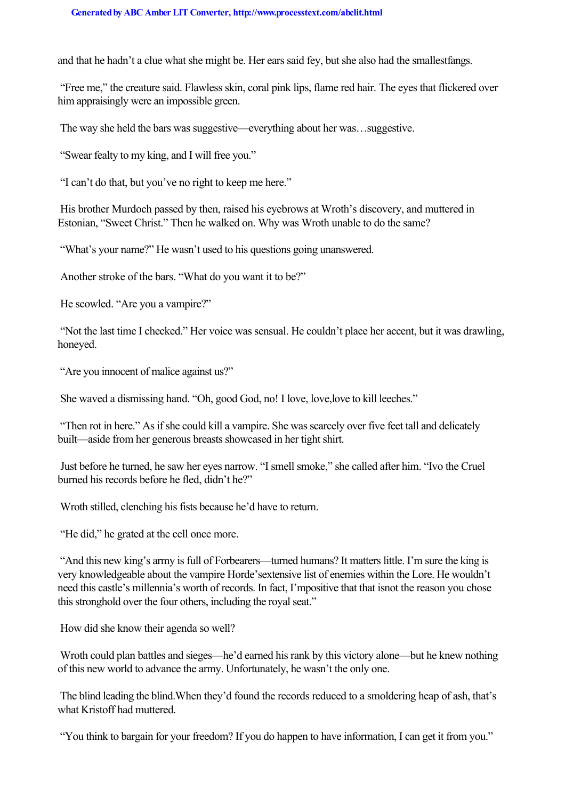### **Generated by ABC Amber LIT Converter, <http://www.processtext.com/abclit.html>**

and that he hadn't a clue what she might be. Her ears said fey, but she also had the smallestfangs.

 "Free me," the creature said. Flawless skin, coral pink lips, flame red hair. The eyes that flickered over him appraisingly were an impossible green.

The way she held the bars was suggestive—everything about her was…suggestive.

"Swear fealty to my king, and I will free you."

"I can't do that, but you've no right to keep me here."

 His brother Murdoch passed by then, raised his eyebrows at Wroth's discovery, and muttered in Estonian, "Sweet Christ." Then he walked on. Why was Wroth unable to do the same?

"What's your name?" He wasn't used to his questions going unanswered.

Another stroke of the bars. "What do you want it to be?"

He scowled. "Are you a vampire?"

 "Not the last time I checked." Her voice was sensual. He couldn't place her accent, but it was drawling, honeyed.

"Are you innocent of malice against us?"

She waved a dismissing hand. "Oh, good God, no! I love, love,love to kill leeches."

 "Then rot in here." As if she could kill a vampire. She was scarcely over five feet tall and delicately built—aside from her generous breasts showcased in her tight shirt.

 Just before he turned, he saw her eyes narrow. "I smell smoke," she called after him. "Ivo the Cruel burned his records before he fled, didn't he?"

Wroth stilled, clenching his fists because he'd have to return.

"He did," he grated at the cell once more.

 "And this new king's army is full of Forbearers—turned humans? It matters little. I'm sure the king is very knowledgeable about the vampire Horde'sextensive list of enemies within the Lore. He wouldn't need this castle's millennia's worth of records. In fact, I'mpositive that that isnot the reason you chose this stronghold over the four others, including the royal seat."

How did she know their agenda so well?

Wroth could plan battles and sieges—he'd earned his rank by this victory alone—but he knew nothing of this new world to advance the army. Unfortunately, he wasn't the only one.

 The blind leading the blind.When they'd found the records reduced to a smoldering heap of ash, that's what Kristoff had muttered.

"You think to bargain for your freedom? If you do happen to have information, I can get it from you."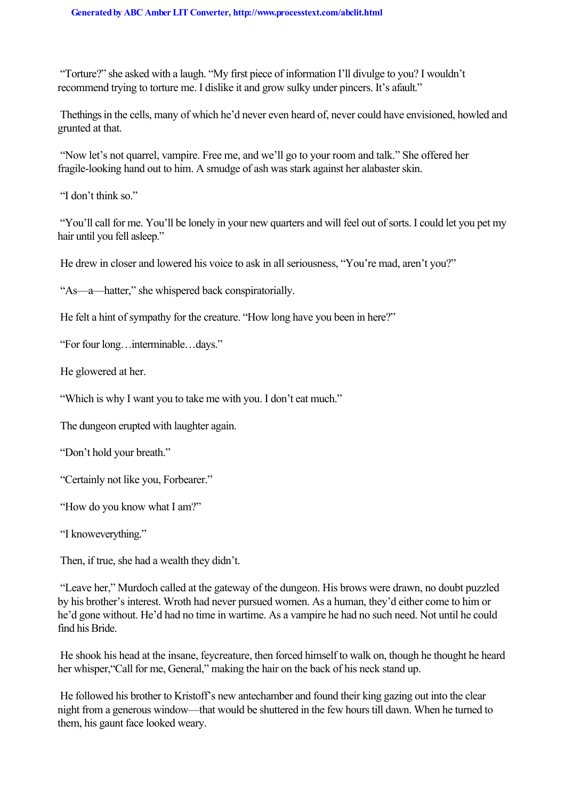"Torture?" she asked with a laugh. "My first piece of information I'll divulge to you? I wouldn't recommend trying to torture me. I dislike it and grow sulky under pincers. It's afault."

 Thethings in the cells, many of which he'd never even heard of, never could have envisioned, howled and grunted at that.

 "Now let's not quarrel, vampire. Free me, and we'll go to your room and talk." She offered her fragile-looking hand out to him. A smudge of ash was stark against her alabaster skin.

"I don't think so."

 "You'll call for me. You'll be lonely in your new quarters and will feel out of sorts. I could let you pet my hair until you fell asleep."

He drew in closer and lowered his voice to ask in all seriousness, "You're mad, aren't vou?"

"As—a—hatter," she whispered back conspiratorially.

He felt a hint of sympathy for the creature. "How long have you been in here?"

"For four long…interminable…days."

He glowered at her.

"Which is why I want you to take me with you. I don't eat much."

The dungeon erupted with laughter again.

"Don't hold your breath."

"Certainly not like you, Forbearer."

"How do you know what I am?"

"I knoweverything."

Then, if true, she had a wealth they didn't.

 "Leave her," Murdoch called at the gateway of the dungeon. His brows were drawn, no doubt puzzled by his brother's interest. Wroth had never pursued women. As a human, they'd either come to him or he'd gone without. He'd had no time in wartime. As a vampire he had no such need. Not until he could find his Bride.

 He shook his head at the insane, feycreature, then forced himself to walk on, though he thought he heard her whisper, "Call for me, General," making the hair on the back of his neck stand up.

 He followed his brother to Kristoff's new antechamber and found their king gazing out into the clear night from a generous window—that would be shuttered in the few hours till dawn. When he turned to them, his gaunt face looked weary.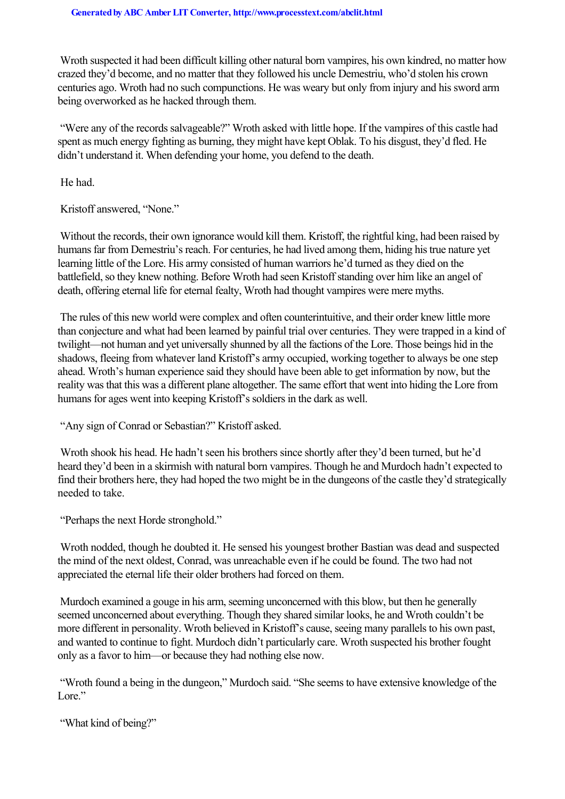Wroth suspected it had been difficult killing other natural born vampires, his own kindred, no matter how crazed they'd become, and no matter that they followed his uncle Demestriu, who'd stolen his crown centuries ago. Wroth had no such compunctions. He was weary but only from injury and his sword arm being overworked as he hacked through them.

 "Were any of the records salvageable?" Wroth asked with little hope. If the vampires of this castle had spent as much energy fighting as burning, they might have kept Oblak. To his disgust, they'd fled. He didn't understand it. When defending your home, you defend to the death.

He had.

Kristoff answered, "None."

Without the records, their own ignorance would kill them. Kristoff, the rightful king, had been raised by humans far from Demestriu's reach. For centuries, he had lived among them, hiding his true nature yet learning little of the Lore. His army consisted of human warriors he'd turned as they died on the battlefield, so they knew nothing. Before Wroth had seen Kristoff standing over him like an angel of death, offering eternal life for eternal fealty, Wroth had thought vampires were mere myths.

 The rules of this new world were complex and often counterintuitive, and their order knew little more than conjecture and what had been learned by painful trial over centuries. They were trapped in a kind of twilight—not human and yet universally shunned by all the factions of the Lore. Those beings hid in the shadows, fleeing from whatever land Kristoff's army occupied, working together to always be one step ahead. Wroth's human experience said they should have been able to get information by now, but the reality was that this was a different plane altogether. The same effort that went into hiding the Lore from humans for ages went into keeping Kristoff's soldiers in the dark as well.

"Any sign of Conrad or Sebastian?" Kristoff asked.

 Wroth shook his head. He hadn't seen his brothers since shortly after they'd been turned, but he'd heard they'd been in a skirmish with natural born vampires. Though he and Murdoch hadn't expected to find their brothers here, they had hoped the two might be in the dungeons of the castle they'd strategically needed to take.

"Perhaps the next Horde stronghold."

 Wroth nodded, though he doubted it. He sensed his youngest brother Bastian was dead and suspected the mind of the next oldest, Conrad, was unreachable even if he could be found. The two had not appreciated the eternal life their older brothers had forced on them.

 Murdoch examined a gouge in his arm, seeming unconcerned with this blow, but then he generally seemed unconcerned about everything. Though they shared similar looks, he and Wroth couldn't be more different in personality. Wroth believed in Kristoff's cause, seeing many parallels to his own past, and wanted to continue to fight. Murdoch didn't particularly care. Wroth suspected his brother fought only as a favor to him—or because they had nothing else now.

 "Wroth found a being in the dungeon," Murdoch said. "She seems to have extensive knowledge of the Lore"

"What kind of being?"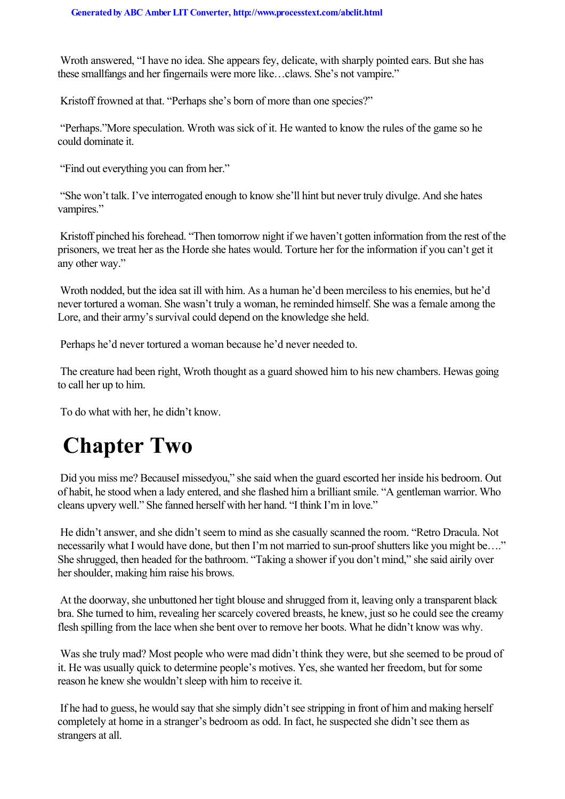Wroth answered, "I have no idea. She appears fey, delicate, with sharply pointed ears. But she has these smallfangs and her fingernails were more like…claws. She's not vampire."

Kristoff frowned at that. "Perhaps she's born of more than one species?"

 "Perhaps."More speculation. Wroth was sick of it. He wanted to know the rules of the game so he could dominate it.

"Find out everything you can from her."

 "She won't talk. I've interrogated enough to know she'll hint but never truly divulge. And she hates vampires."

 Kristoff pinched his forehead. "Then tomorrow night if we haven't gotten information from the rest of the prisoners, we treat her as the Horde she hates would. Torture her for the information if you can't get it any other way."

 Wroth nodded, but the idea sat ill with him. As a human he'd been merciless to his enemies, but he'd never tortured a woman. She wasn't truly a woman, he reminded himself. She was a female among the Lore, and their army's survival could depend on the knowledge she held.

Perhaps he'd never tortured a woman because he'd never needed to.

 The creature had been right, Wroth thought as a guard showed him to his new chambers. Hewas going to call her up to him.

To do what with her, he didn't know.

# **Chapter Two**

 Did you miss me? BecauseI missedyou," she said when the guard escorted her inside his bedroom. Out of habit, he stood when a lady entered, and she flashed him a brilliant smile. "A gentleman warrior. Who cleans upvery well." She fanned herself with her hand. "I think I'm in love."

 He didn't answer, and she didn't seem to mind as she casually scanned the room. "Retro Dracula. Not necessarily what I would have done, but then I'm not married to sun-proof shutters like you might be…." She shrugged, then headed for the bathroom. "Taking a shower if you don't mind," she said airily over her shoulder, making him raise his brows.

 At the doorway, she unbuttoned her tight blouse and shrugged from it, leaving only a transparent black bra. She turned to him, revealing her scarcely covered breasts, he knew, just so he could see the creamy flesh spilling from the lace when she bent over to remove her boots. What he didn't know was why.

Was she truly mad? Most people who were mad didn't think they were, but she seemed to be proud of it. He was usually quick to determine people's motives. Yes, she wanted her freedom, but for some reason he knew she wouldn't sleep with him to receive it.

 If he had to guess, he would say that she simply didn't see stripping in front of him and making herself completely at home in a stranger's bedroom as odd. In fact, he suspected she didn't see them as strangers at all.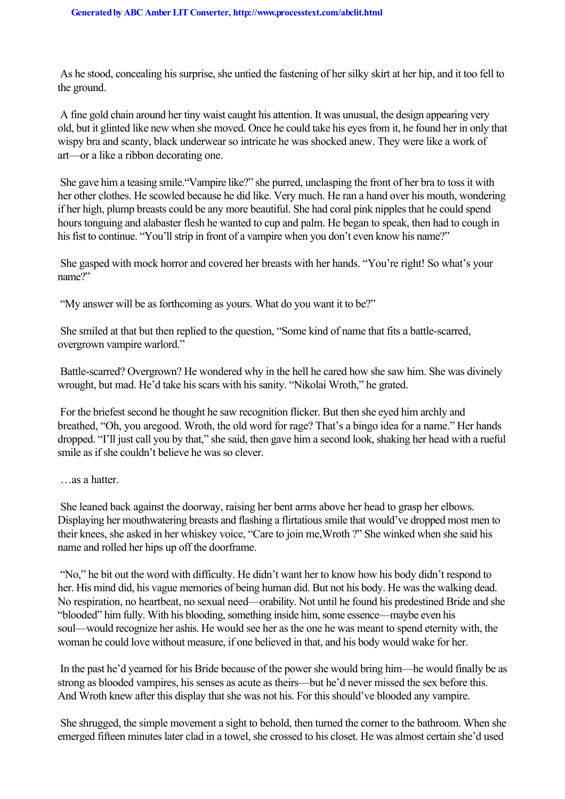As he stood, concealing his surprise, she untied the fastening of her silky skirt at her hip, and it too fell to the ground.

 A fine gold chain around her tiny waist caught his attention. It was unusual, the design appearing very old, but it glinted like new when she moved. Once he could take his eyes from it, he found her in only that wispy bra and scanty, black underwear so intricate he was shocked anew. They were like a work of art—or a like a ribbon decorating one.

 She gave him a teasing smile."Vampire like?" she purred, unclasping the front of her bra to toss it with her other clothes. He scowled because he did like. Very much. He ran a hand over his mouth, wondering if her high, plump breasts could be any more beautiful. She had coral pink nipples that he could spend hours tonguing and alabaster flesh he wanted to cup and palm. He began to speak, then had to cough in his fist to continue. "You'll strip in front of a vampire when you don't even know his name?"

 She gasped with mock horror and covered her breasts with her hands. "You're right! So what's your name?"

"My answer will be as forthcoming as yours. What do you want it to be?"

 She smiled at that but then replied to the question, "Some kind of name that fits a battle-scarred, overgrown vampire warlord."

 Battle-scarred? Overgrown? He wondered why in the hell he cared how she saw him. She was divinely wrought, but mad. He'd take his scars with his sanity. "Nikolai Wroth," he grated.

 For the briefest second he thought he saw recognition flicker. But then she eyed him archly and breathed, "Oh, you aregood. Wroth, the old word for rage? That's a bingo idea for a name." Her hands dropped. "I'll just call you by that," she said, then gave him a second look, shaking her head with a rueful smile as if she couldn't believe he was so clever.

…as a hatter.

 She leaned back against the doorway, raising her bent arms above her head to grasp her elbows. Displaying her mouthwatering breasts and flashing a flirtatious smile that would've dropped most men to their knees, she asked in her whiskey voice, "Care to join me,Wroth ?" She winked when she said his name and rolled her hips up off the doorframe.

 "No," he bit out the word with difficulty. He didn't want her to know how his body didn't respond to her. His mind did, his vague memories of being human did. But not his body. He was the walking dead. No respiration, no heartbeat, no sexual need—orability. Not until he found his predestined Bride and she "blooded" him fully. With his blooding, something inside him, some essence—maybe even his soul—would recognize her ashis. He would see her as the one he was meant to spend eternity with, the woman he could love without measure, if one believed in that, and his body would wake for her.

 In the past he'd yearned for his Bride because of the power she would bring him—he would finally be as strong as blooded vampires, his senses as acute as theirs—but he'd never missed the sex before this. And Wroth knew after this display that she was not his. For this should've blooded any vampire.

 She shrugged, the simple movement a sight to behold, then turned the corner to the bathroom. When she emerged fifteen minutes later clad in a towel, she crossed to his closet. He was almost certain she'd used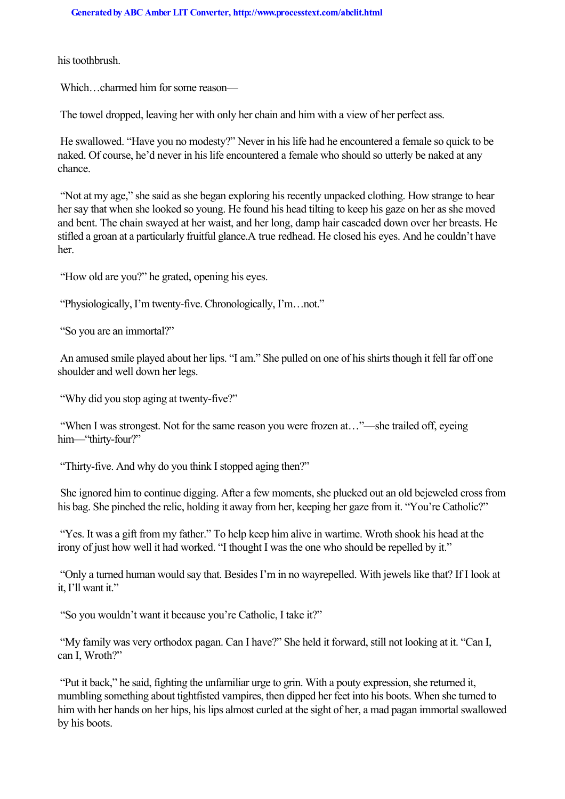#### **Generated by ABC Amber LIT Converter, <http://www.processtext.com/abclit.html>**

his toothbrush.

Which…charmed him for some reason—

The towel dropped, leaving her with only her chain and him with a view of her perfect ass.

 He swallowed. "Have you no modesty?" Never in his life had he encountered a female so quick to be naked. Of course, he'd never in his life encountered a female who should so utterly be naked at any chance.

 "Not at my age," she said as she began exploring his recently unpacked clothing. How strange to hear her say that when she looked so young. He found his head tilting to keep his gaze on her as she moved and bent. The chain swayed at her waist, and her long, damp hair cascaded down over her breasts. He stifled a groan at a particularly fruitful glance.A true redhead. He closed his eyes. And he couldn't have her.

"How old are you?" he grated, opening his eyes.

"Physiologically, I'm twenty-five. Chronologically, I'm…not."

"So you are an immortal?"

 An amused smile played about her lips. "I am." She pulled on one of his shirts though it fell far off one shoulder and well down her legs.

"Why did you stop aging at twenty-five?"

 "When I was strongest. Not for the same reason you were frozen at…"—she trailed off, eyeing him—"thirty-four?"

"Thirty-five. And why do you think I stopped aging then?"

 She ignored him to continue digging. After a few moments, she plucked out an old bejeweled cross from his bag. She pinched the relic, holding it away from her, keeping her gaze from it. "You're Catholic?"

 "Yes. It was a gift from my father." To help keep him alive in wartime. Wroth shook his head at the irony of just how well it had worked. "I thought I was the one who should be repelled by it."

 "Only a turned human would say that. Besides I'm in no wayrepelled. With jewels like that? If I look at it, I'll want it."

"So you wouldn't want it because you're Catholic, I take it?"

 "My family was very orthodox pagan. Can I have?" She held it forward, still not looking at it. "Can I, can I, Wroth?"

 "Put it back," he said, fighting the unfamiliar urge to grin. With a pouty expression, she returned it, mumbling something about tightfisted vampires, then dipped her feet into his boots. When she turned to him with her hands on her hips, his lips almost curled at the sight of her, a mad pagan immortal swallowed by his boots.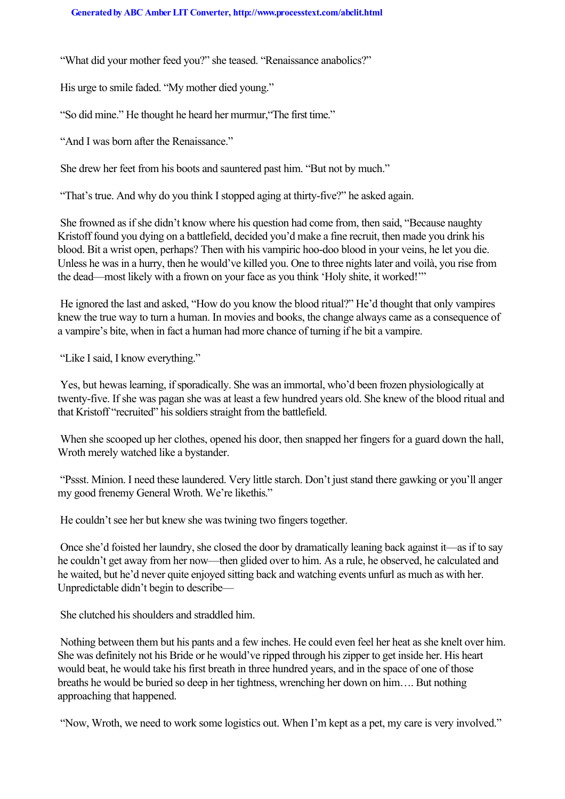"What did your mother feed you?" she teased. "Renaissance anabolics?"

His urge to smile faded. "My mother died young."

"So did mine." He thought he heard her murmur,"The first time."

"And I was born after the Renaissance."

She drew her feet from his boots and sauntered past him. "But not by much."

"That's true. And why do you think I stopped aging at thirty-five?" he asked again.

 She frowned as if she didn't know where his question had come from, then said, "Because naughty Kristoff found you dying on a battlefield, decided you'd make a fine recruit, then made you drink his blood. Bit a wrist open, perhaps? Then with his vampiric hoo-doo blood in your veins, he let you die. Unless he was in a hurry, then he would've killed you. One to three nights later and voilà, you rise from the dead—most likely with a frown on your face as you think 'Holy shite, it worked!'"

 He ignored the last and asked, "How do you know the blood ritual?" He'd thought that only vampires knew the true way to turn a human. In movies and books, the change always came as a consequence of a vampire's bite, when in fact a human had more chance of turning if he bit a vampire.

"Like I said, I know everything."

 Yes, but hewas learning, if sporadically. She was an immortal, who'd been frozen physiologically at twenty-five. If she was pagan she was at least a few hundred years old. She knew of the blood ritual and that Kristoff "recruited" his soldiers straight from the battlefield.

 When she scooped up her clothes, opened his door, then snapped her fingers for a guard down the hall, Wroth merely watched like a bystander.

 "Pssst. Minion. I need these laundered. Very little starch. Don't just stand there gawking or you'll anger my good frenemy General Wroth. We're likethis."

He couldn't see her but knew she was twining two fingers together.

 Once she'd foisted her laundry, she closed the door by dramatically leaning back against it—as if to say he couldn't get away from her now—then glided over to him. As a rule, he observed, he calculated and he waited, but he'd never quite enjoyed sitting back and watching events unfurl as much as with her. Unpredictable didn't begin to describe—

She clutched his shoulders and straddled him.

 Nothing between them but his pants and a few inches. He could even feel her heat as she knelt over him. She was definitely not his Bride or he would've ripped through his zipper to get inside her. His heart would beat, he would take his first breath in three hundred years, and in the space of one of those breaths he would be buried so deep in her tightness, wrenching her down on him…. But nothing approaching that happened.

"Now, Wroth, we need to work some logistics out. When I'm kept as a pet, my care is very involved."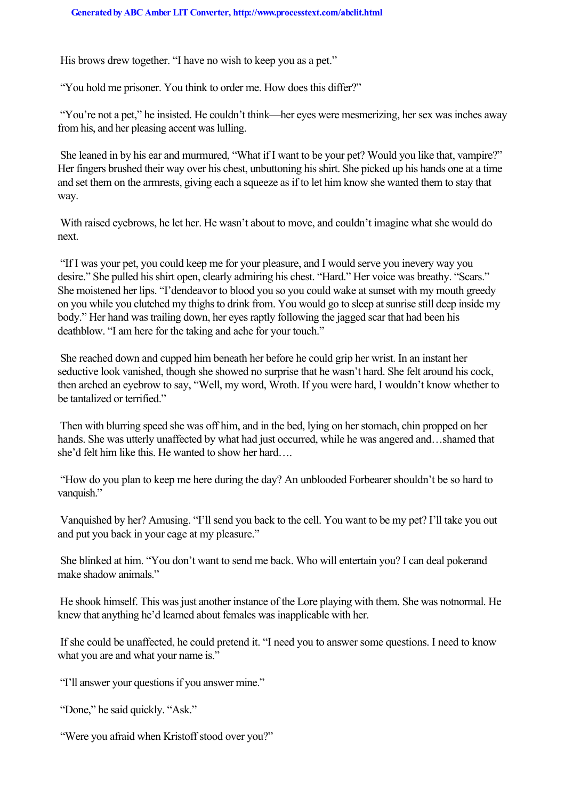His brows drew together. "I have no wish to keep you as a pet."

"You hold me prisoner. You think to order me. How does this differ?"

 "You're not a pet," he insisted. He couldn't think—her eyes were mesmerizing, her sex was inches away from his, and her pleasing accent was lulling.

 She leaned in by his ear and murmured, "What if I want to be your pet? Would you like that, vampire?" Her fingers brushed their way over his chest, unbuttoning his shirt. She picked up his hands one at a time and set them on the armrests, giving each a squeeze as if to let him know she wanted them to stay that way.

 With raised eyebrows, he let her. He wasn't about to move, and couldn't imagine what she would do next.

 "If I was your pet, you could keep me for your pleasure, and I would serve you inevery way you desire." She pulled his shirt open, clearly admiring his chest. "Hard." Her voice was breathy. "Scars." She moistened her lips. "I'dendeavor to blood you so you could wake at sunset with my mouth greedy on you while you clutched my thighs to drink from. You would go to sleep at sunrise still deep inside my body." Her hand was trailing down, her eyes raptly following the jagged scar that had been his deathblow. "I am here for the taking and ache for your touch."

 She reached down and cupped him beneath her before he could grip her wrist. In an instant her seductive look vanished, though she showed no surprise that he wasn't hard. She felt around his cock, then arched an eyebrow to say, "Well, my word, Wroth. If you were hard, I wouldn't know whether to be tantalized or terrified."

 Then with blurring speed she was off him, and in the bed, lying on her stomach, chin propped on her hands. She was utterly unaffected by what had just occurred, while he was angered and…shamed that she'd felt him like this. He wanted to show her hard

 "How do you plan to keep me here during the day? An unblooded Forbearer shouldn't be so hard to vanquish."

 Vanquished by her? Amusing. "I'll send you back to the cell. You want to be my pet? I'll take you out and put you back in your cage at my pleasure."

 She blinked at him. "You don't want to send me back. Who will entertain you? I can deal pokerand make shadow animals."

 He shook himself. This was just another instance of the Lore playing with them. She was notnormal. He knew that anything he'd learned about females was inapplicable with her.

 If she could be unaffected, he could pretend it. "I need you to answer some questions. I need to know what you are and what your name is."

"I'll answer your questions if you answer mine."

"Done," he said quickly. "Ask."

"Were you afraid when Kristoff stood over you?"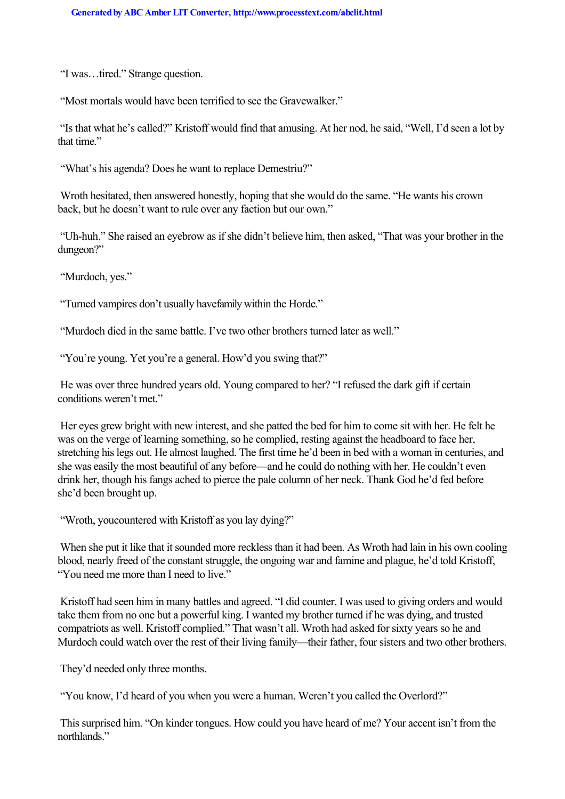"I was…tired." Strange question.

"Most mortals would have been terrified to see the Gravewalker."

 "Is that what he's called?" Kristoff would find that amusing. At her nod, he said, "Well, I'd seen a lot by that time"

"What's his agenda? Does he want to replace Demestriu?"

 Wroth hesitated, then answered honestly, hoping that she would do the same. "He wants his crown back, but he doesn't want to rule over any faction but our own."

 "Uh-huh." She raised an eyebrow as if she didn't believe him, then asked, "That was your brother in the dungeon?"

"Murdoch, yes."

"Turned vampires don't usually havefamily within the Horde."

"Murdoch died in the same battle. I've two other brothers turned later as well."

"You're young. Yet you're a general. How'd you swing that?"

 He was over three hundred years old. Young compared to her? "I refused the dark gift if certain conditions weren't met."

 Her eyes grew bright with new interest, and she patted the bed for him to come sit with her. He felt he was on the verge of learning something, so he complied, resting against the headboard to face her, stretching his legs out. He almost laughed. The first time he'd been in bed with a woman in centuries, and she was easily the most beautiful of any before—and he could do nothing with her. He couldn't even drink her, though his fangs ached to pierce the pale column of her neck. Thank God he'd fed before she'd been brought up.

"Wroth, youcountered with Kristoff as you lay dying?"

When she put it like that it sounded more reckless than it had been. As Wroth had lain in his own cooling blood, nearly freed of the constant struggle, the ongoing war and famine and plague, he'd told Kristoff, "You need me more than I need to live."

 Kristoff had seen him in many battles and agreed. "I did counter. I was used to giving orders and would take them from no one but a powerful king. I wanted my brother turned if he was dying, and trusted compatriots as well. Kristoff complied." That wasn't all. Wroth had asked for sixty years so he and Murdoch could watch over the rest of their living family—their father, four sisters and two other brothers.

They'd needed only three months.

"You know, I'd heard of you when you were a human. Weren't you called the Overlord?"

 This surprised him. "On kinder tongues. How could you have heard of me? Your accent isn't from the northlands."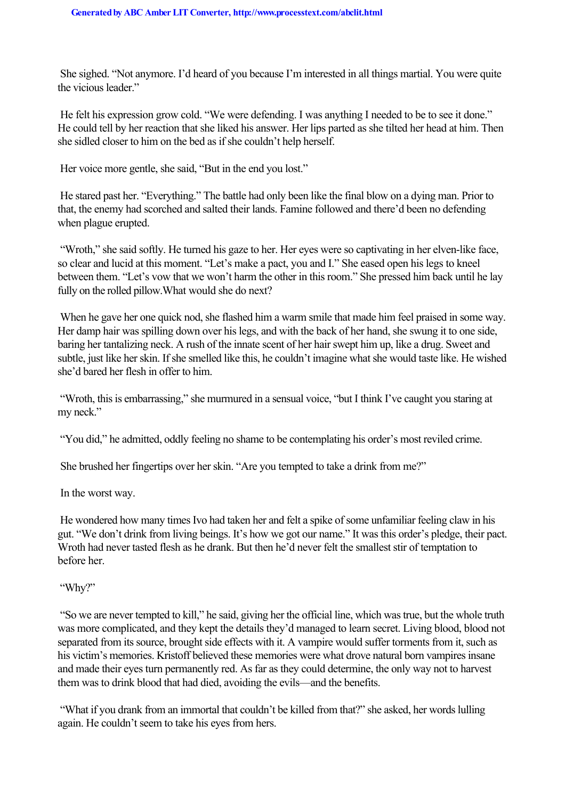She sighed. "Not anymore. I'd heard of you because I'm interested in all things martial. You were quite the vicious leader."

He felt his expression grow cold. "We were defending. I was anything I needed to be to see it done." He could tell by her reaction that she liked his answer. Her lips parted as she tilted her head at him. Then she sidled closer to him on the bed as if she couldn't help herself.

Her voice more gentle, she said, "But in the end you lost."

 He stared past her. "Everything." The battle had only been like the final blow on a dying man. Prior to that, the enemy had scorched and salted their lands. Famine followed and there'd been no defending when plague erupted.

 "Wroth," she said softly. He turned his gaze to her. Her eyes were so captivating in her elven-like face, so clear and lucid at this moment. "Let's make a pact, you and I." She eased open his legs to kneel between them. "Let's vow that we won't harm the other in this room." She pressed him back until he lay fully on the rolled pillow.What would she do next?

When he gave her one quick nod, she flashed him a warm smile that made him feel praised in some way. Her damp hair was spilling down over his legs, and with the back of her hand, she swung it to one side, baring her tantalizing neck. A rush of the innate scent of her hair swept him up, like a drug. Sweet and subtle, just like her skin. If she smelled like this, he couldn't imagine what she would taste like. He wished she'd bared her flesh in offer to him.

 "Wroth, this is embarrassing," she murmured in a sensual voice, "but I think I've caught you staring at my neck."

"You did," he admitted, oddly feeling no shame to be contemplating his order's most reviled crime.

She brushed her fingertips over her skin. "Are you tempted to take a drink from me?"

In the worst way.

 He wondered how many times Ivo had taken her and felt a spike of some unfamiliar feeling claw in his gut. "We don't drink from living beings. It's how we got our name." It was this order's pledge, their pact. Wroth had never tasted flesh as he drank. But then he'd never felt the smallest stir of temptation to before her.

### "Why?"

 "So we are never tempted to kill," he said, giving her the official line, which was true, but the whole truth was more complicated, and they kept the details they'd managed to learn secret. Living blood, blood not separated from its source, brought side effects with it. A vampire would suffer torments from it, such as his victim's memories. Kristoff believed these memories were what drove natural born vampires insane and made their eyes turn permanently red. As far as they could determine, the only way not to harvest them was to drink blood that had died, avoiding the evils—and the benefits.

 "What if you drank from an immortal that couldn't be killed from that?" she asked, her words lulling again. He couldn't seem to take his eyes from hers.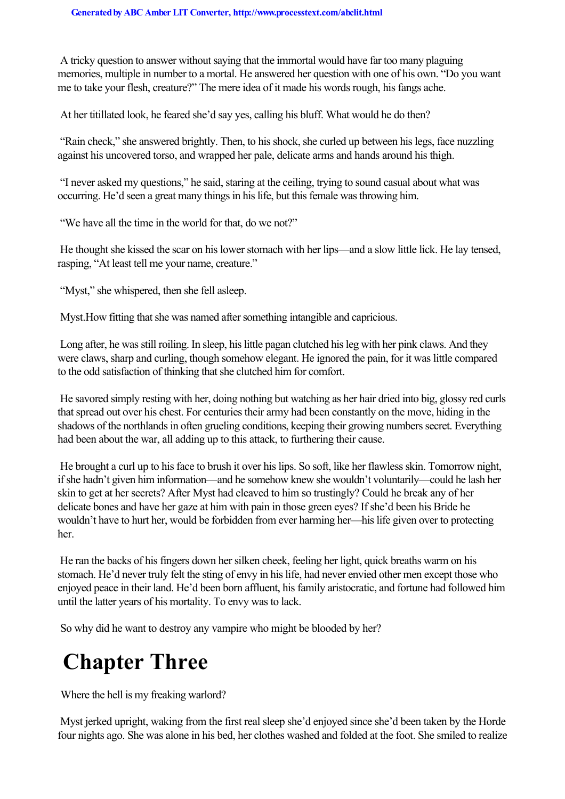A tricky question to answer without saying that the immortal would have far too many plaguing memories, multiple in number to a mortal. He answered her question with one of his own. "Do you want me to take your flesh, creature?" The mere idea of it made his words rough, his fangs ache.

At her titillated look, he feared she'd say yes, calling his bluff. What would he do then?

 "Rain check," she answered brightly. Then, to his shock, she curled up between his legs, face nuzzling against his uncovered torso, and wrapped her pale, delicate arms and hands around his thigh.

 "I never asked my questions," he said, staring at the ceiling, trying to sound casual about what was occurring. He'd seen a great many things in his life, but this female was throwing him.

"We have all the time in the world for that, do we not?"

 He thought she kissed the scar on his lower stomach with her lips—and a slow little lick. He lay tensed, rasping, "At least tell me your name, creature."

"Myst," she whispered, then she fell asleep.

Myst.How fitting that she was named after something intangible and capricious.

 Long after, he was still roiling. In sleep, his little pagan clutched his leg with her pink claws. And they were claws, sharp and curling, though somehow elegant. He ignored the pain, for it was little compared to the odd satisfaction of thinking that she clutched him for comfort.

 He savored simply resting with her, doing nothing but watching as her hair dried into big, glossy red curls that spread out over his chest. For centuries their army had been constantly on the move, hiding in the shadows of the northlands in often grueling conditions, keeping their growing numbers secret. Everything had been about the war, all adding up to this attack, to furthering their cause.

 He brought a curl up to his face to brush it over his lips. So soft, like her flawless skin. Tomorrow night, if she hadn't given him information—and he somehow knew she wouldn't voluntarily—could he lash her skin to get at her secrets? After Myst had cleaved to him so trustingly? Could he break any of her delicate bones and have her gaze at him with pain in those green eyes? If she'd been his Bride he wouldn't have to hurt her, would be forbidden from ever harming her—his life given over to protecting her.

 He ran the backs of his fingers down her silken cheek, feeling her light, quick breaths warm on his stomach. He'd never truly felt the sting of envy in his life, had never envied other men except those who enjoyed peace in their land. He'd been born affluent, his family aristocratic, and fortune had followed him until the latter years of his mortality. To envy was to lack.

So why did he want to destroy any vampire who might be blooded by her?

# **Chapter Three**

Where the hell is my freaking warlord?

 Myst jerked upright, waking from the first real sleep she'd enjoyed since she'd been taken by the Horde four nights ago. She was alone in his bed, her clothes washed and folded at the foot. She smiled to realize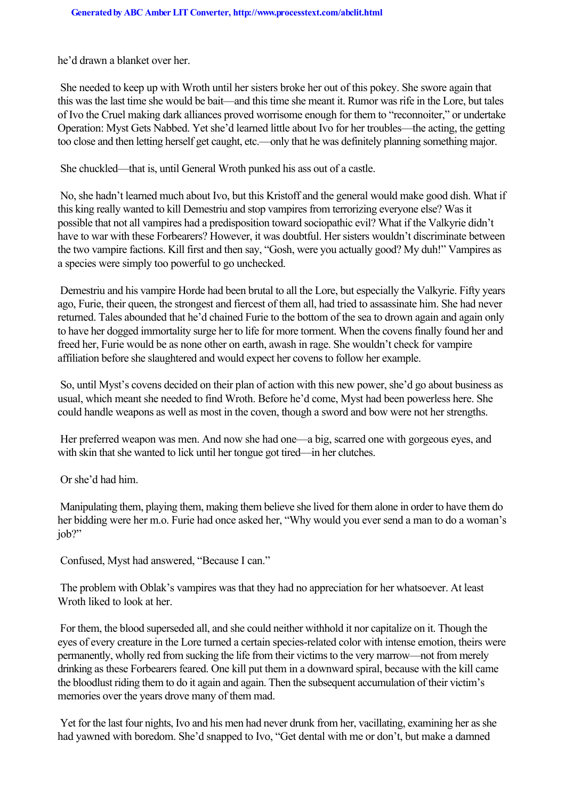he'd drawn a blanket over her.

 She needed to keep up with Wroth until her sisters broke her out of this pokey. She swore again that this was the last time she would be bait—and this time she meant it. Rumor was rife in the Lore, but tales of Ivo the Cruel making dark alliances proved worrisome enough for them to "reconnoiter," or undertake Operation: Myst Gets Nabbed. Yet she'd learned little about Ivo for her troubles—the acting, the getting too close and then letting herself get caught, etc.—only that he was definitely planning something major.

She chuckled—that is, until General Wroth punked his ass out of a castle.

 No, she hadn't learned much about Ivo, but this Kristoff and the general would make good dish. What if this king really wanted to kill Demestriu and stop vampires from terrorizing everyone else? Was it possible that not all vampires had a predisposition toward sociopathic evil? What if the Valkyrie didn't have to war with these Forbearers? However, it was doubtful. Her sisters wouldn't discriminate between the two vampire factions. Kill first and then say, "Gosh, were you actually good? My duh!" Vampires as a species were simply too powerful to go unchecked.

 Demestriu and his vampire Horde had been brutal to all the Lore, but especially the Valkyrie. Fifty years ago, Furie, their queen, the strongest and fiercest of them all, had tried to assassinate him. She had never returned. Tales abounded that he'd chained Furie to the bottom of the sea to drown again and again only to have her dogged immortality surge her to life for more torment. When the covens finally found her and freed her, Furie would be as none other on earth, awash in rage. She wouldn't check for vampire affiliation before she slaughtered and would expect her covens to follow her example.

 So, until Myst's covens decided on their plan of action with this new power, she'd go about business as usual, which meant she needed to find Wroth. Before he'd come, Myst had been powerless here. She could handle weapons as well as most in the coven, though a sword and bow were not her strengths.

 Her preferred weapon was men. And now she had one—a big, scarred one with gorgeous eyes, and with skin that she wanted to lick until her tongue got tired—in her clutches.

Or she'd had him.

 Manipulating them, playing them, making them believe she lived for them alone in order to have them do her bidding were her m.o. Furie had once asked her, "Why would you ever send a man to do a woman's job?"

Confused, Myst had answered, "Because I can."

 The problem with Oblak's vampires was that they had no appreciation for her whatsoever. At least Wroth liked to look at her.

 For them, the blood superseded all, and she could neither withhold it nor capitalize on it. Though the eyes of every creature in the Lore turned a certain species-related color with intense emotion, theirs were permanently, wholly red from sucking the life from their victims to the very marrow—not from merely drinking as these Forbearers feared. One kill put them in a downward spiral, because with the kill came the bloodlust riding them to do it again and again. Then the subsequent accumulation of their victim's memories over the years drove many of them mad.

 Yet for the last four nights, Ivo and his men had never drunk from her, vacillating, examining her as she had yawned with boredom. She'd snapped to Ivo, "Get dental with me or don't, but make a damned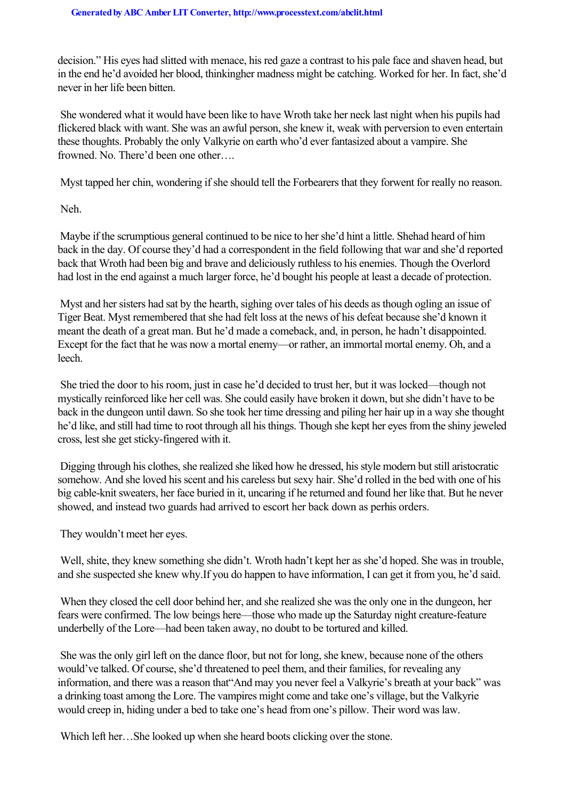decision." His eyes had slitted with menace, his red gaze a contrast to his pale face and shaven head, but in the end he'd avoided her blood, thinkingher madness might be catching. Worked for her. In fact, she'd never in her life been bitten.

 She wondered what it would have been like to have Wroth take her neck last night when his pupils had flickered black with want. She was an awful person, she knew it, weak with perversion to even entertain these thoughts. Probably the only Valkyrie on earth who'd ever fantasized about a vampire. She frowned. No. There'd been one other

Myst tapped her chin, wondering if she should tell the Forbearers that they forwent for really no reason.

Neh.

 Maybe if the scrumptious general continued to be nice to her she'd hint a little. Shehad heard of him back in the day. Of course they'd had a correspondent in the field following that war and she'd reported back that Wroth had been big and brave and deliciously ruthless to his enemies. Though the Overlord had lost in the end against a much larger force, he'd bought his people at least a decade of protection.

 Myst and her sisters had sat by the hearth, sighing over tales of his deeds as though ogling an issue of Tiger Beat. Myst remembered that she had felt loss at the news of his defeat because she'd known it meant the death of a great man. But he'd made a comeback, and, in person, he hadn't disappointed. Except for the fact that he was now a mortal enemy—or rather, an immortal mortal enemy. Oh, and a leech.

 She tried the door to his room, just in case he'd decided to trust her, but it was locked—though not mystically reinforced like her cell was. She could easily have broken it down, but she didn't have to be back in the dungeon until dawn. So she took her time dressing and piling her hair up in a way she thought he'd like, and still had time to root through all his things. Though she kept her eyes from the shiny jeweled cross, lest she get sticky-fingered with it.

 Digging through his clothes, she realized she liked how he dressed, his style modern but still aristocratic somehow. And she loved his scent and his careless but sexy hair. She'd rolled in the bed with one of his big cable-knit sweaters, her face buried in it, uncaring if he returned and found her like that. But he never showed, and instead two guards had arrived to escort her back down as perhis orders.

They wouldn't meet her eyes.

 Well, shite, they knew something she didn't. Wroth hadn't kept her as she'd hoped. She was in trouble, and she suspected she knew why.If you do happen to have information, I can get it from you, he'd said.

 When they closed the cell door behind her, and she realized she was the only one in the dungeon, her fears were confirmed. The low beings here—those who made up the Saturday night creature-feature underbelly of the Lore—had been taken away, no doubt to be tortured and killed.

 She was the only girl left on the dance floor, but not for long, she knew, because none of the others would've talked. Of course, she'd threatened to peel them, and their families, for revealing any information, and there was a reason that"And may you never feel a Valkyrie's breath at your back" was a drinking toast among the Lore. The vampires might come and take one's village, but the Valkyrie would creep in, hiding under a bed to take one's head from one's pillow. Their word was law.

Which left her…She looked up when she heard boots clicking over the stone.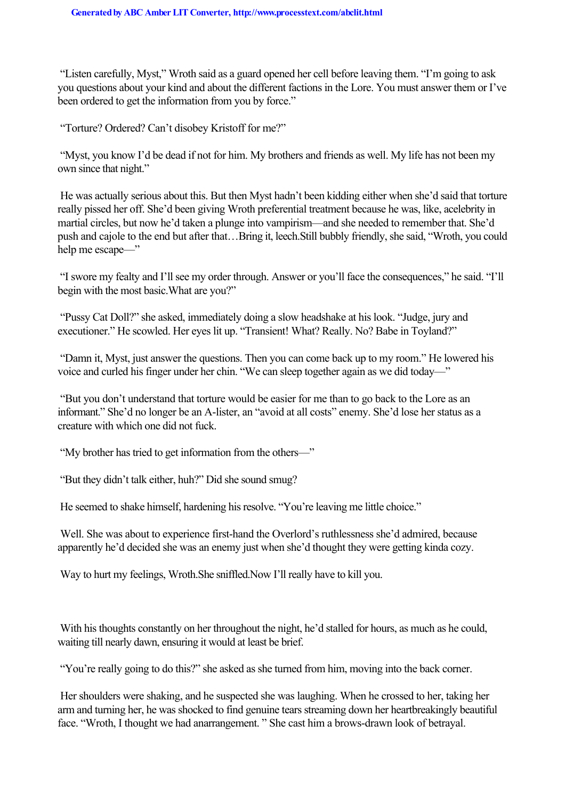"Listen carefully, Myst," Wroth said as a guard opened her cell before leaving them. "I'm going to ask you questions about your kind and about the different factions in the Lore. You must answer them or I've been ordered to get the information from you by force."

"Torture? Ordered? Can't disobey Kristoff for me?"

 "Myst, you know I'd be dead if not for him. My brothers and friends as well. My life has not been my own since that night."

 He was actually serious about this. But then Myst hadn't been kidding either when she'd said that torture really pissed her off. She'd been giving Wroth preferential treatment because he was, like, acelebrity in martial circles, but now he'd taken a plunge into vampirism—and she needed to remember that. She'd push and cajole to the end but after that…Bring it, leech.Still bubbly friendly, she said, "Wroth, you could help me escape—"

 "I swore my fealty and I'll see my order through. Answer or you'll face the consequences," he said. "I'll begin with the most basic.What are you?"

 "Pussy Cat Doll?" she asked, immediately doing a slow headshake at his look. "Judge, jury and executioner." He scowled. Her eyes lit up. "Transient! What? Really. No? Babe in Toyland?"

 "Damn it, Myst, just answer the questions. Then you can come back up to my room." He lowered his voice and curled his finger under her chin. "We can sleep together again as we did today—"

 "But you don't understand that torture would be easier for me than to go back to the Lore as an informant." She'd no longer be an A-lister, an "avoid at all costs" enemy. She'd lose her status as a creature with which one did not fuck.

"My brother has tried to get information from the others—"

"But they didn't talk either, huh?" Did she sound smug?

He seemed to shake himself, hardening his resolve. "You're leaving me little choice."

 Well. She was about to experience first-hand the Overlord's ruthlessness she'd admired, because apparently he'd decided she was an enemy just when she'd thought they were getting kinda cozy.

Way to hurt my feelings, Wroth.She sniffled.Now I'll really have to kill you.

With his thoughts constantly on her throughout the night, he'd stalled for hours, as much as he could, waiting till nearly dawn, ensuring it would at least be brief.

"You're really going to do this?" she asked as she turned from him, moving into the back corner.

 Her shoulders were shaking, and he suspected she was laughing. When he crossed to her, taking her arm and turning her, he was shocked to find genuine tears streaming down her heartbreakingly beautiful face. "Wroth, I thought we had anarrangement. " She cast him a brows-drawn look of betrayal.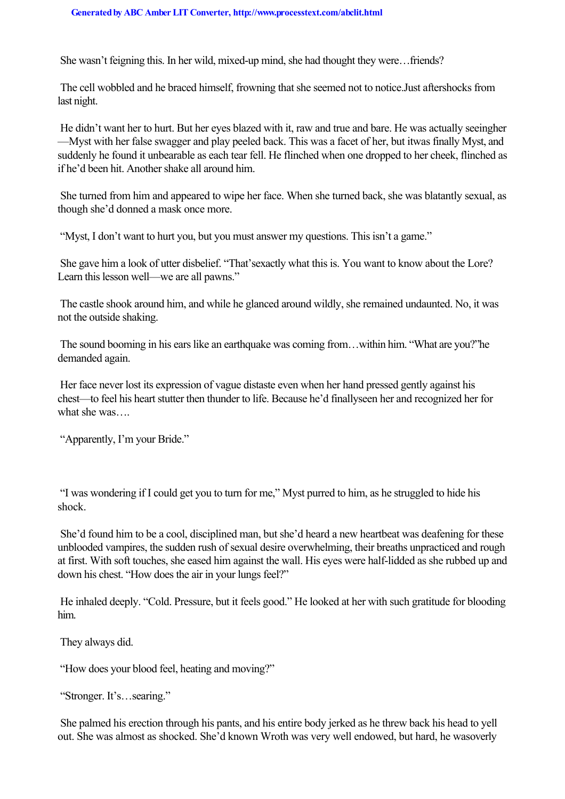She wasn't feigning this. In her wild, mixed-up mind, she had thought they were…friends?

 The cell wobbled and he braced himself, frowning that she seemed not to notice.Just aftershocks from last night.

 He didn't want her to hurt. But her eyes blazed with it, raw and true and bare. He was actually seeingher —Myst with her false swagger and play peeled back. This was a facet of her, but itwas finally Myst, and suddenly he found it unbearable as each tear fell. He flinched when one dropped to her cheek, flinched as if he'd been hit. Another shake all around him.

 She turned from him and appeared to wipe her face. When she turned back, she was blatantly sexual, as though she'd donned a mask once more.

"Myst, I don't want to hurt you, but you must answer my questions. This isn't a game."

 She gave him a look of utter disbelief. "That'sexactly what this is. You want to know about the Lore? Learn this lesson well—we are all pawns."

 The castle shook around him, and while he glanced around wildly, she remained undaunted. No, it was not the outside shaking.

 The sound booming in his ears like an earthquake was coming from…within him. "What are you?"he demanded again.

 Her face never lost its expression of vague distaste even when her hand pressed gently against his chest—to feel his heart stutter then thunder to life. Because he'd finallyseen her and recognized her for what she was….

"Apparently, I'm your Bride."

 "I was wondering if I could get you to turn for me," Myst purred to him, as he struggled to hide his shock.

 She'd found him to be a cool, disciplined man, but she'd heard a new heartbeat was deafening for these unblooded vampires, the sudden rush of sexual desire overwhelming, their breaths unpracticed and rough at first. With soft touches, she eased him against the wall. His eyes were half-lidded as she rubbed up and down his chest. "How does the air in your lungs feel?"

 He inhaled deeply. "Cold. Pressure, but it feels good." He looked at her with such gratitude for blooding him.

They always did.

"How does your blood feel, heating and moving?"

```
 "Stronger. It's…searing."
```
 She palmed his erection through his pants, and his entire body jerked as he threw back his head to yell out. She was almost as shocked. She'd known Wroth was very well endowed, but hard, he wasoverly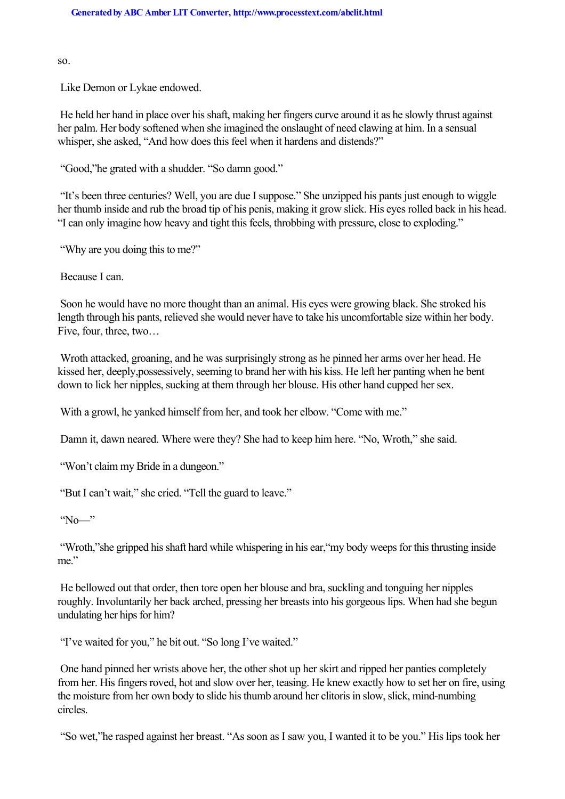so.

Like Demon or Lykae endowed.

 He held her hand in place over his shaft, making her fingers curve around it as he slowly thrust against her palm. Her body softened when she imagined the onslaught of need clawing at him. In a sensual whisper, she asked, "And how does this feel when it hardens and distends?"

"Good,"he grated with a shudder. "So damn good."

 "It's been three centuries? Well, you are due I suppose." She unzipped his pants just enough to wiggle her thumb inside and rub the broad tip of his penis, making it grow slick. His eyes rolled back in his head. "I can only imagine how heavy and tight this feels, throbbing with pressure, close to exploding."

"Why are you doing this to me?"

Because I can.

 Soon he would have no more thought than an animal. His eyes were growing black. She stroked his length through his pants, relieved she would never have to take his uncomfortable size within her body. Five, four, three, two…

 Wroth attacked, groaning, and he was surprisingly strong as he pinned her arms over her head. He kissed her, deeply,possessively, seeming to brand her with his kiss. He left her panting when he bent down to lick her nipples, sucking at them through her blouse. His other hand cupped her sex.

With a growl, he vanked himself from her, and took her elbow. "Come with me."

Damn it, dawn neared. Where were they? She had to keep him here. "No, Wroth," she said.

"Won't claim my Bride in a dungeon."

"But I can't wait," she cried. "Tell the guard to leave."

 $"No"$ 

 "Wroth,"she gripped his shaft hard while whispering in his ear,"my body weeps for this thrusting inside me"

 He bellowed out that order, then tore open her blouse and bra, suckling and tonguing her nipples roughly. Involuntarily her back arched, pressing her breasts into his gorgeous lips. When had she begun undulating her hips for him?

"I've waited for you," he bit out. "So long I've waited."

 One hand pinned her wrists above her, the other shot up her skirt and ripped her panties completely from her. His fingers roved, hot and slow over her, teasing. He knew exactly how to set her on fire, using the moisture from her own body to slide his thumb around her clitoris in slow, slick, mind-numbing circles.

"So wet,"he rasped against her breast. "As soon as I saw you, I wanted it to be you." His lips took her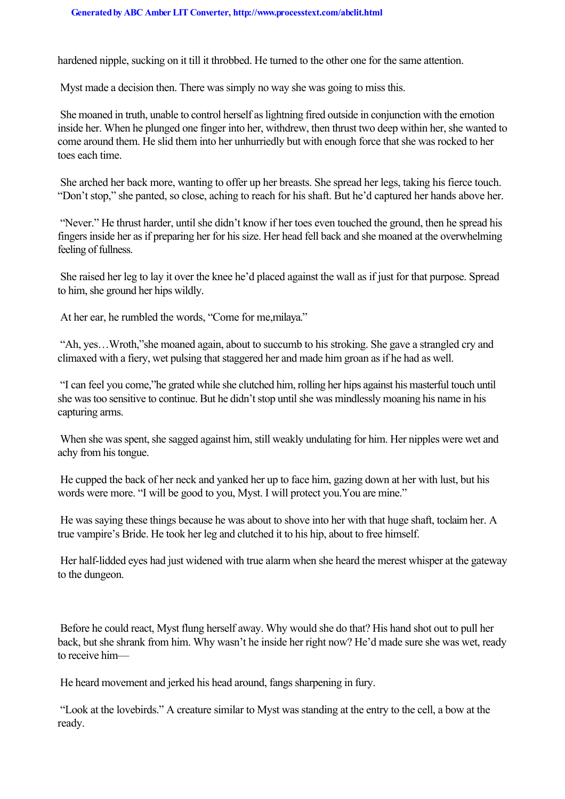hardened nipple, sucking on it till it throbbed. He turned to the other one for the same attention.

Myst made a decision then. There was simply no way she was going to miss this.

 She moaned in truth, unable to control herself as lightning fired outside in conjunction with the emotion inside her. When he plunged one finger into her, withdrew, then thrust two deep within her, she wanted to come around them. He slid them into her unhurriedly but with enough force that she was rocked to her toes each time.

 She arched her back more, wanting to offer up her breasts. She spread her legs, taking his fierce touch. "Don't stop," she panted, so close, aching to reach for his shaft. But he'd captured her hands above her.

 "Never." He thrust harder, until she didn't know if her toes even touched the ground, then he spread his fingers inside her as if preparing her for his size. Her head fell back and she moaned at the overwhelming feeling of fullness.

 She raised her leg to lay it over the knee he'd placed against the wall as if just for that purpose. Spread to him, she ground her hips wildly.

At her ear, he rumbled the words, "Come for me,milaya."

 "Ah, yes…Wroth,"she moaned again, about to succumb to his stroking. She gave a strangled cry and climaxed with a fiery, wet pulsing that staggered her and made him groan as if he had as well.

 "I can feel you come,"he grated while she clutched him, rolling her hips against his masterful touch until she was too sensitive to continue. But he didn't stop until she was mindlessly moaning his name in his capturing arms.

 When she was spent, she sagged against him, still weakly undulating for him. Her nipples were wet and achy from his tongue.

 He cupped the back of her neck and yanked her up to face him, gazing down at her with lust, but his words were more. "I will be good to you, Myst. I will protect you.You are mine."

 He was saying these things because he was about to shove into her with that huge shaft, toclaim her. A true vampire's Bride. He took her leg and clutched it to his hip, about to free himself.

 Her half-lidded eyes had just widened with true alarm when she heard the merest whisper at the gateway to the dungeon.

 Before he could react, Myst flung herself away. Why would she do that? His hand shot out to pull her back, but she shrank from him. Why wasn't he inside her right now? He'd made sure she was wet, ready to receive him—

He heard movement and jerked his head around, fangs sharpening in fury.

 "Look at the lovebirds." A creature similar to Myst was standing at the entry to the cell, a bow at the ready.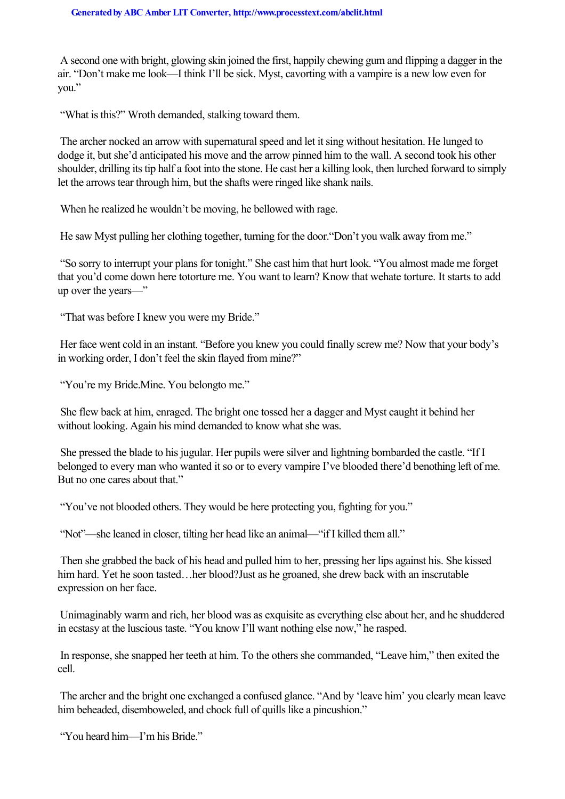#### **Generated by ABC Amber LIT Converter, <http://www.processtext.com/abclit.html>**

 A second one with bright, glowing skin joined the first, happily chewing gum and flipping a dagger in the air. "Don't make me look—I think I'll be sick. Myst, cavorting with a vampire is a new low even for you."

"What is this?" Wroth demanded, stalking toward them.

 The archer nocked an arrow with supernatural speed and let it sing without hesitation. He lunged to dodge it, but she'd anticipated his move and the arrow pinned him to the wall. A second took his other shoulder, drilling its tip half a foot into the stone. He cast her a killing look, then lurched forward to simply let the arrows tear through him, but the shafts were ringed like shank nails.

When he realized he wouldn't be moving, he bellowed with rage.

He saw Myst pulling her clothing together, turning for the door."Don't you walk away from me."

 "So sorry to interrupt your plans for tonight." She cast him that hurt look. "You almost made me forget that you'd come down here totorture me. You want to learn? Know that wehate torture. It starts to add up over the years—"

"That was before I knew you were my Bride."

 Her face went cold in an instant. "Before you knew you could finally screw me? Now that your body's in working order, I don't feel the skin flayed from mine?"

"You're my Bride.Mine. You belongto me."

 She flew back at him, enraged. The bright one tossed her a dagger and Myst caught it behind her without looking. Again his mind demanded to know what she was.

 She pressed the blade to his jugular. Her pupils were silver and lightning bombarded the castle. "If I belonged to every man who wanted it so or to every vampire I've blooded there'd benothing left of me. But no one cares about that."

"You've not blooded others. They would be here protecting you, fighting for you."

"Not"—she leaned in closer, tilting her head like an animal—"if I killed them all."

 Then she grabbed the back of his head and pulled him to her, pressing her lips against his. She kissed him hard. Yet he soon tasted...her blood?Just as he groaned, she drew back with an inscrutable expression on her face.

 Unimaginably warm and rich, her blood was as exquisite as everything else about her, and he shuddered in ecstasy at the luscious taste. "You know I'll want nothing else now," he rasped.

 In response, she snapped her teeth at him. To the others she commanded, "Leave him," then exited the cell.

 The archer and the bright one exchanged a confused glance. "And by 'leave him' you clearly mean leave him beheaded, disemboweled, and chock full of quills like a pincushion."

"You heard him—I'm his Bride."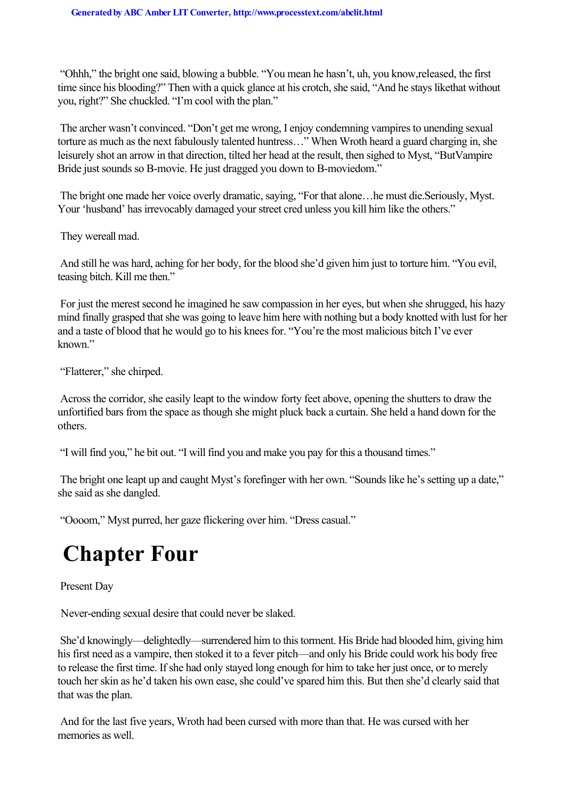"Ohhh," the bright one said, blowing a bubble. "You mean he hasn't, uh, you know,released, the first time since his blooding?" Then with a quick glance at his crotch, she said, "And he stays likethat without you, right?" She chuckled. "I'm cool with the plan."

 The archer wasn't convinced. "Don't get me wrong, I enjoy condemning vampires to unending sexual torture as much as the next fabulously talented huntress…" When Wroth heard a guard charging in, she leisurely shot an arrow in that direction, tilted her head at the result, then sighed to Myst, "ButVampire Bride just sounds so B-movie. He just dragged you down to B-moviedom."

 The bright one made her voice overly dramatic, saying, "For that alone…he must die.Seriously, Myst. Your 'husband' has irrevocably damaged your street cred unless you kill him like the others."

They wereall mad.

 And still he was hard, aching for her body, for the blood she'd given him just to torture him. "You evil, teasing bitch. Kill me then."

 For just the merest second he imagined he saw compassion in her eyes, but when she shrugged, his hazy mind finally grasped that she was going to leave him here with nothing but a body knotted with lust for her and a taste of blood that he would go to his knees for. "You're the most malicious bitch I've ever known"

"Flatterer," she chirped.

 Across the corridor, she easily leapt to the window forty feet above, opening the shutters to draw the unfortified bars from the space as though she might pluck back a curtain. She held a hand down for the others.

"I will find you," he bit out. "I will find you and make you pay for this a thousand times."

 The bright one leapt up and caught Myst's forefinger with her own. "Sounds like he's setting up a date," she said as she dangled.

"Oooom," Myst purred, her gaze flickering over him. "Dress casual."

## **Chapter Four**

Present Day

Never-ending sexual desire that could never be slaked.

 She'd knowingly—delightedly—surrendered him to this torment. His Bride had blooded him, giving him his first need as a vampire, then stoked it to a fever pitch—and only his Bride could work his body free to release the first time. If she had only stayed long enough for him to take her just once, or to merely touch her skin as he'd taken his own ease, she could've spared him this. But then she'd clearly said that that was the plan.

 And for the last five years, Wroth had been cursed with more than that. He was cursed with her memories as well.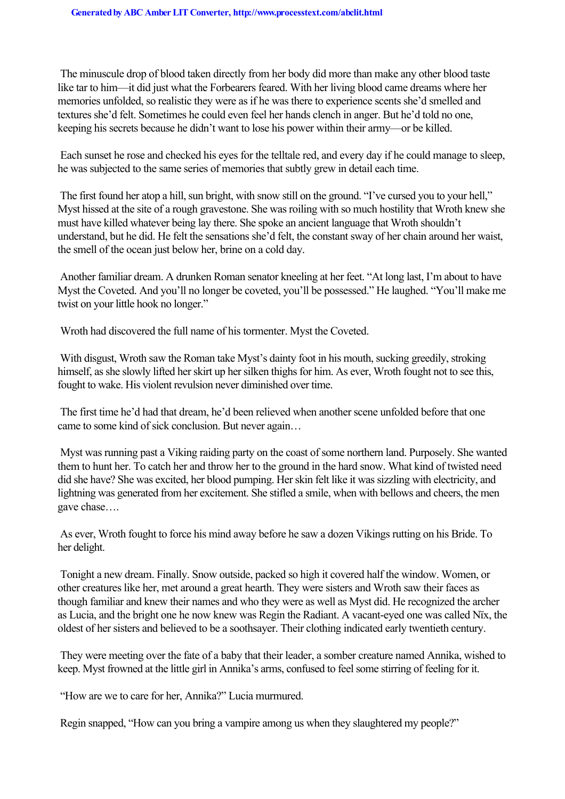The minuscule drop of blood taken directly from her body did more than make any other blood taste like tar to him—it did just what the Forbearers feared. With her living blood came dreams where her memories unfolded, so realistic they were as if he was there to experience scents she'd smelled and textures she'd felt. Sometimes he could even feel her hands clench in anger. But he'd told no one, keeping his secrets because he didn't want to lose his power within their army—or be killed.

Each sunset he rose and checked his eyes for the telltale red, and every day if he could manage to sleep. he was subjected to the same series of memories that subtly grew in detail each time.

 The first found her atop a hill, sun bright, with snow still on the ground. "I've cursed you to your hell," Myst hissed at the site of a rough gravestone. She was roiling with so much hostility that Wroth knew she must have killed whatever being lay there. She spoke an ancient language that Wroth shouldn't understand, but he did. He felt the sensations she'd felt, the constant sway of her chain around her waist, the smell of the ocean just below her, brine on a cold day.

 Another familiar dream. A drunken Roman senator kneeling at her feet. "At long last, I'm about to have Myst the Coveted. And you'll no longer be coveted, you'll be possessed." He laughed. "You'll make me twist on your little hook no longer."

Wroth had discovered the full name of his tormenter. Myst the Coveted.

 With disgust, Wroth saw the Roman take Myst's dainty foot in his mouth, sucking greedily, stroking himself, as she slowly lifted her skirt up her silken thighs for him. As ever, Wroth fought not to see this, fought to wake. His violent revulsion never diminished over time.

 The first time he'd had that dream, he'd been relieved when another scene unfolded before that one came to some kind of sick conclusion. But never again…

 Myst was running past a Viking raiding party on the coast of some northern land. Purposely. She wanted them to hunt her. To catch her and throw her to the ground in the hard snow. What kind of twisted need did she have? She was excited, her blood pumping. Her skin felt like it was sizzling with electricity, and lightning was generated from her excitement. She stifled a smile, when with bellows and cheers, the men gave chase….

 As ever, Wroth fought to force his mind away before he saw a dozen Vikings rutting on his Bride. To her delight.

 Tonight a new dream. Finally. Snow outside, packed so high it covered half the window. Women, or other creatures like her, met around a great hearth. They were sisters and Wroth saw their faces as though familiar and knew their names and who they were as well as Myst did. He recognized the archer as Lucia, and the bright one he now knew was Regin the Radiant. A vacant-eyed one was called Nïx, the oldest of her sisters and believed to be a soothsayer. Their clothing indicated early twentieth century.

 They were meeting over the fate of a baby that their leader, a somber creature named Annika, wished to keep. Myst frowned at the little girl in Annika's arms, confused to feel some stirring of feeling for it.

"How are we to care for her, Annika?" Lucia murmured.

Regin snapped, "How can you bring a vampire among us when they slaughtered my people?"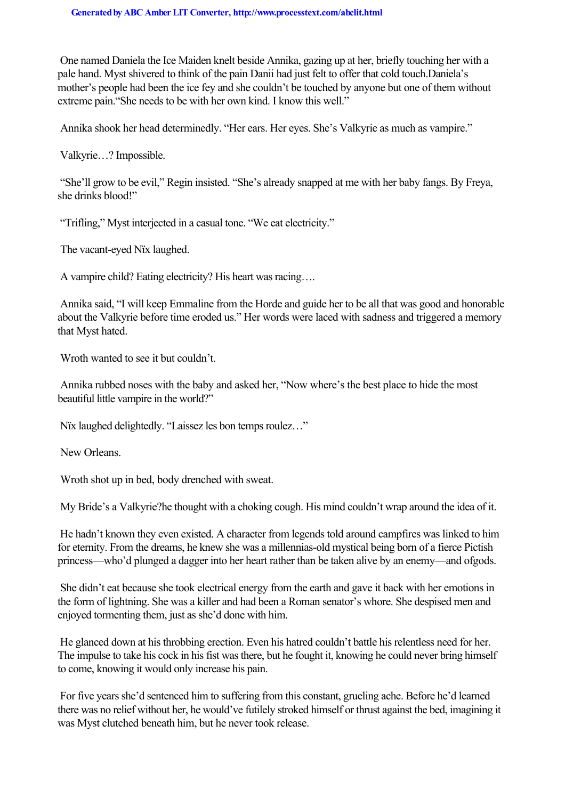One named Daniela the Ice Maiden knelt beside Annika, gazing up at her, briefly touching her with a pale hand. Myst shivered to think of the pain Danii had just felt to offer that cold touch.Daniela's mother's people had been the ice fey and she couldn't be touched by anyone but one of them without extreme pain."She needs to be with her own kind. I know this well."

Annika shook her head determinedly. "Her ears. Her eyes. She's Valkyrie as much as vampire."

Valkyrie…? Impossible.

 "She'll grow to be evil," Regin insisted. "She's already snapped at me with her baby fangs. By Freya, she drinks blood!"

"Trifling," Myst interjected in a casual tone. "We eat electricity."

The vacant-eyed Nïx laughed.

A vampire child? Eating electricity? His heart was racing….

 Annika said, "I will keep Emmaline from the Horde and guide her to be all that was good and honorable about the Valkyrie before time eroded us." Her words were laced with sadness and triggered a memory that Myst hated.

Wroth wanted to see it but couldn't.

 Annika rubbed noses with the baby and asked her, "Now where's the best place to hide the most beautiful little vampire in the world?"

Nïx laughed delightedly. "Laissez les bon temps roulez…"

New Orleans.

Wroth shot up in bed, body drenched with sweat.

My Bride's a Valkyrie?he thought with a choking cough. His mind couldn't wrap around the idea of it.

 He hadn't known they even existed. A character from legends told around campfires was linked to him for eternity. From the dreams, he knew she was a millennias-old mystical being born of a fierce Pictish princess—who'd plunged a dagger into her heart rather than be taken alive by an enemy—and ofgods.

 She didn't eat because she took electrical energy from the earth and gave it back with her emotions in the form of lightning. She was a killer and had been a Roman senator's whore. She despised men and enjoyed tormenting them, just as she'd done with him.

 He glanced down at his throbbing erection. Even his hatred couldn't battle his relentless need for her. The impulse to take his cock in his fist was there, but he fought it, knowing he could never bring himself to come, knowing it would only increase his pain.

 For five years she'd sentenced him to suffering from this constant, grueling ache. Before he'd learned there was no relief without her, he would've futilely stroked himself or thrust against the bed, imagining it was Myst clutched beneath him, but he never took release.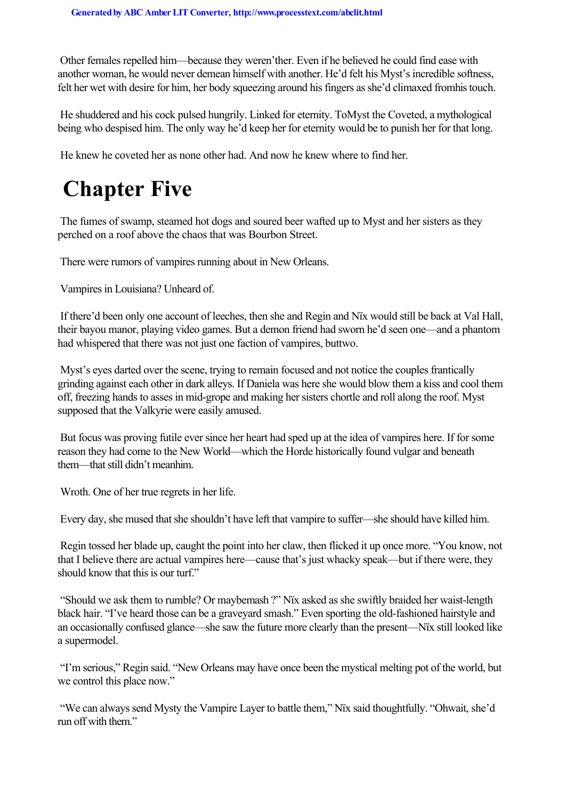Other females repelled him—because they weren'ther. Even if he believed he could find ease with another woman, he would never demean himself with another. He'd felt his Myst's incredible softness, felt her wet with desire for him, her body squeezing around his fingers as she'd climaxed fromhis touch.

 He shuddered and his cock pulsed hungrily. Linked for eternity. ToMyst the Coveted, a mythological being who despised him. The only way he'd keep her for eternity would be to punish her for that long.

He knew he coveted her as none other had. And now he knew where to find her.

# **Chapter Five**

 The fumes of swamp, steamed hot dogs and soured beer wafted up to Myst and her sisters as they perched on a roof above the chaos that was Bourbon Street.

There were rumors of vampires running about in New Orleans.

Vampires in Louisiana? Unheard of.

 If there'd been only one account of leeches, then she and Regin and Nïx would still be back at Val Hall, their bayou manor, playing video games. But a demon friend had sworn he'd seen one—and a phantom had whispered that there was not just one faction of vampires, buttwo.

 Myst's eyes darted over the scene, trying to remain focused and not notice the couples frantically grinding against each other in dark alleys. If Daniela was here she would blow them a kiss and cool them off, freezing hands to asses in mid-grope and making her sisters chortle and roll along the roof. Myst supposed that the Valkyrie were easily amused.

 But focus was proving futile ever since her heart had sped up at the idea of vampires here. If for some reason they had come to the New World—which the Horde historically found vulgar and beneath them—that still didn't meanhim.

Wroth. One of her true regrets in her life.

Every day, she mused that she shouldn't have left that vampire to suffer—she should have killed him.

 Regin tossed her blade up, caught the point into her claw, then flicked it up once more. "You know, not that I believe there are actual vampires here—cause that's just whacky speak—but if there were, they should know that this is our turf"

 "Should we ask them to rumble? Or maybemash ?" Nïx asked as she swiftly braided her waist-length black hair. "I've heard those can be a graveyard smash." Even sporting the old-fashioned hairstyle and an occasionally confused glance—she saw the future more clearly than the present—Nïx still looked like a supermodel.

 "I'm serious," Regin said. "New Orleans may have once been the mystical melting pot of the world, but we control this place now."

 "We can always send Mysty the Vampire Layer to battle them," Nïx said thoughtfully. "Ohwait, she'd run off with them."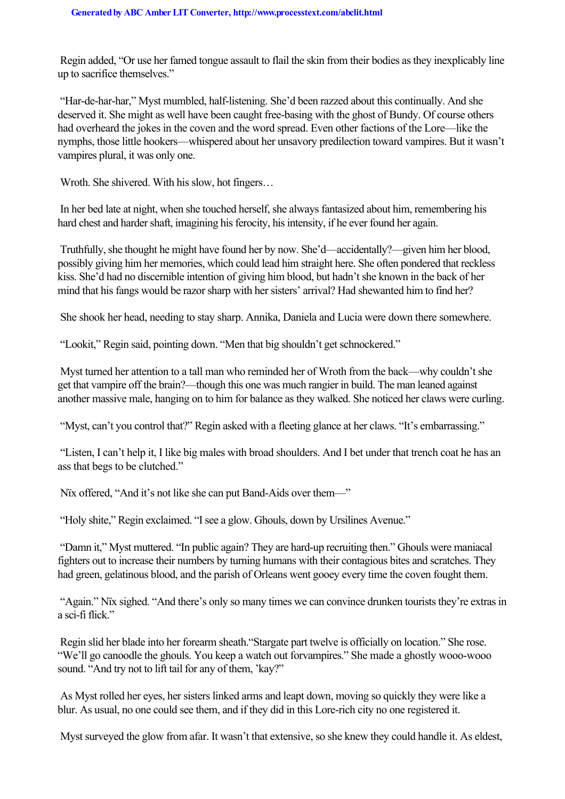Regin added, "Or use her famed tongue assault to flail the skin from their bodies as they inexplicably line up to sacrifice themselves."

 "Har-de-har-har," Myst mumbled, half-listening. She'd been razzed about this continually. And she deserved it. She might as well have been caught free-basing with the ghost of Bundy. Of course others had overheard the jokes in the coven and the word spread. Even other factions of the Lore—like the nymphs, those little hookers—whispered about her unsavory predilection toward vampires. But it wasn't vampires plural, it was only one.

Wroth. She shivered. With his slow, hot fingers…

 In her bed late at night, when she touched herself, she always fantasized about him, remembering his hard chest and harder shaft, imagining his ferocity, his intensity, if he ever found her again.

 Truthfully, she thought he might have found her by now. She'd—accidentally?—given him her blood, possibly giving him her memories, which could lead him straight here. She often pondered that reckless kiss. She'd had no discernible intention of giving him blood, but hadn't she known in the back of her mind that his fangs would be razor sharp with her sisters' arrival? Had shewanted him to find her?

She shook her head, needing to stay sharp. Annika, Daniela and Lucia were down there somewhere.

"Lookit," Regin said, pointing down. "Men that big shouldn't get schnockered."

 Myst turned her attention to a tall man who reminded her of Wroth from the back—why couldn't she get that vampire off the brain?—though this one was much rangier in build. The man leaned against another massive male, hanging on to him for balance as they walked. She noticed her claws were curling.

"Myst, can't you control that?" Regin asked with a fleeting glance at her claws. "It's embarrassing."

 "Listen, I can't help it, I like big males with broad shoulders. And I bet under that trench coat he has an ass that begs to be clutched."

Nïx offered, "And it's not like she can put Band-Aids over them—"

"Holy shite," Regin exclaimed. "I see a glow. Ghouls, down by Ursilines Avenue."

 "Damn it," Myst muttered. "In public again? They are hard-up recruiting then." Ghouls were maniacal fighters out to increase their numbers by turning humans with their contagious bites and scratches. They had green, gelatinous blood, and the parish of Orleans went gooey every time the coven fought them.

 "Again." Nïx sighed. "And there's only so many times we can convince drunken tourists they're extras in a sci-fi flick."

 Regin slid her blade into her forearm sheath."Stargate part twelve is officially on location." She rose. "We'll go canoodle the ghouls. You keep a watch out forvampires." She made a ghostly wooo-wooo sound. "And try not to lift tail for any of them, 'kay?"

 As Myst rolled her eyes, her sisters linked arms and leapt down, moving so quickly they were like a blur. As usual, no one could see them, and if they did in this Lore-rich city no one registered it.

Myst surveyed the glow from afar. It wasn't that extensive, so she knew they could handle it. As eldest,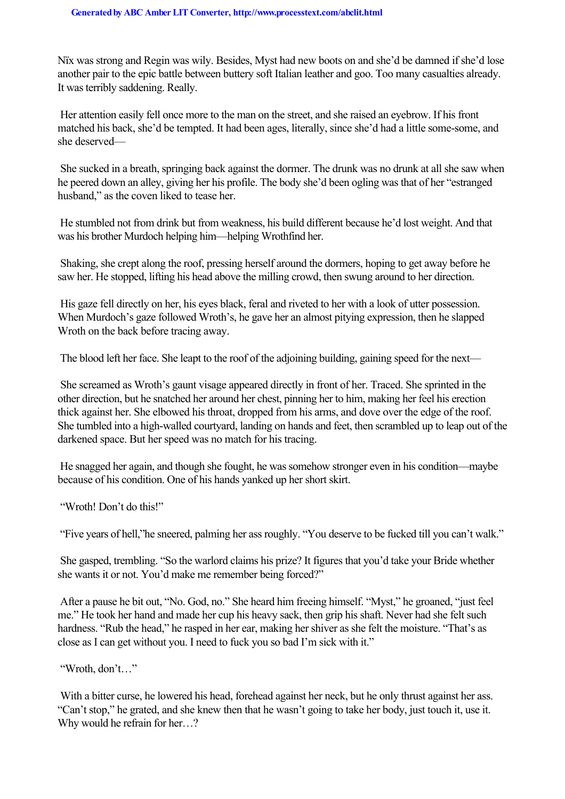Nïx was strong and Regin was wily. Besides, Myst had new boots on and she'd be damned if she'd lose another pair to the epic battle between buttery soft Italian leather and goo. Too many casualties already. It was terribly saddening. Really.

 Her attention easily fell once more to the man on the street, and she raised an eyebrow. If his front matched his back, she'd be tempted. It had been ages, literally, since she'd had a little some-some, and she deserved—

 She sucked in a breath, springing back against the dormer. The drunk was no drunk at all she saw when he peered down an alley, giving her his profile. The body she'd been ogling was that of her "estranged husband," as the coven liked to tease her.

 He stumbled not from drink but from weakness, his build different because he'd lost weight. And that was his brother Murdoch helping him—helping Wrothfind her.

 Shaking, she crept along the roof, pressing herself around the dormers, hoping to get away before he saw her. He stopped, lifting his head above the milling crowd, then swung around to her direction.

 His gaze fell directly on her, his eyes black, feral and riveted to her with a look of utter possession. When Murdoch's gaze followed Wroth's, he gave her an almost pitying expression, then he slapped Wroth on the back before tracing away.

The blood left her face. She leapt to the roof of the adjoining building, gaining speed for the next—

 She screamed as Wroth's gaunt visage appeared directly in front of her. Traced. She sprinted in the other direction, but he snatched her around her chest, pinning her to him, making her feel his erection thick against her. She elbowed his throat, dropped from his arms, and dove over the edge of the roof. She tumbled into a high-walled courtyard, landing on hands and feet, then scrambled up to leap out of the darkened space. But her speed was no match for his tracing.

 He snagged her again, and though she fought, he was somehow stronger even in his condition—maybe because of his condition. One of his hands yanked up her short skirt.

"Wroth! Don't do this!"

"Five years of hell,"he sneered, palming her ass roughly. "You deserve to be fucked till you can't walk."

 She gasped, trembling. "So the warlord claims his prize? It figures that you'd take your Bride whether she wants it or not. You'd make me remember being forced?"

 After a pause he bit out, "No. God, no." She heard him freeing himself. "Myst," he groaned, "just feel me." He took her hand and made her cup his heavy sack, then grip his shaft. Never had she felt such hardness. "Rub the head," he rasped in her ear, making her shiver as she felt the moisture. "That's as close as I can get without you. I need to fuck you so bad I'm sick with it."

"Wroth, don't…"

With a bitter curse, he lowered his head, forehead against her neck, but he only thrust against her ass. "Can't stop," he grated, and she knew then that he wasn't going to take her body, just touch it, use it. Why would he refrain for her…?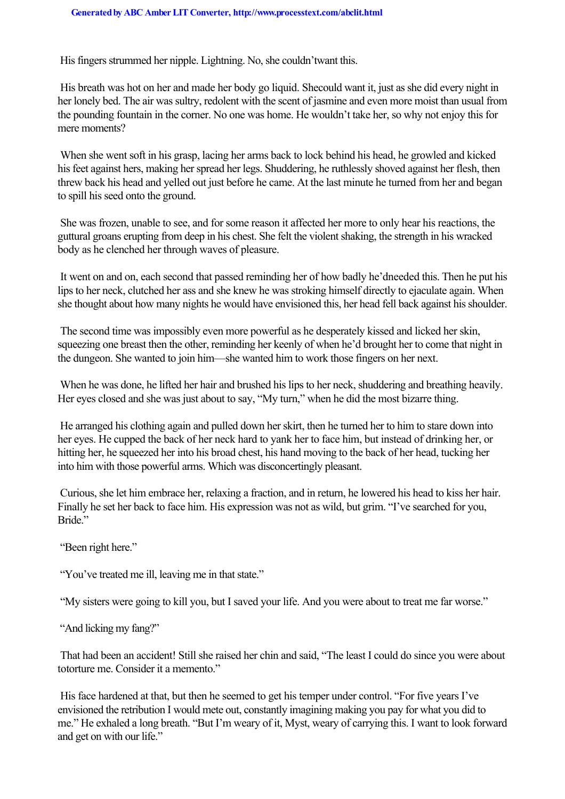His fingers strummed her nipple. Lightning. No, she couldn'twant this.

 His breath was hot on her and made her body go liquid. Shecould want it, just as she did every night in her lonely bed. The air was sultry, redolent with the scent of jasmine and even more moist than usual from the pounding fountain in the corner. No one was home. He wouldn't take her, so why not enjoy this for mere moments?

 When she went soft in his grasp, lacing her arms back to lock behind his head, he growled and kicked his feet against hers, making her spread her legs. Shuddering, he ruthlessly shoved against her flesh, then threw back his head and yelled out just before he came. At the last minute he turned from her and began to spill his seed onto the ground.

 She was frozen, unable to see, and for some reason it affected her more to only hear his reactions, the guttural groans erupting from deep in his chest. She felt the violent shaking, the strength in his wracked body as he clenched her through waves of pleasure.

 It went on and on, each second that passed reminding her of how badly he'dneeded this. Then he put his lips to her neck, clutched her ass and she knew he was stroking himself directly to ejaculate again. When she thought about how many nights he would have envisioned this, her head fell back against his shoulder.

 The second time was impossibly even more powerful as he desperately kissed and licked her skin, squeezing one breast then the other, reminding her keenly of when he'd brought her to come that night in the dungeon. She wanted to join him—she wanted him to work those fingers on her next.

 When he was done, he lifted her hair and brushed his lips to her neck, shuddering and breathing heavily. Her eyes closed and she was just about to say, "My turn," when he did the most bizarre thing.

 He arranged his clothing again and pulled down her skirt, then he turned her to him to stare down into her eyes. He cupped the back of her neck hard to yank her to face him, but instead of drinking her, or hitting her, he squeezed her into his broad chest, his hand moving to the back of her head, tucking her into him with those powerful arms. Which was disconcertingly pleasant.

 Curious, she let him embrace her, relaxing a fraction, and in return, he lowered his head to kiss her hair. Finally he set her back to face him. His expression was not as wild, but grim. "I've searched for you, Bride<sup>"</sup>

"Been right here."

"You've treated me ill, leaving me in that state."

"My sisters were going to kill you, but I saved your life. And you were about to treat me far worse."

"And licking my fang?"

 That had been an accident! Still she raised her chin and said, "The least I could do since you were about totorture me. Consider it a memento."

His face hardened at that, but then he seemed to get his temper under control. "For five years I've envisioned the retribution I would mete out, constantly imagining making you pay for what you did to me." He exhaled a long breath. "But I'm weary of it, Myst, weary of carrying this. I want to look forward and get on with our life."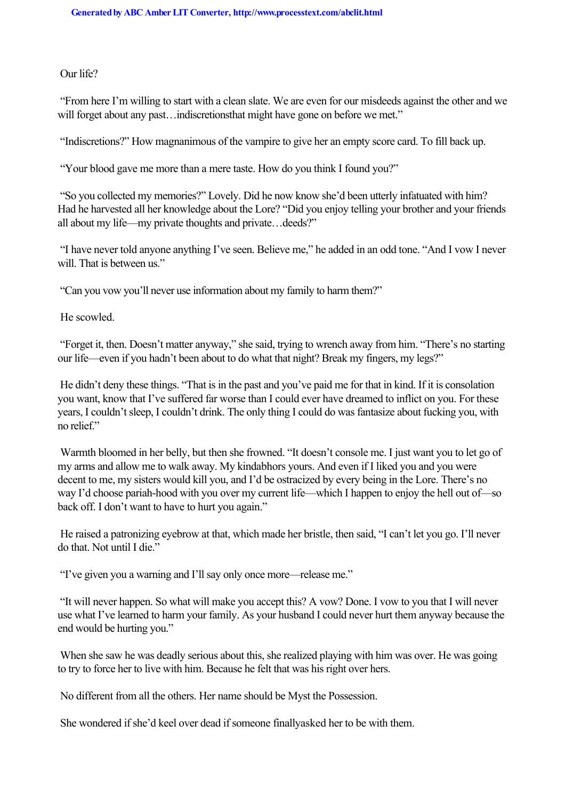Our life?

 "From here I'm willing to start with a clean slate. We are even for our misdeeds against the other and we will forget about any past...indiscretionsthat might have gone on before we met."

"Indiscretions?" How magnanimous of the vampire to give her an empty score card. To fill back up.

"Your blood gave me more than a mere taste. How do you think I found you?"

 "So you collected my memories?" Lovely. Did he now know she'd been utterly infatuated with him? Had he harvested all her knowledge about the Lore? "Did you enjoy telling your brother and your friends all about my life—my private thoughts and private…deeds?"

 "I have never told anyone anything I've seen. Believe me," he added in an odd tone. "And I vow I never will. That is between us."

"Can you vow you'll never use information about my family to harm them?"

He scowled.

 "Forget it, then. Doesn't matter anyway," she said, trying to wrench away from him. "There's no starting our life—even if you hadn't been about to do what that night? Break my fingers, my legs?"

 He didn't deny these things. "That is in the past and you've paid me for that in kind. If it is consolation you want, know that I've suffered far worse than I could ever have dreamed to inflict on you. For these years, I couldn't sleep, I couldn't drink. The only thing I could do was fantasize about fucking you, with no relief"

 Warmth bloomed in her belly, but then she frowned. "It doesn't console me. I just want you to let go of my arms and allow me to walk away. My kindabhors yours. And even if I liked you and you were decent to me, my sisters would kill you, and I'd be ostracized by every being in the Lore. There's no way I'd choose pariah-hood with you over my current life—which I happen to enjoy the hell out of—so back off. I don't want to have to hurt you again."

 He raised a patronizing eyebrow at that, which made her bristle, then said, "I can't let you go. I'll never do that. Not until I die."

"I've given you a warning and I'll say only once more—release me."

 "It will never happen. So what will make you accept this? A vow? Done. I vow to you that I will never use what I've learned to harm your family. As your husband I could never hurt them anyway because the end would be hurting you."

When she saw he was deadly serious about this, she realized playing with him was over. He was going to try to force her to live with him. Because he felt that was his right over hers.

No different from all the others. Her name should be Myst the Possession.

She wondered if she'd keel over dead if someone finallyasked her to be with them.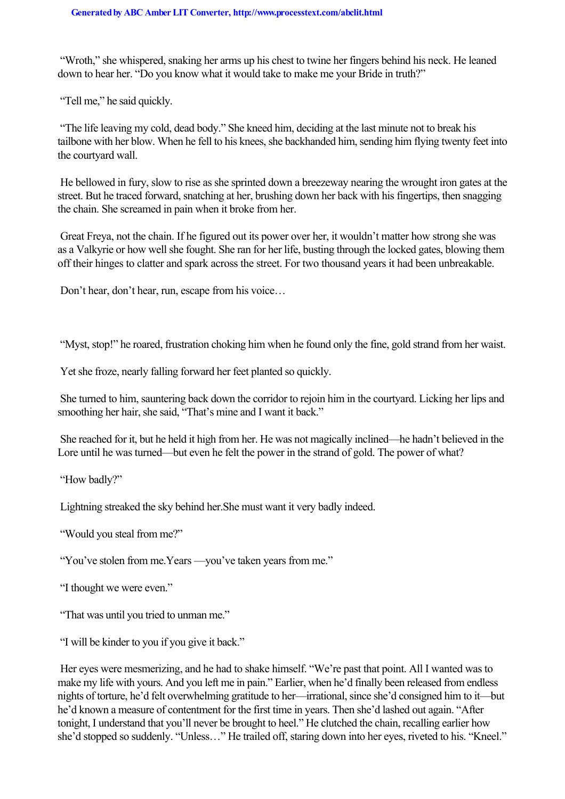### **Generated by ABC Amber LIT Converter, <http://www.processtext.com/abclit.html>**

 "Wroth," she whispered, snaking her arms up his chest to twine her fingers behind his neck. He leaned down to hear her. "Do you know what it would take to make me your Bride in truth?"

"Tell me," he said quickly.

 "The life leaving my cold, dead body." She kneed him, deciding at the last minute not to break his tailbone with her blow. When he fell to his knees, she backhanded him, sending him flying twenty feet into the courtyard wall.

 He bellowed in fury, slow to rise as she sprinted down a breezeway nearing the wrought iron gates at the street. But he traced forward, snatching at her, brushing down her back with his fingertips, then snagging the chain. She screamed in pain when it broke from her.

 Great Freya, not the chain. If he figured out its power over her, it wouldn't matter how strong she was as a Valkyrie or how well she fought. She ran for her life, busting through the locked gates, blowing them off their hinges to clatter and spark across the street. For two thousand years it had been unbreakable.

Don't hear, don't hear, run, escape from his voice…

"Myst, stop!" he roared, frustration choking him when he found only the fine, gold strand from her waist.

Yet she froze, nearly falling forward her feet planted so quickly.

 She turned to him, sauntering back down the corridor to rejoin him in the courtyard. Licking her lips and smoothing her hair, she said, "That's mine and I want it back."

 She reached for it, but he held it high from her. He was not magically inclined—he hadn't believed in the Lore until he was turned—but even he felt the power in the strand of gold. The power of what?

"How badly?"

Lightning streaked the sky behind her.She must want it very badly indeed.

"Would you steal from me?"

"You've stolen from me.Years —you've taken years from me."

"I thought we were even."

"That was until you tried to unman me."

"I will be kinder to you if you give it back."

Her eyes were mesmerizing, and he had to shake himself. "We're past that point. All I wanted was to make my life with yours. And you left me in pain." Earlier, when he'd finally been released from endless nights of torture, he'd felt overwhelming gratitude to her—irrational, since she'd consigned him to it—but he'd known a measure of contentment for the first time in years. Then she'd lashed out again. "After tonight, I understand that you'll never be brought to heel." He clutched the chain, recalling earlier how she'd stopped so suddenly. "Unless…" He trailed off, staring down into her eyes, riveted to his. "Kneel."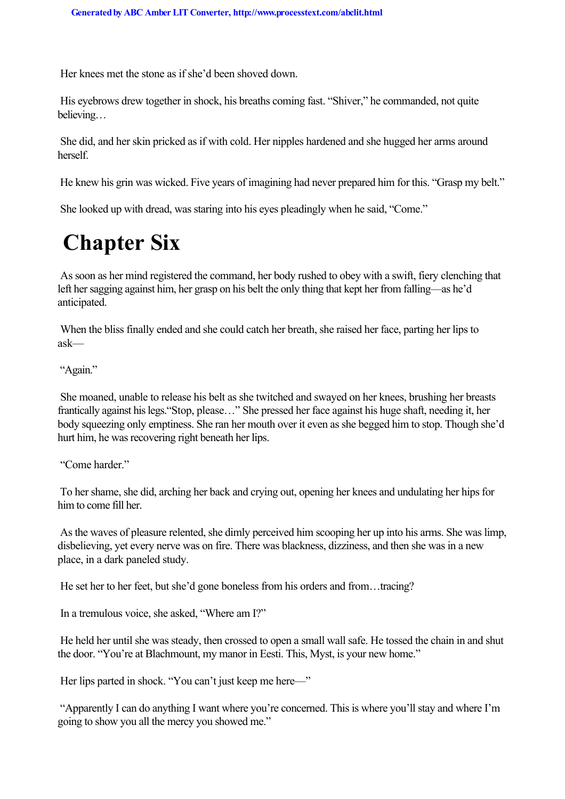Her knees met the stone as if she'd been shoved down.

 His eyebrows drew together in shock, his breaths coming fast. "Shiver," he commanded, not quite believing…

 She did, and her skin pricked as if with cold. Her nipples hardened and she hugged her arms around herself.

He knew his grin was wicked. Five years of imagining had never prepared him for this. "Grasp my belt."

She looked up with dread, was staring into his eyes pleadingly when he said, "Come."

## **Chapter Six**

 As soon as her mind registered the command, her body rushed to obey with a swift, fiery clenching that left her sagging against him, her grasp on his belt the only thing that kept her from falling—as he'd anticipated.

 When the bliss finally ended and she could catch her breath, she raised her face, parting her lips to ask—

"Again"

 She moaned, unable to release his belt as she twitched and swayed on her knees, brushing her breasts frantically against his legs."Stop, please…" She pressed her face against his huge shaft, needing it, her body squeezing only emptiness. She ran her mouth over it even as she begged him to stop. Though she'd hurt him, he was recovering right beneath her lips.

"Come harder."

 To her shame, she did, arching her back and crying out, opening her knees and undulating her hips for him to come fill her.

 As the waves of pleasure relented, she dimly perceived him scooping her up into his arms. She was limp, disbelieving, yet every nerve was on fire. There was blackness, dizziness, and then she was in a new place, in a dark paneled study.

He set her to her feet, but she'd gone boneless from his orders and from…tracing?

In a tremulous voice, she asked, "Where am I?"

 He held her until she was steady, then crossed to open a small wall safe. He tossed the chain in and shut the door. "You're at Blachmount, my manor in Eesti. This, Myst, is your new home."

Her lips parted in shock. "You can't just keep me here—"

 "Apparently I can do anything I want where you're concerned. This is where you'll stay and where I'm going to show you all the mercy you showed me."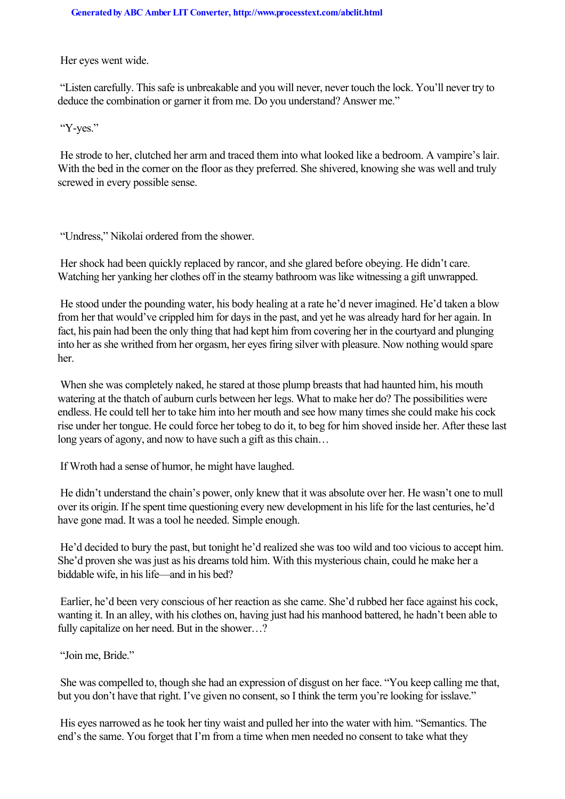Her eyes went wide.

 "Listen carefully. This safe is unbreakable and you will never, never touch the lock. You'll never try to deduce the combination or garner it from me. Do you understand? Answer me."

"Y-yes."

 He strode to her, clutched her arm and traced them into what looked like a bedroom. A vampire's lair. With the bed in the corner on the floor as they preferred. She shivered, knowing she was well and truly screwed in every possible sense.

"Undress," Nikolai ordered from the shower.

Her shock had been quickly replaced by rancor, and she glared before obeying. He didn't care. Watching her yanking her clothes off in the steamy bathroom was like witnessing a gift unwrapped.

 He stood under the pounding water, his body healing at a rate he'd never imagined. He'd taken a blow from her that would've crippled him for days in the past, and yet he was already hard for her again. In fact, his pain had been the only thing that had kept him from covering her in the courtyard and plunging into her as she writhed from her orgasm, her eyes firing silver with pleasure. Now nothing would spare her.

When she was completely naked, he stared at those plump breasts that had haunted him, his mouth watering at the thatch of auburn curls between her legs. What to make her do? The possibilities were endless. He could tell her to take him into her mouth and see how many times she could make his cock rise under her tongue. He could force her tobeg to do it, to beg for him shoved inside her. After these last long years of agony, and now to have such a gift as this chain…

If Wroth had a sense of humor, he might have laughed.

 He didn't understand the chain's power, only knew that it was absolute over her. He wasn't one to mull over its origin. If he spent time questioning every new development in his life for the last centuries, he'd have gone mad. It was a tool he needed. Simple enough.

 He'd decided to bury the past, but tonight he'd realized she was too wild and too vicious to accept him. She'd proven she was just as his dreams told him. With this mysterious chain, could he make her a biddable wife, in his life—and in his bed?

 Earlier, he'd been very conscious of her reaction as she came. She'd rubbed her face against his cock, wanting it. In an alley, with his clothes on, having just had his manhood battered, he hadn't been able to fully capitalize on her need. But in the shower…?

"Join me, Bride."

 She was compelled to, though she had an expression of disgust on her face. "You keep calling me that, but you don't have that right. I've given no consent, so I think the term you're looking for isslave."

 His eyes narrowed as he took her tiny waist and pulled her into the water with him. "Semantics. The end's the same. You forget that I'm from a time when men needed no consent to take what they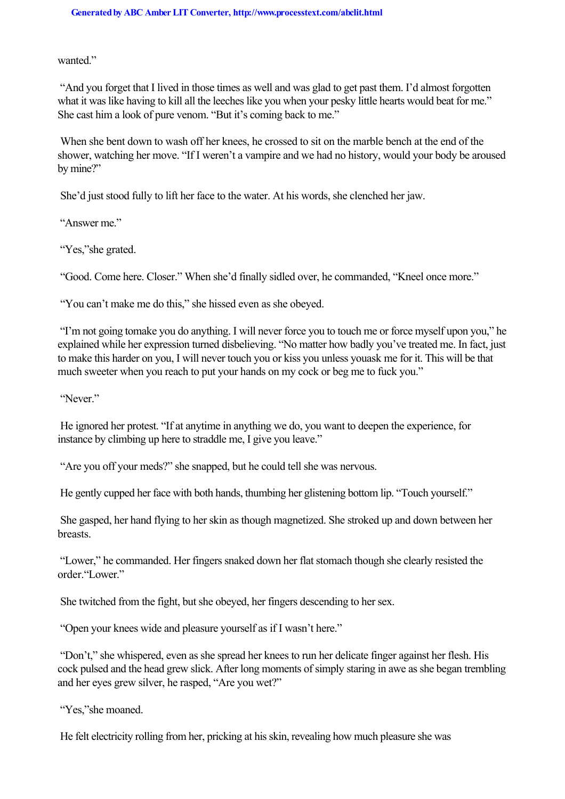wanted<sup>"</sup>

 "And you forget that I lived in those times as well and was glad to get past them. I'd almost forgotten what it was like having to kill all the leeches like you when your pesky little hearts would beat for me." She cast him a look of pure venom. "But it's coming back to me."

 When she bent down to wash off her knees, he crossed to sit on the marble bench at the end of the shower, watching her move. "If I weren't a vampire and we had no history, would your body be aroused by mine?"

She'd just stood fully to lift her face to the water. At his words, she clenched her jaw.

"Answer me."

"Yes," she grated.

"Good. Come here. Closer." When she'd finally sidled over, he commanded, "Kneel once more."

"You can't make me do this," she hissed even as she obeyed.

 "I'm not going tomake you do anything. I will never force you to touch me or force myself upon you," he explained while her expression turned disbelieving. "No matter how badly you've treated me. In fact, just to make this harder on you, I will never touch you or kiss you unless youask me for it. This will be that much sweeter when you reach to put your hands on my cock or beg me to fuck you."

"Never"

 He ignored her protest. "If at anytime in anything we do, you want to deepen the experience, for instance by climbing up here to straddle me, I give you leave."

"Are you off your meds?" she snapped, but he could tell she was nervous.

He gently cupped her face with both hands, thumbing her glistening bottom lip. "Touch yourself."

 She gasped, her hand flying to her skin as though magnetized. She stroked up and down between her breasts.

 "Lower," he commanded. Her fingers snaked down her flat stomach though she clearly resisted the order "Lower"

She twitched from the fight, but she obeyed, her fingers descending to her sex.

"Open your knees wide and pleasure yourself as if I wasn't here."

 "Don't," she whispered, even as she spread her knees to run her delicate finger against her flesh. His cock pulsed and the head grew slick. After long moments of simply staring in awe as she began trembling and her eyes grew silver, he rasped, "Are you wet?"

"Yes," she moaned.

He felt electricity rolling from her, pricking at his skin, revealing how much pleasure she was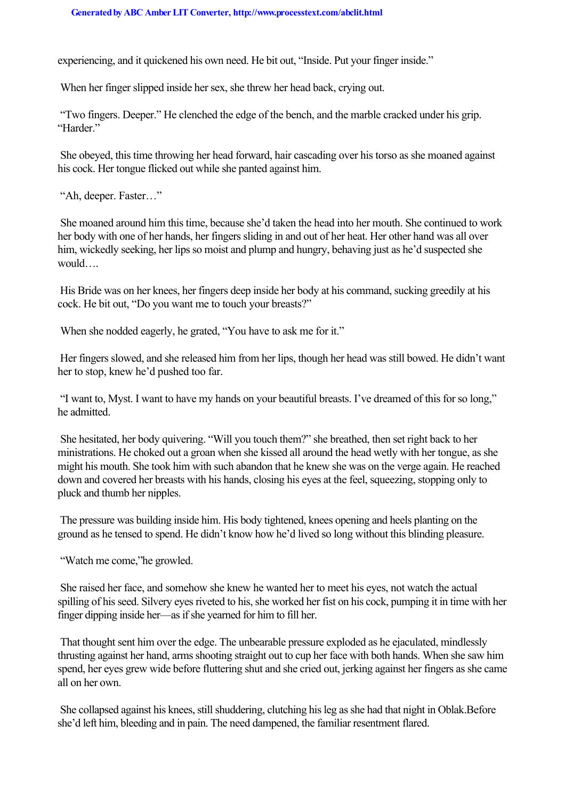### **Generated by ABC Amber LIT Converter, <http://www.processtext.com/abclit.html>**

experiencing, and it quickened his own need. He bit out, "Inside. Put your finger inside."

When her finger slipped inside her sex, she threw her head back, crying out.

 "Two fingers. Deeper." He clenched the edge of the bench, and the marble cracked under his grip. "Harder"

 She obeyed, this time throwing her head forward, hair cascading over his torso as she moaned against his cock. Her tongue flicked out while she panted against him.

"Ah, deeper. Faster…"

 She moaned around him this time, because she'd taken the head into her mouth. She continued to work her body with one of her hands, her fingers sliding in and out of her heat. Her other hand was all over him, wickedly seeking, her lips so moist and plump and hungry, behaving just as he'd suspected she would….

 His Bride was on her knees, her fingers deep inside her body at his command, sucking greedily at his cock. He bit out, "Do you want me to touch your breasts?"

When she nodded eagerly, he grated, "You have to ask me for it."

 Her fingers slowed, and she released him from her lips, though her head was still bowed. He didn't want her to stop, knew he'd pushed too far.

 "I want to, Myst. I want to have my hands on your beautiful breasts. I've dreamed of this for so long," he admitted.

 She hesitated, her body quivering. "Will you touch them?" she breathed, then set right back to her ministrations. He choked out a groan when she kissed all around the head wetly with her tongue, as she might his mouth. She took him with such abandon that he knew she was on the verge again. He reached down and covered her breasts with his hands, closing his eyes at the feel, squeezing, stopping only to pluck and thumb her nipples.

 The pressure was building inside him. His body tightened, knees opening and heels planting on the ground as he tensed to spend. He didn't know how he'd lived so long without this blinding pleasure.

"Watch me come,"he growled.

 She raised her face, and somehow she knew he wanted her to meet his eyes, not watch the actual spilling of his seed. Silvery eyes riveted to his, she worked her fist on his cock, pumping it in time with her finger dipping inside her—as if she yearned for him to fill her.

 That thought sent him over the edge. The unbearable pressure exploded as he ejaculated, mindlessly thrusting against her hand, arms shooting straight out to cup her face with both hands. When she saw him spend, her eyes grew wide before fluttering shut and she cried out, jerking against her fingers as she came all on her own.

 She collapsed against his knees, still shuddering, clutching his leg as she had that night in Oblak.Before she'd left him, bleeding and in pain. The need dampened, the familiar resentment flared.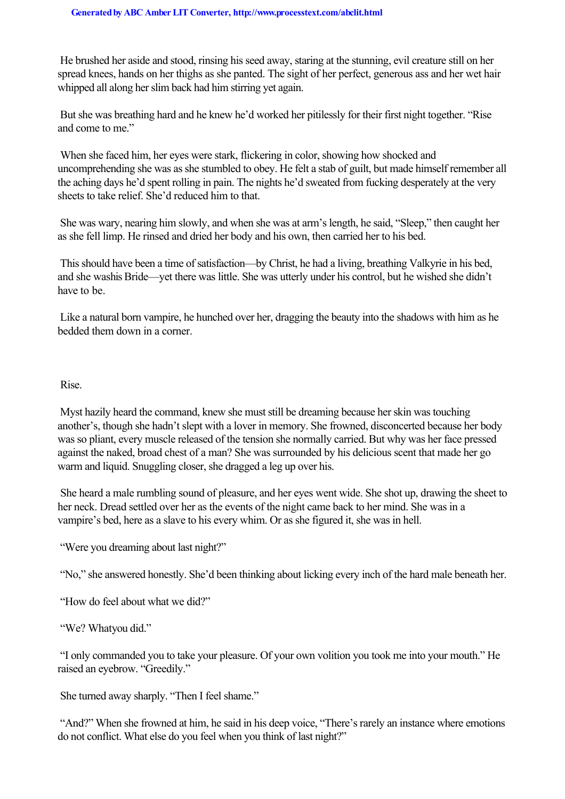He brushed her aside and stood, rinsing his seed away, staring at the stunning, evil creature still on her spread knees, hands on her thighs as she panted. The sight of her perfect, generous ass and her wet hair whipped all along her slim back had him stirring yet again.

 But she was breathing hard and he knew he'd worked her pitilessly for their first night together. "Rise and come to me."

 When she faced him, her eyes were stark, flickering in color, showing how shocked and uncomprehending she was as she stumbled to obey. He felt a stab of guilt, but made himself remember all the aching days he'd spent rolling in pain. The nights he'd sweated from fucking desperately at the very sheets to take relief. She'd reduced him to that.

 She was wary, nearing him slowly, and when she was at arm's length, he said, "Sleep," then caught her as she fell limp. He rinsed and dried her body and his own, then carried her to his bed.

 This should have been a time of satisfaction—by Christ, he had a living, breathing Valkyrie in his bed, and she washis Bride—yet there was little. She was utterly under his control, but he wished she didn't have to be.

 Like a natural born vampire, he hunched over her, dragging the beauty into the shadows with him as he bedded them down in a corner.

## Rise.

 Myst hazily heard the command, knew she must still be dreaming because her skin was touching another's, though she hadn't slept with a lover in memory. She frowned, disconcerted because her body was so pliant, every muscle released of the tension she normally carried. But why was her face pressed against the naked, broad chest of a man? She was surrounded by his delicious scent that made her go warm and liquid. Snuggling closer, she dragged a leg up over his.

 She heard a male rumbling sound of pleasure, and her eyes went wide. She shot up, drawing the sheet to her neck. Dread settled over her as the events of the night came back to her mind. She was in a vampire's bed, here as a slave to his every whim. Or as she figured it, she was in hell.

"Were you dreaming about last night?"

"No," she answered honestly. She'd been thinking about licking every inch of the hard male beneath her.

"How do feel about what we did?"

"We? Whatyou did."

 "I only commanded you to take your pleasure. Of your own volition you took me into your mouth." He raised an eyebrow. "Greedily."

She turned away sharply. "Then I feel shame."

 "And?" When she frowned at him, he said in his deep voice, "There's rarely an instance where emotions do not conflict. What else do you feel when you think of last night?"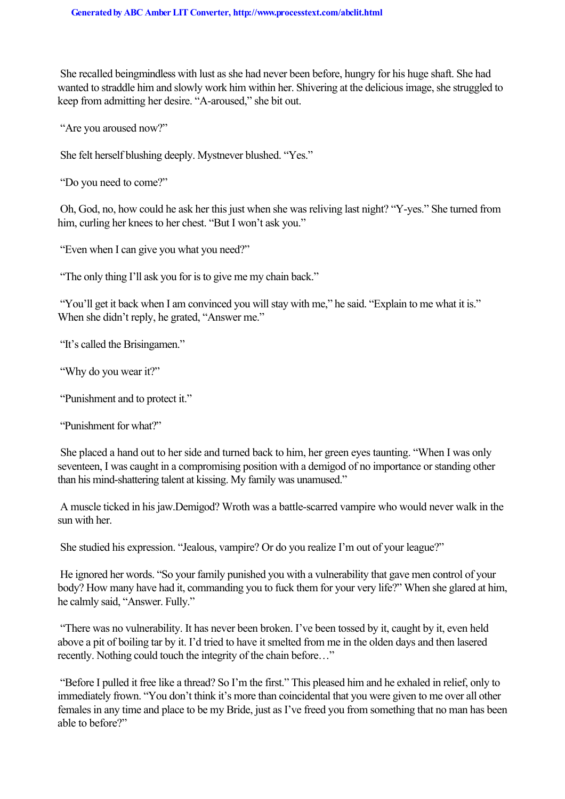She recalled beingmindless with lust as she had never been before, hungry for his huge shaft. She had wanted to straddle him and slowly work him within her. Shivering at the delicious image, she struggled to keep from admitting her desire. "A-aroused," she bit out.

"Are you aroused now?"

She felt herself blushing deeply. Mystnever blushed. "Yes."

"Do you need to come?"

 Oh, God, no, how could he ask her this just when she was reliving last night? "Y-yes." She turned from him, curling her knees to her chest. "But I won't ask you."

"Even when I can give you what you need?"

"The only thing I'll ask you for is to give me my chain back."

 "You'll get it back when I am convinced you will stay with me," he said. "Explain to me what it is." When she didn't reply, he grated, "Answer me."

"It's called the Brisingamen."

"Why do you wear it?"

"Punishment and to protect it."

"Punishment for what?"

 She placed a hand out to her side and turned back to him, her green eyes taunting. "When I was only seventeen, I was caught in a compromising position with a demigod of no importance or standing other than his mind-shattering talent at kissing. My family was unamused."

 A muscle ticked in his jaw.Demigod? Wroth was a battle-scarred vampire who would never walk in the sun with her.

She studied his expression. "Jealous, vampire? Or do you realize I'm out of your league?"

 He ignored her words. "So your family punished you with a vulnerability that gave men control of your body? How many have had it, commanding you to fuck them for your very life?" When she glared at him, he calmly said, "Answer. Fully."

 "There was no vulnerability. It has never been broken. I've been tossed by it, caught by it, even held above a pit of boiling tar by it. I'd tried to have it smelted from me in the olden days and then lasered recently. Nothing could touch the integrity of the chain before…"

 "Before I pulled it free like a thread? So I'm the first." This pleased him and he exhaled in relief, only to immediately frown. "You don't think it's more than coincidental that you were given to me over all other females in any time and place to be my Bride, just as I've freed you from something that no man has been able to before?"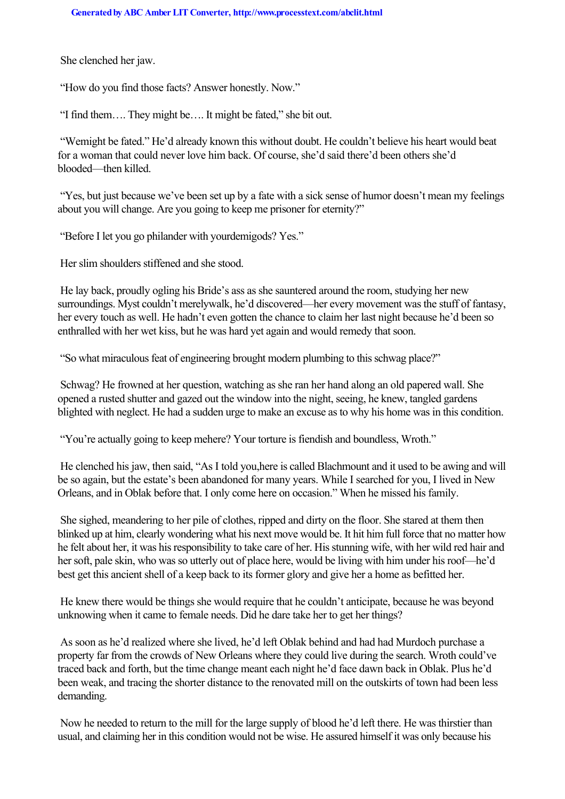She clenched her jaw.

"How do you find those facts? Answer honestly. Now."

"I find them…. They might be…. It might be fated," she bit out.

 "Wemight be fated." He'd already known this without doubt. He couldn't believe his heart would beat for a woman that could never love him back. Of course, she'd said there'd been others she'd blooded—then killed.

"Yes, but just because we've been set up by a fate with a sick sense of humor doesn't mean my feelings about you will change. Are you going to keep me prisoner for eternity?"

"Before I let you go philander with yourdemigods? Yes."

Her slim shoulders stiffened and she stood.

 He lay back, proudly ogling his Bride's ass as she sauntered around the room, studying her new surroundings. Myst couldn't merelywalk, he'd discovered—her every movement was the stuff of fantasy, her every touch as well. He hadn't even gotten the chance to claim her last night because he'd been so enthralled with her wet kiss, but he was hard yet again and would remedy that soon.

"So what miraculous feat of engineering brought modern plumbing to this schwag place?"

 Schwag? He frowned at her question, watching as she ran her hand along an old papered wall. She opened a rusted shutter and gazed out the window into the night, seeing, he knew, tangled gardens blighted with neglect. He had a sudden urge to make an excuse as to why his home was in this condition.

"You're actually going to keep mehere? Your torture is fiendish and boundless, Wroth."

 He clenched his jaw, then said, "As I told you,here is called Blachmount and it used to be awing and will be so again, but the estate's been abandoned for many years. While I searched for you, I lived in New Orleans, and in Oblak before that. I only come here on occasion." When he missed his family.

 She sighed, meandering to her pile of clothes, ripped and dirty on the floor. She stared at them then blinked up at him, clearly wondering what his next move would be. It hit him full force that no matter how he felt about her, it was his responsibility to take care of her. His stunning wife, with her wild red hair and her soft, pale skin, who was so utterly out of place here, would be living with him under his roof—he'd best get this ancient shell of a keep back to its former glory and give her a home as befitted her.

 He knew there would be things she would require that he couldn't anticipate, because he was beyond unknowing when it came to female needs. Did he dare take her to get her things?

 As soon as he'd realized where she lived, he'd left Oblak behind and had had Murdoch purchase a property far from the crowds of New Orleans where they could live during the search. Wroth could've traced back and forth, but the time change meant each night he'd face dawn back in Oblak. Plus he'd been weak, and tracing the shorter distance to the renovated mill on the outskirts of town had been less demanding.

 Now he needed to return to the mill for the large supply of blood he'd left there. He was thirstier than usual, and claiming her in this condition would not be wise. He assured himself it was only because his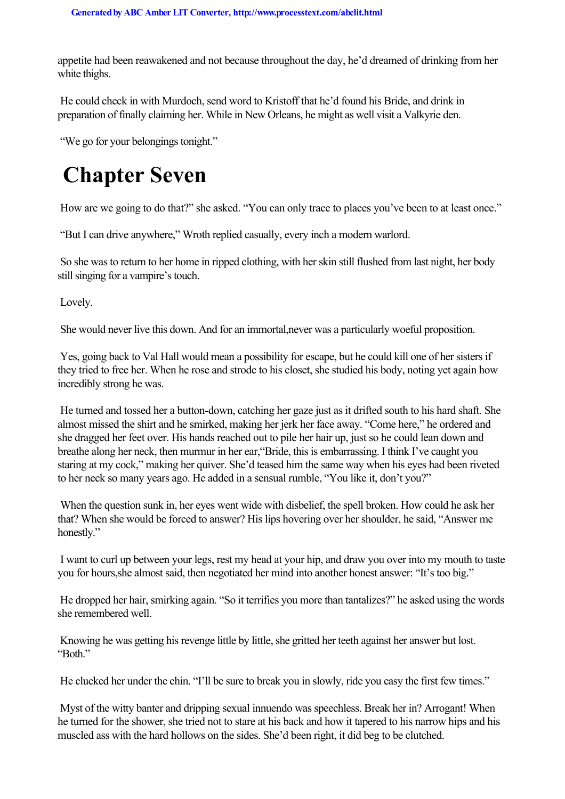appetite had been reawakened and not because throughout the day, he'd dreamed of drinking from her white thighs.

 He could check in with Murdoch, send word to Kristoff that he'd found his Bride, and drink in preparation of finally claiming her. While in New Orleans, he might as well visit a Valkyrie den.

"We go for your belongings tonight."

# **Chapter Seven**

How are we going to do that?" she asked. "You can only trace to places you've been to at least once."

"But I can drive anywhere," Wroth replied casually, every inch a modern warlord.

 So she was to return to her home in ripped clothing, with her skin still flushed from last night, her body still singing for a vampire's touch.

Lovely.

She would never live this down. And for an immortal,never was a particularly woeful proposition.

 Yes, going back to Val Hall would mean a possibility for escape, but he could kill one of her sisters if they tried to free her. When he rose and strode to his closet, she studied his body, noting yet again how incredibly strong he was.

 He turned and tossed her a button-down, catching her gaze just as it drifted south to his hard shaft. She almost missed the shirt and he smirked, making her jerk her face away. "Come here," he ordered and she dragged her feet over. His hands reached out to pile her hair up, just so he could lean down and breathe along her neck, then murmur in her ear,"Bride, this is embarrassing. I think I've caught you staring at my cock," making her quiver. She'd teased him the same way when his eyes had been riveted to her neck so many years ago. He added in a sensual rumble, "You like it, don't you?"

When the question sunk in, her eyes went wide with disbelief, the spell broken. How could he ask her that? When she would be forced to answer? His lips hovering over her shoulder, he said, "Answer me honestly."

 I want to curl up between your legs, rest my head at your hip, and draw you over into my mouth to taste you for hours,she almost said, then negotiated her mind into another honest answer: "It's too big."

 He dropped her hair, smirking again. "So it terrifies you more than tantalizes?" he asked using the words she remembered well.

 Knowing he was getting his revenge little by little, she gritted her teeth against her answer but lost. "Both."

He clucked her under the chin. "I'll be sure to break you in slowly, ride you easy the first few times."

 Myst of the witty banter and dripping sexual innuendo was speechless. Break her in? Arrogant! When he turned for the shower, she tried not to stare at his back and how it tapered to his narrow hips and his muscled ass with the hard hollows on the sides. She'd been right, it did beg to be clutched.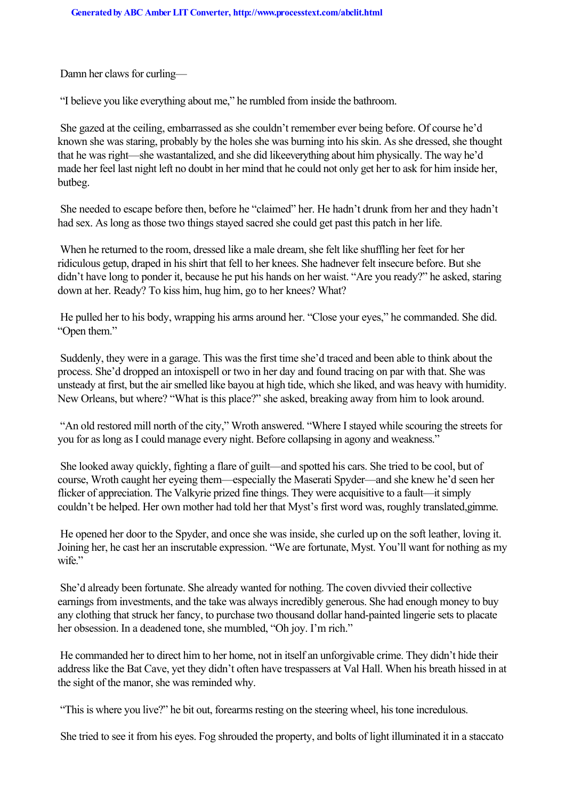Damn her claws for curling—

"I believe you like everything about me," he rumbled from inside the bathroom.

 She gazed at the ceiling, embarrassed as she couldn't remember ever being before. Of course he'd known she was staring, probably by the holes she was burning into his skin. As she dressed, she thought that he was right—she wastantalized, and she did likeeverything about him physically. The way he'd made her feel last night left no doubt in her mind that he could not only get her to ask for him inside her, butbeg.

 She needed to escape before then, before he "claimed" her. He hadn't drunk from her and they hadn't had sex. As long as those two things stayed sacred she could get past this patch in her life.

 When he returned to the room, dressed like a male dream, she felt like shuffling her feet for her ridiculous getup, draped in his shirt that fell to her knees. She hadnever felt insecure before. But she didn't have long to ponder it, because he put his hands on her waist. "Are you ready?" he asked, staring down at her. Ready? To kiss him, hug him, go to her knees? What?

 He pulled her to his body, wrapping his arms around her. "Close your eyes," he commanded. She did. "Open them."

 Suddenly, they were in a garage. This was the first time she'd traced and been able to think about the process. She'd dropped an intoxispell or two in her day and found tracing on par with that. She was unsteady at first, but the air smelled like bayou at high tide, which she liked, and was heavy with humidity. New Orleans, but where? "What is this place?" she asked, breaking away from him to look around.

 "An old restored mill north of the city," Wroth answered. "Where I stayed while scouring the streets for you for as long as I could manage every night. Before collapsing in agony and weakness."

 She looked away quickly, fighting a flare of guilt—and spotted his cars. She tried to be cool, but of course, Wroth caught her eyeing them—especially the Maserati Spyder—and she knew he'd seen her flicker of appreciation. The Valkyrie prized fine things. They were acquisitive to a fault—it simply couldn't be helped. Her own mother had told her that Myst's first word was, roughly translated, gimme.

 He opened her door to the Spyder, and once she was inside, she curled up on the soft leather, loving it. Joining her, he cast her an inscrutable expression. "We are fortunate, Myst. You'll want for nothing as my wife"

 She'd already been fortunate. She already wanted for nothing. The coven divvied their collective earnings from investments, and the take was always incredibly generous. She had enough money to buy any clothing that struck her fancy, to purchase two thousand dollar hand-painted lingerie sets to placate her obsession. In a deadened tone, she mumbled, "Oh joy. I'm rich."

 He commanded her to direct him to her home, not in itself an unforgivable crime. They didn't hide their address like the Bat Cave, yet they didn't often have trespassers at Val Hall. When his breath hissed in at the sight of the manor, she was reminded why.

"This is where you live?" he bit out, forearms resting on the steering wheel, his tone incredulous.

She tried to see it from his eyes. Fog shrouded the property, and bolts of light illuminated it in a staccato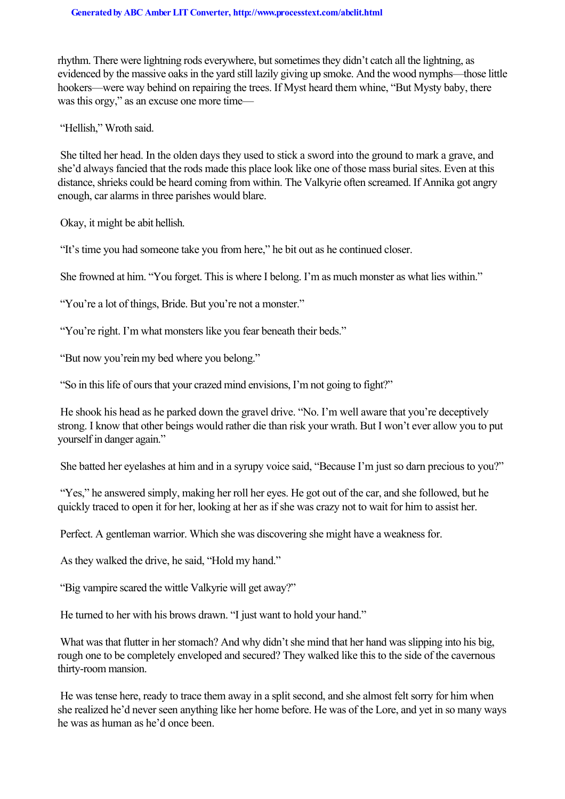rhythm. There were lightning rods everywhere, but sometimes they didn't catch all the lightning, as evidenced by the massive oaks in the yard still lazily giving up smoke. And the wood nymphs—those little hookers—were way behind on repairing the trees. If Myst heard them whine, "But Mysty baby, there was this orgy," as an excuse one more time—

"Hellish," Wroth said.

 She tilted her head. In the olden days they used to stick a sword into the ground to mark a grave, and she'd always fancied that the rods made this place look like one of those mass burial sites. Even at this distance, shrieks could be heard coming from within. The Valkyrie often screamed. If Annika got angry enough, car alarms in three parishes would blare.

Okay, it might be abit hellish.

"It's time you had someone take you from here," he bit out as he continued closer.

She frowned at him. "You forget. This is where I belong. I'm as much monster as what lies within."

"You're a lot of things, Bride. But you're not a monster."

"You're right. I'm what monsters like you fear beneath their beds."

"But now you'rein my bed where you belong."

"So in this life of ours that your crazed mind envisions, I'm not going to fight?"

 He shook his head as he parked down the gravel drive. "No. I'm well aware that you're deceptively strong. I know that other beings would rather die than risk your wrath. But I won't ever allow you to put yourself in danger again."

She batted her eyelashes at him and in a syrupy voice said, "Because I'm just so darn precious to you?"

 "Yes," he answered simply, making her roll her eyes. He got out of the car, and she followed, but he quickly traced to open it for her, looking at her as if she was crazy not to wait for him to assist her.

Perfect. A gentleman warrior. Which she was discovering she might have a weakness for.

As they walked the drive, he said, "Hold my hand."

"Big vampire scared the wittle Valkyrie will get away?"

He turned to her with his brows drawn. "I just want to hold your hand."

What was that flutter in her stomach? And why didn't she mind that her hand was slipping into his big, rough one to be completely enveloped and secured? They walked like this to the side of the cavernous thirty-room mansion.

 He was tense here, ready to trace them away in a split second, and she almost felt sorry for him when she realized he'd never seen anything like her home before. He was of the Lore, and yet in so many ways he was as human as he'd once been.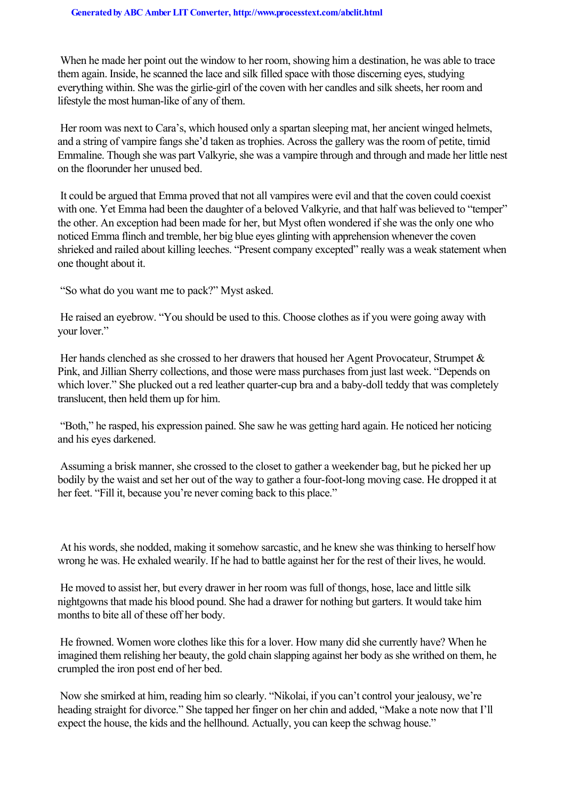When he made her point out the window to her room, showing him a destination, he was able to trace them again. Inside, he scanned the lace and silk filled space with those discerning eyes, studying everything within. She was the girlie-girl of the coven with her candles and silk sheets, her room and lifestyle the most human-like of any of them.

 Her room was next to Cara's, which housed only a spartan sleeping mat, her ancient winged helmets, and a string of vampire fangs she'd taken as trophies. Across the gallery was the room of petite, timid Emmaline. Though she was part Valkyrie, she was a vampire through and through and made her little nest on the floorunder her unused bed.

 It could be argued that Emma proved that not all vampires were evil and that the coven could coexist with one. Yet Emma had been the daughter of a beloved Valkyrie, and that half was believed to "temper" the other. An exception had been made for her, but Myst often wondered if she was the only one who noticed Emma flinch and tremble, her big blue eyes glinting with apprehension whenever the coven shrieked and railed about killing leeches. "Present company excepted" really was a weak statement when one thought about it.

"So what do you want me to pack?" Myst asked.

 He raised an eyebrow. "You should be used to this. Choose clothes as if you were going away with your lover."

 Her hands clenched as she crossed to her drawers that housed her Agent Provocateur, Strumpet & Pink, and Jillian Sherry collections, and those were mass purchases from just last week. "Depends on which lover." She plucked out a red leather quarter-cup bra and a baby-doll teddy that was completely translucent, then held them up for him.

 "Both," he rasped, his expression pained. She saw he was getting hard again. He noticed her noticing and his eyes darkened.

 Assuming a brisk manner, she crossed to the closet to gather a weekender bag, but he picked her up bodily by the waist and set her out of the way to gather a four-foot-long moving case. He dropped it at her feet. "Fill it, because you're never coming back to this place."

 At his words, she nodded, making it somehow sarcastic, and he knew she was thinking to herself how wrong he was. He exhaled wearily. If he had to battle against her for the rest of their lives, he would.

 He moved to assist her, but every drawer in her room was full of thongs, hose, lace and little silk nightgowns that made his blood pound. She had a drawer for nothing but garters. It would take him months to bite all of these off her body.

 He frowned. Women wore clothes like this for a lover. How many did she currently have? When he imagined them relishing her beauty, the gold chain slapping against her body as she writhed on them, he crumpled the iron post end of her bed.

 Now she smirked at him, reading him so clearly. "Nikolai, if you can't control your jealousy, we're heading straight for divorce." She tapped her finger on her chin and added, "Make a note now that I'll expect the house, the kids and the hellhound. Actually, you can keep the schwag house."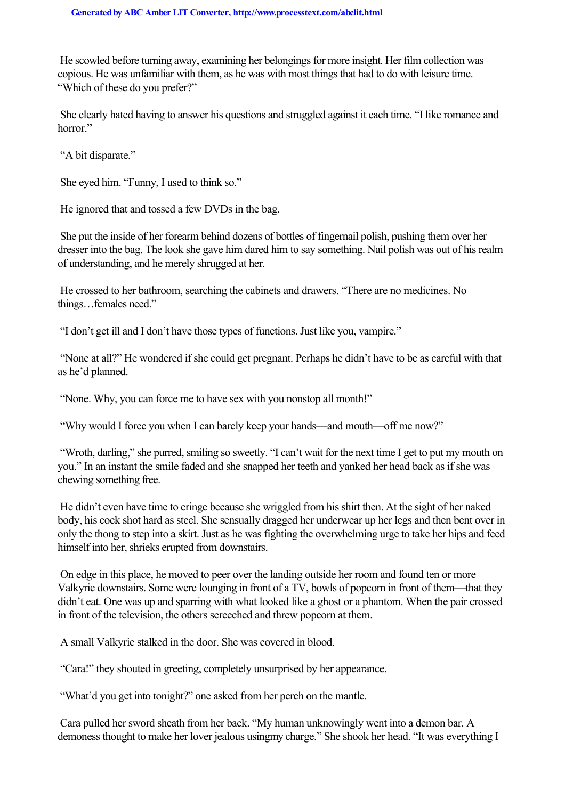### **Generated by ABC Amber LIT Converter, <http://www.processtext.com/abclit.html>**

 He scowled before turning away, examining her belongings for more insight. Her film collection was copious. He was unfamiliar with them, as he was with most things that had to do with leisure time. "Which of these do you prefer?"

 She clearly hated having to answer his questions and struggled against it each time. "I like romance and horror<sup>"</sup>

"A bit disparate."

She eyed him. "Funny, I used to think so."

He ignored that and tossed a few DVDs in the bag.

 She put the inside of her forearm behind dozens of bottles of fingernail polish, pushing them over her dresser into the bag. The look she gave him dared him to say something. Nail polish was out of his realm of understanding, and he merely shrugged at her.

 He crossed to her bathroom, searching the cabinets and drawers. "There are no medicines. No things…females need."

"I don't get ill and I don't have those types of functions. Just like you, vampire."

 "None at all?" He wondered if she could get pregnant. Perhaps he didn't have to be as careful with that as he'd planned.

"None. Why, you can force me to have sex with you nonstop all month!"

"Why would I force you when I can barely keep your hands—and mouth—off me now?"

 "Wroth, darling," she purred, smiling so sweetly. "I can't wait for the next time I get to put my mouth on you." In an instant the smile faded and she snapped her teeth and yanked her head back as if she was chewing something free.

 He didn't even have time to cringe because she wriggled from his shirt then. At the sight of her naked body, his cock shot hard as steel. She sensually dragged her underwear up her legs and then bent over in only the thong to step into a skirt. Just as he was fighting the overwhelming urge to take her hips and feed himself into her, shrieks erupted from downstairs.

 On edge in this place, he moved to peer over the landing outside her room and found ten or more Valkyrie downstairs. Some were lounging in front of a TV, bowls of popcorn in front of them—that they didn't eat. One was up and sparring with what looked like a ghost or a phantom. When the pair crossed in front of the television, the others screeched and threw popcorn at them.

A small Valkyrie stalked in the door. She was covered in blood.

"Cara!" they shouted in greeting, completely unsurprised by her appearance.

"What'd you get into tonight?" one asked from her perch on the mantle.

 Cara pulled her sword sheath from her back. "My human unknowingly went into a demon bar. A demoness thought to make her lover jealous usingmy charge." She shook her head. "It was everything I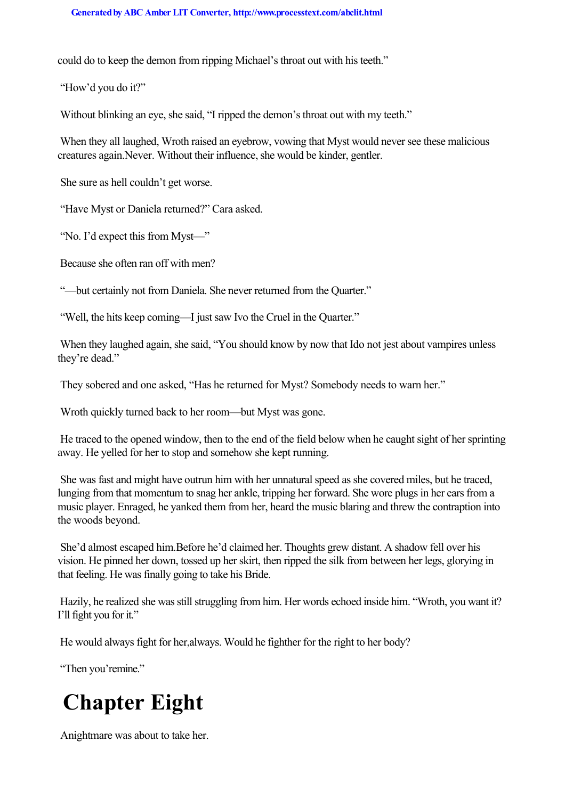## **Generated by ABC Amber LIT Converter, <http://www.processtext.com/abclit.html>**

could do to keep the demon from ripping Michael's throat out with his teeth."

"How'd you do it?"

Without blinking an eye, she said, "I ripped the demon's throat out with my teeth."

When they all laughed. Wroth raised an eyebrow, yowing that Myst would never see these malicious creatures again.Never. Without their influence, she would be kinder, gentler.

She sure as hell couldn't get worse.

"Have Myst or Daniela returned?" Cara asked.

"No. I'd expect this from Myst—"

Because she often ran off with men?

"—but certainly not from Daniela. She never returned from the Quarter."

"Well, the hits keep coming—I just saw Ivo the Cruel in the Quarter."

When they laughed again, she said, "You should know by now that Ido not jest about vampires unless they're dead."

They sobered and one asked, "Has he returned for Myst? Somebody needs to warn her."

Wroth quickly turned back to her room—but Myst was gone.

 He traced to the opened window, then to the end of the field below when he caught sight of her sprinting away. He yelled for her to stop and somehow she kept running.

 She was fast and might have outrun him with her unnatural speed as she covered miles, but he traced, lunging from that momentum to snag her ankle, tripping her forward. She wore plugs in her ears from a music player. Enraged, he yanked them from her, heard the music blaring and threw the contraption into the woods beyond.

 She'd almost escaped him.Before he'd claimed her. Thoughts grew distant. A shadow fell over his vision. He pinned her down, tossed up her skirt, then ripped the silk from between her legs, glorying in that feeling. He was finally going to take his Bride.

 Hazily, he realized she was still struggling from him. Her words echoed inside him. "Wroth, you want it? I'll fight you for it."

He would always fight for her,always. Would he fighther for the right to her body?

"Then you'remine."

# **Chapter Eight**

Anightmare was about to take her.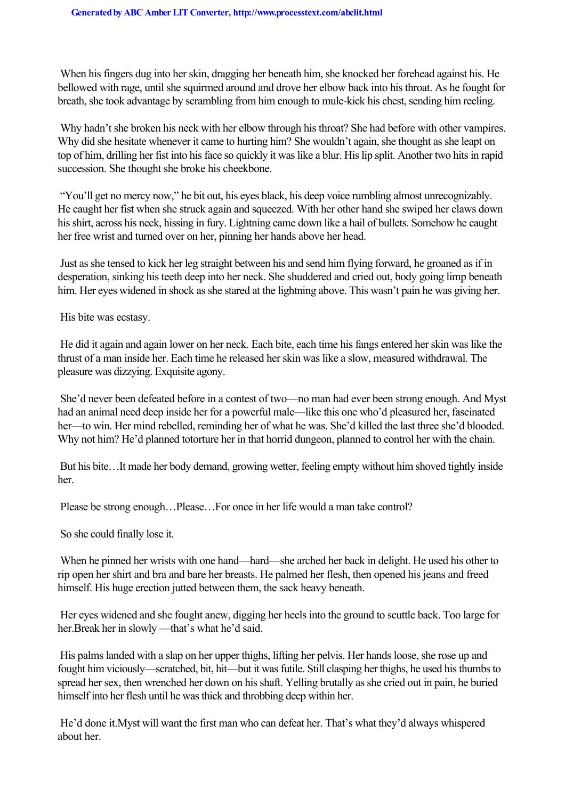When his fingers dug into her skin, dragging her beneath him, she knocked her forehead against his. He bellowed with rage, until she squirmed around and drove her elbow back into his throat. As he fought for breath, she took advantage by scrambling from him enough to mule-kick his chest, sending him reeling.

Why hadn't she broken his neck with her elbow through his throat? She had before with other vampires. Why did she hesitate whenever it came to hurting him? She wouldn't again, she thought as she leapt on top of him, drilling her fist into his face so quickly it was like a blur. His lip split. Another two hits in rapid succession. She thought she broke his cheekbone.

 "You'll get no mercy now," he bit out, his eyes black, his deep voice rumbling almost unrecognizably. He caught her fist when she struck again and squeezed. With her other hand she swiped her claws down his shirt, across his neck, hissing in fury. Lightning came down like a hail of bullets. Somehow he caught her free wrist and turned over on her, pinning her hands above her head.

 Just as she tensed to kick her leg straight between his and send him flying forward, he groaned as if in desperation, sinking his teeth deep into her neck. She shuddered and cried out, body going limp beneath him. Her eyes widened in shock as she stared at the lightning above. This wasn't pain he was giving her.

His bite was ecstasy.

 He did it again and again lower on her neck. Each bite, each time his fangs entered her skin was like the thrust of a man inside her. Each time he released her skin was like a slow, measured withdrawal. The pleasure was dizzying. Exquisite agony.

 She'd never been defeated before in a contest of two—no man had ever been strong enough. And Myst had an animal need deep inside her for a powerful male—like this one who'd pleasured her, fascinated her—to win. Her mind rebelled, reminding her of what he was. She'd killed the last three she'd blooded. Why not him? He'd planned totorture her in that horrid dungeon, planned to control her with the chain.

 But his bite…It made her body demand, growing wetter, feeling empty without him shoved tightly inside her.

Please be strong enough…Please…For once in her life would a man take control?

So she could finally lose it.

 When he pinned her wrists with one hand—hard—she arched her back in delight. He used his other to rip open her shirt and bra and bare her breasts. He palmed her flesh, then opened his jeans and freed himself. His huge erection jutted between them, the sack heavy beneath.

 Her eyes widened and she fought anew, digging her heels into the ground to scuttle back. Too large for her.Break her in slowly —that's what he'd said.

 His palms landed with a slap on her upper thighs, lifting her pelvis. Her hands loose, she rose up and fought him viciously—scratched, bit, hit—but it was futile. Still clasping her thighs, he used his thumbs to spread her sex, then wrenched her down on his shaft. Yelling brutally as she cried out in pain, he buried himself into her flesh until he was thick and throbbing deep within her.

 He'd done it.Myst will want the first man who can defeat her. That's what they'd always whispered about her.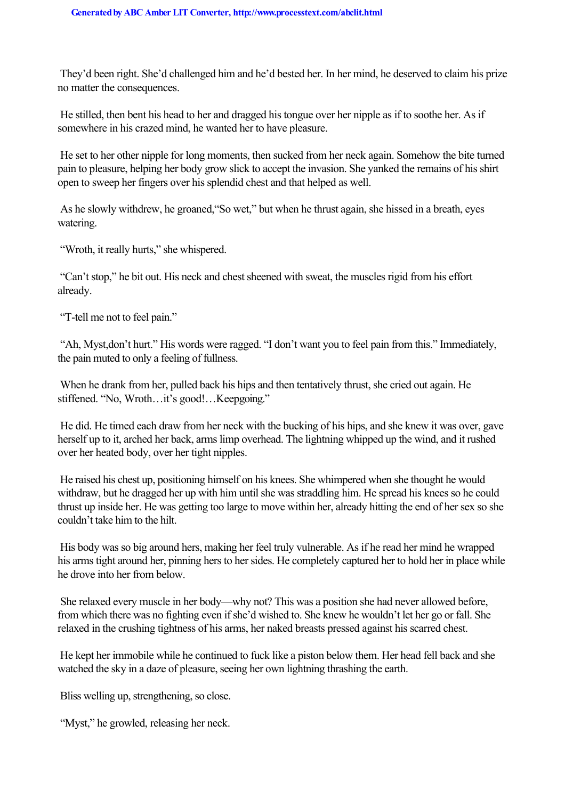They'd been right. She'd challenged him and he'd bested her. In her mind, he deserved to claim his prize no matter the consequences.

 He stilled, then bent his head to her and dragged his tongue over her nipple as if to soothe her. As if somewhere in his crazed mind, he wanted her to have pleasure.

 He set to her other nipple for long moments, then sucked from her neck again. Somehow the bite turned pain to pleasure, helping her body grow slick to accept the invasion. She yanked the remains of his shirt open to sweep her fingers over his splendid chest and that helped as well.

 As he slowly withdrew, he groaned,"So wet," but when he thrust again, she hissed in a breath, eyes watering.

"Wroth, it really hurts," she whispered.

 "Can't stop," he bit out. His neck and chest sheened with sweat, the muscles rigid from his effort already.

"T-tell me not to feel pain."

 "Ah, Myst,don't hurt." His words were ragged. "I don't want you to feel pain from this." Immediately, the pain muted to only a feeling of fullness.

 When he drank from her, pulled back his hips and then tentatively thrust, she cried out again. He stiffened. "No, Wroth…it's good!…Keepgoing."

 He did. He timed each draw from her neck with the bucking of his hips, and she knew it was over, gave herself up to it, arched her back, arms limp overhead. The lightning whipped up the wind, and it rushed over her heated body, over her tight nipples.

 He raised his chest up, positioning himself on his knees. She whimpered when she thought he would withdraw, but he dragged her up with him until she was straddling him. He spread his knees so he could thrust up inside her. He was getting too large to move within her, already hitting the end of her sex so she couldn't take him to the hilt.

 His body was so big around hers, making her feel truly vulnerable. As if he read her mind he wrapped his arms tight around her, pinning hers to her sides. He completely captured her to hold her in place while he drove into her from below.

 She relaxed every muscle in her body—why not? This was a position she had never allowed before, from which there was no fighting even if she'd wished to. She knew he wouldn't let her go or fall. She relaxed in the crushing tightness of his arms, her naked breasts pressed against his scarred chest.

 He kept her immobile while he continued to fuck like a piston below them. Her head fell back and she watched the sky in a daze of pleasure, seeing her own lightning thrashing the earth.

Bliss welling up, strengthening, so close.

"Myst," he growled, releasing her neck.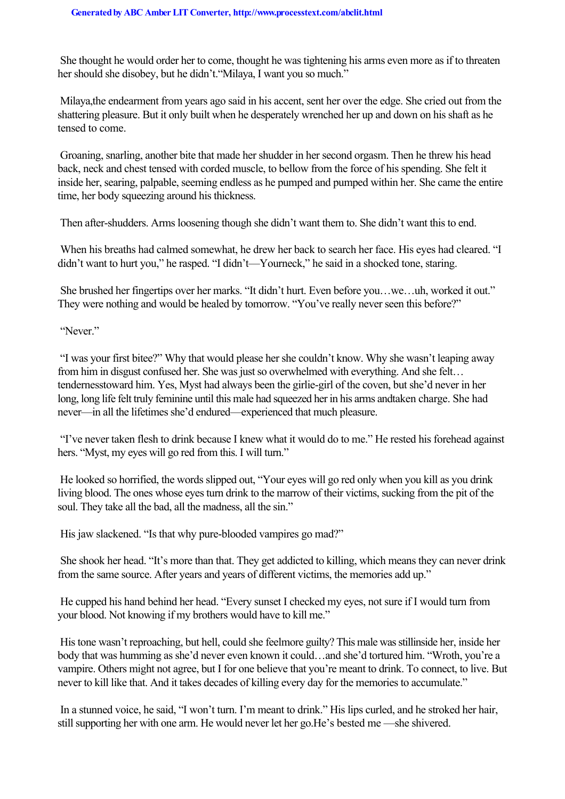She thought he would order her to come, thought he was tightening his arms even more as if to threaten her should she disobey, but he didn't."Milaya, I want you so much."

 Milaya,the endearment from years ago said in his accent, sent her over the edge. She cried out from the shattering pleasure. But it only built when he desperately wrenched her up and down on his shaft as he tensed to come.

 Groaning, snarling, another bite that made her shudder in her second orgasm. Then he threw his head back, neck and chest tensed with corded muscle, to bellow from the force of his spending. She felt it inside her, searing, palpable, seeming endless as he pumped and pumped within her. She came the entire time, her body squeezing around his thickness.

Then after-shudders. Arms loosening though she didn't want them to. She didn't want this to end.

When his breaths had calmed somewhat, he drew her back to search her face. His eyes had cleared. "I didn't want to hurt you," he rasped. "I didn't—Yourneck," he said in a shocked tone, staring.

 She brushed her fingertips over her marks. "It didn't hurt. Even before you…we…uh, worked it out." They were nothing and would be healed by tomorrow. "You've really never seen this before?"

"Never"

 "I was your first bitee?" Why that would please her she couldn't know. Why she wasn't leaping away from him in disgust confused her. She was just so overwhelmed with everything. And she felt… tendernesstoward him. Yes, Myst had always been the girlie-girl of the coven, but she'd never in her long, long life felt truly feminine until this male had squeezed her in his arms andtaken charge. She had never—in all the lifetimes she'd endured—experienced that much pleasure.

 "I've never taken flesh to drink because I knew what it would do to me." He rested his forehead against hers. "Myst, my eyes will go red from this. I will turn."

 He looked so horrified, the words slipped out, "Your eyes will go red only when you kill as you drink living blood. The ones whose eyes turn drink to the marrow of their victims, sucking from the pit of the soul. They take all the bad, all the madness, all the sin."

His jaw slackened. "Is that why pure-blooded vampires go mad?"

 She shook her head. "It's more than that. They get addicted to killing, which means they can never drink from the same source. After years and years of different victims, the memories add up."

 He cupped his hand behind her head. "Every sunset I checked my eyes, not sure if I would turn from your blood. Not knowing if my brothers would have to kill me."

 His tone wasn't reproaching, but hell, could she feelmore guilty? This male was stillinside her, inside her body that was humming as she'd never even known it could…and she'd tortured him. "Wroth, you're a vampire. Others might not agree, but I for one believe that you're meant to drink. To connect, to live. But never to kill like that. And it takes decades of killing every day for the memories to accumulate."

 In a stunned voice, he said, "I won't turn. I'm meant to drink." His lips curled, and he stroked her hair, still supporting her with one arm. He would never let her go.He's bested me —she shivered.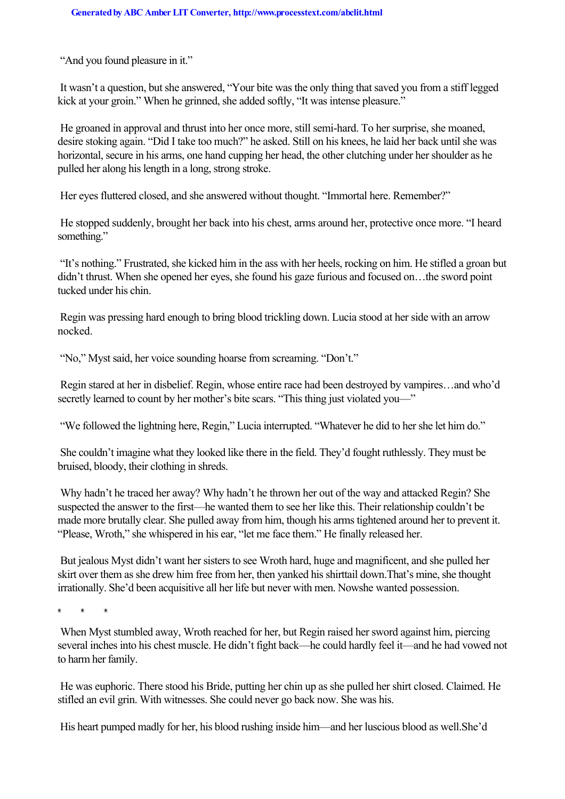"And you found pleasure in it."

 It wasn't a question, but she answered, "Your bite was the only thing that saved you from a stiff legged kick at your groin." When he grinned, she added softly, "It was intense pleasure."

 He groaned in approval and thrust into her once more, still semi-hard. To her surprise, she moaned, desire stoking again. "Did I take too much?" he asked. Still on his knees, he laid her back until she was horizontal, secure in his arms, one hand cupping her head, the other clutching under her shoulder as he pulled her along his length in a long, strong stroke.

Her eyes fluttered closed, and she answered without thought. "Immortal here, Remember?"

 He stopped suddenly, brought her back into his chest, arms around her, protective once more. "I heard something."

 "It's nothing." Frustrated, she kicked him in the ass with her heels, rocking on him. He stifled a groan but didn't thrust. When she opened her eyes, she found his gaze furious and focused on... the sword point tucked under his chin.

 Regin was pressing hard enough to bring blood trickling down. Lucia stood at her side with an arrow nocked.

"No," Myst said, her voice sounding hoarse from screaming. "Don't."

 Regin stared at her in disbelief. Regin, whose entire race had been destroyed by vampires…and who'd secretly learned to count by her mother's bite scars. "This thing just violated you—"

"We followed the lightning here, Regin," Lucia interrupted. "Whatever he did to her she let him do."

 She couldn't imagine what they looked like there in the field. They'd fought ruthlessly. They must be bruised, bloody, their clothing in shreds.

 Why hadn't he traced her away? Why hadn't he thrown her out of the way and attacked Regin? She suspected the answer to the first—he wanted them to see her like this. Their relationship couldn't be made more brutally clear. She pulled away from him, though his arms tightened around her to prevent it. "Please, Wroth," she whispered in his ear, "let me face them." He finally released her.

 But jealous Myst didn't want her sisters to see Wroth hard, huge and magnificent, and she pulled her skirt over them as she drew him free from her, then yanked his shirttail down.That's mine, she thought irrationally. She'd been acquisitive all her life but never with men. Nowshe wanted possession.

¥  $\ddot{\phantom{1}}$ 

 When Myst stumbled away, Wroth reached for her, but Regin raised her sword against him, piercing several inches into his chest muscle. He didn't fight back—he could hardly feel it—and he had vowed not to harm her family.

 He was euphoric. There stood his Bride, putting her chin up as she pulled her shirt closed. Claimed. He stifled an evil grin. With witnesses. She could never go back now. She was his.

His heart pumped madly for her, his blood rushing inside him—and her luscious blood as well.She'd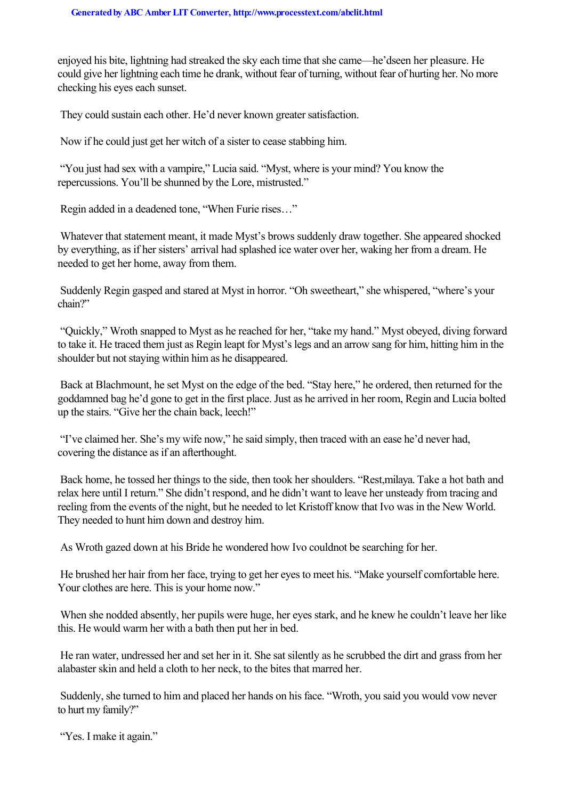enjoyed his bite, lightning had streaked the sky each time that she came—he'dseen her pleasure. He could give her lightning each time he drank, without fear of turning, without fear of hurting her. No more checking his eyes each sunset.

They could sustain each other. He'd never known greater satisfaction.

Now if he could just get her witch of a sister to cease stabbing him.

 "You just had sex with a vampire," Lucia said. "Myst, where is your mind? You know the repercussions. You'll be shunned by the Lore, mistrusted."

Regin added in a deadened tone, "When Furie rises…"

 Whatever that statement meant, it made Myst's brows suddenly draw together. She appeared shocked by everything, as if her sisters' arrival had splashed ice water over her, waking her from a dream. He needed to get her home, away from them.

 Suddenly Regin gasped and stared at Myst in horror. "Oh sweetheart," she whispered, "where's your chain?"

 "Quickly," Wroth snapped to Myst as he reached for her, "take my hand." Myst obeyed, diving forward to take it. He traced them just as Regin leapt for Myst's legs and an arrow sang for him, hitting him in the shoulder but not staying within him as he disappeared.

 Back at Blachmount, he set Myst on the edge of the bed. "Stay here," he ordered, then returned for the goddamned bag he'd gone to get in the first place. Just as he arrived in her room, Regin and Lucia bolted up the stairs. "Give her the chain back, leech!"

 "I've claimed her. She's my wife now," he said simply, then traced with an ease he'd never had, covering the distance as if an afterthought.

 Back home, he tossed her things to the side, then took her shoulders. "Rest,milaya. Take a hot bath and relax here until I return." She didn't respond, and he didn't want to leave her unsteady from tracing and reeling from the events of the night, but he needed to let Kristoff know that Ivo was in the New World. They needed to hunt him down and destroy him.

As Wroth gazed down at his Bride he wondered how Ivo couldnot be searching for her.

 He brushed her hair from her face, trying to get her eyes to meet his. "Make yourself comfortable here. Your clothes are here. This is your home now."

 When she nodded absently, her pupils were huge, her eyes stark, and he knew he couldn't leave her like this. He would warm her with a bath then put her in bed.

 He ran water, undressed her and set her in it. She sat silently as he scrubbed the dirt and grass from her alabaster skin and held a cloth to her neck, to the bites that marred her.

 Suddenly, she turned to him and placed her hands on his face. "Wroth, you said you would vow never to hurt my family?"

"Yes. I make it again."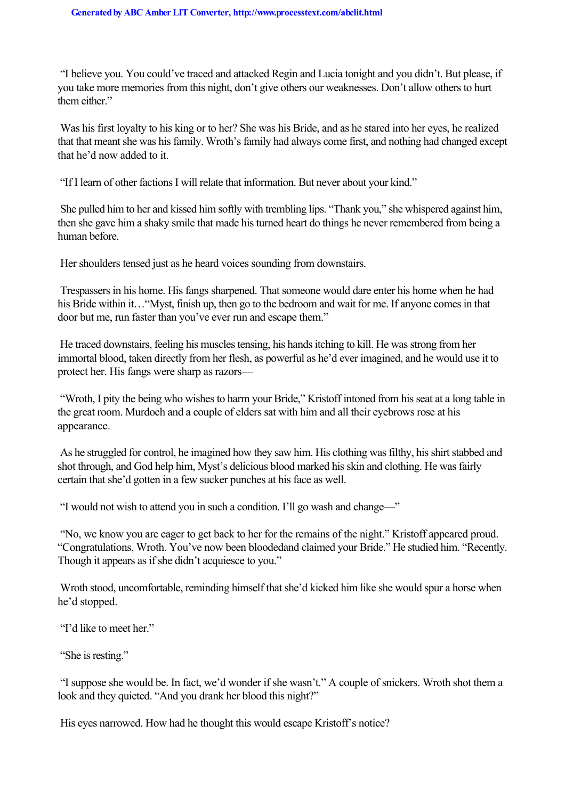"I believe you. You could've traced and attacked Regin and Lucia tonight and you didn't. But please, if you take more memories from this night, don't give others our weaknesses. Don't allow others to hurt them either."

 Was his first loyalty to his king or to her? She was his Bride, and as he stared into her eyes, he realized that that meant she was his family. Wroth's family had always come first, and nothing had changed except that he'd now added to it.

"If I learn of other factions I will relate that information. But never about your kind."

 She pulled him to her and kissed him softly with trembling lips. "Thank you," she whispered against him, then she gave him a shaky smile that made his turned heart do things he never remembered from being a human before.

Her shoulders tensed just as he heard voices sounding from downstairs.

 Trespassers in his home. His fangs sharpened. That someone would dare enter his home when he had his Bride within it… "Myst, finish up, then go to the bedroom and wait for me. If anyone comes in that door but me, run faster than you've ever run and escape them."

 He traced downstairs, feeling his muscles tensing, his hands itching to kill. He was strong from her immortal blood, taken directly from her flesh, as powerful as he'd ever imagined, and he would use it to protect her. His fangs were sharp as razors—

 "Wroth, I pity the being who wishes to harm your Bride," Kristoff intoned from his seat at a long table in the great room. Murdoch and a couple of elders sat with him and all their eyebrows rose at his appearance.

 As he struggled for control, he imagined how they saw him. His clothing was filthy, his shirt stabbed and shot through, and God help him, Myst's delicious blood marked his skin and clothing. He was fairly certain that she'd gotten in a few sucker punches at his face as well.

"I would not wish to attend you in such a condition. I'll go wash and change—"

 "No, we know you are eager to get back to her for the remains of the night." Kristoff appeared proud. "Congratulations, Wroth. You've now been bloodedand claimed your Bride." He studied him. "Recently. Though it appears as if she didn't acquiesce to you."

 Wroth stood, uncomfortable, reminding himself that she'd kicked him like she would spur a horse when he'd stopped.

"I'd like to meet her."

"She is resting."

 "I suppose she would be. In fact, we'd wonder if she wasn't." A couple of snickers. Wroth shot them a look and they quieted. "And you drank her blood this night?"

His eyes narrowed. How had he thought this would escape Kristoff's notice?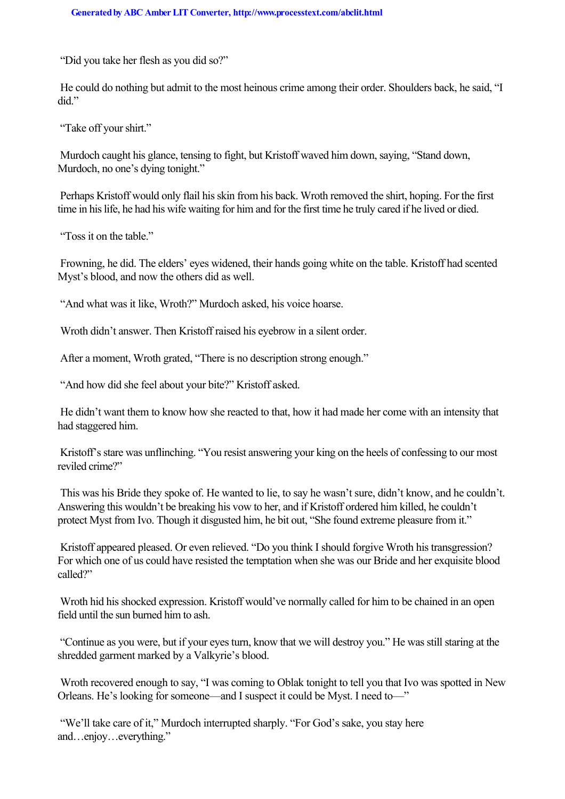## **Generated by ABC Amber LIT Converter, <http://www.processtext.com/abclit.html>**

"Did you take her flesh as you did so?"

 He could do nothing but admit to the most heinous crime among their order. Shoulders back, he said, "I did"

"Take off your shirt."

 Murdoch caught his glance, tensing to fight, but Kristoff waved him down, saying, "Stand down, Murdoch, no one's dying tonight."

 Perhaps Kristoff would only flail his skin from his back. Wroth removed the shirt, hoping. For the first time in his life, he had his wife waiting for him and for the first time he truly cared if he lived or died.

"Toss it on the table."

 Frowning, he did. The elders' eyes widened, their hands going white on the table. Kristoff had scented Myst's blood, and now the others did as well.

"And what was it like, Wroth?" Murdoch asked, his voice hoarse.

Wroth didn't answer. Then Kristoff raised his evebrow in a silent order.

After a moment, Wroth grated, "There is no description strong enough."

"And how did she feel about your bite?" Kristoff asked.

 He didn't want them to know how she reacted to that, how it had made her come with an intensity that had staggered him.

 Kristoff's stare was unflinching. "You resist answering your king on the heels of confessing to our most reviled crime?"

 This was his Bride they spoke of. He wanted to lie, to say he wasn't sure, didn't know, and he couldn't. Answering this wouldn't be breaking his vow to her, and if Kristoff ordered him killed, he couldn't protect Myst from Ivo. Though it disgusted him, he bit out, "She found extreme pleasure from it."

 Kristoff appeared pleased. Or even relieved. "Do you think I should forgive Wroth his transgression? For which one of us could have resisted the temptation when she was our Bride and her exquisite blood called?"

 Wroth hid his shocked expression. Kristoff would've normally called for him to be chained in an open field until the sun burned him to ash.

 "Continue as you were, but if your eyes turn, know that we will destroy you." He was still staring at the shredded garment marked by a Valkyrie's blood.

 Wroth recovered enough to say, "I was coming to Oblak tonight to tell you that Ivo was spotted in New Orleans. He's looking for someone—and I suspect it could be Myst. I need to—"

 "We'll take care of it," Murdoch interrupted sharply. "For God's sake, you stay here and…enjoy…everything."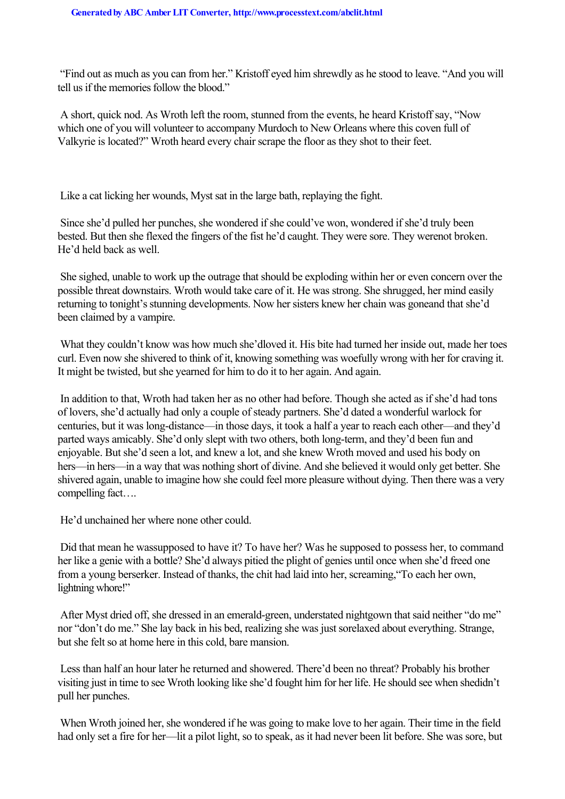"Find out as much as you can from her." Kristoff eyed him shrewdly as he stood to leave. "And you will tell us if the memories follow the blood."

 A short, quick nod. As Wroth left the room, stunned from the events, he heard Kristoff say, "Now which one of you will volunteer to accompany Murdoch to New Orleans where this coven full of Valkyrie is located?" Wroth heard every chair scrape the floor as they shot to their feet.

Like a cat licking her wounds, Myst sat in the large bath, replaying the fight.

 Since she'd pulled her punches, she wondered if she could've won, wondered if she'd truly been bested. But then she flexed the fingers of the fist he'd caught. They were sore. They werenot broken. He'd held back as well.

 She sighed, unable to work up the outrage that should be exploding within her or even concern over the possible threat downstairs. Wroth would take care of it. He was strong. She shrugged, her mind easily returning to tonight's stunning developments. Now her sisters knew her chain was goneand that she'd been claimed by a vampire.

 What they couldn't know was how much she'dloved it. His bite had turned her inside out, made her toes curl. Even now she shivered to think of it, knowing something was woefully wrong with her for craving it. It might be twisted, but she yearned for him to do it to her again. And again.

 In addition to that, Wroth had taken her as no other had before. Though she acted as if she'd had tons of lovers, she'd actually had only a couple of steady partners. She'd dated a wonderful warlock for centuries, but it was long-distance—in those days, it took a half a year to reach each other—and they'd parted ways amicably. She'd only slept with two others, both long-term, and they'd been fun and enjoyable. But she'd seen a lot, and knew a lot, and she knew Wroth moved and used his body on hers—in hers—in a way that was nothing short of divine. And she believed it would only get better. She shivered again, unable to imagine how she could feel more pleasure without dying. Then there was a very compelling fact….

He'd unchained her where none other could.

 Did that mean he wassupposed to have it? To have her? Was he supposed to possess her, to command her like a genie with a bottle? She'd always pitied the plight of genies until once when she'd freed one from a young berserker. Instead of thanks, the chit had laid into her, screaming,"To each her own, lightning whore!"

 After Myst dried off, she dressed in an emerald-green, understated nightgown that said neither "do me" nor "don't do me." She lay back in his bed, realizing she was just sorelaxed about everything. Strange, but she felt so at home here in this cold, bare mansion.

 Less than half an hour later he returned and showered. There'd been no threat? Probably his brother visiting just in time to see Wroth looking like she'd fought him for her life. He should see when shedidn't pull her punches.

When Wroth joined her, she wondered if he was going to make love to her again. Their time in the field had only set a fire for her—lit a pilot light, so to speak, as it had never been lit before. She was sore, but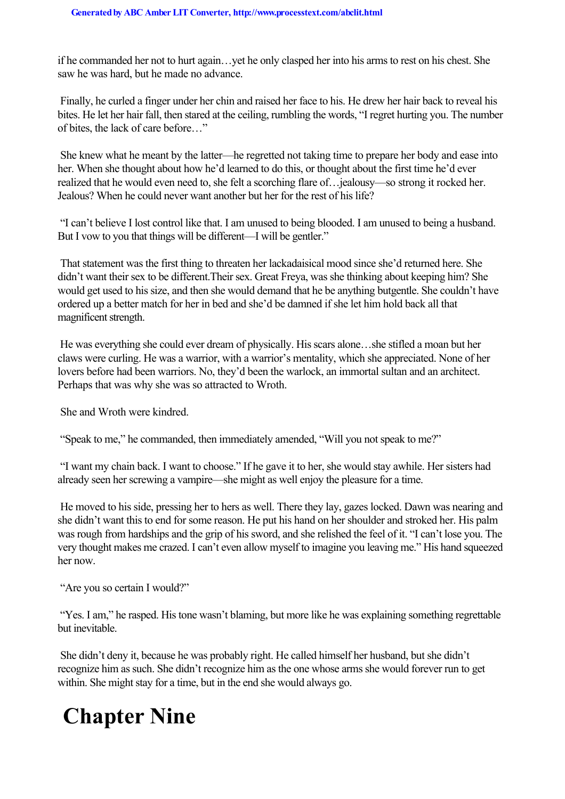if he commanded her not to hurt again…yet he only clasped her into his arms to rest on his chest. She saw he was hard, but he made no advance.

 Finally, he curled a finger under her chin and raised her face to his. He drew her hair back to reveal his bites. He let her hair fall, then stared at the ceiling, rumbling the words, "I regret hurting you. The number of bites, the lack of care before…"

 She knew what he meant by the latter—he regretted not taking time to prepare her body and ease into her. When she thought about how he'd learned to do this, or thought about the first time he'd ever realized that he would even need to, she felt a scorching flare of…jealousy—so strong it rocked her. Jealous? When he could never want another but her for the rest of his life?

 "I can't believe I lost control like that. I am unused to being blooded. I am unused to being a husband. But I vow to you that things will be different—I will be gentler."

 That statement was the first thing to threaten her lackadaisical mood since she'd returned here. She didn't want their sex to be different.Their sex. Great Freya, was she thinking about keeping him? She would get used to his size, and then she would demand that he be anything butgentle. She couldn't have ordered up a better match for her in bed and she'd be damned if she let him hold back all that magnificent strength.

 He was everything she could ever dream of physically. His scars alone…she stifled a moan but her claws were curling. He was a warrior, with a warrior's mentality, which she appreciated. None of her lovers before had been warriors. No, they'd been the warlock, an immortal sultan and an architect. Perhaps that was why she was so attracted to Wroth.

She and Wroth were kindred.

"Speak to me," he commanded, then immediately amended, "Will you not speak to me?"

 "I want my chain back. I want to choose." If he gave it to her, she would stay awhile. Her sisters had already seen her screwing a vampire—she might as well enjoy the pleasure for a time.

 He moved to his side, pressing her to hers as well. There they lay, gazes locked. Dawn was nearing and she didn't want this to end for some reason. He put his hand on her shoulder and stroked her. His palm was rough from hardships and the grip of his sword, and she relished the feel of it. "I can't lose you. The very thought makes me crazed. I can't even allow myself to imagine you leaving me." His hand squeezed her now.

"Are you so certain I would?"

 "Yes. I am," he rasped. His tone wasn't blaming, but more like he was explaining something regrettable but inevitable.

 She didn't deny it, because he was probably right. He called himself her husband, but she didn't recognize him as such. She didn't recognize him as the one whose arms she would forever run to get within. She might stay for a time, but in the end she would always go.

## **Chapter Nine**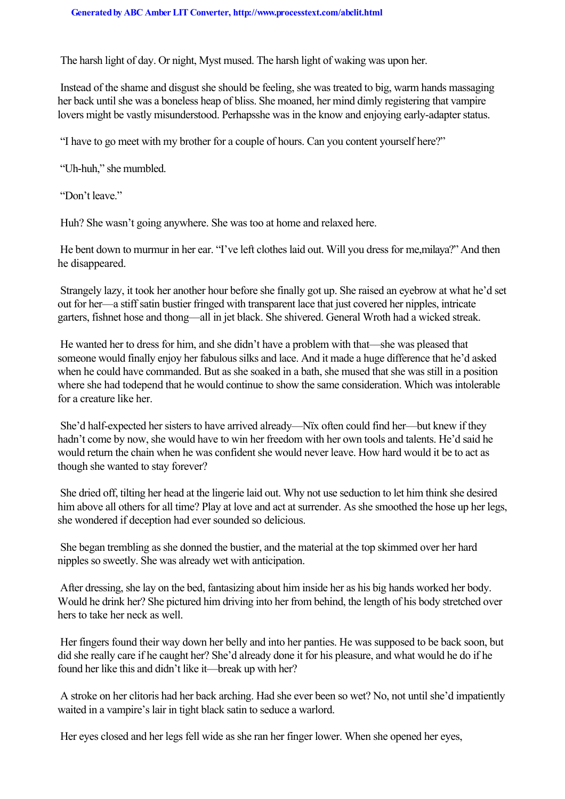The harsh light of day. Or night, Myst mused. The harsh light of waking was upon her.

 Instead of the shame and disgust she should be feeling, she was treated to big, warm hands massaging her back until she was a boneless heap of bliss. She moaned, her mind dimly registering that vampire lovers might be vastly misunderstood. Perhapsshe was in the know and enjoying early-adapter status.

"I have to go meet with my brother for a couple of hours. Can you content yourself here?"

"Uh-huh," she mumbled.

"Don't leave."

Huh? She wasn't going anywhere. She was too at home and relaxed here.

 He bent down to murmur in her ear. "I've left clothes laid out. Will you dress for me,milaya?" And then he disappeared.

 Strangely lazy, it took her another hour before she finally got up. She raised an eyebrow at what he'd set out for her—a stiff satin bustier fringed with transparent lace that just covered her nipples, intricate garters, fishnet hose and thong—all in jet black. She shivered. General Wroth had a wicked streak.

 He wanted her to dress for him, and she didn't have a problem with that—she was pleased that someone would finally enjoy her fabulous silks and lace. And it made a huge difference that he'd asked when he could have commanded. But as she soaked in a bath, she mused that she was still in a position where she had todepend that he would continue to show the same consideration. Which was intolerable for a creature like her.

 She'd half-expected her sisters to have arrived already—Nïx often could find her—but knew if they hadn't come by now, she would have to win her freedom with her own tools and talents. He'd said he would return the chain when he was confident she would never leave. How hard would it be to act as though she wanted to stay forever?

 She dried off, tilting her head at the lingerie laid out. Why not use seduction to let him think she desired him above all others for all time? Play at love and act at surrender. As she smoothed the hose up her legs, she wondered if deception had ever sounded so delicious.

 She began trembling as she donned the bustier, and the material at the top skimmed over her hard nipples so sweetly. She was already wet with anticipation.

 After dressing, she lay on the bed, fantasizing about him inside her as his big hands worked her body. Would he drink her? She pictured him driving into her from behind, the length of his body stretched over hers to take her neck as well.

 Her fingers found their way down her belly and into her panties. He was supposed to be back soon, but did she really care if he caught her? She'd already done it for his pleasure, and what would he do if he found her like this and didn't like it—break up with her?

 A stroke on her clitoris had her back arching. Had she ever been so wet? No, not until she'd impatiently waited in a vampire's lair in tight black satin to seduce a warlord.

Her eyes closed and her legs fell wide as she ran her finger lower. When she opened her eyes,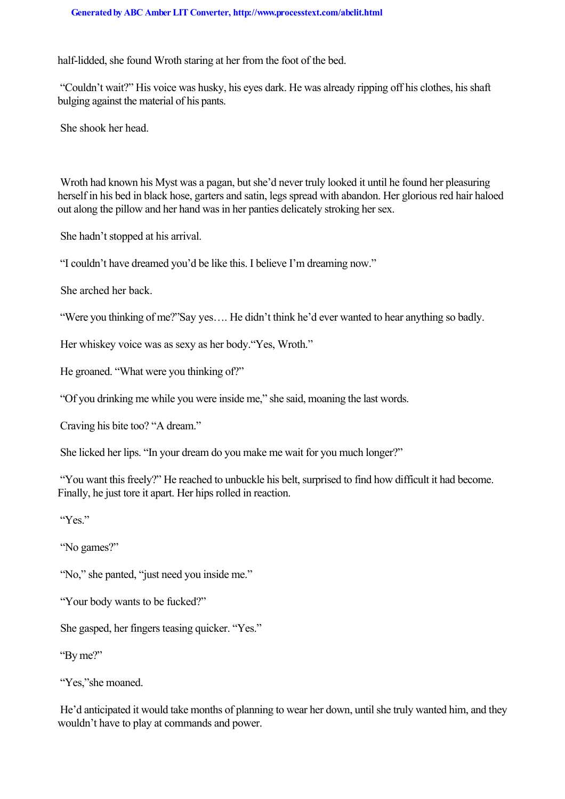#### **Generated by ABC Amber LIT Converter, <http://www.processtext.com/abclit.html>**

half-lidded, she found Wroth staring at her from the foot of the bed.

 "Couldn't wait?" His voice was husky, his eyes dark. He was already ripping off his clothes, his shaft bulging against the material of his pants.

She shook her head.

 Wroth had known his Myst was a pagan, but she'd never truly looked it until he found her pleasuring herself in his bed in black hose, garters and satin, legs spread with abandon. Her glorious red hair haloed out along the pillow and her hand was in her panties delicately stroking her sex.

She hadn't stopped at his arrival.

"I couldn't have dreamed you'd be like this. I believe I'm dreaming now."

She arched her back.

"Were you thinking of me?"Say yes…. He didn't think he'd ever wanted to hear anything so badly.

Her whiskey voice was as sexy as her body."Yes, Wroth."

He groaned. "What were you thinking of?"

"Of you drinking me while you were inside me," she said, moaning the last words.

Craving his bite too? "A dream."

She licked her lips. "In your dream do you make me wait for you much longer?"

 "You want this freely?" He reached to unbuckle his belt, surprised to find how difficult it had become. Finally, he just tore it apart. Her hips rolled in reaction.

"Yes."

"No games?"

"No," she panted, "just need you inside me."

"Your body wants to be fucked?"

She gasped, her fingers teasing quicker. "Yes."

"By me?"

"Yes," she moaned.

 He'd anticipated it would take months of planning to wear her down, until she truly wanted him, and they wouldn't have to play at commands and power.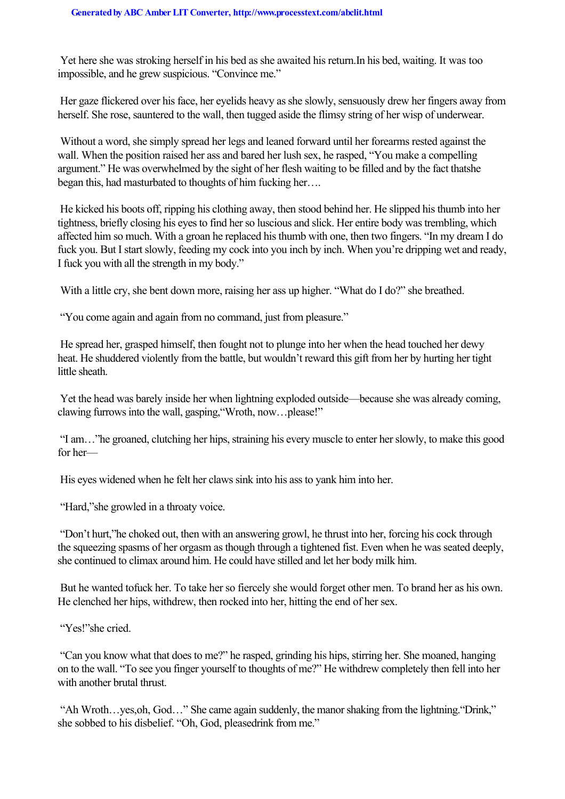Yet here she was stroking herself in his bed as she awaited his return.In his bed, waiting. It was too impossible, and he grew suspicious. "Convince me."

 Her gaze flickered over his face, her eyelids heavy as she slowly, sensuously drew her fingers away from herself. She rose, sauntered to the wall, then tugged aside the flimsy string of her wisp of underwear.

 Without a word, she simply spread her legs and leaned forward until her forearms rested against the wall. When the position raised her ass and bared her lush sex, he rasped, "You make a compelling argument." He was overwhelmed by the sight of her flesh waiting to be filled and by the fact thatshe began this, had masturbated to thoughts of him fucking her….

 He kicked his boots off, ripping his clothing away, then stood behind her. He slipped his thumb into her tightness, briefly closing his eyes to find her so luscious and slick. Her entire body was trembling, which affected him so much. With a groan he replaced his thumb with one, then two fingers. "In my dream I do fuck you. But I start slowly, feeding my cock into you inch by inch. When you're dripping wet and ready, I fuck you with all the strength in my body."

With a little cry, she bent down more, raising her ass up higher. "What do I do?" she breathed.

"You come again and again from no command, just from pleasure."

 He spread her, grasped himself, then fought not to plunge into her when the head touched her dewy heat. He shuddered violently from the battle, but wouldn't reward this gift from her by hurting her tight little sheath.

 Yet the head was barely inside her when lightning exploded outside—because she was already coming, clawing furrows into the wall, gasping,"Wroth, now…please!"

 "I am…"he groaned, clutching her hips, straining his every muscle to enter her slowly, to make this good for her—

His eyes widened when he felt her claws sink into his ass to yank him into her.

"Hard,"she growled in a throaty voice.

 "Don't hurt,"he choked out, then with an answering growl, he thrust into her, forcing his cock through the squeezing spasms of her orgasm as though through a tightened fist. Even when he was seated deeply, she continued to climax around him. He could have stilled and let her body milk him.

 But he wanted tofuck her. To take her so fiercely she would forget other men. To brand her as his own. He clenched her hips, withdrew, then rocked into her, hitting the end of her sex.

"Yes!"she cried.

 "Can you know what that does to me?" he rasped, grinding his hips, stirring her. She moaned, hanging on to the wall. "To see you finger yourself to thoughts of me?" He withdrew completely then fell into her with another brutal thrust.

 "Ah Wroth…yes,oh, God…" She came again suddenly, the manor shaking from the lightning."Drink," she sobbed to his disbelief. "Oh, God, pleasedrink from me."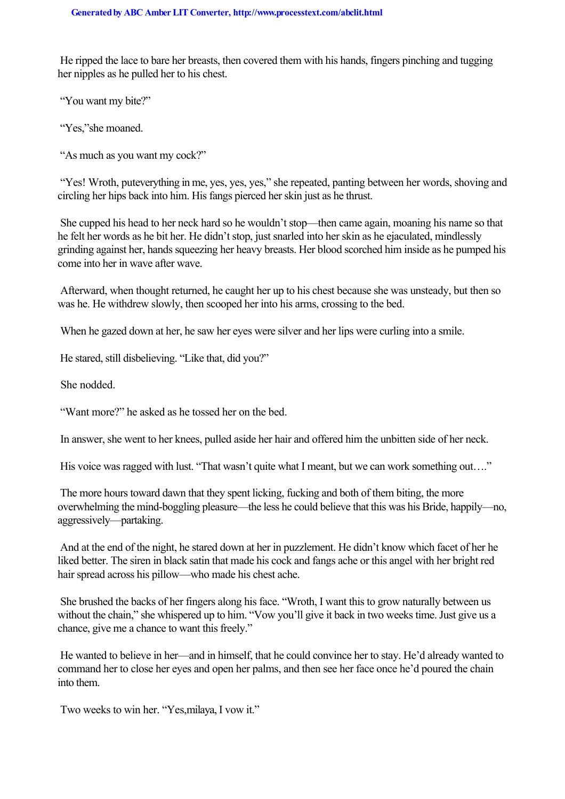He ripped the lace to bare her breasts, then covered them with his hands, fingers pinching and tugging her nipples as he pulled her to his chest.

"You want my bite?"

"Yes," she moaned.

"As much as you want my cock?"

 "Yes! Wroth, puteverything in me, yes, yes, yes," she repeated, panting between her words, shoving and circling her hips back into him. His fangs pierced her skin just as he thrust.

 She cupped his head to her neck hard so he wouldn't stop—then came again, moaning his name so that he felt her words as he bit her. He didn't stop, just snarled into her skin as he ejaculated, mindlessly grinding against her, hands squeezing her heavy breasts. Her blood scorched him inside as he pumped his come into her in wave after wave.

 Afterward, when thought returned, he caught her up to his chest because she was unsteady, but then so was he. He withdrew slowly, then scooped her into his arms, crossing to the bed.

When he gazed down at her, he saw her eyes were silver and her lips were curling into a smile.

He stared, still disbelieving. "Like that, did you?"

She nodded.

"Want more?" he asked as he tossed her on the bed.

In answer, she went to her knees, pulled aside her hair and offered him the unbitten side of her neck.

His voice was ragged with lust. "That wasn't quite what I meant, but we can work something out...."

 The more hours toward dawn that they spent licking, fucking and both of them biting, the more overwhelming the mind-boggling pleasure—the less he could believe that this was his Bride, happily—no, aggressively—partaking.

 And at the end of the night, he stared down at her in puzzlement. He didn't know which facet of her he liked better. The siren in black satin that made his cock and fangs ache or this angel with her bright red hair spread across his pillow—who made his chest ache.

 She brushed the backs of her fingers along his face. "Wroth, I want this to grow naturally between us without the chain," she whispered up to him. "Vow you'll give it back in two weeks time. Just give us a chance, give me a chance to want this freely."

 He wanted to believe in her—and in himself, that he could convince her to stay. He'd already wanted to command her to close her eyes and open her palms, and then see her face once he'd poured the chain into them.

Two weeks to win her. "Yes,milaya, I vow it."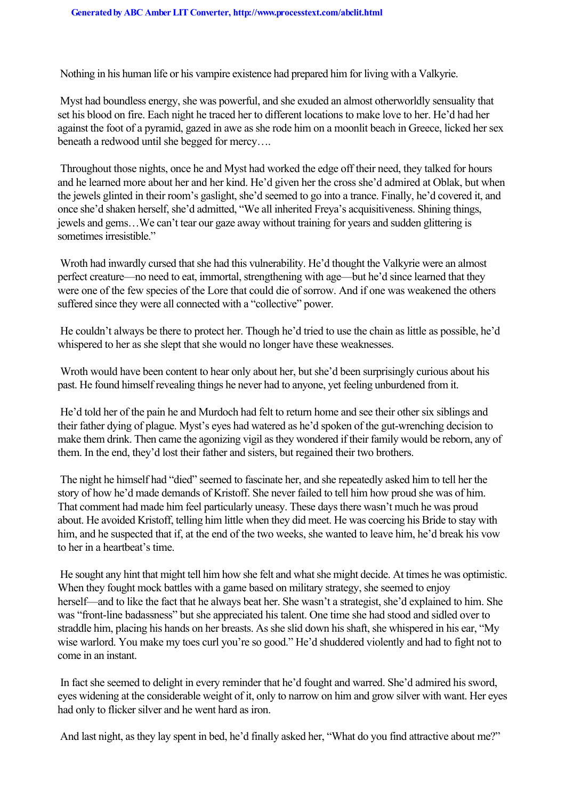Nothing in his human life or his vampire existence had prepared him for living with a Valkyrie.

 Myst had boundless energy, she was powerful, and she exuded an almost otherworldly sensuality that set his blood on fire. Each night he traced her to different locations to make love to her. He'd had her against the foot of a pyramid, gazed in awe as she rode him on a moonlit beach in Greece, licked her sex beneath a redwood until she begged for mercy….

 Throughout those nights, once he and Myst had worked the edge off their need, they talked for hours and he learned more about her and her kind. He'd given her the cross she'd admired at Oblak, but when the jewels glinted in their room's gaslight, she'd seemed to go into a trance. Finally, he'd covered it, and once she'd shaken herself, she'd admitted, "We all inherited Freya's acquisitiveness. Shining things, jewels and gems…We can't tear our gaze away without training for years and sudden glittering is sometimes irresistible."

 Wroth had inwardly cursed that she had this vulnerability. He'd thought the Valkyrie were an almost perfect creature—no need to eat, immortal, strengthening with age—but he'd since learned that they were one of the few species of the Lore that could die of sorrow. And if one was weakened the others suffered since they were all connected with a "collective" power.

 He couldn't always be there to protect her. Though he'd tried to use the chain as little as possible, he'd whispered to her as she slept that she would no longer have these weaknesses.

 Wroth would have been content to hear only about her, but she'd been surprisingly curious about his past. He found himself revealing things he never had to anyone, yet feeling unburdened from it.

 He'd told her of the pain he and Murdoch had felt to return home and see their other six siblings and their father dying of plague. Myst's eyes had watered as he'd spoken of the gut-wrenching decision to make them drink. Then came the agonizing vigil as they wondered if their family would be reborn, any of them. In the end, they'd lost their father and sisters, but regained their two brothers.

 The night he himself had "died" seemed to fascinate her, and she repeatedly asked him to tell her the story of how he'd made demands of Kristoff. She never failed to tell him how proud she was of him. That comment had made him feel particularly uneasy. These days there wasn't much he was proud about. He avoided Kristoff, telling him little when they did meet. He was coercing his Bride to stay with him, and he suspected that if, at the end of the two weeks, she wanted to leave him, he'd break his vow to her in a heartbeat's time.

 He sought any hint that might tell him how she felt and what she might decide. At times he was optimistic. When they fought mock battles with a game based on military strategy, she seemed to enjoy herself—and to like the fact that he always beat her. She wasn't a strategist, she'd explained to him. She was "front-line badassness" but she appreciated his talent. One time she had stood and sidled over to straddle him, placing his hands on her breasts. As she slid down his shaft, she whispered in his ear, "My wise warlord. You make my toes curl you're so good." He'd shuddered violently and had to fight not to come in an instant.

 In fact she seemed to delight in every reminder that he'd fought and warred. She'd admired his sword, eyes widening at the considerable weight of it, only to narrow on him and grow silver with want. Her eyes had only to flicker silver and he went hard as iron.

And last night, as they lay spent in bed, he'd finally asked her, "What do you find attractive about me?"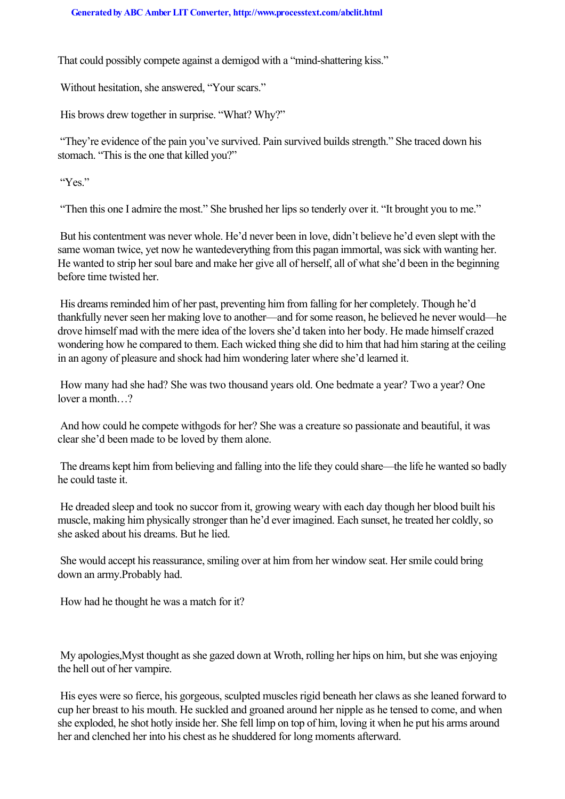#### **Generated by ABC Amber LIT Converter, <http://www.processtext.com/abclit.html>**

That could possibly compete against a demigod with a "mind-shattering kiss."

Without hesitation, she answered, "Your scars."

His brows drew together in surprise. "What? Why?"

 "They're evidence of the pain you've survived. Pain survived builds strength." She traced down his stomach. "This is the one that killed you?"

"Yes."

"Then this one I admire the most." She brushed her lips so tenderly over it. "It brought you to me."

 But his contentment was never whole. He'd never been in love, didn't believe he'd even slept with the same woman twice, yet now he wantedeverything from this pagan immortal, was sick with wanting her. He wanted to strip her soul bare and make her give all of herself, all of what she'd been in the beginning before time twisted her.

 His dreams reminded him of her past, preventing him from falling for her completely. Though he'd thankfully never seen her making love to another—and for some reason, he believed he never would—he drove himself mad with the mere idea of the lovers she'd taken into her body. He made himself crazed wondering how he compared to them. Each wicked thing she did to him that had him staring at the ceiling in an agony of pleasure and shock had him wondering later where she'd learned it.

 How many had she had? She was two thousand years old. One bedmate a year? Two a year? One lover a month ?

 And how could he compete withgods for her? She was a creature so passionate and beautiful, it was clear she'd been made to be loved by them alone.

 The dreams kept him from believing and falling into the life they could share—the life he wanted so badly he could taste it.

 He dreaded sleep and took no succor from it, growing weary with each day though her blood built his muscle, making him physically stronger than he'd ever imagined. Each sunset, he treated her coldly, so she asked about his dreams. But he lied.

 She would accept his reassurance, smiling over at him from her window seat. Her smile could bring down an army.Probably had.

How had he thought he was a match for it?

 My apologies,Myst thought as she gazed down at Wroth, rolling her hips on him, but she was enjoying the hell out of her vampire.

 His eyes were so fierce, his gorgeous, sculpted muscles rigid beneath her claws as she leaned forward to cup her breast to his mouth. He suckled and groaned around her nipple as he tensed to come, and when she exploded, he shot hotly inside her. She fell limp on top of him, loving it when he put his arms around her and clenched her into his chest as he shuddered for long moments afterward.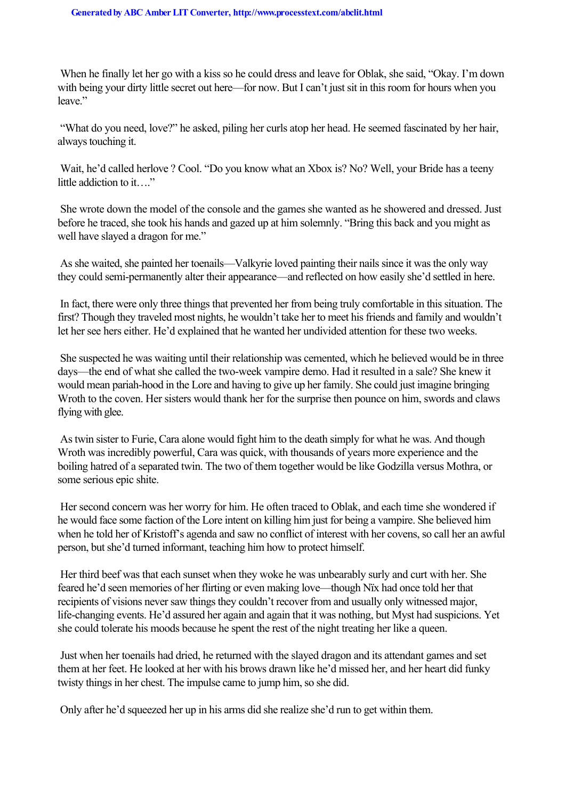When he finally let her go with a kiss so he could dress and leave for Oblak, she said, "Okay. I'm down with being your dirty little secret out here—for now. But I can't just sit in this room for hours when you leave."

 "What do you need, love?" he asked, piling her curls atop her head. He seemed fascinated by her hair, always touching it.

 Wait, he'd called herlove ? Cool. "Do you know what an Xbox is? No? Well, your Bride has a teeny little addiction to it…."

 She wrote down the model of the console and the games she wanted as he showered and dressed. Just before he traced, she took his hands and gazed up at him solemnly. "Bring this back and you might as well have slayed a dragon for me."

 As she waited, she painted her toenails—Valkyrie loved painting their nails since it was the only way they could semi-permanently alter their appearance—and reflected on how easily she'd settled in here.

 In fact, there were only three things that prevented her from being truly comfortable in this situation. The first? Though they traveled most nights, he wouldn't take her to meet his friends and family and wouldn't let her see hers either. He'd explained that he wanted her undivided attention for these two weeks.

 She suspected he was waiting until their relationship was cemented, which he believed would be in three days—the end of what she called the two-week vampire demo. Had it resulted in a sale? She knew it would mean pariah-hood in the Lore and having to give up her family. She could just imagine bringing Wroth to the coven. Her sisters would thank her for the surprise then pounce on him, swords and claws flying with glee.

 As twin sister to Furie, Cara alone would fight him to the death simply for what he was. And though Wroth was incredibly powerful, Cara was quick, with thousands of years more experience and the boiling hatred of a separated twin. The two of them together would be like Godzilla versus Mothra, or some serious epic shite.

 Her second concern was her worry for him. He often traced to Oblak, and each time she wondered if he would face some faction of the Lore intent on killing him just for being a vampire. She believed him when he told her of Kristoff's agenda and saw no conflict of interest with her covens, so call her an awful person, but she'd turned informant, teaching him how to protect himself.

 Her third beef was that each sunset when they woke he was unbearably surly and curt with her. She feared he'd seen memories of her flirting or even making love—though Nïx had once told her that recipients of visions never saw things they couldn't recover from and usually only witnessed major, life-changing events. He'd assured her again and again that it was nothing, but Myst had suspicions. Yet she could tolerate his moods because he spent the rest of the night treating her like a queen.

 Just when her toenails had dried, he returned with the slayed dragon and its attendant games and set them at her feet. He looked at her with his brows drawn like he'd missed her, and her heart did funky twisty things in her chest. The impulse came to jump him, so she did.

Only after he'd squeezed her up in his arms did she realize she'd run to get within them.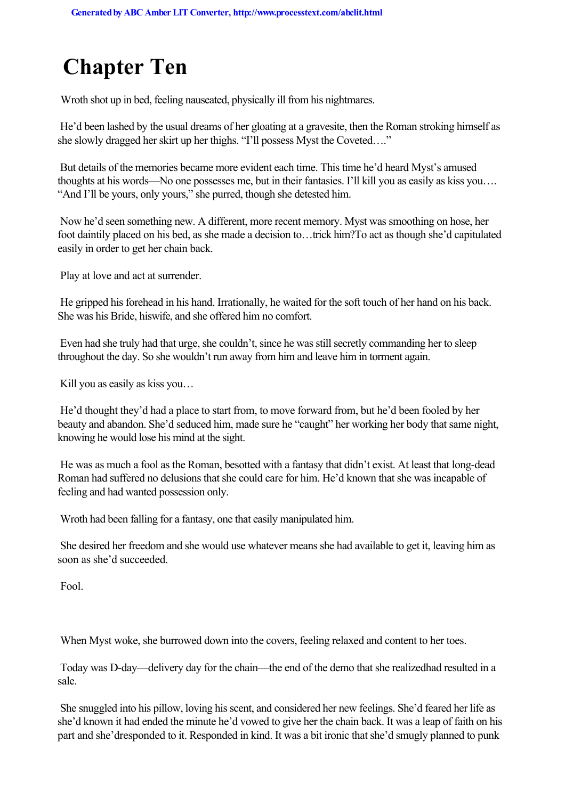# **Chapter Ten**

Wroth shot up in bed, feeling nauseated, physically ill from his nightmares.

 He'd been lashed by the usual dreams of her gloating at a gravesite, then the Roman stroking himself as she slowly dragged her skirt up her thighs. "I'll possess Myst the Coveted…."

 But details of the memories became more evident each time. This time he'd heard Myst's amused thoughts at his words—No one possesses me, but in their fantasies. I'll kill you as easily as kiss you…. "And I'll be yours, only yours," she purred, though she detested him.

 Now he'd seen something new. A different, more recent memory. Myst was smoothing on hose, her foot daintily placed on his bed, as she made a decision to…trick him?To act as though she'd capitulated easily in order to get her chain back.

Play at love and act at surrender.

 He gripped his forehead in his hand. Irrationally, he waited for the soft touch of her hand on his back. She was his Bride, hiswife, and she offered him no comfort.

 Even had she truly had that urge, she couldn't, since he was still secretly commanding her to sleep throughout the day. So she wouldn't run away from him and leave him in torment again.

Kill you as easily as kiss you...

 He'd thought they'd had a place to start from, to move forward from, but he'd been fooled by her beauty and abandon. She'd seduced him, made sure he "caught" her working her body that same night, knowing he would lose his mind at the sight.

 He was as much a fool as the Roman, besotted with a fantasy that didn't exist. At least that long-dead Roman had suffered no delusions that she could care for him. He'd known that she was incapable of feeling and had wanted possession only.

Wroth had been falling for a fantasy, one that easily manipulated him.

 She desired her freedom and she would use whatever means she had available to get it, leaving him as soon as she'd succeeded.

Fool.

When Myst woke, she burrowed down into the covers, feeling relaxed and content to her toes.

 Today was D-day—delivery day for the chain—the end of the demo that she realizedhad resulted in a sale.

 She snuggled into his pillow, loving his scent, and considered her new feelings. She'd feared her life as she'd known it had ended the minute he'd vowed to give her the chain back. It was a leap of faith on his part and she'dresponded to it. Responded in kind. It was a bit ironic that she'd smugly planned to punk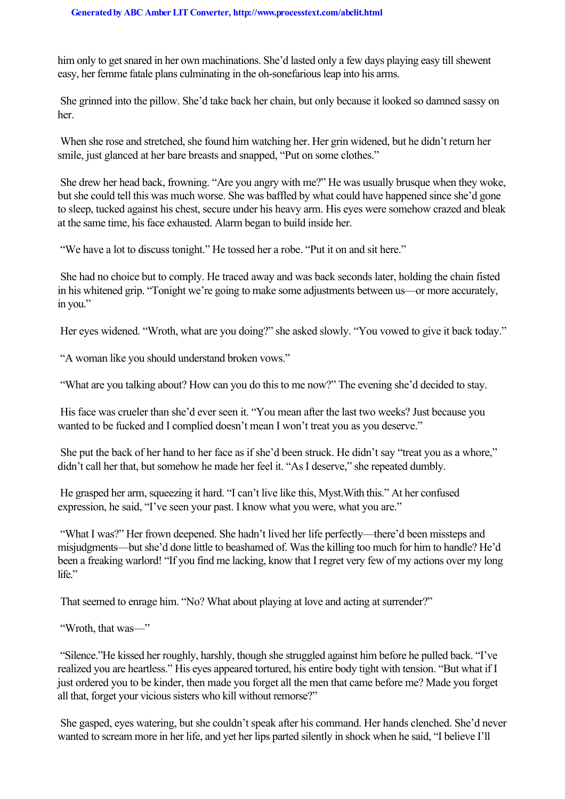#### **Generated by ABC Amber LIT Converter, <http://www.processtext.com/abclit.html>**

him only to get snared in her own machinations. She'd lasted only a few days playing easy till shewent easy, her femme fatale plans culminating in the oh-sonefarious leap into his arms.

 She grinned into the pillow. She'd take back her chain, but only because it looked so damned sassy on her.

 When she rose and stretched, she found him watching her. Her grin widened, but he didn't return her smile, just glanced at her bare breasts and snapped, "Put on some clothes."

 She drew her head back, frowning. "Are you angry with me?" He was usually brusque when they woke, but she could tell this was much worse. She was baffled by what could have happened since she'd gone to sleep, tucked against his chest, secure under his heavy arm. His eyes were somehow crazed and bleak at the same time, his face exhausted. Alarm began to build inside her.

"We have a lot to discuss tonight." He tossed her a robe. "Put it on and sit here."

 She had no choice but to comply. He traced away and was back seconds later, holding the chain fisted in his whitened grip. "Tonight we're going to make some adjustments between us—or more accurately, in you."

Her eyes widened. "Wroth, what are you doing?" she asked slowly. "You vowed to give it back today."

"A woman like you should understand broken vows."

"What are you talking about? How can you do this to me now?" The evening she'd decided to stay.

 His face was crueler than she'd ever seen it. "You mean after the last two weeks? Just because you wanted to be fucked and I complied doesn't mean I won't treat you as you deserve."

 She put the back of her hand to her face as if she'd been struck. He didn't say "treat you as a whore," didn't call her that, but somehow he made her feel it. "As I deserve," she repeated dumbly.

 He grasped her arm, squeezing it hard. "I can't live like this, Myst.With this." At her confused expression, he said, "I've seen your past. I know what you were, what you are."

 "What I was?" Her frown deepened. She hadn't lived her life perfectly—there'd been missteps and misjudgments—but she'd done little to beashamed of. Was the killing too much for him to handle? He'd been a freaking warlord! "If you find me lacking, know that I regret very few of my actions over my long life"

That seemed to enrage him. "No? What about playing at love and acting at surrender?"

"Wroth, that was—"

 "Silence."He kissed her roughly, harshly, though she struggled against him before he pulled back. "I've realized you are heartless." His eyes appeared tortured, his entire body tight with tension. "But what if I just ordered you to be kinder, then made you forget all the men that came before me? Made you forget all that, forget your vicious sisters who kill without remorse?"

 She gasped, eyes watering, but she couldn't speak after his command. Her hands clenched. She'd never wanted to scream more in her life, and yet her lips parted silently in shock when he said, "I believe I'll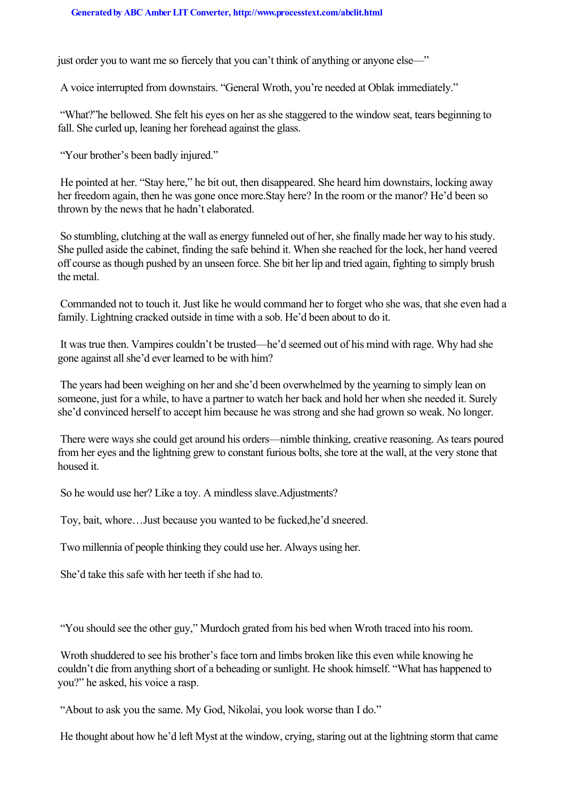#### **Generated by ABC Amber LIT Converter, <http://www.processtext.com/abclit.html>**

just order you to want me so fiercely that you can't think of anything or anyone else—"

A voice interrupted from downstairs. "General Wroth, you're needed at Oblak immediately."

 "What?"he bellowed. She felt his eyes on her as she staggered to the window seat, tears beginning to fall. She curled up, leaning her forehead against the glass.

"Your brother's been badly injured."

 He pointed at her. "Stay here," he bit out, then disappeared. She heard him downstairs, locking away her freedom again, then he was gone once more.Stay here? In the room or the manor? He'd been so thrown by the news that he hadn't elaborated.

 So stumbling, clutching at the wall as energy funneled out of her, she finally made her way to his study. She pulled aside the cabinet, finding the safe behind it. When she reached for the lock, her hand veered off course as though pushed by an unseen force. She bit her lip and tried again, fighting to simply brush the metal.

 Commanded not to touch it. Just like he would command her to forget who she was, that she even had a family. Lightning cracked outside in time with a sob. He'd been about to do it.

 It was true then. Vampires couldn't be trusted—he'd seemed out of his mind with rage. Why had she gone against all she'd ever learned to be with him?

 The years had been weighing on her and she'd been overwhelmed by the yearning to simply lean on someone, just for a while, to have a partner to watch her back and hold her when she needed it. Surely she'd convinced herself to accept him because he was strong and she had grown so weak. No longer.

 There were ways she could get around his orders—nimble thinking, creative reasoning. As tears poured from her eyes and the lightning grew to constant furious bolts, she tore at the wall, at the very stone that housed it.

So he would use her? Like a toy. A mindless slave.Adjustments?

Toy, bait, whore…Just because you wanted to be fucked,he'd sneered.

Two millennia of people thinking they could use her. Always using her.

She'd take this safe with her teeth if she had to.

"You should see the other guy," Murdoch grated from his bed when Wroth traced into his room.

 Wroth shuddered to see his brother's face torn and limbs broken like this even while knowing he couldn't die from anything short of a beheading or sunlight. He shook himself. "What has happened to you?" he asked, his voice a rasp.

"About to ask you the same. My God, Nikolai, you look worse than I do."

He thought about how he'd left Myst at the window, crying, staring out at the lightning storm that came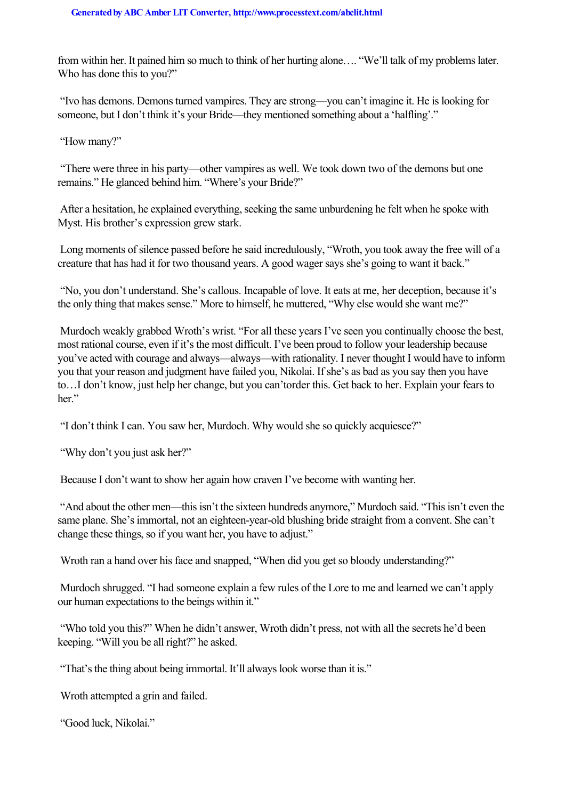from within her. It pained him so much to think of her hurting alone…. "We'll talk of my problems later. Who has done this to you?"

 "Ivo has demons. Demons turned vampires. They are strong—you can't imagine it. He is looking for someone, but I don't think it's your Bride—they mentioned something about a 'halfling'."

"How many?"

 "There were three in his party—other vampires as well. We took down two of the demons but one remains." He glanced behind him. "Where's your Bride?"

 After a hesitation, he explained everything, seeking the same unburdening he felt when he spoke with Myst. His brother's expression grew stark.

 Long moments of silence passed before he said incredulously, "Wroth, you took away the free will of a creature that has had it for two thousand years. A good wager says she's going to want it back."

 "No, you don't understand. She's callous. Incapable of love. It eats at me, her deception, because it's the only thing that makes sense." More to himself, he muttered, "Why else would she want me?"

 Murdoch weakly grabbed Wroth's wrist. "For all these years I've seen you continually choose the best, most rational course, even if it's the most difficult. I've been proud to follow your leadership because you've acted with courage and always—always—with rationality. I never thought I would have to inform you that your reason and judgment have failed you, Nikolai. If she's as bad as you say then you have to…I don't know, just help her change, but you can'torder this. Get back to her. Explain your fears to her"

"I don't think I can. You saw her, Murdoch. Why would she so quickly acquiesce?"

"Why don't you just ask her?"

Because I don't want to show her again how craven I've become with wanting her.

 "And about the other men—this isn't the sixteen hundreds anymore," Murdoch said. "This isn't even the same plane. She's immortal, not an eighteen-year-old blushing bride straight from a convent. She can't change these things, so if you want her, you have to adjust."

Wroth ran a hand over his face and snapped, "When did you get so bloody understanding?"

 Murdoch shrugged. "I had someone explain a few rules of the Lore to me and learned we can't apply our human expectations to the beings within it."

 "Who told you this?" When he didn't answer, Wroth didn't press, not with all the secrets he'd been keeping. "Will you be all right?" he asked.

"That's the thing about being immortal. It'll always look worse than it is."

Wroth attempted a grin and failed.

"Good luck, Nikolai."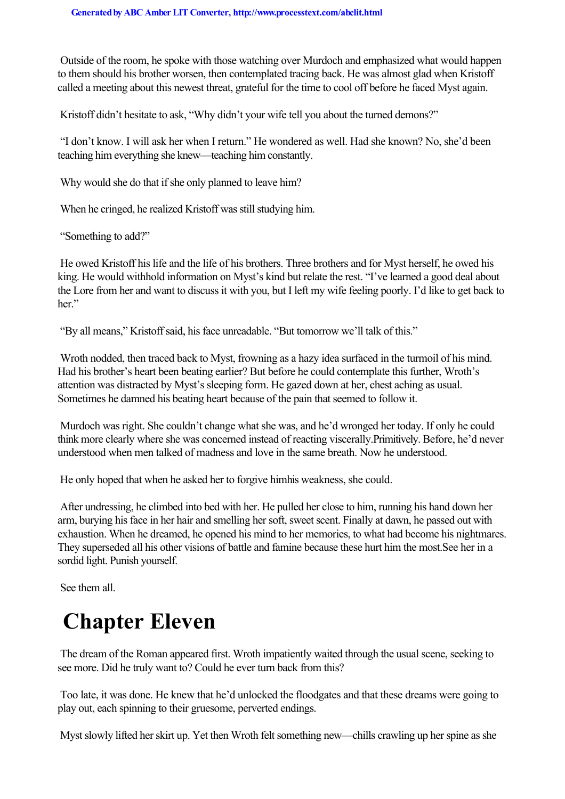Outside of the room, he spoke with those watching over Murdoch and emphasized what would happen to them should his brother worsen, then contemplated tracing back. He was almost glad when Kristoff called a meeting about this newest threat, grateful for the time to cool off before he faced Myst again.

Kristoff didn't hesitate to ask, "Why didn't your wife tell you about the turned demons?"

 "I don't know. I will ask her when I return." He wondered as well. Had she known? No, she'd been teaching him everything she knew—teaching him constantly.

Why would she do that if she only planned to leave him?

When he cringed, he realized Kristoff was still studying him.

"Something to add?"

 He owed Kristoff his life and the life of his brothers. Three brothers and for Myst herself, he owed his king. He would withhold information on Myst's kind but relate the rest. "I've learned a good deal about the Lore from her and want to discuss it with you, but I left my wife feeling poorly. I'd like to get back to her"

"By all means," Kristoff said, his face unreadable. "But tomorrow we'll talk of this."

 Wroth nodded, then traced back to Myst, frowning as a hazy idea surfaced in the turmoil of his mind. Had his brother's heart been beating earlier? But before he could contemplate this further, Wroth's attention was distracted by Myst's sleeping form. He gazed down at her, chest aching as usual. Sometimes he damned his beating heart because of the pain that seemed to follow it.

 Murdoch was right. She couldn't change what she was, and he'd wronged her today. If only he could think more clearly where she was concerned instead of reacting viscerally.Primitively. Before, he'd never understood when men talked of madness and love in the same breath. Now he understood.

He only hoped that when he asked her to forgive himhis weakness, she could.

 After undressing, he climbed into bed with her. He pulled her close to him, running his hand down her arm, burying his face in her hair and smelling her soft, sweet scent. Finally at dawn, he passed out with exhaustion. When he dreamed, he opened his mind to her memories, to what had become his nightmares. They superseded all his other visions of battle and famine because these hurt him the most.See her in a sordid light. Punish yourself.

See them all.

### **Chapter Eleven**

 The dream of the Roman appeared first. Wroth impatiently waited through the usual scene, seeking to see more. Did he truly want to? Could he ever turn back from this?

 Too late, it was done. He knew that he'd unlocked the floodgates and that these dreams were going to play out, each spinning to their gruesome, perverted endings.

Myst slowly lifted her skirt up. Yet then Wroth felt something new—chills crawling up her spine as she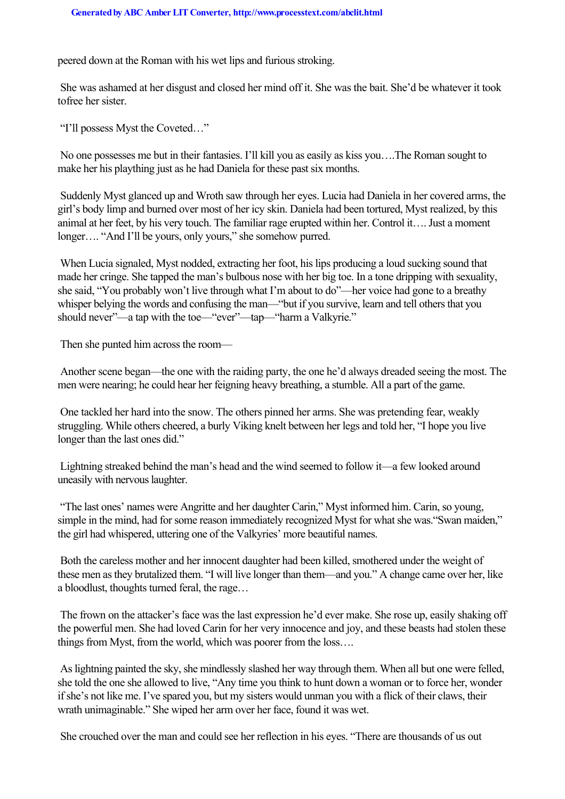peered down at the Roman with his wet lips and furious stroking.

 She was ashamed at her disgust and closed her mind off it. She was the bait. She'd be whatever it took tofree her sister.

"I'll possess Myst the Coveted…"

 No one possesses me but in their fantasies. I'll kill you as easily as kiss you….The Roman sought to make her his plaything just as he had Daniela for these past six months.

 Suddenly Myst glanced up and Wroth saw through her eyes. Lucia had Daniela in her covered arms, the girl's body limp and burned over most of her icy skin. Daniela had been tortured, Myst realized, by this animal at her feet, by his very touch. The familiar rage erupted within her. Control it…. Just a moment longer…. "And I'll be yours, only yours," she somehow purred.

 When Lucia signaled, Myst nodded, extracting her foot, his lips producing a loud sucking sound that made her cringe. She tapped the man's bulbous nose with her big toe. In a tone dripping with sexuality, she said, "You probably won't live through what I'm about to do"—her voice had gone to a breathy whisper belying the words and confusing the man—"but if you survive, learn and tell others that you should never"—a tap with the toe—"ever"—tap—"harm a Valkyrie."

Then she punted him across the room—

 Another scene began—the one with the raiding party, the one he'd always dreaded seeing the most. The men were nearing; he could hear her feigning heavy breathing, a stumble. All a part of the game.

 One tackled her hard into the snow. The others pinned her arms. She was pretending fear, weakly struggling. While others cheered, a burly Viking knelt between her legs and told her, "I hope you live longer than the last ones did."

 Lightning streaked behind the man's head and the wind seemed to follow it—a few looked around uneasily with nervous laughter.

 "The last ones' names were Angritte and her daughter Carin," Myst informed him. Carin, so young, simple in the mind, had for some reason immediately recognized Myst for what she was."Swan maiden," the girl had whispered, uttering one of the Valkyries' more beautiful names.

 Both the careless mother and her innocent daughter had been killed, smothered under the weight of these men as they brutalized them. "I will live longer than them—and you." A change came over her, like a bloodlust, thoughts turned feral, the rage…

 The frown on the attacker's face was the last expression he'd ever make. She rose up, easily shaking off the powerful men. She had loved Carin for her very innocence and joy, and these beasts had stolen these things from Myst, from the world, which was poorer from the loss….

 As lightning painted the sky, she mindlessly slashed her way through them. When all but one were felled, she told the one she allowed to live, "Any time you think to hunt down a woman or to force her, wonder if she's not like me. I've spared you, but my sisters would unman you with a flick of their claws, their wrath unimaginable." She wiped her arm over her face, found it was wet.

She crouched over the man and could see her reflection in his eyes. "There are thousands of us out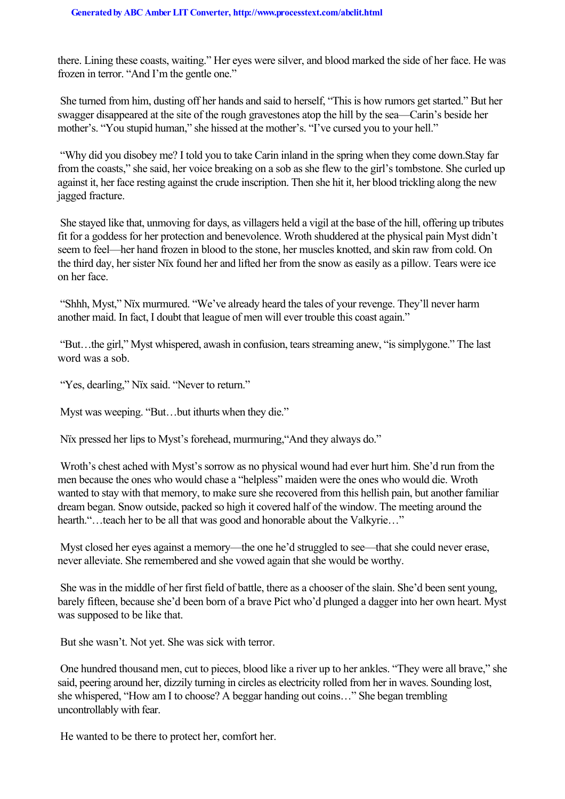there. Lining these coasts, waiting." Her eyes were silver, and blood marked the side of her face. He was frozen in terror. "And I'm the gentle one."

 She turned from him, dusting off her hands and said to herself, "This is how rumors get started." But her swagger disappeared at the site of the rough gravestones atop the hill by the sea—Carin's beside her mother's. "You stupid human," she hissed at the mother's. "I've cursed you to your hell."

 "Why did you disobey me? I told you to take Carin inland in the spring when they come down.Stay far from the coasts," she said, her voice breaking on a sob as she flew to the girl's tombstone. She curled up against it, her face resting against the crude inscription. Then she hit it, her blood trickling along the new jagged fracture.

 She stayed like that, unmoving for days, as villagers held a vigil at the base of the hill, offering up tributes fit for a goddess for her protection and benevolence. Wroth shuddered at the physical pain Myst didn't seem to feel—her hand frozen in blood to the stone, her muscles knotted, and skin raw from cold. On the third day, her sister Nïx found her and lifted her from the snow as easily as a pillow. Tears were ice on her face.

 "Shhh, Myst," Nïx murmured. "We've already heard the tales of your revenge. They'll never harm another maid. In fact, I doubt that league of men will ever trouble this coast again."

 "But…the girl," Myst whispered, awash in confusion, tears streaming anew, "is simplygone." The last word was a sob.

"Yes, dearling," Nïx said. "Never to return."

Myst was weeping. "But…but ithurts when they die."

Nïx pressed her lips to Myst's forehead, murmuring,"And they always do."

 Wroth's chest ached with Myst's sorrow as no physical wound had ever hurt him. She'd run from the men because the ones who would chase a "helpless" maiden were the ones who would die. Wroth wanted to stay with that memory, to make sure she recovered from this hellish pain, but another familiar dream began. Snow outside, packed so high it covered half of the window. The meeting around the hearth."...teach her to be all that was good and honorable about the Valkyrie..."

Myst closed her eyes against a memory—the one he'd struggled to see—that she could never erase, never alleviate. She remembered and she vowed again that she would be worthy.

 She was in the middle of her first field of battle, there as a chooser of the slain. She'd been sent young, barely fifteen, because she'd been born of a brave Pict who'd plunged a dagger into her own heart. Myst was supposed to be like that.

But she wasn't. Not yet. She was sick with terror.

 One hundred thousand men, cut to pieces, blood like a river up to her ankles. "They were all brave," she said, peering around her, dizzily turning in circles as electricity rolled from her in waves. Sounding lost, she whispered, "How am I to choose? A beggar handing out coins…" She began trembling uncontrollably with fear.

He wanted to be there to protect her, comfort her.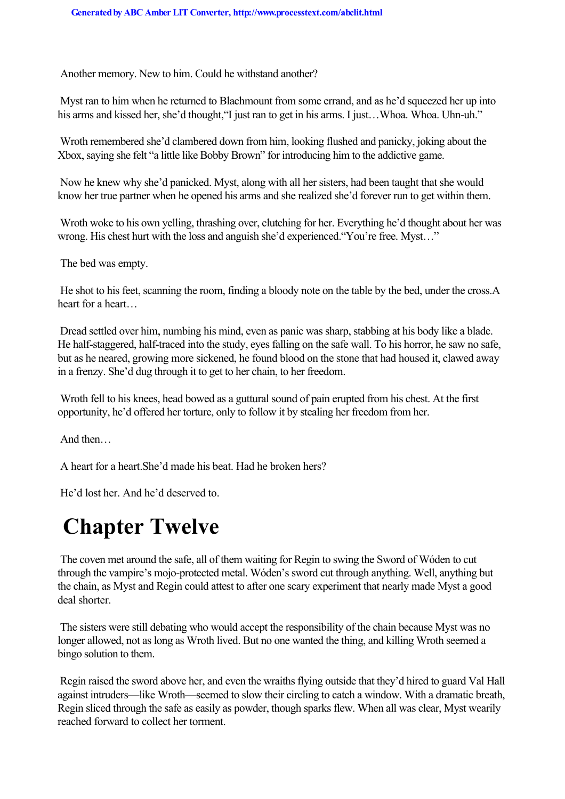Another memory. New to him. Could he withstand another?

Myst ran to him when he returned to Blachmount from some errand, and as he'd squeezed her up into his arms and kissed her, she'd thought, 'I just ran to get in his arms. I just...Whoa. Whoa. Uhn-uh."

 Wroth remembered she'd clambered down from him, looking flushed and panicky, joking about the Xbox, saying she felt "a little like Bobby Brown" for introducing him to the addictive game.

 Now he knew why she'd panicked. Myst, along with all her sisters, had been taught that she would know her true partner when he opened his arms and she realized she'd forever run to get within them.

 Wroth woke to his own yelling, thrashing over, clutching for her. Everything he'd thought about her was wrong. His chest hurt with the loss and anguish she'd experienced. "You're free. Myst..."

The bed was empty.

 He shot to his feet, scanning the room, finding a bloody note on the table by the bed, under the cross.A heart for a heart…

 Dread settled over him, numbing his mind, even as panic was sharp, stabbing at his body like a blade. He half-staggered, half-traced into the study, eyes falling on the safe wall. To his horror, he saw no safe, but as he neared, growing more sickened, he found blood on the stone that had housed it, clawed away in a frenzy. She'd dug through it to get to her chain, to her freedom.

 Wroth fell to his knees, head bowed as a guttural sound of pain erupted from his chest. At the first opportunity, he'd offered her torture, only to follow it by stealing her freedom from her.

And then…

A heart for a heart.She'd made his beat. Had he broken hers?

He'd lost her. And he'd deserved to.

### **Chapter Twelve**

 The coven met around the safe, all of them waiting for Regin to swing the Sword of Wóden to cut through the vampire's mojo-protected metal. Wóden's sword cut through anything. Well, anything but the chain, as Myst and Regin could attest to after one scary experiment that nearly made Myst a good deal shorter.

 The sisters were still debating who would accept the responsibility of the chain because Myst was no longer allowed, not as long as Wroth lived. But no one wanted the thing, and killing Wroth seemed a bingo solution to them.

 Regin raised the sword above her, and even the wraiths flying outside that they'd hired to guard Val Hall against intruders—like Wroth—seemed to slow their circling to catch a window. With a dramatic breath, Regin sliced through the safe as easily as powder, though sparks flew. When all was clear, Myst wearily reached forward to collect her torment.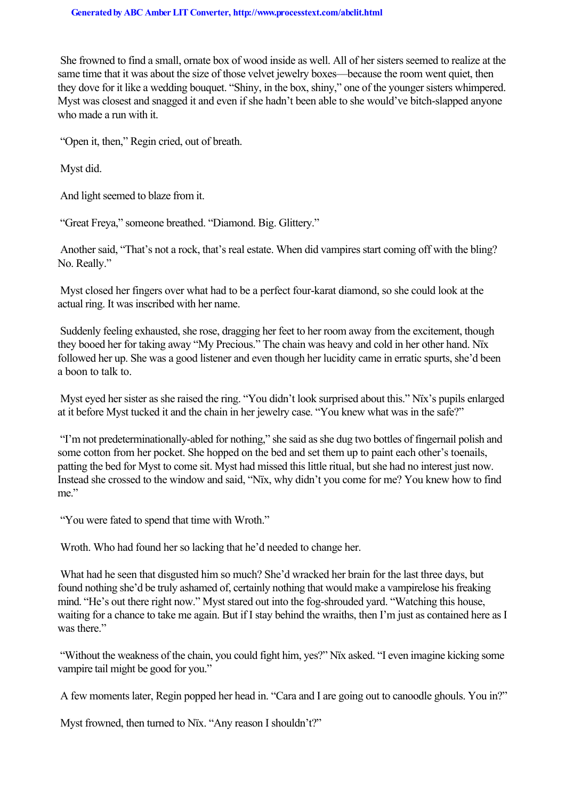She frowned to find a small, ornate box of wood inside as well. All of her sisters seemed to realize at the same time that it was about the size of those velvet jewelry boxes—because the room went quiet, then they dove for it like a wedding bouquet. "Shiny, in the box, shiny," one of the younger sisters whimpered. Myst was closest and snagged it and even if she hadn't been able to she would've bitch-slapped anyone who made a run with it.

"Open it, then," Regin cried, out of breath.

Myst did.

And light seemed to blaze from it.

"Great Freya," someone breathed. "Diamond. Big. Glittery."

 Another said, "That's not a rock, that's real estate. When did vampires start coming off with the bling? No. Really."

 Myst closed her fingers over what had to be a perfect four-karat diamond, so she could look at the actual ring. It was inscribed with her name.

 Suddenly feeling exhausted, she rose, dragging her feet to her room away from the excitement, though they booed her for taking away "My Precious." The chain was heavy and cold in her other hand. Nïx followed her up. She was a good listener and even though her lucidity came in erratic spurts, she'd been a boon to talk to.

 Myst eyed her sister as she raised the ring. "You didn't look surprised about this." Nïx's pupils enlarged at it before Myst tucked it and the chain in her jewelry case. "You knew what was in the safe?"

 "I'm not predeterminationally-abled for nothing," she said as she dug two bottles of fingernail polish and some cotton from her pocket. She hopped on the bed and set them up to paint each other's toenails, patting the bed for Myst to come sit. Myst had missed this little ritual, but she had no interest just now. Instead she crossed to the window and said, "Nïx, why didn't you come for me? You knew how to find me"

"You were fated to spend that time with Wroth."

Wroth. Who had found her so lacking that he'd needed to change her.

 What had he seen that disgusted him so much? She'd wracked her brain for the last three days, but found nothing she'd be truly ashamed of, certainly nothing that would make a vampirelose his freaking mind. "He's out there right now." Myst stared out into the fog-shrouded yard. "Watching this house, waiting for a chance to take me again. But if I stay behind the wraiths, then I'm just as contained here as I was there."

 "Without the weakness of the chain, you could fight him, yes?" Nïx asked. "I even imagine kicking some vampire tail might be good for you."

A few moments later, Regin popped her head in. "Cara and I are going out to canoodle ghouls. You in?"

Myst frowned, then turned to Nïx. "Any reason I shouldn't?"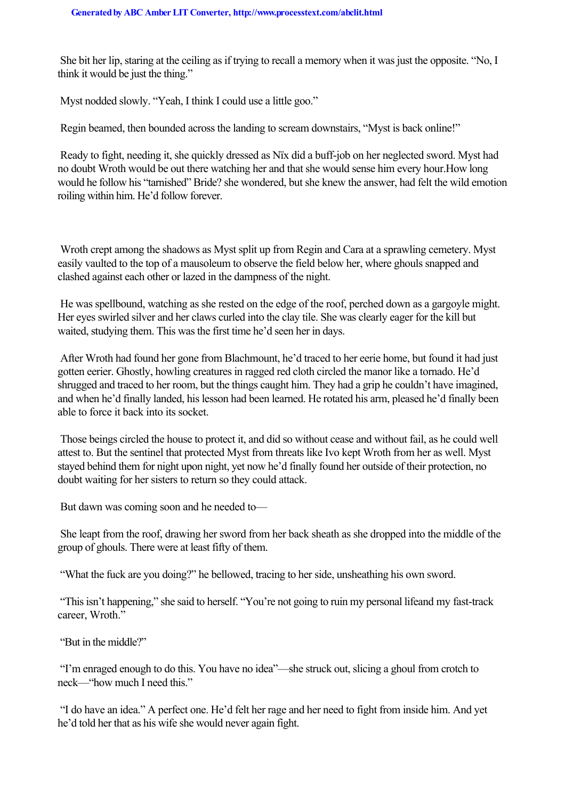She bit her lip, staring at the ceiling as if trying to recall a memory when it was just the opposite. "No, I think it would be just the thing."

Myst nodded slowly. "Yeah, I think I could use a little goo."

Regin beamed, then bounded across the landing to scream downstairs, "Myst is back online!"

 Ready to fight, needing it, she quickly dressed as Nïx did a buff-job on her neglected sword. Myst had no doubt Wroth would be out there watching her and that she would sense him every hour.How long would he follow his "tarnished" Bride? she wondered, but she knew the answer, had felt the wild emotion roiling within him. He'd follow forever.

 Wroth crept among the shadows as Myst split up from Regin and Cara at a sprawling cemetery. Myst easily vaulted to the top of a mausoleum to observe the field below her, where ghouls snapped and clashed against each other or lazed in the dampness of the night.

 He was spellbound, watching as she rested on the edge of the roof, perched down as a gargoyle might. Her eyes swirled silver and her claws curled into the clay tile. She was clearly eager for the kill but waited, studying them. This was the first time he'd seen her in days.

 After Wroth had found her gone from Blachmount, he'd traced to her eerie home, but found it had just gotten eerier. Ghostly, howling creatures in ragged red cloth circled the manor like a tornado. He'd shrugged and traced to her room, but the things caught him. They had a grip he couldn't have imagined, and when he'd finally landed, his lesson had been learned. He rotated his arm, pleased he'd finally been able to force it back into its socket.

 Those beings circled the house to protect it, and did so without cease and without fail, as he could well attest to. But the sentinel that protected Myst from threats like Ivo kept Wroth from her as well. Myst stayed behind them for night upon night, yet now he'd finally found her outside of their protection, no doubt waiting for her sisters to return so they could attack.

But dawn was coming soon and he needed to—

 She leapt from the roof, drawing her sword from her back sheath as she dropped into the middle of the group of ghouls. There were at least fifty of them.

"What the fuck are you doing?" he bellowed, tracing to her side, unsheathing his own sword.

 "This isn't happening," she said to herself. "You're not going to ruin my personal lifeand my fast-track career, Wroth."

"But in the middle?"

 "I'm enraged enough to do this. You have no idea"—she struck out, slicing a ghoul from crotch to neck—"how much I need this."

 "I do have an idea." A perfect one. He'd felt her rage and her need to fight from inside him. And yet he'd told her that as his wife she would never again fight.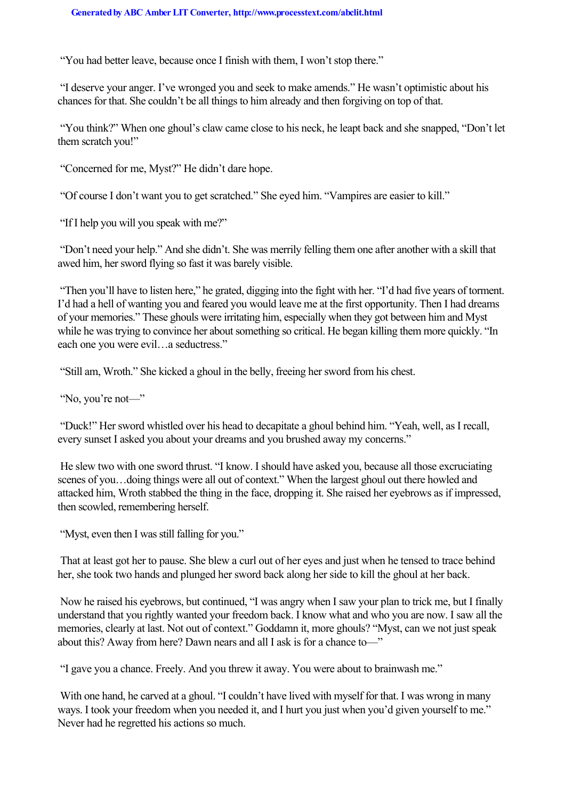#### **Generated by ABC Amber LIT Converter, <http://www.processtext.com/abclit.html>**

"You had better leave, because once I finish with them, I won't stop there."

 "I deserve your anger. I've wronged you and seek to make amends." He wasn't optimistic about his chances for that. She couldn't be all things to him already and then forgiving on top of that.

 "You think?" When one ghoul's claw came close to his neck, he leapt back and she snapped, "Don't let them scratch you!"

"Concerned for me, Myst?" He didn't dare hope.

"Of course I don't want you to get scratched." She eyed him. "Vampires are easier to kill."

"If I help you will you speak with me?"

 "Don't need your help." And she didn't. She was merrily felling them one after another with a skill that awed him, her sword flying so fast it was barely visible.

 "Then you'll have to listen here," he grated, digging into the fight with her. "I'd had five years of torment. I'd had a hell of wanting you and feared you would leave me at the first opportunity. Then I had dreams of your memories." These ghouls were irritating him, especially when they got between him and Myst while he was trying to convince her about something so critical. He began killing them more quickly. "In each one you were evil…a seductress."

"Still am, Wroth." She kicked a ghoul in the belly, freeing her sword from his chest.

"No, you're not—"

 "Duck!" Her sword whistled over his head to decapitate a ghoul behind him. "Yeah, well, as I recall, every sunset I asked you about your dreams and you brushed away my concerns."

 He slew two with one sword thrust. "I know. I should have asked you, because all those excruciating scenes of you…doing things were all out of context." When the largest ghoul out there howled and attacked him, Wroth stabbed the thing in the face, dropping it. She raised her eyebrows as if impressed, then scowled, remembering herself.

"Myst, even then I was still falling for you."

 That at least got her to pause. She blew a curl out of her eyes and just when he tensed to trace behind her, she took two hands and plunged her sword back along her side to kill the ghoul at her back.

 Now he raised his eyebrows, but continued, "I was angry when I saw your plan to trick me, but I finally understand that you rightly wanted your freedom back. I know what and who you are now. I saw all the memories, clearly at last. Not out of context." Goddamn it, more ghouls? "Myst, can we not just speak about this? Away from here? Dawn nears and all I ask is for a chance to—"

"I gave you a chance. Freely. And you threw it away. You were about to brainwash me."

With one hand, he carved at a ghoul. "I couldn't have lived with myself for that. I was wrong in many ways. I took your freedom when you needed it, and I hurt you just when you'd given yourself to me." Never had he regretted his actions so much.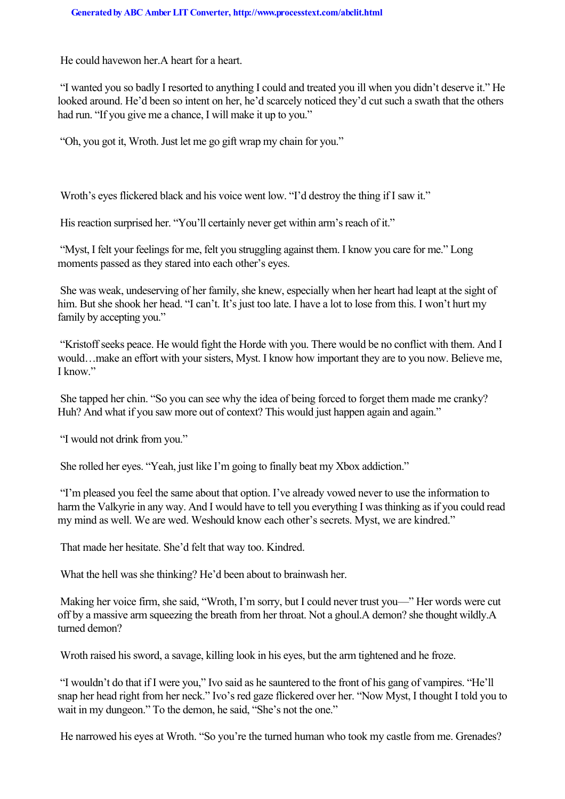He could havewon her. A heart for a heart.

 "I wanted you so badly I resorted to anything I could and treated you ill when you didn't deserve it." He looked around. He'd been so intent on her, he'd scarcely noticed they'd cut such a swath that the others had run. "If you give me a chance, I will make it up to you."

"Oh, you got it, Wroth. Just let me go gift wrap my chain for you."

Wroth's eyes flickered black and his voice went low. "I'd destroy the thing if I saw it."

His reaction surprised her. "You'll certainly never get within arm's reach of it."

 "Myst, I felt your feelings for me, felt you struggling against them. I know you care for me." Long moments passed as they stared into each other's eyes.

 She was weak, undeserving of her family, she knew, especially when her heart had leapt at the sight of him. But she shook her head. "I can't. It's just too late. I have a lot to lose from this. I won't hurt my family by accepting you."

 "Kristoff seeks peace. He would fight the Horde with you. There would be no conflict with them. And I would…make an effort with your sisters, Myst. I know how important they are to you now. Believe me, I know"

 She tapped her chin. "So you can see why the idea of being forced to forget them made me cranky? Huh? And what if you saw more out of context? This would just happen again and again."

"I would not drink from you."

She rolled her eyes. "Yeah, just like I'm going to finally beat my Xbox addiction."

 "I'm pleased you feel the same about that option. I've already vowed never to use the information to harm the Valkyrie in any way. And I would have to tell you everything I was thinking as if you could read my mind as well. We are wed. Weshould know each other's secrets. Myst, we are kindred."

That made her hesitate. She'd felt that way too. Kindred.

What the hell was she thinking? He'd been about to brainwash her.

 Making her voice firm, she said, "Wroth, I'm sorry, but I could never trust you—" Her words were cut off by a massive arm squeezing the breath from her throat. Not a ghoul.A demon? she thought wildly.A turned demon?

Wroth raised his sword, a savage, killing look in his eyes, but the arm tightened and he froze.

 "I wouldn't do that if I were you," Ivo said as he sauntered to the front of his gang of vampires. "He'll snap her head right from her neck." Ivo's red gaze flickered over her. "Now Myst, I thought I told you to wait in my dungeon." To the demon, he said, "She's not the one."

He narrowed his eyes at Wroth. "So you're the turned human who took my castle from me. Grenades?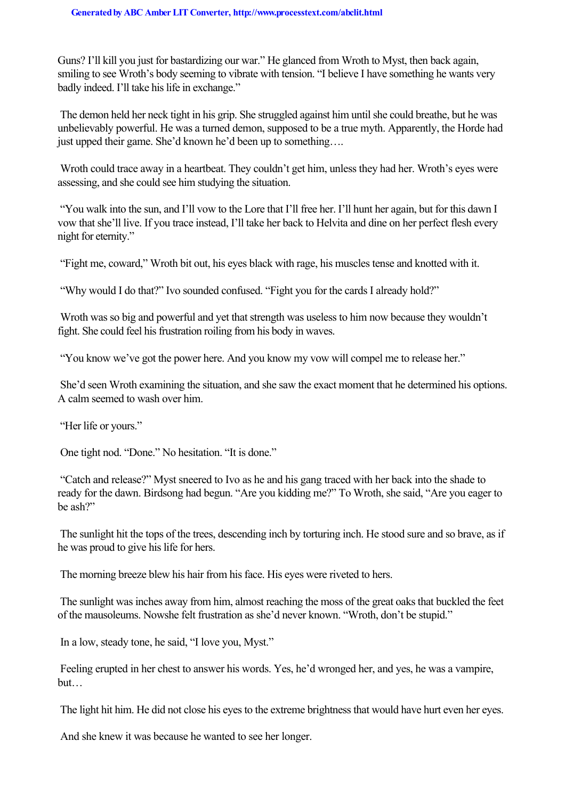Guns? I'll kill you just for bastardizing our war." He glanced from Wroth to Myst, then back again, smiling to see Wroth's body seeming to vibrate with tension. "I believe I have something he wants very badly indeed. I'll take his life in exchange."

 The demon held her neck tight in his grip. She struggled against him until she could breathe, but he was unbelievably powerful. He was a turned demon, supposed to be a true myth. Apparently, the Horde had just upped their game. She'd known he'd been up to something….

Wroth could trace away in a heartbeat. They couldn't get him, unless they had her. Wroth's eyes were assessing, and she could see him studying the situation.

 "You walk into the sun, and I'll vow to the Lore that I'll free her. I'll hunt her again, but for this dawn I vow that she'll live. If you trace instead, I'll take her back to Helvita and dine on her perfect flesh every night for eternity."

"Fight me, coward," Wroth bit out, his eyes black with rage, his muscles tense and knotted with it.

"Why would I do that?" Ivo sounded confused. "Fight you for the cards I already hold?"

 Wroth was so big and powerful and yet that strength was useless to him now because they wouldn't fight. She could feel his frustration roiling from his body in waves.

"You know we've got the power here. And you know my vow will compel me to release her."

 She'd seen Wroth examining the situation, and she saw the exact moment that he determined his options. A calm seemed to wash over him.

"Her life or yours."

One tight nod. "Done." No hesitation. "It is done."

 "Catch and release?" Myst sneered to Ivo as he and his gang traced with her back into the shade to ready for the dawn. Birdsong had begun. "Are you kidding me?" To Wroth, she said, "Are you eager to be ash?"

 The sunlight hit the tops of the trees, descending inch by torturing inch. He stood sure and so brave, as if he was proud to give his life for hers.

The morning breeze blew his hair from his face. His eyes were riveted to hers.

 The sunlight was inches away from him, almost reaching the moss of the great oaks that buckled the feet of the mausoleums. Nowshe felt frustration as she'd never known. "Wroth, don't be stupid."

In a low, steady tone, he said, "I love you, Myst."

 Feeling erupted in her chest to answer his words. Yes, he'd wronged her, and yes, he was a vampire, but…

The light hit him. He did not close his eyes to the extreme brightness that would have hurt even her eyes.

And she knew it was because he wanted to see her longer.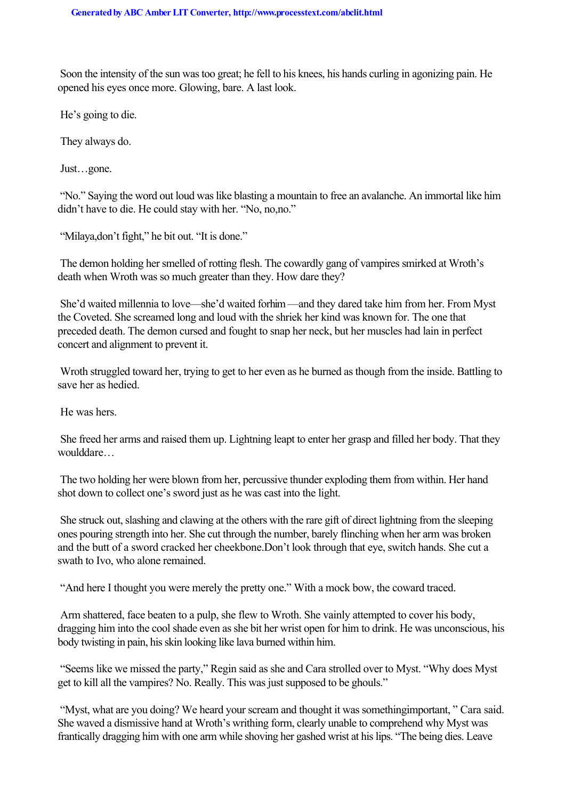Soon the intensity of the sun was too great; he fell to his knees, his hands curling in agonizing pain. He opened his eyes once more. Glowing, bare. A last look.

He's going to die.

They always do.

Just…gone.

 "No." Saying the word out loud was like blasting a mountain to free an avalanche. An immortal like him didn't have to die. He could stay with her. "No, no,no."

"Milaya,don't fight," he bit out. "It is done."

 The demon holding her smelled of rotting flesh. The cowardly gang of vampires smirked at Wroth's death when Wroth was so much greater than they. How dare they?

 She'd waited millennia to love—she'd waited forhim —and they dared take him from her. From Myst the Coveted. She screamed long and loud with the shriek her kind was known for. The one that preceded death. The demon cursed and fought to snap her neck, but her muscles had lain in perfect concert and alignment to prevent it.

 Wroth struggled toward her, trying to get to her even as he burned as though from the inside. Battling to save her as hedied.

He was hers.

 She freed her arms and raised them up. Lightning leapt to enter her grasp and filled her body. That they woulddare…

 The two holding her were blown from her, percussive thunder exploding them from within. Her hand shot down to collect one's sword just as he was cast into the light.

 She struck out, slashing and clawing at the others with the rare gift of direct lightning from the sleeping ones pouring strength into her. She cut through the number, barely flinching when her arm was broken and the butt of a sword cracked her cheekbone.Don't look through that eye, switch hands. She cut a swath to Ivo, who alone remained.

"And here I thought you were merely the pretty one." With a mock bow, the coward traced.

 Arm shattered, face beaten to a pulp, she flew to Wroth. She vainly attempted to cover his body, dragging him into the cool shade even as she bit her wrist open for him to drink. He was unconscious, his body twisting in pain, his skin looking like lava burned within him.

 "Seems like we missed the party," Regin said as she and Cara strolled over to Myst. "Why does Myst get to kill all the vampires? No. Really. This was just supposed to be ghouls."

 "Myst, what are you doing? We heard your scream and thought it was somethingimportant, " Cara said. She waved a dismissive hand at Wroth's writhing form, clearly unable to comprehend why Myst was frantically dragging him with one arm while shoving her gashed wrist at his lips. "The being dies. Leave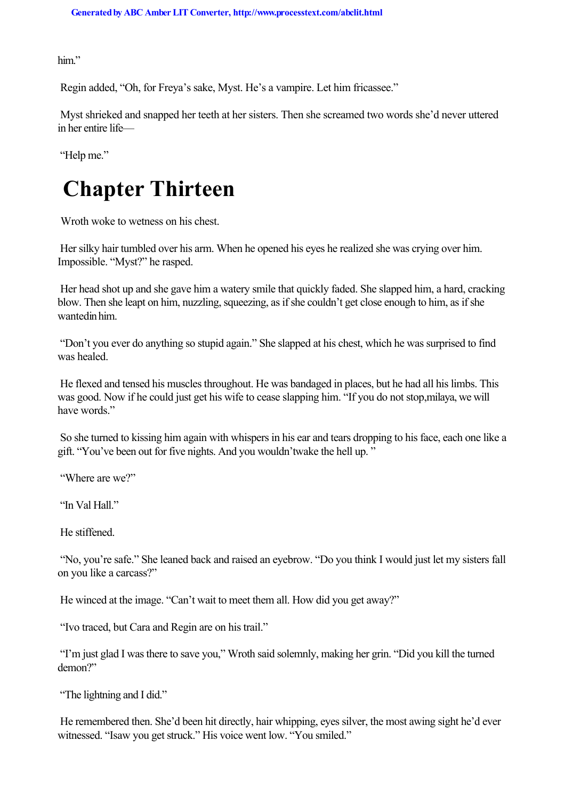him"

Regin added, "Oh, for Freya's sake, Myst. He's a vampire. Let him fricassee."

 Myst shrieked and snapped her teeth at her sisters. Then she screamed two words she'd never uttered in her entire life—

"Help me."

### **Chapter Thirteen**

Wroth woke to wetness on his chest.

 Her silky hair tumbled over his arm. When he opened his eyes he realized she was crying over him. Impossible. "Myst?" he rasped.

 Her head shot up and she gave him a watery smile that quickly faded. She slapped him, a hard, cracking blow. Then she leapt on him, nuzzling, squeezing, as if she couldn't get close enough to him, as if she wantedin him.

 "Don't you ever do anything so stupid again." She slapped at his chest, which he was surprised to find was healed.

 He flexed and tensed his muscles throughout. He was bandaged in places, but he had all his limbs. This was good. Now if he could just get his wife to cease slapping him. "If you do not stop,milaya, we will have words"

 So she turned to kissing him again with whispers in his ear and tears dropping to his face, each one like a gift. "You've been out for five nights. And you wouldn'twake the hell up. "

"Where are we?"

"In Val Hall<sup>"</sup>

He stiffened.

 "No, you're safe." She leaned back and raised an eyebrow. "Do you think I would just let my sisters fall on you like a carcass?"

He winced at the image. "Can't wait to meet them all. How did you get away?"

"Ivo traced, but Cara and Regin are on his trail."

 "I'm just glad I was there to save you," Wroth said solemnly, making her grin. "Did you kill the turned demon?"

"The lightning and I did."

 He remembered then. She'd been hit directly, hair whipping, eyes silver, the most awing sight he'd ever witnessed. "Isaw you get struck." His voice went low. "You smiled."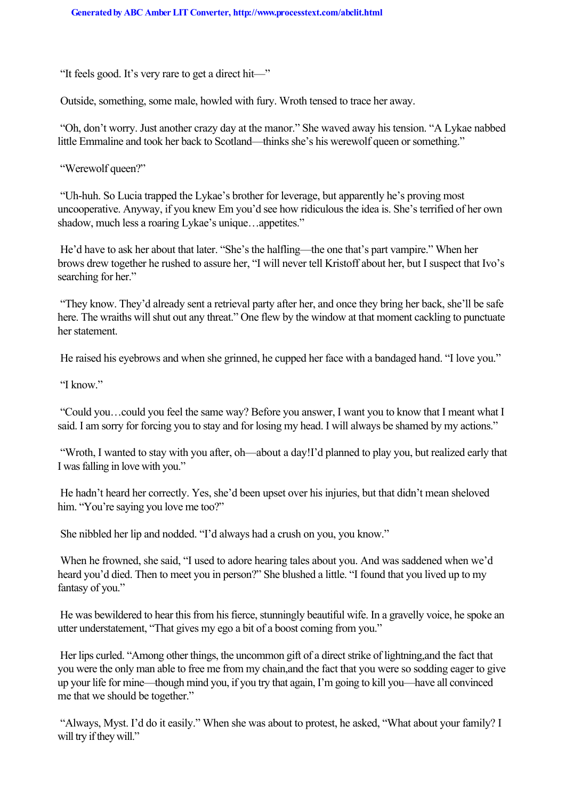"It feels good. It's very rare to get a direct hit—"

Outside, something, some male, howled with fury. Wroth tensed to trace her away.

 "Oh, don't worry. Just another crazy day at the manor." She waved away his tension. "A Lykae nabbed little Emmaline and took her back to Scotland—thinks she's his werewolf queen or something."

"Werewolf queen?"

 "Uh-huh. So Lucia trapped the Lykae's brother for leverage, but apparently he's proving most uncooperative. Anyway, if you knew Em you'd see how ridiculous the idea is. She's terrified of her own shadow, much less a roaring Lykae's unique...appetites."

 He'd have to ask her about that later. "She's the halfling—the one that's part vampire." When her brows drew together he rushed to assure her, "I will never tell Kristoff about her, but I suspect that Ivo's searching for her."

 "They know. They'd already sent a retrieval party after her, and once they bring her back, she'll be safe here. The wraiths will shut out any threat." One flew by the window at that moment cackling to punctuate her statement.

He raised his eyebrows and when she grinned, he cupped her face with a bandaged hand. "I love you."

"I know"

 "Could you…could you feel the same way? Before you answer, I want you to know that I meant what I said. I am sorry for forcing you to stay and for losing my head. I will always be shamed by my actions."

 "Wroth, I wanted to stay with you after, oh—about a day!I'd planned to play you, but realized early that I was falling in love with you."

 He hadn't heard her correctly. Yes, she'd been upset over his injuries, but that didn't mean sheloved him. "You're saving you love me too?"

She nibbled her lip and nodded. "I'd always had a crush on you, you know."

 When he frowned, she said, "I used to adore hearing tales about you. And was saddened when we'd heard you'd died. Then to meet you in person?" She blushed a little. "I found that you lived up to my fantasy of you."

 He was bewildered to hear this from his fierce, stunningly beautiful wife. In a gravelly voice, he spoke an utter understatement, "That gives my ego a bit of a boost coming from you."

 Her lips curled. "Among other things, the uncommon gift of a direct strike of lightning,and the fact that you were the only man able to free me from my chain,and the fact that you were so sodding eager to give up your life for mine—though mind you, if you try that again, I'm going to kill you—have all convinced me that we should be together."

 "Always, Myst. I'd do it easily." When she was about to protest, he asked, "What about your family? I will try if they will."